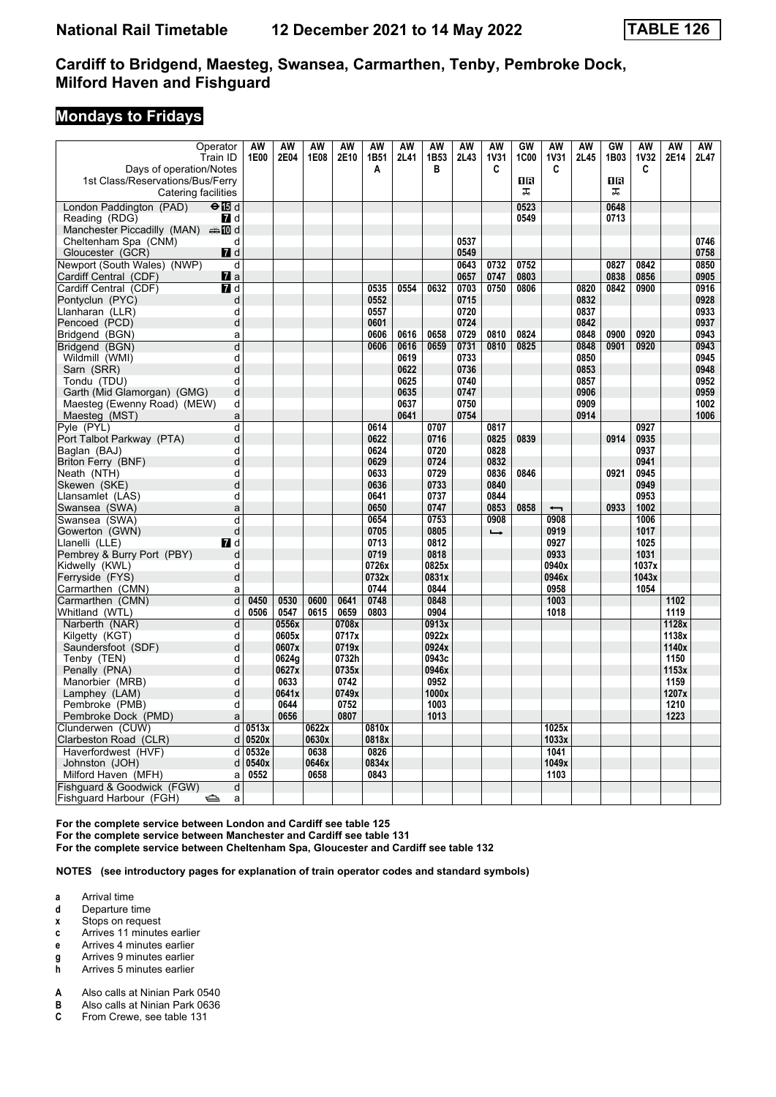### **Mondays to Fridays**

| Operator                                  |                  | AW    | AW             | AW    | AW             | AW           | AW   | AW             | AW   | AW               | GW          | <b>AW</b>        | AW   | GW   | AW               | AW             | AW   |
|-------------------------------------------|------------------|-------|----------------|-------|----------------|--------------|------|----------------|------|------------------|-------------|------------------|------|------|------------------|----------------|------|
| Train ID<br>Days of operation/Notes       |                  | 1E00  | 2E04           | 1E08  | 2E10           | 1B51<br>A    | 2L41 | 1B53<br>в      | 2L43 | <b>1V31</b><br>C | <b>1C00</b> | <b>1V31</b><br>C | 2L45 | 1B03 | <b>1V32</b><br>C | 2E14           | 2L47 |
| 1st Class/Reservations/Bus/Ferry          |                  |       |                |       |                |              |      |                |      |                  | 1R          |                  |      | ΠR   |                  |                |      |
| Catering facilities                       |                  |       |                |       |                |              |      |                |      |                  | ᠼ           |                  |      | ᠼ    |                  |                |      |
| London Paddington (PAD)<br>$\Theta$ is d  |                  |       |                |       |                |              |      |                |      |                  | 0523        |                  |      | 0648 |                  |                |      |
| Reading (RDG)                             | <b>7</b> d       |       |                |       |                |              |      |                |      |                  | 0549        |                  |      | 0713 |                  |                |      |
| Manchester Piccadilly (MAN) $\oplus$ 10 d |                  |       |                |       |                |              |      |                |      |                  |             |                  |      |      |                  |                |      |
| Cheltenham Spa (CNM)                      | d                |       |                |       |                |              |      |                | 0537 |                  |             |                  |      |      |                  |                | 0746 |
| Gloucester (GCR)                          | $\blacksquare$ d |       |                |       |                |              |      |                | 0549 |                  |             |                  |      |      |                  |                | 0758 |
| Newport (South Wales) (NWP)               | d                |       |                |       |                |              |      |                | 0643 | 0732             | 0752        |                  |      | 0827 | 0842             |                | 0850 |
| Cardiff Central (CDF)                     | $\blacksquare$ a |       |                |       |                |              |      |                | 0657 | 0747             | 0803        |                  |      | 0838 | 0856             |                | 0905 |
| Cardiff Central (CDF)                     | <b>7</b> d       |       |                |       |                | 0535         | 0554 | 0632           | 0703 | 0750             | 0806        |                  | 0820 | 0842 | 0900             |                | 0916 |
| Pontyclun (PYC)                           | d                |       |                |       |                | 0552         |      |                | 0715 |                  |             |                  | 0832 |      |                  |                | 0928 |
| Llanharan (LLR)                           | d                |       |                |       |                | 0557         |      |                | 0720 |                  |             |                  | 0837 |      |                  |                | 0933 |
| Pencoed (PCD)                             | d                |       |                |       |                | 0601         |      |                | 0724 |                  |             |                  | 0842 |      |                  |                | 0937 |
| Bridgend (BGN)                            | a                |       |                |       |                | 0606         | 0616 | 0658           | 0729 | 0810             | 0824        |                  | 0848 | 0900 | 0920             |                | 0943 |
| Bridgend (BGN)                            | $\overline{d}$   |       |                |       |                | 0606         | 0616 | 0659           | 0731 | 0810             | 0825        |                  | 0848 | 0901 | 0920             |                | 0943 |
| Wildmill (WMI)                            | d                |       |                |       |                |              | 0619 |                | 0733 |                  |             |                  | 0850 |      |                  |                | 0945 |
| Sarn (SRR)                                | d                |       |                |       |                |              | 0622 |                | 0736 |                  |             |                  | 0853 |      |                  |                | 0948 |
| Tondu (TDU)                               | d                |       |                |       |                |              | 0625 |                | 0740 |                  |             |                  | 0857 |      |                  |                | 0952 |
| Garth (Mid Glamorgan) (GMG)               | d                |       |                |       |                |              | 0635 |                | 0747 |                  |             |                  | 0906 |      |                  |                | 0959 |
| Maesteg (Ewenny Road) (MEW)               | d                |       |                |       |                |              | 0637 |                | 0750 |                  |             |                  | 0909 |      |                  |                | 1002 |
| Maesteg (MST)                             | a<br>d           |       |                |       |                |              | 0641 | 0707           | 0754 | 0817             |             |                  | 0914 |      | 0927             |                | 1006 |
| Pyle (PYL)<br>Port Talbot Parkway (PTA)   | d                |       |                |       |                | 0614<br>0622 |      | 0716           |      | 0825             | 0839        |                  |      | 0914 | 0935             |                |      |
| Baglan (BAJ)                              | d                |       |                |       |                | 0624         |      | 0720           |      | 0828             |             |                  |      |      | 0937             |                |      |
| Briton Ferry (BNF)                        | d                |       |                |       |                | 0629         |      | 0724           |      | 0832             |             |                  |      |      | 0941             |                |      |
| Neath (NTH)                               | d                |       |                |       |                | 0633         |      | 0729           |      | 0836             | 0846        |                  |      | 0921 | 0945             |                |      |
| Skewen (SKE)                              | d                |       |                |       |                | 0636         |      | 0733           |      | 0840             |             |                  |      |      | 0949             |                |      |
| Llansamlet (LAS)                          | d                |       |                |       |                | 0641         |      | 0737           |      | 0844             |             |                  |      |      | 0953             |                |      |
| Swansea (SWA)                             | a                |       |                |       |                | 0650         |      | 0747           |      | 0853             | 0858        | ↽                |      | 0933 | 1002             |                |      |
| Swansea (SWA)                             | d                |       |                |       |                | 0654         |      | 0753           |      | 0908             |             | 0908             |      |      | 1006             |                |      |
| Gowerton (GWN)                            | d                |       |                |       |                | 0705         |      | 0805           |      | $\rightarrow$    |             | 0919             |      |      | 1017             |                |      |
| Llanelli (LLE)                            | <b>7</b> d       |       |                |       |                | 0713         |      | 0812           |      |                  |             | 0927             |      |      | 1025             |                |      |
| Pembrey & Burry Port (PBY)                | d                |       |                |       |                | 0719         |      | 0818           |      |                  |             | 0933             |      |      | 1031             |                |      |
| Kidwelly (KWL)                            | d                |       |                |       |                | 0726x        |      | 0825x          |      |                  |             | 0940x            |      |      | 1037x            |                |      |
| Ferryside (FYS)                           | d                |       |                |       |                | 0732x        |      | 0831x          |      |                  |             | 0946x            |      |      | 1043x            |                |      |
| Carmarthen (CMN)                          | a                |       |                |       |                | 0744         |      | 0844           |      |                  |             | 0958             |      |      | 1054             |                |      |
| Carmarthen (CMN)                          | d                | 0450  | 0530           | 0600  | 0641           | 0748         |      | 0848           |      |                  |             | 1003             |      |      |                  | 1102           |      |
| Whitland (WTL)                            | d                | 0506  | 0547           | 0615  | 0659           | 0803         |      | 0904           |      |                  |             | 1018             |      |      |                  | 1119           |      |
| Narberth (NAR)                            | d                |       | 0556x          |       | 0708x          |              |      | 0913x          |      |                  |             |                  |      |      |                  | 1128x          |      |
| Kilgetty (KGT)<br>Saundersfoot (SDF)      | d<br>d           |       | 0605x<br>0607x |       | 0717x<br>0719x |              |      | 0922x<br>0924x |      |                  |             |                  |      |      |                  | 1138x<br>1140x |      |
| Tenby (TEN)                               | d                |       | 0624g          |       | 0732h          |              |      | 0943c          |      |                  |             |                  |      |      |                  | 1150           |      |
| Penally (PNA)                             | d                |       | 0627x          |       | 0735x          |              |      | 0946x          |      |                  |             |                  |      |      |                  | 1153x          |      |
| Manorbier (MRB)                           | d                |       | 0633           |       | 0742           |              |      | 0952           |      |                  |             |                  |      |      |                  | 1159           |      |
| Lamphey (LAM)                             | d                |       | 0641x          |       | 0749x          |              |      | 1000x          |      |                  |             |                  |      |      |                  | 1207x          |      |
| Pembroke (PMB)                            | d                |       | 0644           |       | 0752           |              |      | 1003           |      |                  |             |                  |      |      |                  | 1210           |      |
| Pembroke Dock (PMD)                       | a                |       | 0656           |       | 0807           |              |      | 1013           |      |                  |             |                  |      |      |                  | 1223           |      |
| Clunderwen (CUW)                          | d                | 0513x |                | 0622x |                | 0810x        |      |                |      |                  |             | 1025x            |      |      |                  |                |      |
| Clarbeston Road (CLR)                     | d                | 0520x |                | 0630x |                | 0818x        |      |                |      |                  |             | 1033x            |      |      |                  |                |      |
| Haverfordwest (HVF)                       | d                | 0532e |                | 0638  |                | 0826         |      |                |      |                  |             | 1041             |      |      |                  |                |      |
| Johnston (JOH)                            | d                | 0540x |                | 0646x |                | 0834x        |      |                |      |                  |             | 1049x            |      |      |                  |                |      |
| Milford Haven (MFH)                       | a                | 0552  |                | 0658  |                | 0843         |      |                |      |                  |             | 1103             |      |      |                  |                |      |
| Fishquard & Goodwick (FGW)                | d                |       |                |       |                |              |      |                |      |                  |             |                  |      |      |                  |                |      |
| Fishguard Harbour (FGH)<br>⇔              | a                |       |                |       |                |              |      |                |      |                  |             |                  |      |      |                  |                |      |

**For the complete service between London and Cardiff see table 12 For the complete service between Manchester and Cardiff see table 11**

**For the complete service between Cheltenham Spa, Gloucester and Cardiff see table 12**

**NOTES (see introductory pages for explanation of train operator codes and standard symbols)**

**a** Arrival time

- **d** Departure time
- **x** Stops on request
- **c** Arrives 11 minutes earlier **e** Arrives 4 minutes earlier
- 
- **g** Arrives 9 minutes earlier<br>**h** Arrives 5 minutes earlier **K** Arrives 5 minutes earlier
- **A** Also calls at Ninian Park 0540<br>**B** Also calls at Ninian Park 0636
- **B** Also calls at Ninian Park 0636<br>**C** From Crewe, see table 131
- From Crewe, see table 131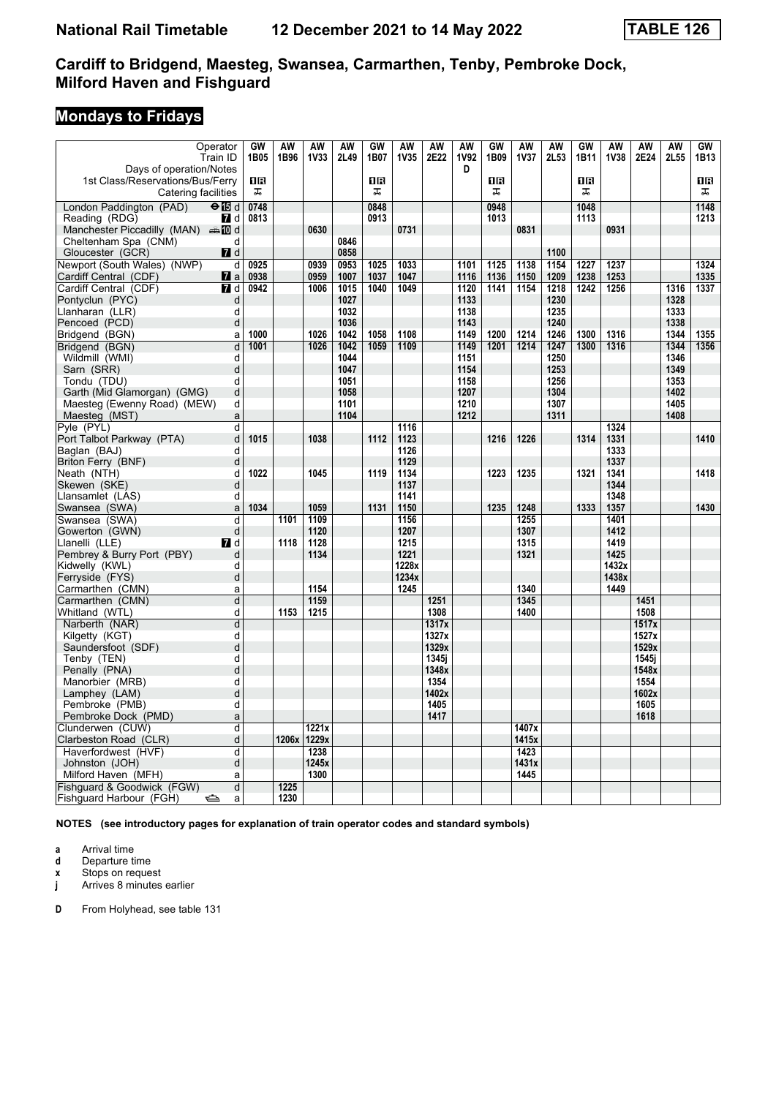# **Mondays to Fridays**

| Operator                                                    | GW   | <b>AW</b> | <b>AW</b>   | AW           | <b>GW</b> | AW           | <b>AW</b>    | <b>AW</b>   | GW   | <b>AW</b>   | <b>AW</b> | GW        | <b>AW</b>    | <b>AW</b>    | <b>AW</b>   | GW   |
|-------------------------------------------------------------|------|-----------|-------------|--------------|-----------|--------------|--------------|-------------|------|-------------|-----------|-----------|--------------|--------------|-------------|------|
| Train ID                                                    | 1B05 | 1B96      | <b>1V33</b> | 2L49         | 1B07      | <b>1V35</b>  | 2E22         | <b>1V92</b> | 1B09 | <b>1V37</b> | 2L53      | 1B11      | <b>1V38</b>  | 2E24         | <b>2L55</b> | 1B13 |
| Days of operation/Notes                                     |      |           |             |              |           |              |              | D           |      |             |           |           |              |              |             |      |
| 1st Class/Reservations/Bus/Ferry                            | 0B   |           |             |              | 0B        |              |              |             | ΩB   |             |           | <b>OR</b> |              |              |             | 0R   |
| Catering facilities                                         | ᠼ    |           |             |              | ᠼ         |              |              |             | ᠼ    |             |           | ᠼ         |              |              |             | ᠼ    |
| London Paddington (PAD)<br>$\Theta$ is d                    | 0748 |           |             |              | 0848      |              |              |             | 0948 |             |           | 1048      |              |              |             | 1148 |
| 7d<br>Reading (RDG)                                         | 0813 |           |             |              | 0913      |              |              |             | 1013 |             |           | 1113      |              |              |             | 1213 |
| Manchester Piccadilly (MAN) $\oplus$ 10 d                   |      |           | 0630        |              |           | 0731         |              |             |      | 0831        |           |           | 0931         |              |             |      |
| Cheltenham Spa (CNM)<br>d<br>Gloucester (GCR)<br><b>7</b> d |      |           |             | 0846<br>0858 |           |              |              |             |      |             | 1100      |           |              |              |             |      |
| Newport (South Wales) (NWP)<br>d                            | 0925 |           | 0939        | 0953         | 1025      | 1033         |              | 1101        | 1125 | 1138        | 1154      | 1227      | 1237         |              |             | 1324 |
| Cardiff Central (CDF)<br><b>7</b> a                         | 0938 |           | 0959        | 1007         | 1037      | 1047         |              | 1116        | 1136 | 1150        | 1209      | 1238      | 1253         |              |             | 1335 |
| Cardiff Central (CDF)<br><b>7</b> d                         | 0942 |           | 1006        | 1015         | 1040      | 1049         |              | 1120        | 1141 | 1154        | 1218      | 1242      | 1256         |              | 1316        | 1337 |
| Pontyclun (PYC)<br>d                                        |      |           |             | 1027         |           |              |              | 1133        |      |             | 1230      |           |              |              | 1328        |      |
| Llanharan (LLR)<br>d                                        |      |           |             | 1032         |           |              |              | 1138        |      |             | 1235      |           |              |              | 1333        |      |
| Pencoed (PCD)<br>d                                          |      |           |             | 1036         |           |              |              | 1143        |      |             | 1240      |           |              |              | 1338        |      |
| Bridgend (BGN)<br>a                                         | 1000 |           | 1026        | 1042         | 1058      | 1108         |              | 1149        | 1200 | 1214        | 1246      | 1300      | 1316         |              | 1344        | 1355 |
| Bridgend (BGN)<br>d                                         | 1001 |           | 1026        | 1042         | 1059      | 1109         |              | 1149        | 1201 | 1214        | 1247      | 1300      | 1316         |              | 1344        | 1356 |
| Wildmill (WMI)<br>d                                         |      |           |             | 1044         |           |              |              | 1151        |      |             | 1250      |           |              |              | 1346        |      |
| d<br>Sarn (SRR)                                             |      |           |             | 1047         |           |              |              | 1154        |      |             | 1253      |           |              |              | 1349        |      |
| d<br>Tondu (TDU)                                            |      |           |             | 1051         |           |              |              | 1158        |      |             | 1256      |           |              |              | 1353        |      |
| d<br>Garth (Mid Glamorgan) (GMG)                            |      |           |             | 1058         |           |              |              | 1207        |      |             | 1304      |           |              |              | 1402        |      |
| Maesteg (Ewenny Road) (MEW)<br>d                            |      |           |             | 1101         |           |              |              | 1210        |      |             | 1307      |           |              |              | 1405        |      |
| Maesteg (MST)<br>a                                          |      |           |             | 1104         |           |              |              | 1212        |      |             | 1311      |           |              |              | 1408        |      |
| Pyle (PYL)<br>d                                             |      |           |             |              |           | 1116         |              |             |      |             |           |           | 1324         |              |             |      |
| d<br>Port Talbot Parkway (PTA)                              | 1015 |           | 1038        |              | 1112      | 1123         |              |             | 1216 | 1226        |           | 1314      | 1331         |              |             | 1410 |
| Baglan (BAJ)<br>d                                           |      |           |             |              |           | 1126         |              |             |      |             |           |           | 1333         |              |             |      |
| Briton Ferry (BNF)<br>d                                     |      |           |             |              |           | 1129         |              |             |      |             |           |           | 1337         |              |             |      |
| d<br>Neath (NTH)<br>Skewen (SKE)<br>d                       | 1022 |           | 1045        |              | 1119      | 1134<br>1137 |              |             | 1223 | 1235        |           | 1321      | 1341<br>1344 |              |             | 1418 |
| Llansamlet (LAS)<br>d                                       |      |           |             |              |           | 1141         |              |             |      |             |           |           | 1348         |              |             |      |
| Swansea (SWA)<br>a                                          | 1034 |           | 1059        |              | 1131      | 1150         |              |             | 1235 | 1248        |           | 1333      | 1357         |              |             | 1430 |
| Swansea (SWA)<br>d                                          |      | 1101      | 1109        |              |           | 1156         |              |             |      | 1255        |           |           | 1401         |              |             |      |
| Gowerton (GWN)<br>d                                         |      |           | 1120        |              |           | 1207         |              |             |      | 1307        |           |           | 1412         |              |             |      |
| Llanelli (LLE)<br>77 d                                      |      | 1118      | 1128        |              |           | 1215         |              |             |      | 1315        |           |           | 1419         |              |             |      |
| Pembrey & Burry Port (PBY)<br>d                             |      |           | 1134        |              |           | 1221         |              |             |      | 1321        |           |           | 1425         |              |             |      |
| Kidwelly (KWL)<br>d                                         |      |           |             |              |           | 1228x        |              |             |      |             |           |           | 1432x        |              |             |      |
| d<br>Ferryside (FYS)                                        |      |           |             |              |           | 1234x        |              |             |      |             |           |           | 1438x        |              |             |      |
| Carmarthen (CMN)<br>a                                       |      |           | 1154        |              |           | 1245         |              |             |      | 1340        |           |           | 1449         |              |             |      |
| Carmarthen (CMN)<br>d                                       |      |           | 1159        |              |           |              | 1251         |             |      | 1345        |           |           |              | 1451         |             |      |
| d<br>Whitland (WTL)                                         |      | 1153      | 1215        |              |           |              | 1308         |             |      | 1400        |           |           |              | 1508         |             |      |
| d<br>Narberth (NAR)                                         |      |           |             |              |           |              | 1317x        |             |      |             |           |           |              | 1517x        |             |      |
| Kilgetty (KGT)<br>d                                         |      |           |             |              |           |              | 1327x        |             |      |             |           |           |              | 1527x        |             |      |
| d<br>Saundersfoot (SDF)                                     |      |           |             |              |           |              | 1329x        |             |      |             |           |           |              | 1529x        |             |      |
| Tenby (TEN)<br>d                                            |      |           |             |              |           |              | 1345i        |             |      |             |           |           |              | 1545i        |             |      |
| d<br>Penally (PNA)                                          |      |           |             |              |           |              | 1348x        |             |      |             |           |           |              | 1548x        |             |      |
| Manorbier (MRB)<br>d                                        |      |           |             |              |           |              | 1354         |             |      |             |           |           |              | 1554         |             |      |
| d<br>Lamphey (LAM)                                          |      |           |             |              |           |              | 1402x        |             |      |             |           |           |              | 1602x        |             |      |
| Pembroke (PMB)<br>d<br>Pembroke Dock (PMD)<br>a             |      |           |             |              |           |              | 1405<br>1417 |             |      |             |           |           |              | 1605<br>1618 |             |      |
| d                                                           |      |           | 1221x       |              |           |              |              |             |      | 1407x       |           |           |              |              |             |      |
| Clunderwen (CUW)<br>d<br>Clarbeston Road (CLR)              |      | 1206x     | 1229x       |              |           |              |              |             |      | 1415x       |           |           |              |              |             |      |
| Haverfordwest (HVF)<br>d                                    |      |           | 1238        |              |           |              |              |             |      | 1423        |           |           |              |              |             |      |
| d<br>Johnston (JOH)                                         |      |           | 1245x       |              |           |              |              |             |      | 1431x       |           |           |              |              |             |      |
| Milford Haven (MFH)<br>a                                    |      |           | 1300        |              |           |              |              |             |      | 1445        |           |           |              |              |             |      |
| $\overline{d}$<br>Fishguard & Goodwick (FGW)                |      | 1225      |             |              |           |              |              |             |      |             |           |           |              |              |             |      |
| Fishguard Harbour (FGH)<br>⇔<br>a                           |      | 1230      |             |              |           |              |              |             |      |             |           |           |              |              |             |      |

**NOTES (see introductory pages for explanation of train operator codes and standard symbols)**

**a** Arrival time<br>**d** Departure t

**d** Departure time

**x** Stops on request<br>**j** Arrives 8 minutes Arrives 8 minutes earlier

**D** From Holyhead, see table 131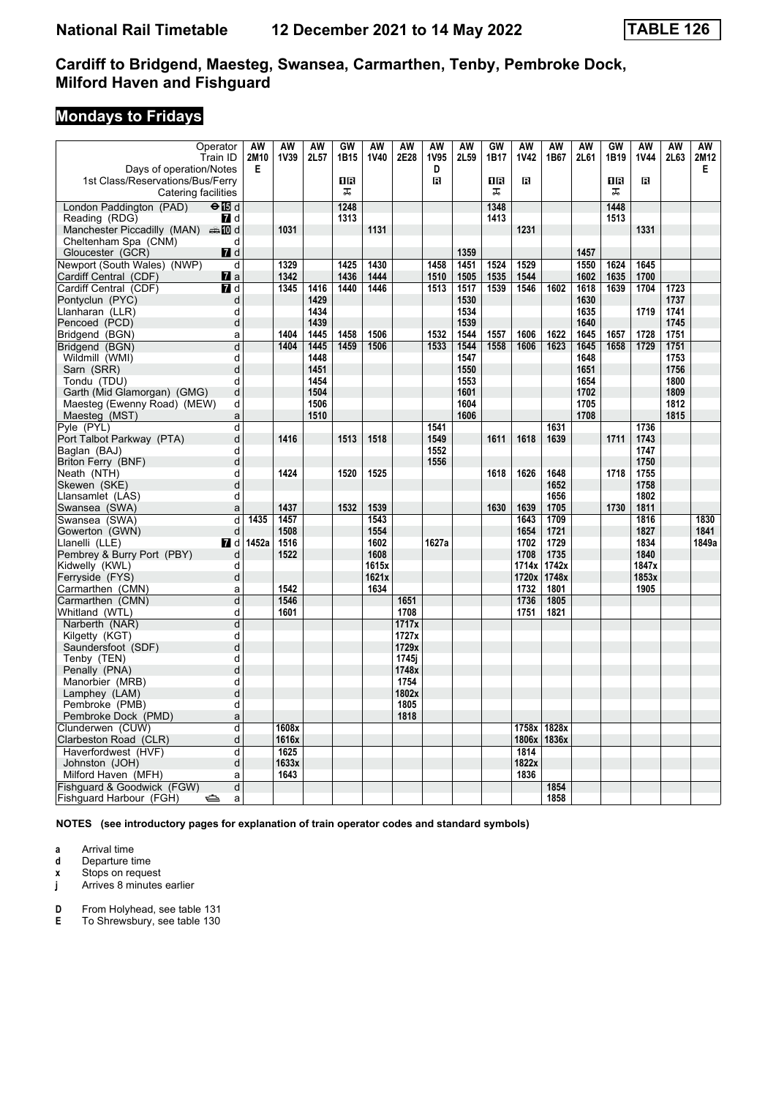# **Mondays to Fridays**

| Operator                                                         | AW        | AW          | AW   | GW             | AW            | AW    | AW        | AW   | GW   | AW            | AW            | AW   | GW             | AW            | AW   | AW        |
|------------------------------------------------------------------|-----------|-------------|------|----------------|---------------|-------|-----------|------|------|---------------|---------------|------|----------------|---------------|------|-----------|
| Train ID                                                         | 2M10<br>Е | <b>1V39</b> | 2L57 | 1B15           | 1V40          | 2E28  | 1V95<br>D | 2L59 | 1B17 | <b>1V42</b>   | 1B67          | 2L61 | 1B19           | <b>1V44</b>   | 2L63 | 2M12<br>Е |
| Days of operation/Notes<br>1st Class/Reservations/Bus/Ferry      |           |             |      | 1 <sub>R</sub> |               |       | R         |      | 1B   | R             |               |      | 1 <sub>R</sub> | R             |      |           |
| Catering facilities                                              |           |             |      | ᠼ              |               |       |           |      | 工    |               |               |      | ᠼ              |               |      |           |
|                                                                  |           |             |      |                |               |       |           |      | 1348 |               |               |      | 1448           |               |      |           |
| London Paddington (PAD)<br>$\Theta$ is d                         |           |             |      | 1248           |               |       |           |      |      |               |               |      |                |               |      |           |
| Reading (RDG)<br>7d<br>Manchester Piccadilly (MAN) $\oplus$ 10 d |           | 1031        |      | 1313           | 1131          |       |           |      | 1413 | 1231          |               |      | 1513           | 1331          |      |           |
| Cheltenham Spa (CNM)                                             | d         |             |      |                |               |       |           |      |      |               |               |      |                |               |      |           |
| Gloucester (GCR)<br>$\blacksquare$ d                             |           |             |      |                |               |       |           | 1359 |      |               |               | 1457 |                |               |      |           |
| Newport (South Wales) (NWP)                                      | d         | 1329        |      | 1425           | 1430          |       | 1458      | 1451 | 1524 | 1529          |               | 1550 | 1624           | 1645          |      |           |
| Cardiff Central (CDF)<br>$\mathbf{z}$ a                          |           | 1342        |      | 1436           | 1444          |       | 1510      | 1505 | 1535 | 1544          |               | 1602 | 1635           | 1700          |      |           |
| Cardiff Central (CDF)<br>$\blacksquare$                          |           | 1345        | 1416 | 1440           | 1446          |       | 1513      | 1517 | 1539 | 1546          | 1602          | 1618 | 1639           | 1704          | 1723 |           |
| Pontyclun (PYC)                                                  | d         |             | 1429 |                |               |       |           | 1530 |      |               |               | 1630 |                |               | 1737 |           |
| Llanharan (LLR)                                                  | d         |             | 1434 |                |               |       |           | 1534 |      |               |               | 1635 |                | 1719          | 1741 |           |
| Pencoed (PCD)                                                    | d         |             | 1439 |                |               |       |           | 1539 |      |               |               | 1640 |                |               | 1745 |           |
| Bridgend (BGN)                                                   | a         | 1404        | 1445 | 1458           | 1506          |       | 1532      | 1544 | 1557 | 1606          | 1622          | 1645 | 1657           | 1728          | 1751 |           |
| Bridgend (BGN)                                                   | d         | 1404        | 1445 | 1459           | 1506          |       | 1533      | 1544 | 1558 | 1606          | 1623          | 1645 | 1658           | 1729          | 1751 |           |
| Wildmill (WMI)                                                   | d         |             | 1448 |                |               |       |           | 1547 |      |               |               | 1648 |                |               | 1753 |           |
| Sarn (SRR)                                                       | d         |             | 1451 |                |               |       |           | 1550 |      |               |               | 1651 |                |               | 1756 |           |
| Tondu (TDU)                                                      | d         |             | 1454 |                |               |       |           | 1553 |      |               |               | 1654 |                |               | 1800 |           |
| Garth (Mid Glamorgan) (GMG)                                      | d         |             | 1504 |                |               |       |           | 1601 |      |               |               | 1702 |                |               | 1809 |           |
| Maesteg (Ewenny Road) (MEW)                                      | d         |             | 1506 |                |               |       |           | 1604 |      |               |               | 1705 |                |               | 1812 |           |
| Maesteg (MST)                                                    | a         |             | 1510 |                |               |       |           | 1606 |      |               |               | 1708 |                |               | 1815 |           |
| Pyle (PYL)                                                       | d         |             |      |                |               |       | 1541      |      |      |               | 1631          |      |                | 1736          |      |           |
| Port Talbot Parkway (PTA)                                        | d         | 1416        |      | 1513           | 1518          |       | 1549      |      | 1611 | 1618          | 1639          |      | 1711           | 1743          |      |           |
| Baglan (BAJ)                                                     | d         |             |      |                |               |       | 1552      |      |      |               |               |      |                | 1747          |      |           |
| Briton Ferry (BNF)                                               | d         |             |      |                |               |       | 1556      |      |      |               |               |      |                | 1750          |      |           |
| Neath (NTH)                                                      | d         | 1424        |      | 1520           | 1525          |       |           |      | 1618 | 1626          | 1648          |      | 1718           | 1755          |      |           |
| Skewen (SKE)                                                     | d         |             |      |                |               |       |           |      |      |               | 1652          |      |                | 1758          |      |           |
| Llansamlet (LAS)                                                 | d         |             |      |                |               |       |           |      |      |               | 1656          |      |                | 1802          |      |           |
| Swansea (SWA)                                                    | a         | 1437        |      | 1532           | 1539          |       |           |      | 1630 | 1639          | 1705          |      | 1730           | 1811          |      |           |
| Swansea (SWA)                                                    | 1435<br>d | 1457        |      |                | 1543          |       |           |      |      | 1643          | 1709          |      |                | 1816          |      | 1830      |
| Gowerton (GWN)                                                   | d         | 1508        |      |                | 1554          |       |           |      |      | 1654          | 1721          |      |                | 1827          |      | 1841      |
| Llanelli (LLE)<br><b>7</b> d                                     | 1452a     | 1516        |      |                | 1602          |       | 1627a     |      |      | 1702          | 1729          |      |                | 1834          |      | 1849a     |
| Pembrey & Burry Port (PBY)                                       | d<br>d    | 1522        |      |                | 1608<br>1615x |       |           |      |      | 1708<br>1714x | 1735<br>1742x |      |                | 1840<br>1847x |      |           |
| Kidwelly (KWL)<br>Ferryside (FYS)                                | d         |             |      |                | 1621x         |       |           |      |      | 1720x         | 1748x         |      |                | 1853x         |      |           |
| Carmarthen (CMN)                                                 | a         | 1542        |      |                | 1634          |       |           |      |      | 1732          | 1801          |      |                | 1905          |      |           |
| Carmarthen (CMN)                                                 | d         | 1546        |      |                |               | 1651  |           |      |      | 1736          | 1805          |      |                |               |      |           |
| Whitland (WTL)                                                   | d         | 1601        |      |                |               | 1708  |           |      |      | 1751          | 1821          |      |                |               |      |           |
| Narberth (NAR)                                                   | d         |             |      |                |               | 1717x |           |      |      |               |               |      |                |               |      |           |
| Kilgetty (KGT)                                                   | d         |             |      |                |               | 1727x |           |      |      |               |               |      |                |               |      |           |
| Saundersfoot (SDF)                                               | d         |             |      |                |               | 1729x |           |      |      |               |               |      |                |               |      |           |
| Tenby (TEN)                                                      | d         |             |      |                |               | 1745i |           |      |      |               |               |      |                |               |      |           |
| Penally (PNA)                                                    | d         |             |      |                |               | 1748x |           |      |      |               |               |      |                |               |      |           |
| Manorbier (MRB)                                                  | d         |             |      |                |               | 1754  |           |      |      |               |               |      |                |               |      |           |
| Lamphey (LAM)                                                    | d         |             |      |                |               | 1802x |           |      |      |               |               |      |                |               |      |           |
| Pembroke (PMB)                                                   | d         |             |      |                |               | 1805  |           |      |      |               |               |      |                |               |      |           |
| Pembroke Dock (PMD)                                              | a         |             |      |                |               | 1818  |           |      |      |               |               |      |                |               |      |           |
| Clunderwen (CUW)                                                 | d         | 1608x       |      |                |               |       |           |      |      | 1758x         | 1828x         |      |                |               |      |           |
| Clarbeston Road (CLR)                                            | d         | 1616x       |      |                |               |       |           |      |      | 1806x         | 1836x         |      |                |               |      |           |
| Haverfordwest (HVF)                                              | d         | 1625        |      |                |               |       |           |      |      | 1814          |               |      |                |               |      |           |
| Johnston (JOH)                                                   | d         | 1633x       |      |                |               |       |           |      |      | 1822x         |               |      |                |               |      |           |
| Milford Haven (MFH)                                              | a         | 1643        |      |                |               |       |           |      |      | 1836          |               |      |                |               |      |           |
| Fishguard & Goodwick (FGW)                                       | d         |             |      |                |               |       |           |      |      |               | 1854          |      |                |               |      |           |
| Fishguard Harbour (FGH)<br>$\Rightarrow$                         | a         |             |      |                |               |       |           |      |      |               | 1858          |      |                |               |      |           |

**NOTES (see introductory pages for explanation of train operator codes and standard symbols)**

**a** Arrival time<br>**d** Departure t

**d** Departure time

**x** Stops on request<br>**j** Arrives 8 minutes

Arrives 8 minutes earlier

**D** From Holyhead, see table 131<br>**E** To Shrewsbury, see table 130

To Shrewsbury, see table 130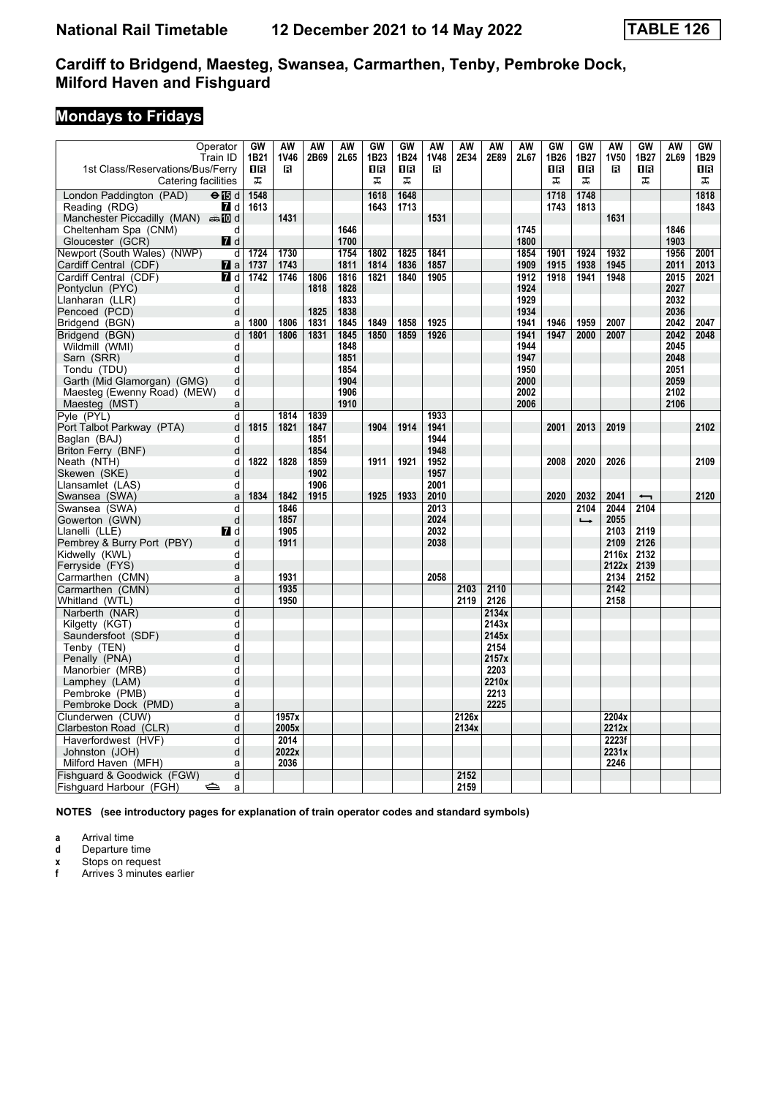# **Mondays to Fridays**

| Operator                                                                 | GW   | <b>AW</b>   | <b>AW</b> | <b>AW</b> | GW   | GW   | AW   | <b>AW</b> | <b>AW</b> | <b>AW</b> | GW   | GW            | <b>AW</b>   | <b>GW</b> | <b>AW</b> | GW   |
|--------------------------------------------------------------------------|------|-------------|-----------|-----------|------|------|------|-----------|-----------|-----------|------|---------------|-------------|-----------|-----------|------|
| Train ID                                                                 | 1B21 | <b>1V46</b> | 2B69      | 2L65      | 1B23 | 1B24 | 1V48 | 2E34      | 2E89      | 2L67      | 1B26 | 1B27          | <b>1V50</b> | 1B27      | 2L69      | 1B29 |
| 1st Class/Reservations/Bus/Ferry                                         | 0 R  | R           |           |           | 16   | 1R   | R    |           |           |           | 1R   | 0 B           | R           | 0 B       |           | 1 R  |
| Catering facilities                                                      | ᠼ    |             |           |           | ᠼ    | ᠼ    |      |           |           |           | ᠼ    | 盂             |             | ᠼ         |           | ᠼ    |
|                                                                          |      |             |           |           |      |      |      |           |           |           |      |               |             |           |           |      |
| $\overline{\Theta}$ $\overline{\mathbb{B}}$ d<br>London Paddington (PAD) | 1548 |             |           |           | 1618 | 1648 |      |           |           |           | 1718 | 1748          |             |           |           | 1818 |
| Reading (RDG)<br><b>7</b> d                                              | 1613 |             |           |           | 1643 | 1713 |      |           |           |           | 1743 | 1813          |             |           |           | 1843 |
| Manchester Piccadilly (MAN) $\oplus$ 10 d                                |      | 1431        |           |           |      |      | 1531 |           |           |           |      |               | 1631        |           |           |      |
| Cheltenham Spa (CNM)<br>d                                                |      |             |           | 1646      |      |      |      |           |           | 1745      |      |               |             |           | 1846      |      |
| Gloucester (GCR)<br>$\blacksquare$                                       |      |             |           | 1700      |      |      |      |           |           | 1800      |      |               |             |           | 1903      |      |
| Newport (South Wales) (NWP)<br>d                                         | 1724 | 1730        |           | 1754      | 1802 | 1825 | 1841 |           |           | 1854      | 1901 | 1924          | 1932        |           | 1956      | 2001 |
| Cardiff Central (CDF)<br><b>7</b> a                                      | 1737 | 1743        |           | 1811      | 1814 | 1836 | 1857 |           |           | 1909      | 1915 | 1938          | 1945        |           | 2011      | 2013 |
| Cardiff Central (CDF)<br><b>7</b> d                                      | 1742 | 1746        | 1806      | 1816      | 1821 | 1840 | 1905 |           |           | 1912      | 1918 | 1941          | 1948        |           | 2015      | 2021 |
| Pontyclun (PYC)<br>d                                                     |      |             | 1818      | 1828      |      |      |      |           |           | 1924      |      |               |             |           | 2027      |      |
| Llanharan (LLR)<br>d                                                     |      |             |           | 1833      |      |      |      |           |           | 1929      |      |               |             |           | 2032      |      |
| Pencoed (PCD)<br>d                                                       |      |             | 1825      | 1838      |      |      |      |           |           | 1934      |      |               |             |           | 2036      |      |
| Bridgend (BGN)<br>a                                                      | 1800 | 1806        | 1831      | 1845      | 1849 | 1858 | 1925 |           |           | 1941      | 1946 | 1959          | 2007        |           | 2042      | 2047 |
| Bridgend (BGN)<br>d                                                      | 1801 | 1806        | 1831      | 1845      | 1850 | 1859 | 1926 |           |           | 1941      | 1947 | 2000          | 2007        |           | 2042      | 2048 |
| Wildmill (WMI)<br>d                                                      |      |             |           | 1848      |      |      |      |           |           | 1944      |      |               |             |           | 2045      |      |
| d<br>Sarn (SRR)                                                          |      |             |           | 1851      |      |      |      |           |           | 1947      |      |               |             |           | 2048      |      |
| Tondu (TDU)<br>d                                                         |      |             |           | 1854      |      |      |      |           |           | 1950      |      |               |             |           | 2051      |      |
| d<br>Garth (Mid Glamorgan) (GMG)                                         |      |             |           | 1904      |      |      |      |           |           | 2000      |      |               |             |           | 2059      |      |
| Maesteg (Ewenny Road) (MEW)<br>d                                         |      |             |           | 1906      |      |      |      |           |           | 2002      |      |               |             |           | 2102      |      |
| Maesteg (MST)<br>$\mathsf{a}$                                            |      |             |           | 1910      |      |      |      |           |           | 2006      |      |               |             |           | 2106      |      |
| Pyle (PYL)<br>d                                                          |      | 1814        | 1839      |           |      |      | 1933 |           |           |           |      |               |             |           |           |      |
| Port Talbot Parkway (PTA)<br>d                                           | 1815 | 1821        | 1847      |           | 1904 | 1914 | 1941 |           |           |           | 2001 | 2013          | 2019        |           |           | 2102 |
| Baglan (BAJ)<br>d                                                        |      |             | 1851      |           |      |      | 1944 |           |           |           |      |               |             |           |           |      |
| Briton Ferry (BNF)<br>d                                                  |      |             | 1854      |           |      |      | 1948 |           |           |           |      |               |             |           |           |      |
| Neath (NTH)<br>d                                                         | 1822 | 1828        | 1859      |           | 1911 | 1921 | 1952 |           |           |           | 2008 | 2020          | 2026        |           |           | 2109 |
| Skewen (SKE)<br>d                                                        |      |             | 1902      |           |      |      | 1957 |           |           |           |      |               |             |           |           |      |
| Llansamlet (LAS)<br>d                                                    |      |             | 1906      |           |      |      | 2001 |           |           |           |      |               |             |           |           |      |
| Swansea (SWA)<br>a                                                       | 1834 | 1842        | 1915      |           | 1925 | 1933 | 2010 |           |           |           | 2020 | 2032          | 2041        | ↽         |           | 2120 |
| Swansea (SWA)<br>d                                                       |      | 1846        |           |           |      |      | 2013 |           |           |           |      | 2104          | 2044        | 2104      |           |      |
| d<br>Gowerton (GWN)                                                      |      | 1857        |           |           |      |      | 2024 |           |           |           |      | $\rightarrow$ | 2055        |           |           |      |
| Llanelli (LLE)<br><b>7</b> d                                             |      | 1905        |           |           |      |      | 2032 |           |           |           |      |               | 2103        | 2119      |           |      |
| Pembrey & Burry Port (PBY)<br>d                                          |      | 1911        |           |           |      |      | 2038 |           |           |           |      |               | 2109        | 2126      |           |      |
| Kidwelly (KWL)<br>d                                                      |      |             |           |           |      |      |      |           |           |           |      |               | 2116x       | 2132      |           |      |
| Ferryside (FYS)<br>d                                                     |      |             |           |           |      |      |      |           |           |           |      |               | 2122x       | 2139      |           |      |
| Carmarthen (CMN)<br>a                                                    |      | 1931        |           |           |      |      | 2058 |           |           |           |      |               | 2134        | 2152      |           |      |
| Carmarthen (CMN)<br>d                                                    |      | 1935        |           |           |      |      |      | 2103      | 2110      |           |      |               | 2142        |           |           |      |
| Whitland (WTL)<br>d                                                      |      | 1950        |           |           |      |      |      | 2119      | 2126      |           |      |               | 2158        |           |           |      |
| Narberth (NAR)<br>d                                                      |      |             |           |           |      |      |      |           | 2134x     |           |      |               |             |           |           |      |
| Kilgetty (KGT)<br>d                                                      |      |             |           |           |      |      |      |           | 2143x     |           |      |               |             |           |           |      |
| Saundersfoot (SDF)<br>d                                                  |      |             |           |           |      |      |      |           | 2145x     |           |      |               |             |           |           |      |
| Tenby (TEN)<br>d                                                         |      |             |           |           |      |      |      |           | 2154      |           |      |               |             |           |           |      |
| d<br>Penally (PNA)                                                       |      |             |           |           |      |      |      |           | 2157x     |           |      |               |             |           |           |      |
| Manorbier (MRB)<br>d                                                     |      |             |           |           |      |      |      |           | 2203      |           |      |               |             |           |           |      |
| Lamphey (LAM)<br>d                                                       |      |             |           |           |      |      |      |           | 2210x     |           |      |               |             |           |           |      |
| Pembroke (PMB)<br>d                                                      |      |             |           |           |      |      |      |           | 2213      |           |      |               |             |           |           |      |
| Pembroke Dock (PMD)<br>a                                                 |      |             |           |           |      |      |      |           | 2225      |           |      |               |             |           |           |      |
| Clunderwen (CUW)<br>d                                                    |      | 1957x       |           |           |      |      |      | 2126x     |           |           |      |               | 2204x       |           |           |      |
| Clarbeston Road (CLR)<br>d                                               |      | 2005x       |           |           |      |      |      | 2134x     |           |           |      |               | 2212x       |           |           |      |
| Haverfordwest (HVF)<br>d                                                 |      | 2014        |           |           |      |      |      |           |           |           |      |               | 2223f       |           |           |      |
| d                                                                        |      | 2022x       |           |           |      |      |      |           |           |           |      |               | 2231x       |           |           |      |
| Johnston (JOH)                                                           |      |             |           |           |      |      |      |           |           |           |      |               | 2246        |           |           |      |
| Milford Haven (MFH)<br>a                                                 |      | 2036        |           |           |      |      |      | 2152      |           |           |      |               |             |           |           |      |
| Fishguard & Goodwick (FGW)<br>d                                          |      |             |           |           |      |      |      |           |           |           |      |               |             |           |           |      |
| Fishguard Harbour (FGH)<br>$\Rightarrow$<br>a                            |      |             |           |           |      |      |      | 2159      |           |           |      |               |             |           |           |      |

**NOTES (see introductory pages for explanation of train operator codes and standard symbols)**

**a** Arrival time

**d** Departure time<br>**x** Stops on reque

**x** Stops on request<br>**f** Arrives 3 minutes

**f** Arrives 3 minutes earlier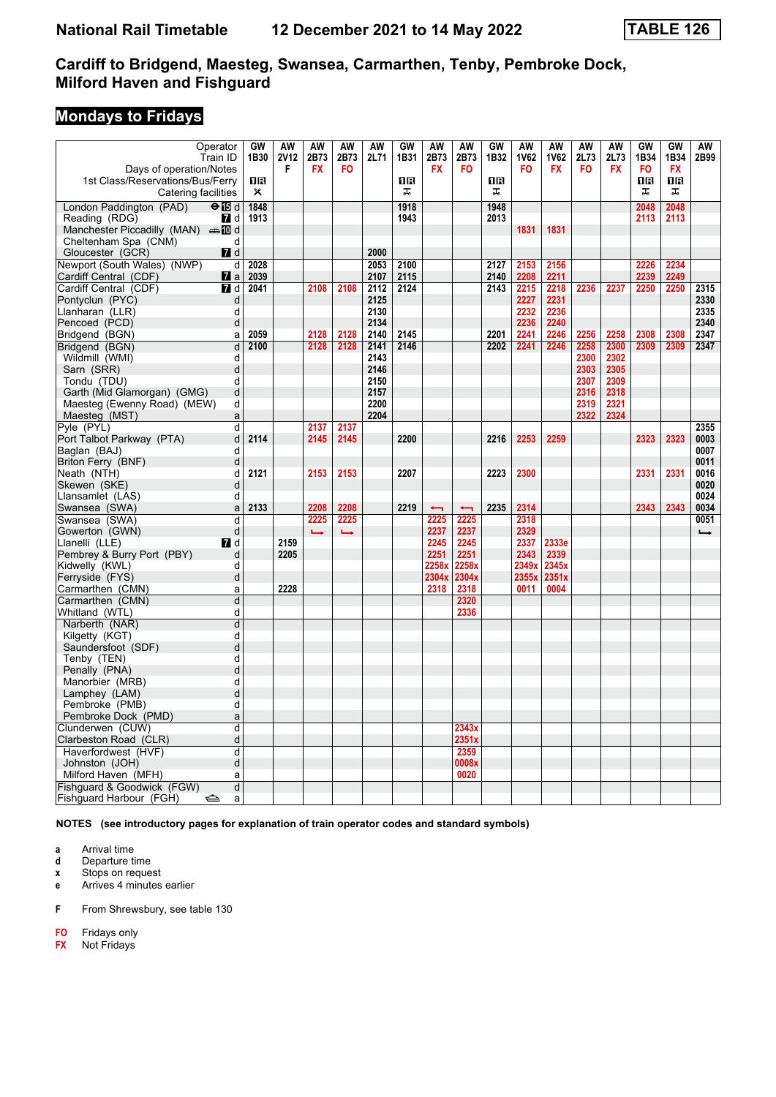# **Mondays to Fridays**

| Operator                                  | GW           | AW          | AW            | AW             | AW   | GW   | AW                       | AW                       | GW   | AW          | AW          | AW        | AW        | GW             | <b>GW</b> | AW            |
|-------------------------------------------|--------------|-------------|---------------|----------------|------|------|--------------------------|--------------------------|------|-------------|-------------|-----------|-----------|----------------|-----------|---------------|
| Train ID                                  | 1B30         | <b>2V12</b> | 2B73          | 2B73           | 2L71 | 1B31 | 2B73                     | 2B73                     | 1B32 | <b>1V62</b> | <b>1V62</b> | 2L73      | 2L73      | 1B34           | 1B34      | 2B99          |
| Days of operation/Notes                   |              | F           | <b>FX</b>     | F <sub>0</sub> |      |      | <b>FX</b>                | <b>FO</b>                |      | <b>FO</b>   | <b>FX</b>   | <b>FO</b> | <b>FX</b> | F <sub>0</sub> | <b>FX</b> |               |
| 1st Class/Reservations/Bus/Ferry          | 1R           |             |               |                |      | 1R   |                          |                          | ΠR   |             |             |           |           | 1R             | <b>OB</b> |               |
| Catering facilities                       | $\mathsf{x}$ |             |               |                |      | ᠼ    |                          |                          | 工    |             |             |           |           | ᠼ              | ᠼ         |               |
| London Paddington (PAD)<br>$\Theta$ is d  | 1848         |             |               |                |      | 1918 |                          |                          | 1948 |             |             |           |           | 2048           | 2048      |               |
| Reading (RDG)<br><b>7</b> d               | 1913         |             |               |                |      | 1943 |                          |                          | 2013 |             |             |           |           | 2113           | 2113      |               |
| Manchester Piccadilly (MAN) $\oplus$ 10 d |              |             |               |                |      |      |                          |                          |      | 1831        | 1831        |           |           |                |           |               |
| Cheltenham Spa (CNM)<br>d                 |              |             |               |                |      |      |                          |                          |      |             |             |           |           |                |           |               |
| Gloucester (GCR)<br>$\blacksquare$ d      |              |             |               |                | 2000 |      |                          |                          |      |             |             |           |           |                |           |               |
| Newport (South Wales) (NWP)<br>d          | 2028         |             |               |                | 2053 | 2100 |                          |                          | 2127 | 2153        | 2156        |           |           | 2226           | 2234      |               |
| Cardiff Central (CDF)<br>$\mathbf{z}$ a   | 2039         |             |               |                | 2107 | 2115 |                          |                          | 2140 | 2208        | 2211        |           |           | 2239           | 2249      |               |
| $\blacksquare$ d<br>Cardiff Central (CDF) | 2041         |             | 2108          | 2108           | 2112 | 2124 |                          |                          | 2143 | 2215        | 2218        | 2236      | 2237      | 2250           | 2250      | 2315          |
| Pontyclun (PYC)<br>d                      |              |             |               |                | 2125 |      |                          |                          |      | 2227        | 2231        |           |           |                |           | 2330          |
| d<br>Llanharan (LLR)                      |              |             |               |                | 2130 |      |                          |                          |      | 2232        | 2236        |           |           |                |           | 2335          |
| Pencoed (PCD)<br>d                        |              |             |               |                | 2134 |      |                          |                          |      | 2236        | 2240        |           |           |                |           | 2340          |
| Bridgend (BGN)<br>a                       | 2059         |             | 2128          | 2128           | 2140 | 2145 |                          |                          | 2201 | 2241        | 2246        | 2256      | 2258      | 2308           | 2308      | 2347          |
| $\overline{\mathsf{d}}$<br>Bridgend (BGN) | 2100         |             | 2128          | 2128           | 2141 | 2146 |                          |                          | 2202 | 2241        | 2246        | 2258      | 2300      | 2309           | 2309      | 2347          |
| Wildmill (WMI)<br>d                       |              |             |               |                | 2143 |      |                          |                          |      |             |             | 2300      | 2302      |                |           |               |
| Sarn (SRR)<br>d                           |              |             |               |                | 2146 |      |                          |                          |      |             |             | 2303      | 2305      |                |           |               |
| Tondu (TDU)<br>d                          |              |             |               |                | 2150 |      |                          |                          |      |             |             | 2307      | 2309      |                |           |               |
| d<br>Garth (Mid Glamorgan) (GMG)          |              |             |               |                | 2157 |      |                          |                          |      |             |             | 2316      | 2318      |                |           |               |
| d<br>Maesteg (Ewenny Road) (MEW)          |              |             |               |                | 2200 |      |                          |                          |      |             |             | 2319      | 2321      |                |           |               |
| Maesteg (MST)<br>a                        |              |             |               |                | 2204 |      |                          |                          |      |             |             | 2322      | 2324      |                |           |               |
| Pyle (PYL)<br>d                           |              |             | 2137          | 2137           |      | 2200 |                          |                          |      |             |             |           |           |                |           | 2355          |
| d<br>Port Talbot Parkway (PTA)            | 2114         |             | 2145          | 2145           |      |      |                          |                          | 2216 | 2253        | 2259        |           |           | 2323           | 2323      | 0003          |
| Baglan (BAJ)<br>d                         |              |             |               |                |      |      |                          |                          |      |             |             |           |           |                |           | 0007          |
| d<br>Briton Ferry (BNF)<br>d              | 2121         |             | 2153          |                |      | 2207 |                          |                          | 2223 |             |             |           |           |                |           | 0011          |
| Neath (NTH)<br>Skewen (SKE)<br>d          |              |             |               | 2153           |      |      |                          |                          |      | 2300        |             |           |           | 2331           | 2331      | 0016<br>0020  |
| Llansamlet (LAS)<br>d                     |              |             |               |                |      |      |                          |                          |      |             |             |           |           |                |           | 0024          |
| Swansea (SWA)<br>a                        | 2133         |             | 2208          | 2208           |      | 2219 | $\overline{\phantom{0}}$ | $\overline{\phantom{0}}$ | 2235 | 2314        |             |           |           | 2343           | 2343      | 0034          |
| Swansea (SWA)<br>d                        |              |             | 2225          | 2225           |      |      | 2225                     | 2225                     |      | 2318        |             |           |           |                |           | 0051          |
| d<br>Gowerton (GWN)                       |              |             | $\rightarrow$ | حسنة           |      |      | 2237                     | 2237                     |      | 2329        |             |           |           |                |           | $\rightarrow$ |
| <b>7</b> d<br>Llanelli (LLE)              |              | 2159        |               |                |      |      | 2245                     | 2245                     |      | 2337        | 2333e       |           |           |                |           |               |
| d<br>Pembrey & Burry Port (PBY)           |              | 2205        |               |                |      |      | 2251                     | 2251                     |      | 2343        | 2339        |           |           |                |           |               |
| Kidwelly (KWL)<br>d                       |              |             |               |                |      |      | 2258x                    | 2258x                    |      | 2349x       | 2345x       |           |           |                |           |               |
| Ferryside (FYS)<br>d                      |              |             |               |                |      |      | 2304x                    | 2304x                    |      | 2355x       | 2351x       |           |           |                |           |               |
| Carmarthen (CMN)<br>a                     |              | 2228        |               |                |      |      | 2318                     | 2318                     |      | 0011        | 0004        |           |           |                |           |               |
| Carmarthen (CMN)<br>d                     |              |             |               |                |      |      |                          | 2320                     |      |             |             |           |           |                |           |               |
| d<br>Whitland (WTL)                       |              |             |               |                |      |      |                          | 2336                     |      |             |             |           |           |                |           |               |
| Narberth (NAR)<br>d                       |              |             |               |                |      |      |                          |                          |      |             |             |           |           |                |           |               |
| d<br>Kilgetty (KGT)                       |              |             |               |                |      |      |                          |                          |      |             |             |           |           |                |           |               |
| d<br>Saundersfoot (SDF)                   |              |             |               |                |      |      |                          |                          |      |             |             |           |           |                |           |               |
| Tenby (TEN)<br>d                          |              |             |               |                |      |      |                          |                          |      |             |             |           |           |                |           |               |
| d<br>Penally (PNA)                        |              |             |               |                |      |      |                          |                          |      |             |             |           |           |                |           |               |
| d<br>Manorbier (MRB)                      |              |             |               |                |      |      |                          |                          |      |             |             |           |           |                |           |               |
| d<br>Lamphey (LAM)                        |              |             |               |                |      |      |                          |                          |      |             |             |           |           |                |           |               |
| Pembroke (PMB)<br>d                       |              |             |               |                |      |      |                          |                          |      |             |             |           |           |                |           |               |
| Pembroke Dock (PMD)<br>a                  |              |             |               |                |      |      |                          |                          |      |             |             |           |           |                |           |               |
| Clunderwen (CUW)<br>d                     |              |             |               |                |      |      |                          | 2343x                    |      |             |             |           |           |                |           |               |
| d<br>Clarbeston Road (CLR)                |              |             |               |                |      |      |                          | 2351x                    |      |             |             |           |           |                |           |               |
| Haverfordwest (HVF)<br>d                  |              |             |               |                |      |      |                          | 2359                     |      |             |             |           |           |                |           |               |
| d<br>Johnston (JOH)                       |              |             |               |                |      |      |                          | 0008x                    |      |             |             |           |           |                |           |               |
| Milford Haven (MFH)<br>a                  |              |             |               |                |      |      |                          | 0020                     |      |             |             |           |           |                |           |               |
| Fishquard & Goodwick (FGW)<br>d           |              |             |               |                |      |      |                          |                          |      |             |             |           |           |                |           |               |
| Fishguard Harbour (FGH)<br>⇔<br>a         |              |             |               |                |      |      |                          |                          |      |             |             |           |           |                |           |               |

**NOTES (see introductory pages for explanation of train operator codes and standard symbols)**

**a** Arrival time<br>**d** Departure t

**d** Departure time

**x** Stops on request

**e** Arrives 4 minutes earlier

**F** From Shrewsbury, see table 130

**C C F0** Fridays only<br>**FX** Not Fridays

**F;** Not Fridays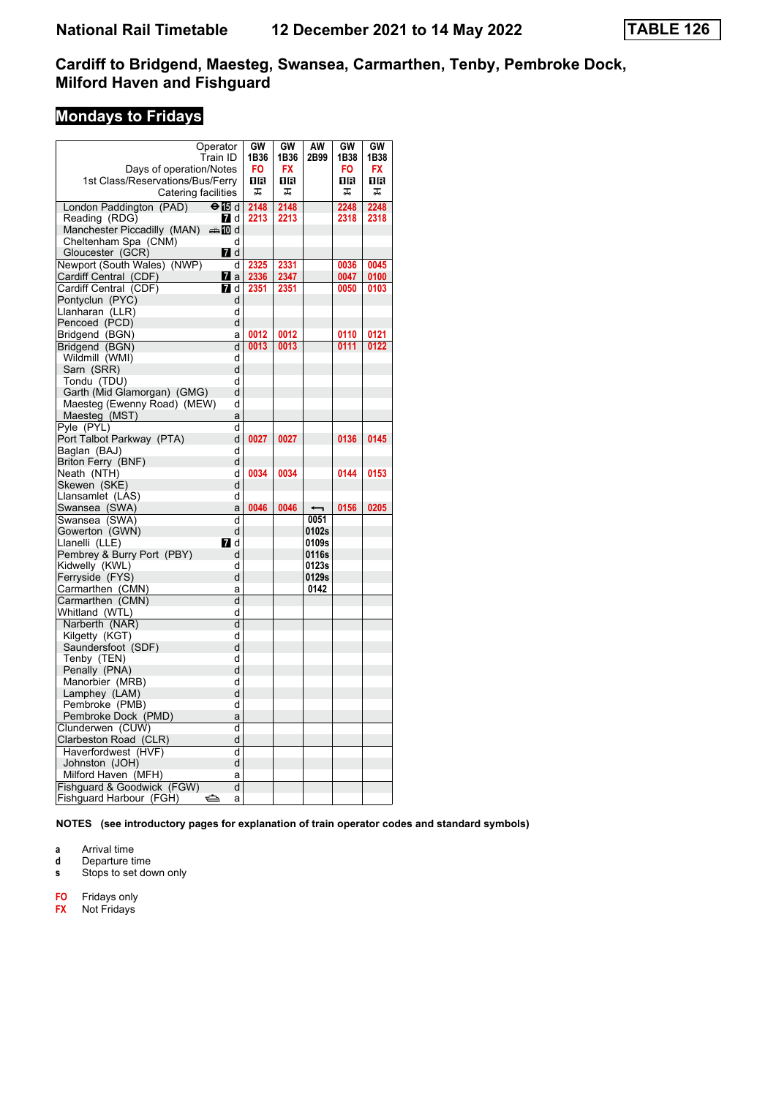# **Mondays to Fridays**

| Operator                                 |        | GW   | GW   | AW    | GW   | GW        |
|------------------------------------------|--------|------|------|-------|------|-----------|
| Train ID                                 |        | 1B36 | 1B36 | 2B99  | 1B38 | 1B38      |
| Days of operation/Notes                  |        | FO   | FX   |       | FO   | <b>FX</b> |
| 1st Class/Reservations/Bus/Ferry         |        | 1R   | 1R   |       | 1R   | 1R        |
| Catering facilities                      |        | ᠼ    | ᠼ    |       | ᠼ    | ᠼ         |
| London Paddington (PAD)<br>$\Theta$ is d |        | 2148 | 2148 |       | 2248 | 2248      |
| Reading (RDG)<br><b>7</b> d              |        | 2213 | 2213 |       | 2318 | 2318      |
| Manchester Piccadilly (MAN)<br>্ৰ∌n70 d  |        |      |      |       |      |           |
| Cheltenham Spa (CNM)                     | d      |      |      |       |      |           |
| <b>7</b> d<br>Gloucester (GCR)           |        |      |      |       |      |           |
| Newport (South Wales) (NWP)              | d      | 2325 | 2331 |       | 0036 | 0045      |
| Cardiff Central (CDF)<br><b>7</b> a      |        | 2336 | 2347 |       | 0047 | 0100      |
| <b>7</b> d<br>Cardiff Central (CDF)      |        | 2351 | 2351 |       | 0050 | 0103      |
| Pontyclun (PYC)                          | d      |      |      |       |      |           |
| Llanharan (LLR)                          | d      |      |      |       |      |           |
| Pencoed (PCD)                            | d      |      |      |       |      |           |
| Bridgend (BGN)                           | a      | 0012 | 0012 |       | 0110 | 0121      |
| Bridgend (BGN)                           | d      | 0013 | 0013 |       | 0111 | 0122      |
| Wildmill (WMI)                           | d      |      |      |       |      |           |
| Sarn (SRR)                               | d      |      |      |       |      |           |
| Tondu (TDU)                              | d      |      |      |       |      |           |
| Garth (Mid Glamorgan) (GMG)              | d      |      |      |       |      |           |
| Maesteg (Ewenny Road) (MEW)              | d      |      |      |       |      |           |
| Maesteg (MST)                            | a      |      |      |       |      |           |
| Pyle (PYL)                               | d      |      |      |       |      |           |
| Port Talbot Parkway (PTA)                | d      | 0027 | 0027 |       | 0136 | 0145      |
| Baglan (BAJ)                             | d      |      |      |       |      |           |
| Briton Ferry (BNF)                       | d      |      |      |       |      |           |
| Neath (NTH)                              | d      | 0034 | 0034 |       | 0144 | 0153      |
| Skewen (SKE)                             | d      |      |      |       |      |           |
| Llansamlet (LAS)                         | d      |      |      |       |      |           |
| Swansea (SWA)                            | a      | 0046 | 0046 |       | 0156 | 0205      |
| Swansea (SWA)                            | ď      |      |      | 0051  |      |           |
| Gowerton (GWN)                           | d      |      |      | 0102s |      |           |
| Llanelli (LLE)<br><b>7</b> d             |        |      |      | 0109s |      |           |
| Pembrey & Burry Port (PBY)               | d      |      |      | 0116s |      |           |
| Kidwelly (KWL)                           | d      |      |      | 0123s |      |           |
| Ferryside (FYS)                          | d      |      |      | 0129s |      |           |
| Carmarthen (CMN)                         | a      |      |      | 0142  |      |           |
| Carmarthen (CMN)                         | d      |      |      |       |      |           |
| Whitland (WTL)                           | d      |      |      |       |      |           |
| Narberth (NAR)                           | d      |      |      |       |      |           |
| Kilgetty (KGT)                           | d      |      |      |       |      |           |
| Saundersfoot (SDF)                       | d      |      |      |       |      |           |
| Tenby (TEN)                              | d      |      |      |       |      |           |
| Penally (PNA)                            | d      |      |      |       |      |           |
| Manorbier (MRB)                          | d      |      |      |       |      |           |
| Lamphey (LAM)                            | d<br>d |      |      |       |      |           |
| Pembroke (PMB)<br>Pembroke Dock (PMD)    | a      |      |      |       |      |           |
|                                          |        |      |      |       |      |           |
| Clunderwen (CUW)                         | d<br>d |      |      |       |      |           |
| Clarbeston Road (CLR)                    |        |      |      |       |      |           |
| Haverfordwest (HVF)                      | d      |      |      |       |      |           |
| Johnston (JOH)                           | d      |      |      |       |      |           |
| Milford Haven (MFH)                      | a<br>d |      |      |       |      |           |
| Fishguard & Goodwick (FGW)<br>ک          | a      |      |      |       |      |           |
| Fishguard Harbour (FGH)                  |        |      |      |       |      |           |

**NOTES (see introductory pages for explanation of train operator codes and standard symbols)**

**a** Arrival time<br>**d** Departure time

**d** Departure time

**s** Stops to set down only

**F2** Fridays only

**FX** Not Fridays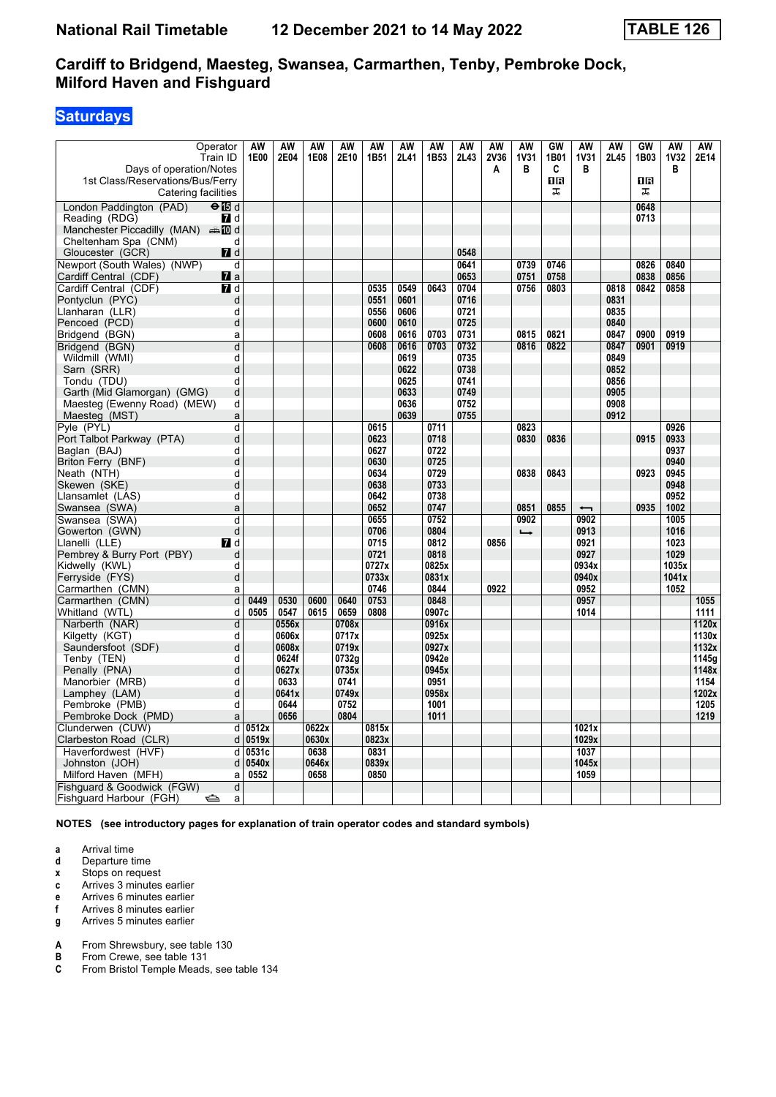# **Saturdays**

| Operator<br>Train ID<br>Days of operation/Notes            |                     | AW<br>1E00 | AW<br>2E04 | <b>AW</b><br>1E08 | AW<br>2E10 | AW<br>1B51    | AW<br>2L41   | AW<br>1B53   | AW<br>2L43   | <b>AW</b><br>2V36<br>A | <b>AW</b><br><b>1V31</b><br>в | GW<br>1B01<br>C | <b>AW</b><br><b>1V31</b><br>в | AW<br>2L45   | GW<br>1B03 | <b>AW</b><br><b>1V32</b><br>в | AW<br>2E14   |
|------------------------------------------------------------|---------------------|------------|------------|-------------------|------------|---------------|--------------|--------------|--------------|------------------------|-------------------------------|-----------------|-------------------------------|--------------|------------|-------------------------------|--------------|
| 1st Class/Reservations/Bus/Ferry<br>Catering facilities    |                     |            |            |                   |            |               |              |              |              |                        |                               | ΠR<br>ᠼ         |                               |              | 1R<br>ᠼ    |                               |              |
| London Paddington (PAD)<br>$\Theta$ is d                   |                     |            |            |                   |            |               |              |              |              |                        |                               |                 |                               |              | 0648       |                               |              |
| Reading (RDG)                                              | $\blacksquare$ d    |            |            |                   |            |               |              |              |              |                        |                               |                 |                               |              | 0713       |                               |              |
| Manchester Piccadilly (MAN) $\oplus$ 10 d                  |                     |            |            |                   |            |               |              |              |              |                        |                               |                 |                               |              |            |                               |              |
| Cheltenham Spa (CNM)                                       | d                   |            |            |                   |            |               |              |              |              |                        |                               |                 |                               |              |            |                               |              |
| Gloucester (GCR)                                           | <b>7</b> d          |            |            |                   |            |               |              |              | 0548         |                        |                               |                 |                               |              |            |                               |              |
| Newport (South Wales) (NWP)                                | d                   |            |            |                   |            |               |              |              | 0641         |                        | 0739                          | 0746            |                               |              | 0826       | 0840                          |              |
| Cardiff Central (CDF)                                      | $\mathbf{z}$ a      |            |            |                   |            |               |              |              | 0653         |                        | 0751                          | 0758            |                               |              | 0838       | 0856                          |              |
| Cardiff Central (CDF)                                      | <b>7</b> d          |            |            |                   |            | 0535          | 0549         | 0643         | 0704         |                        | 0756                          | 0803            |                               | 0818         | 0842       | 0858                          |              |
| Pontyclun (PYC)                                            | d                   |            |            |                   |            | 0551          | 0601         |              | 0716         |                        |                               |                 |                               | 0831         |            |                               |              |
| Llanharan (LLR)<br>Pencoed (PCD)                           | d<br>d              |            |            |                   |            | 0556<br>0600  | 0606<br>0610 |              | 0721<br>0725 |                        |                               |                 |                               | 0835<br>0840 |            |                               |              |
| Bridgend (BGN)                                             | a                   |            |            |                   |            | 0608          | 0616         | 0703         | 0731         |                        | 0815                          | 0821            |                               | 0847         | 0900       | 0919                          |              |
| Bridgend (BGN)                                             | $\overline{d}$      |            |            |                   |            | 0608          | 0616         | 0703         | 0732         |                        | 0816                          | 0822            |                               | 0847         | 0901       | 0919                          |              |
| Wildmill (WMI)                                             | d                   |            |            |                   |            |               | 0619         |              | 0735         |                        |                               |                 |                               | 0849         |            |                               |              |
| Sarn (SRR)                                                 | d                   |            |            |                   |            |               | 0622         |              | 0738         |                        |                               |                 |                               | 0852         |            |                               |              |
| Tondu (TDU)                                                | d                   |            |            |                   |            |               | 0625         |              | 0741         |                        |                               |                 |                               | 0856         |            |                               |              |
| Garth (Mid Glamorgan) (GMG)                                | d                   |            |            |                   |            |               | 0633         |              | 0749         |                        |                               |                 |                               | 0905         |            |                               |              |
| Maesteg (Ewenny Road) (MEW)                                | d                   |            |            |                   |            |               | 0636         |              | 0752         |                        |                               |                 |                               | 0908         |            |                               |              |
| Maesteg (MST)                                              | a                   |            |            |                   |            |               | 0639         |              | 0755         |                        |                               |                 |                               | 0912         |            |                               |              |
| Pyle (PYL)                                                 | d                   |            |            |                   |            | 0615          |              | 0711         |              |                        | 0823                          |                 |                               |              |            | 0926                          |              |
| Port Talbot Parkway (PTA)                                  | d                   |            |            |                   |            | 0623          |              | 0718         |              |                        | 0830                          | 0836            |                               |              | 0915       | 0933                          |              |
| Baglan (BAJ)                                               | d                   |            |            |                   |            | 0627          |              | 0722         |              |                        |                               |                 |                               |              |            | 0937                          |              |
| Briton Ferry (BNF)                                         | d                   |            |            |                   |            | 0630          |              | 0725         |              |                        |                               |                 |                               |              |            | 0940                          |              |
| Neath (NTH)                                                | d                   |            |            |                   |            | 0634          |              | 0729         |              |                        | 0838                          | 0843            |                               |              | 0923       | 0945                          |              |
| Skewen (SKE)                                               | d                   |            |            |                   |            | 0638          |              | 0733         |              |                        |                               |                 |                               |              |            | 0948                          |              |
| Llansamlet (LAS)                                           | d                   |            |            |                   |            | 0642          |              | 0738         |              |                        |                               |                 |                               |              |            | 0952                          |              |
| Swansea (SWA)                                              | a                   |            |            |                   |            | 0652          |              | 0747         |              |                        | 0851                          | 0855            | $\overline{\phantom{0}}$      |              | 0935       | 1002                          |              |
| Swansea (SWA)                                              | d                   |            |            |                   |            | 0655          |              | 0752         |              |                        | 0902                          |                 | 0902                          |              |            | 1005                          |              |
| Gowerton (GWN)                                             | d                   |            |            |                   |            | 0706          |              | 0804         |              |                        | $\rightarrow$                 |                 | 0913                          |              |            | 1016                          |              |
| Llanelli (LLE)                                             | <b>7</b> d          |            |            |                   |            | 0715          |              | 0812         |              | 0856                   |                               |                 | 0921                          |              |            | 1023                          |              |
| Pembrey & Burry Port (PBY)                                 | d                   |            |            |                   |            | 0721          |              | 0818         |              |                        |                               |                 | 0927                          |              |            | 1029                          |              |
| Kidwelly (KWL)                                             | d                   |            |            |                   |            | 0727x         |              | 0825x        |              |                        |                               |                 | 0934x                         |              |            | 1035x                         |              |
| Ferryside (FYS)                                            | d                   |            |            |                   |            | 0733x<br>0746 |              | 0831x        |              |                        |                               |                 | 0940x                         |              |            | 1041x                         |              |
| Carmarthen (CMN)<br>Carmarthen (CMN)                       | a<br>$\overline{d}$ | 0449       | 0530       | 0600              | 0640       | 0753          |              | 0844<br>0848 |              | 0922                   |                               |                 | 0952<br>0957                  |              |            | 1052                          |              |
| Whitland (WTL)                                             | d                   | 0505       | 0547       | 0615              | 0659       | 0808          |              | 0907c        |              |                        |                               |                 | 1014                          |              |            |                               | 1055<br>1111 |
| Narberth (NAR)                                             | d                   |            | 0556x      |                   | 0708x      |               |              | 0916x        |              |                        |                               |                 |                               |              |            |                               | 1120x        |
| Kilgetty (KGT)                                             | d                   |            | 0606x      |                   | 0717x      |               |              | 0925x        |              |                        |                               |                 |                               |              |            |                               | 1130x        |
| Saundersfoot (SDF)                                         | d                   |            | 0608x      |                   | 0719x      |               |              | 0927x        |              |                        |                               |                 |                               |              |            |                               | 1132x        |
| Tenby (TEN)                                                | d                   |            | 0624f      |                   | 0732g      |               |              | 0942e        |              |                        |                               |                 |                               |              |            |                               | 1145g        |
| Penally (PNA)                                              | d                   |            | 0627x      |                   | 0735x      |               |              | 0945x        |              |                        |                               |                 |                               |              |            |                               | 1148x        |
| Manorbier (MRB)                                            | d                   |            | 0633       |                   | 0741       |               |              | 0951         |              |                        |                               |                 |                               |              |            |                               | 1154         |
| Lamphey (LAM)                                              | d                   |            | 0641x      |                   | 0749x      |               |              | 0958x        |              |                        |                               |                 |                               |              |            |                               | 1202x        |
| Pembroke (PMB)                                             | d                   |            | 0644       |                   | 0752       |               |              | 1001         |              |                        |                               |                 |                               |              |            |                               | 1205         |
| Pembroke Dock (PMD)                                        | a                   |            | 0656       |                   | 0804       |               |              | 1011         |              |                        |                               |                 |                               |              |            |                               | 1219         |
| Clunderwen (CUW)                                           | d                   | 0512x      |            | 0622x             |            | 0815x         |              |              |              |                        |                               |                 | 1021x                         |              |            |                               |              |
| Clarbeston Road (CLR)                                      | d                   | 0519x      |            | 0630x             |            | 0823x         |              |              |              |                        |                               |                 | 1029x                         |              |            |                               |              |
| Haverfordwest (HVF)                                        | d                   | 0531c      |            | 0638              |            | 0831          |              |              |              |                        |                               |                 | 1037                          |              |            |                               |              |
| Johnston (JOH)                                             | d                   | 0540x      |            | 0646x             |            | 0839x         |              |              |              |                        |                               |                 | 1045x                         |              |            |                               |              |
| Milford Haven (MFH)                                        | a                   | 0552       |            | 0658              |            | 0850          |              |              |              |                        |                               |                 | 1059                          |              |            |                               |              |
| Fishguard & Goodwick (FGW)<br>Fishguard Harbour (FGH)<br>⇔ | d<br>a              |            |            |                   |            |               |              |              |              |                        |                               |                 |                               |              |            |                               |              |

**NOTES (see introductory pages for explanation of train operator codes and standard symbols)**

- **a** Arrival time<br>**d** Departure t
- **d** Departure time
- **x** Stops on request
- **c** Arrives 3 minutes earlier
- **e** Arrives 6 minutes earlier<br>**f** Arrives 8 minutes earlier **Arrives 8 minutes earlier**
- **g** Arrives 5 minutes earlier

**A** From Shrewsbury, see table 130<br>**B** From Crewe, see table 131

- **B** From Crewe, see table 131<br>**C** From Bristol Temple Meads
- From Bristol Temple Meads, see table 134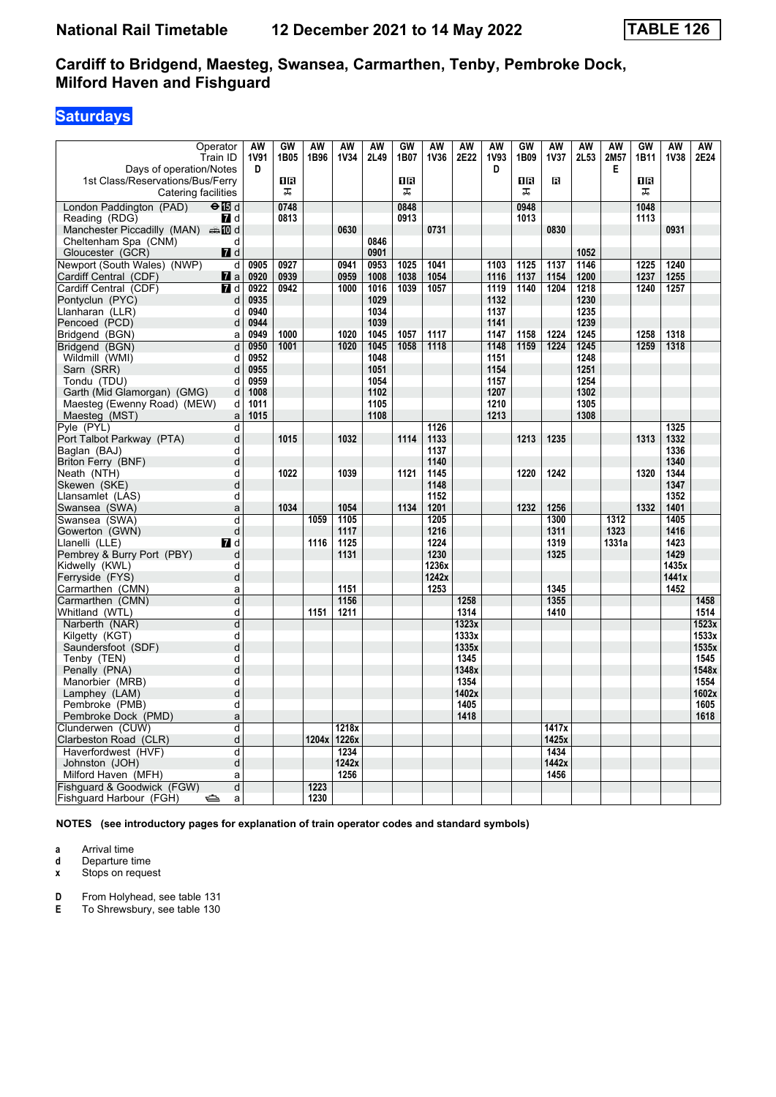# **Saturdays**

| Operator<br>Train ID                       | AW<br><b>1V91</b>      | GW<br>1B05 | <b>AW</b><br>1B96 | AW<br><b>1V34</b> | AW<br>2L49   | GW<br>1B07 | <b>AW</b><br>1V36 | <b>AW</b><br>2E22 | <b>AW</b><br><b>1V93</b> | GW<br>1B09 | AW<br><b>1V37</b> | <b>AW</b><br>2L53 | <b>AW</b><br>2M57 | GW<br>1B11 | <b>AW</b><br><b>1V38</b> | AW<br>2E24   |
|--------------------------------------------|------------------------|------------|-------------------|-------------------|--------------|------------|-------------------|-------------------|--------------------------|------------|-------------------|-------------------|-------------------|------------|--------------------------|--------------|
| Days of operation/Notes                    | D                      |            |                   |                   |              |            |                   |                   | D                        |            |                   |                   | E.                |            |                          |              |
| 1st Class/Reservations/Bus/Ferry           |                        | 1R         |                   |                   |              | 1R         |                   |                   |                          | 0 B        | в                 |                   |                   | 18         |                          |              |
| Catering facilities                        |                        | ᠼ          |                   |                   |              | ᠼ          |                   |                   |                          | ᠼ          |                   |                   |                   | ᠼ          |                          |              |
| London Paddington (PAD)<br>$\Theta$ is d   |                        | 0748       |                   |                   |              | 0848       |                   |                   |                          | 0948       |                   |                   |                   | 1048       |                          |              |
| $\blacksquare$ d<br>Reading (RDG)          |                        | 0813       |                   |                   |              | 0913       |                   |                   |                          | 1013       |                   |                   |                   | 1113       |                          |              |
| Manchester Piccadilly (MAN) $\oplus$ 10 d  |                        |            |                   | 0630              |              |            | 0731              |                   |                          |            | 0830              |                   |                   |            | 0931                     |              |
| Cheltenham Spa (CNM)                       | d                      |            |                   |                   | 0846         |            |                   |                   |                          |            |                   |                   |                   |            |                          |              |
| <b>7</b> d<br>Gloucester (GCR)             |                        |            |                   |                   | 0901         |            |                   |                   |                          |            |                   | 1052              |                   |            |                          |              |
| Newport (South Wales) (NWP)                | d<br>0905              | 0927       |                   | 0941              | 0953         | 1025       | 1041              |                   | 1103                     | 1125       | 1137              | 1146              |                   | 1225       | 1240                     |              |
| Cardiff Central (CDF)<br>$\mathbf{z}$ a    | 0920                   | 0939       |                   | 0959              | 1008         | 1038       | 1054              |                   | 1116                     | 1137       | 1154              | 1200              |                   | 1237       | 1255                     |              |
| Cardiff Central (CDF)<br>$\mathbf{7}$ d    | 0922                   | 0942       |                   | 1000              | 1016         | 1039       | 1057              |                   | 1119                     | 1140       | 1204              | 1218              |                   | 1240       | 1257                     |              |
| Pontyclun (PYC)                            | d<br>0935              |            |                   |                   | 1029         |            |                   |                   | 1132                     |            |                   | 1230              |                   |            |                          |              |
| Llanharan (LLR)                            | 0940<br>d              |            |                   |                   | 1034         |            |                   |                   | 1137                     |            |                   | 1235              |                   |            |                          |              |
| Pencoed (PCD)                              | d<br>0944              |            |                   |                   | 1039         |            |                   |                   | 1141                     |            |                   | 1239              |                   |            |                          |              |
| Bridgend (BGN)                             | 0949<br>a              | 1000       |                   | 1020              | 1045         | 1057       | 1117              |                   | 1147                     | 1158       | 1224              | 1245              |                   | 1258       | 1318                     |              |
| Bridgend (BGN)                             | d<br>0950              | 1001       |                   | 1020              | 1045         | 1058       | 1118              |                   | 1148                     | 1159       | 1224              | 1245              |                   | 1259       | 1318                     |              |
| Wildmill (WMI)                             | 0952<br>d              |            |                   |                   | 1048         |            |                   |                   | 1151                     |            |                   | 1248              |                   |            |                          |              |
| Sarn (SRR)                                 | d<br>0955              |            |                   |                   | 1051         |            |                   |                   | 1154                     |            |                   | 1251              |                   |            |                          |              |
| Tondu (TDU)<br>Garth (Mid Glamorgan) (GMG) | d<br>0959<br>d<br>1008 |            |                   |                   | 1054<br>1102 |            |                   |                   | 1157<br>1207             |            |                   | 1254<br>1302      |                   |            |                          |              |
| Maesteg (Ewenny Road) (MEW)                | d<br>1011              |            |                   |                   | 1105         |            |                   |                   | 1210                     |            |                   | 1305              |                   |            |                          |              |
| Maesteg (MST)                              | 1015<br>a              |            |                   |                   | 1108         |            |                   |                   | 1213                     |            |                   | 1308              |                   |            |                          |              |
| Pyle (PYL)                                 | d                      |            |                   |                   |              |            | 1126              |                   |                          |            |                   |                   |                   |            | 1325                     |              |
| Port Talbot Parkway (PTA)                  | d                      | 1015       |                   | 1032              |              | 1114       | 1133              |                   |                          | 1213       | 1235              |                   |                   | 1313       | 1332                     |              |
| Baglan (BAJ)                               | d                      |            |                   |                   |              |            | 1137              |                   |                          |            |                   |                   |                   |            | 1336                     |              |
| Briton Ferry (BNF)                         | d                      |            |                   |                   |              |            | 1140              |                   |                          |            |                   |                   |                   |            | 1340                     |              |
| Neath (NTH)                                | d                      | 1022       |                   | 1039              |              | 1121       | 1145              |                   |                          | 1220       | 1242              |                   |                   | 1320       | 1344                     |              |
| Skewen (SKE)                               | d                      |            |                   |                   |              |            | 1148              |                   |                          |            |                   |                   |                   |            | 1347                     |              |
| Llansamlet (LAS)                           | d                      |            |                   |                   |              |            | 1152              |                   |                          |            |                   |                   |                   |            | 1352                     |              |
| Swansea (SWA)                              | a                      | 1034       |                   | 1054              |              | 1134       | 1201              |                   |                          | 1232       | 1256              |                   |                   | 1332       | 1401                     |              |
| Swansea (SWA)                              | d                      |            | 1059              | 1105              |              |            | 1205              |                   |                          |            | 1300              |                   | 1312              |            | 1405                     |              |
| Gowerton (GWN)                             | d                      |            |                   | 1117              |              |            | 1216              |                   |                          |            | 1311              |                   | 1323              |            | 1416                     |              |
| Llanelli (LLE)<br><b>7</b> d               |                        |            | 1116              | 1125              |              |            | 1224              |                   |                          |            | 1319              |                   | 1331a             |            | 1423                     |              |
| Pembrey & Burry Port (PBY)                 | d                      |            |                   | 1131              |              |            | 1230              |                   |                          |            | 1325              |                   |                   |            | 1429                     |              |
| Kidwelly (KWL)                             | d                      |            |                   |                   |              |            | 1236x             |                   |                          |            |                   |                   |                   |            | 1435x                    |              |
| Ferryside (FYS)                            | d                      |            |                   |                   |              |            | 1242x             |                   |                          |            |                   |                   |                   |            | 1441x                    |              |
| Carmarthen (CMN)                           | a                      |            |                   | 1151              |              |            | 1253              |                   |                          |            | 1345              |                   |                   |            | 1452                     |              |
| Carmarthen (CMN)                           | d<br>d                 |            | 1151              | 1156<br>1211      |              |            |                   | 1258<br>1314      |                          |            | 1355<br>1410      |                   |                   |            |                          | 1458<br>1514 |
| Whitland (WTL)<br>Narberth (NAR)           | d                      |            |                   |                   |              |            |                   | 1323x             |                          |            |                   |                   |                   |            |                          | 1523x        |
| Kilgetty (KGT)                             | d                      |            |                   |                   |              |            |                   | 1333x             |                          |            |                   |                   |                   |            |                          | 1533x        |
| Saundersfoot (SDF)                         | d                      |            |                   |                   |              |            |                   | 1335x             |                          |            |                   |                   |                   |            |                          | 1535x        |
| Tenby (TEN)                                | d                      |            |                   |                   |              |            |                   | 1345              |                          |            |                   |                   |                   |            |                          | 1545         |
| Penally (PNA)                              | d                      |            |                   |                   |              |            |                   | 1348x             |                          |            |                   |                   |                   |            |                          | 1548x        |
| Manorbier (MRB)                            | d                      |            |                   |                   |              |            |                   | 1354              |                          |            |                   |                   |                   |            |                          | 1554         |
| Lamphey (LAM)                              | d                      |            |                   |                   |              |            |                   | 1402x             |                          |            |                   |                   |                   |            |                          | 1602x        |
| Pembroke (PMB)                             | d                      |            |                   |                   |              |            |                   | 1405              |                          |            |                   |                   |                   |            |                          | 1605         |
| Pembroke Dock (PMD)                        | a                      |            |                   |                   |              |            |                   | 1418              |                          |            |                   |                   |                   |            |                          | 1618         |
| Clunderwen (CUW)                           | d                      |            |                   | 1218x             |              |            |                   |                   |                          |            | 1417x             |                   |                   |            |                          |              |
| Clarbeston Road (CLR)                      | d                      |            | 1204x             | 1226x             |              |            |                   |                   |                          |            | 1425x             |                   |                   |            |                          |              |
| Haverfordwest (HVF)                        | d                      |            |                   | 1234              |              |            |                   |                   |                          |            | 1434              |                   |                   |            |                          |              |
| Johnston (JOH)                             | d                      |            |                   | 1242x             |              |            |                   |                   |                          |            | 1442x             |                   |                   |            |                          |              |
| Milford Haven (MFH)                        | a                      |            |                   | 1256              |              |            |                   |                   |                          |            | 1456              |                   |                   |            |                          |              |
| Fishguard & Goodwick (FGW)                 | d                      |            | 1223              |                   |              |            |                   |                   |                          |            |                   |                   |                   |            |                          |              |
| Fishguard Harbour (FGH)<br>⇔               | a                      |            | 1230              |                   |              |            |                   |                   |                          |            |                   |                   |                   |            |                          |              |

**NOTES (see introductory pages for explanation of train operator codes and standard symbols)**

**a** Arrival time<br>**d** Departure t

**d** Departure time

**x** Stops on request

**D** From Holyhead, see table 131

**E** To Shrewsbury, see table 130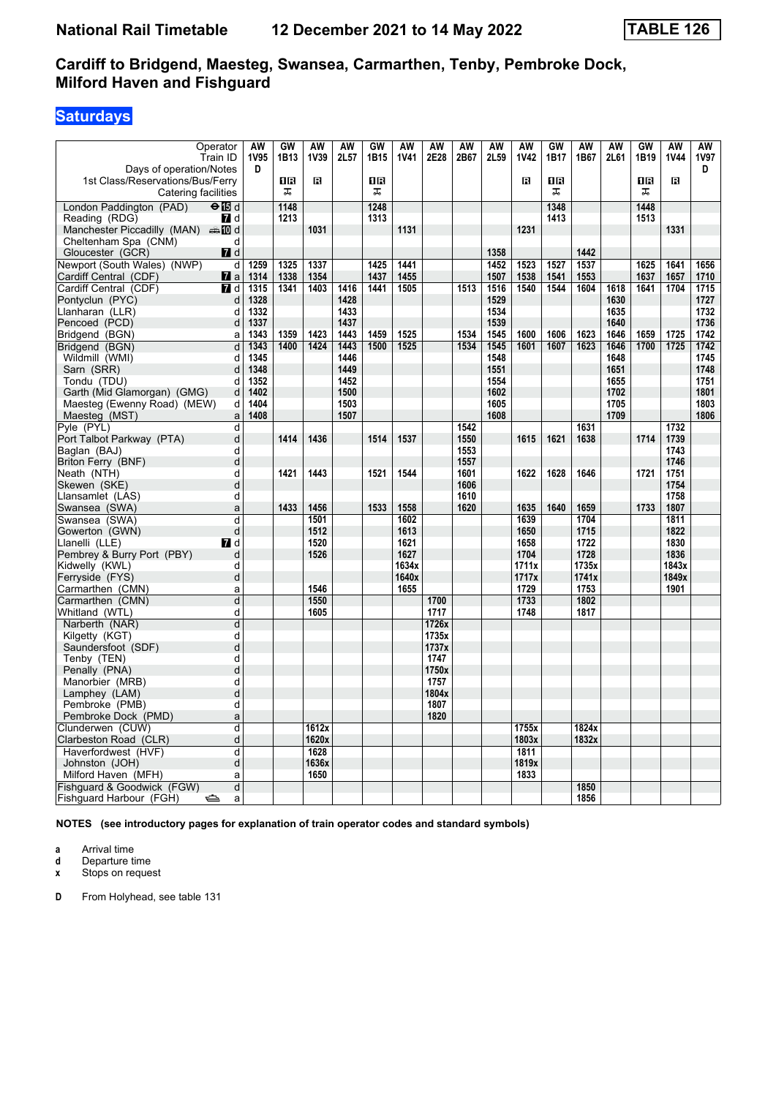# **Saturdays**

| Operator                                                        | AW           | GW      | <b>AW</b> | <b>AW</b>    | GW           | <b>AW</b>   | AW            | <b>AW</b>    | AW   | AW          | GW      | <b>AW</b> | <b>AW</b>    | <b>GW</b> | <b>AW</b>   | AW           |
|-----------------------------------------------------------------|--------------|---------|-----------|--------------|--------------|-------------|---------------|--------------|------|-------------|---------|-----------|--------------|-----------|-------------|--------------|
| Train ID                                                        | <b>1V95</b>  | 1B13    | 1V39      | 2L57         | 1B15         | <b>1V41</b> | 2E28          | 2B67         | 2L59 | <b>1V42</b> | 1B17    | 1B67      | 2L61         | 1B19      | <b>1V44</b> | 1V97         |
| Days of operation/Notes                                         | D            |         | в         |              |              |             |               |              |      | в           |         |           |              |           | в           | D            |
| 1st Class/Reservations/Bus/Ferry<br>Catering facilities         |              | ΠR<br>ᠼ |           |              | ΠR<br>ᠼ      |             |               |              |      |             | ΠR<br>ᠼ |           |              | 1R<br>ᠼ   |             |              |
|                                                                 |              | 1148    |           |              |              |             |               |              |      |             | 1348    |           |              | 1448      |             |              |
| London Paddington (PAD)<br>$\Theta$ is d<br>Reading (RDG)<br>7d |              | 1213    |           |              | 1248<br>1313 |             |               |              |      |             | 1413    |           |              | 1513      |             |              |
| Manchester Piccadilly (MAN) $\oplus$ 10 d                       |              |         | 1031      |              |              | 1131        |               |              |      | 1231        |         |           |              |           | 1331        |              |
| Cheltenham Spa (CNM)<br>d                                       |              |         |           |              |              |             |               |              |      |             |         |           |              |           |             |              |
| Gloucester (GCR)<br>$\blacksquare$ d                            |              |         |           |              |              |             |               |              | 1358 |             |         | 1442      |              |           |             |              |
| Newport (South Wales) (NWP)<br>d                                | 1259         | 1325    | 1337      |              | 1425         | 1441        |               |              | 1452 | 1523        | 1527    | 1537      |              | 1625      | 1641        | 1656         |
| Cardiff Central (CDF)<br>$\mathbf{z}$ a                         | 1314         | 1338    | 1354      |              | 1437         | 1455        |               |              | 1507 | 1538        | 1541    | 1553      |              | 1637      | 1657        | 1710         |
| Cardiff Central (CDF)<br><b>7</b> d                             | 1315         | 1341    | 1403      | 1416         | 1441         | 1505        |               | 1513         | 1516 | 1540        | 1544    | 1604      | 1618         | 1641      | 1704        | 1715         |
| Pontyclun (PYC)<br>d                                            | 1328         |         |           | 1428         |              |             |               |              | 1529 |             |         |           | 1630         |           |             | 1727         |
| Llanharan (LLR)<br>d                                            | 1332         |         |           | 1433         |              |             |               |              | 1534 |             |         |           | 1635         |           |             | 1732         |
| Pencoed (PCD)<br>d                                              | 1337         |         |           | 1437         |              |             |               |              | 1539 |             |         |           | 1640         |           |             | 1736         |
| Bridgend (BGN)<br>a                                             | 1343         | 1359    | 1423      | 1443         | 1459         | 1525        |               | 1534         | 1545 | 1600        | 1606    | 1623      | 1646         | 1659      | 1725        | 1742         |
| Bridgend (BGN)<br>d                                             | 1343         | 1400    | 1424      | 1443         | 1500         | 1525        |               | 1534         | 1545 | 1601        | 1607    | 1623      | 1646         | 1700      | 1725        | 1742         |
| Wildmill (WMI)<br>d                                             | 1345         |         |           | 1446         |              |             |               |              | 1548 |             |         |           | 1648         |           |             | 1745         |
| Sarn (SRR)<br>d                                                 | 1348         |         |           | 1449         |              |             |               |              | 1551 |             |         |           | 1651         |           |             | 1748         |
| Tondu (TDU)<br>d                                                | 1352         |         |           | 1452         |              |             |               |              | 1554 |             |         |           | 1655         |           |             | 1751         |
| Garth (Mid Glamorgan) (GMG)<br>d                                | 1402         |         |           | 1500         |              |             |               |              | 1602 |             |         |           | 1702         |           |             | 1801         |
| Maesteg (Ewenny Road) (MEW)<br>d                                | 1404<br>1408 |         |           | 1503<br>1507 |              |             |               |              | 1605 |             |         |           | 1705<br>1709 |           |             | 1803<br>1806 |
| Maesteg (MST)<br>$\mathsf{a}$                                   |              |         |           |              |              |             |               |              | 1608 |             |         | 1631      |              |           | 1732        |              |
| Pyle (PYL)<br>d<br>Port Talbot Parkway (PTA)<br>d               |              | 1414    | 1436      |              | 1514         | 1537        |               | 1542<br>1550 |      | 1615        | 1621    | 1638      |              | 1714      | 1739        |              |
| Baglan (BAJ)<br>d                                               |              |         |           |              |              |             |               | 1553         |      |             |         |           |              |           | 1743        |              |
| Briton Ferry (BNF)<br>d                                         |              |         |           |              |              |             |               | 1557         |      |             |         |           |              |           | 1746        |              |
| Neath (NTH)<br>d                                                |              | 1421    | 1443      |              | 1521         | 1544        |               | 1601         |      | 1622        | 1628    | 1646      |              | 1721      | 1751        |              |
| Skewen (SKE)<br>d                                               |              |         |           |              |              |             |               | 1606         |      |             |         |           |              |           | 1754        |              |
| Llansamlet (LAS)<br>d                                           |              |         |           |              |              |             |               | 1610         |      |             |         |           |              |           | 1758        |              |
| Swansea (SWA)<br>a                                              |              | 1433    | 1456      |              | 1533         | 1558        |               | 1620         |      | 1635        | 1640    | 1659      |              | 1733      | 1807        |              |
| Swansea (SWA)<br>d                                              |              |         | 1501      |              |              | 1602        |               |              |      | 1639        |         | 1704      |              |           | 1811        |              |
| d<br>Gowerton (GWN)                                             |              |         | 1512      |              |              | 1613        |               |              |      | 1650        |         | 1715      |              |           | 1822        |              |
| Llanelli (LLE)<br><b>7</b> d                                    |              |         | 1520      |              |              | 1621        |               |              |      | 1658        |         | 1722      |              |           | 1830        |              |
| Pembrey & Burry Port (PBY)<br>d                                 |              |         | 1526      |              |              | 1627        |               |              |      | 1704        |         | 1728      |              |           | 1836        |              |
| Kidwelly (KWL)<br>d                                             |              |         |           |              |              | 1634x       |               |              |      | 1711x       |         | 1735x     |              |           | 1843x       |              |
| Ferryside (FYS)<br>d                                            |              |         |           |              |              | 1640x       |               |              |      | 1717x       |         | 1741x     |              |           | 1849x       |              |
| Carmarthen (CMN)<br>a                                           |              |         | 1546      |              |              | 1655        |               |              |      | 1729        |         | 1753      |              |           | 1901        |              |
| d<br>Carmarthen (CMN)                                           |              |         | 1550      |              |              |             | 1700          |              |      | 1733        |         | 1802      |              |           |             |              |
| Whitland (WTL)<br>d                                             |              |         | 1605      |              |              |             | 1717          |              |      | 1748        |         | 1817      |              |           |             |              |
| Narberth (NAR)<br>d                                             |              |         |           |              |              |             | 1726x         |              |      |             |         |           |              |           |             |              |
| d<br>Kilgetty (KGT)                                             |              |         |           |              |              |             | 1735x         |              |      |             |         |           |              |           |             |              |
| d<br>Saundersfoot (SDF)<br>d                                    |              |         |           |              |              |             | 1737x<br>1747 |              |      |             |         |           |              |           |             |              |
| Tenby (TEN)<br>d<br>Penally (PNA)                               |              |         |           |              |              |             | 1750x         |              |      |             |         |           |              |           |             |              |
| Manorbier (MRB)<br>d                                            |              |         |           |              |              |             | 1757          |              |      |             |         |           |              |           |             |              |
| Lamphey (LAM)<br>d                                              |              |         |           |              |              |             | 1804x         |              |      |             |         |           |              |           |             |              |
| Pembroke (PMB)<br>d                                             |              |         |           |              |              |             | 1807          |              |      |             |         |           |              |           |             |              |
| Pembroke Dock (PMD)<br>a                                        |              |         |           |              |              |             | 1820          |              |      |             |         |           |              |           |             |              |
| Clunderwen (CUW)<br>d                                           |              |         | 1612x     |              |              |             |               |              |      | 1755x       |         | 1824x     |              |           |             |              |
| d<br>Clarbeston Road (CLR)                                      |              |         | 1620x     |              |              |             |               |              |      | 1803x       |         | 1832x     |              |           |             |              |
| Haverfordwest (HVF)<br>d                                        |              |         | 1628      |              |              |             |               |              |      | 1811        |         |           |              |           |             |              |
| d<br>Johnston (JOH)                                             |              |         | 1636x     |              |              |             |               |              |      | 1819x       |         |           |              |           |             |              |
| Milford Haven (MFH)<br>a                                        |              |         | 1650      |              |              |             |               |              |      | 1833        |         |           |              |           |             |              |
| d<br>Fishguard & Goodwick (FGW)                                 |              |         |           |              |              |             |               |              |      |             |         | 1850      |              |           |             |              |
| Fishguard Harbour (FGH)<br>$\Rightarrow$<br>a                   |              |         |           |              |              |             |               |              |      |             |         | 1856      |              |           |             |              |

**NOTES (see introductory pages for explanation of train operator codes and standard symbols)**

**a** Arrival time<br>**d** Departure t

**d** Departure time

**x** Stops on request

**D** From Holyhead, see table 131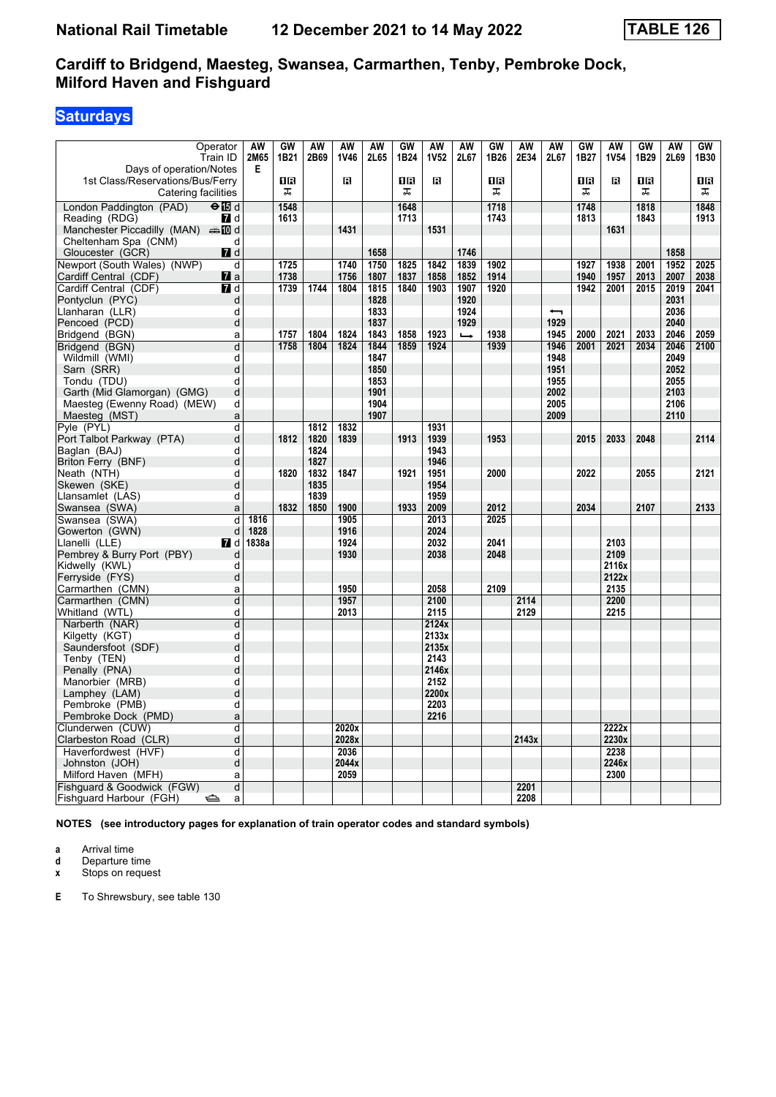# **Saturdays**

| Operator                                  | AW        | GW   | <b>AW</b>    | <b>AW</b> | <b>AW</b> | <b>GW</b> | <b>AW</b>    | <b>AW</b>     | GW   | <b>AW</b> | <b>AW</b>                | GW   | <b>AW</b>   | <b>GW</b> | <b>AW</b> | GW   |
|-------------------------------------------|-----------|------|--------------|-----------|-----------|-----------|--------------|---------------|------|-----------|--------------------------|------|-------------|-----------|-----------|------|
| Train ID                                  | 2M65      | 1B21 | 2B69         | 1V46      | 2L65      | 1B24      | <b>1V52</b>  | 2L67          | 1B26 | 2E34      | 2L67                     | 1B27 | <b>1V54</b> | 1B29      | 2L69      | 1B30 |
| Days of operation/Notes                   | Е         |      |              |           |           |           |              |               |      |           |                          |      |             |           |           |      |
| 1st Class/Reservations/Bus/Ferry          |           | 1R   |              | П         |           | 1R        | в            |               | 0 B  |           |                          | 0 B  | в           | 1R        |           | 1 R  |
| Catering facilities                       |           | ᠼ    |              |           |           | ᠼ         |              |               | ᠼ    |           |                          | 盂    |             | ᠼ         |           | ᠼ    |
| London Paddington (PAD)<br>$\Theta$ is d  |           | 1548 |              |           |           | 1648      |              |               | 1718 |           |                          | 1748 |             | 1818      |           | 1848 |
| Reading (RDG)<br><b>7</b> d               |           | 1613 |              |           |           | 1713      |              |               | 1743 |           |                          | 1813 |             | 1843      |           | 1913 |
| Manchester Piccadilly (MAN) $\oplus$ 10 d |           |      |              | 1431      |           |           | 1531         |               |      |           |                          |      | 1631        |           |           |      |
| Cheltenham Spa (CNM)<br>d                 |           |      |              |           |           |           |              |               |      |           |                          |      |             |           |           |      |
| Gloucester (GCR)<br>$\blacksquare$ d      |           |      |              |           | 1658      |           |              | 1746          |      |           |                          |      |             |           | 1858      |      |
| Newport (South Wales) (NWP)               | d         | 1725 |              | 1740      | 1750      | 1825      | 1842         | 1839          | 1902 |           |                          | 1927 | 1938        | 2001      | 1952      | 2025 |
| Cardiff Central (CDF)<br>$\mathbf{z}$ a   |           | 1738 |              | 1756      | 1807      | 1837      | 1858         | 1852          | 1914 |           |                          | 1940 | 1957        | 2013      | 2007      | 2038 |
| Cardiff Central (CDF)<br><b>7</b> d       |           | 1739 | 1744         | 1804      | 1815      | 1840      | 1903         | 1907          | 1920 |           |                          | 1942 | 2001        | 2015      | 2019      | 2041 |
| Pontyclun (PYC)                           | d         |      |              |           | 1828      |           |              | 1920          |      |           |                          |      |             |           | 2031      |      |
| Llanharan (LLR)<br>d                      |           |      |              |           | 1833      |           |              | 1924          |      |           | $\overline{\phantom{0}}$ |      |             |           | 2036      |      |
| Pencoed (PCD)                             | d         |      |              |           | 1837      |           |              | 1929          |      |           | 1929                     |      |             |           | 2040      |      |
| Bridgend (BGN)                            | a         | 1757 | 1804         | 1824      | 1843      | 1858      | 1923         | $\rightarrow$ | 1938 |           | 1945                     | 2000 | 2021        | 2033      | 2046      | 2059 |
| Bridgend (BGN)                            | d         | 1758 | 1804         | 1824      | 1844      | 1859      | 1924         |               | 1939 |           | 1946                     | 2001 | 2021        | 2034      | 2046      | 2100 |
| Wildmill (WMI)                            | d         |      |              |           | 1847      |           |              |               |      |           | 1948                     |      |             |           | 2049      |      |
| Sarn (SRR)                                | d         |      |              |           | 1850      |           |              |               |      |           | 1951                     |      |             |           | 2052      |      |
| d<br>Tondu (TDU)                          |           |      |              |           | 1853      |           |              |               |      |           | 1955                     |      |             |           | 2055      |      |
| Garth (Mid Glamorgan) (GMG)               | d         |      |              |           | 1901      |           |              |               |      |           | 2002                     |      |             |           | 2103      |      |
| Maesteg (Ewenny Road) (MEW)<br>d          |           |      |              |           | 1904      |           |              |               |      |           | 2005                     |      |             |           | 2106      |      |
| Maesteg (MST)                             | a         |      |              |           | 1907      |           |              |               |      |           | 2009                     |      |             |           | 2110      |      |
| Pyle (PYL)                                | d         |      | 1812         | 1832      |           |           | 1931         |               |      |           |                          |      |             |           |           |      |
| Port Talbot Parkway (PTA)                 | d         | 1812 | 1820         | 1839      |           | 1913      | 1939         |               | 1953 |           |                          | 2015 | 2033        | 2048      |           | 2114 |
| Baglan (BAJ)<br>d                         |           |      | 1824         |           |           |           | 1943         |               |      |           |                          |      |             |           |           |      |
| Briton Ferry (BNF)                        | d         |      | 1827<br>1832 | 1847      |           | 1921      | 1946         |               | 2000 |           |                          |      |             | 2055      |           | 2121 |
| Neath (NTH)<br>d                          | d         | 1820 | 1835         |           |           |           | 1951<br>1954 |               |      |           |                          | 2022 |             |           |           |      |
| Skewen (SKE)                              | d         |      | 1839         |           |           |           | 1959         |               |      |           |                          |      |             |           |           |      |
| Llansamlet (LAS)<br>Swansea (SWA)         | a         | 1832 | 1850         | 1900      |           | 1933      | 2009         |               | 2012 |           |                          | 2034 |             | 2107      |           | 2133 |
| Swansea (SWA)                             | 1816<br>d |      |              | 1905      |           |           | 2013         |               | 2025 |           |                          |      |             |           |           |      |
| d<br>Gowerton (GWN)                       | 1828      |      |              | 1916      |           |           | 2024         |               |      |           |                          |      |             |           |           |      |
| Llanelli (LLE)<br><b>7</b> d              | 1838a     |      |              | 1924      |           |           | 2032         |               | 2041 |           |                          |      | 2103        |           |           |      |
| Pembrey & Burry Port (PBY)<br>d           |           |      |              | 1930      |           |           | 2038         |               | 2048 |           |                          |      | 2109        |           |           |      |
| Kidwelly (KWL)<br>d                       |           |      |              |           |           |           |              |               |      |           |                          |      | 2116x       |           |           |      |
| Ferryside (FYS)                           | d         |      |              |           |           |           |              |               |      |           |                          |      | 2122x       |           |           |      |
| Carmarthen (CMN)                          | a         |      |              | 1950      |           |           | 2058         |               | 2109 |           |                          |      | 2135        |           |           |      |
| Carmarthen (CMN)                          | d         |      |              | 1957      |           |           | 2100         |               |      | 2114      |                          |      | 2200        |           |           |      |
| Whitland (WTL)                            | d         |      |              | 2013      |           |           | 2115         |               |      | 2129      |                          |      | 2215        |           |           |      |
| Narberth (NAR)                            | d         |      |              |           |           |           | 2124x        |               |      |           |                          |      |             |           |           |      |
| d<br>Kilgetty (KGT)                       |           |      |              |           |           |           | 2133x        |               |      |           |                          |      |             |           |           |      |
| Saundersfoot (SDF)                        | d         |      |              |           |           |           | 2135x        |               |      |           |                          |      |             |           |           |      |
| Tenby (TEN)<br>d                          |           |      |              |           |           |           | 2143         |               |      |           |                          |      |             |           |           |      |
| Penally (PNA)                             | d         |      |              |           |           |           | 2146x        |               |      |           |                          |      |             |           |           |      |
| Manorbier (MRB)<br>d                      |           |      |              |           |           |           | 2152         |               |      |           |                          |      |             |           |           |      |
| Lamphey (LAM)                             | d         |      |              |           |           |           | 2200x        |               |      |           |                          |      |             |           |           |      |
| Pembroke (PMB)<br>d                       |           |      |              |           |           |           | 2203         |               |      |           |                          |      |             |           |           |      |
| Pembroke Dock (PMD)<br>a                  |           |      |              |           |           |           | 2216         |               |      |           |                          |      |             |           |           |      |
| Clunderwen (CUW)                          | d         |      |              | 2020x     |           |           |              |               |      |           |                          |      | 2222x       |           |           |      |
| Clarbeston Road (CLR)                     | d         |      |              | 2028x     |           |           |              |               |      | 2143x     |                          |      | 2230x       |           |           |      |
| Haverfordwest (HVF)                       | d         |      |              | 2036      |           |           |              |               |      |           |                          |      | 2238        |           |           |      |
| Johnston (JOH)                            | d         |      |              | 2044x     |           |           |              |               |      |           |                          |      | 2246x       |           |           |      |
| Milford Haven (MFH)<br>a                  |           |      |              | 2059      |           |           |              |               |      |           |                          |      | 2300        |           |           |      |
| Fishguard & Goodwick (FGW)                | d         |      |              |           |           |           |              |               |      | 2201      |                          |      |             |           |           |      |
| Fishguard Harbour (FGH)<br>$\Rightarrow$  | a         |      |              |           |           |           |              |               |      | 2208      |                          |      |             |           |           |      |

**NOTES (see introductory pages for explanation of train operator codes and standard symbols)**

**a** Arrival time<br>**d** Departure t

**d** Departure time

**x** Stops on request

**E** To Shrewsbury, see table 130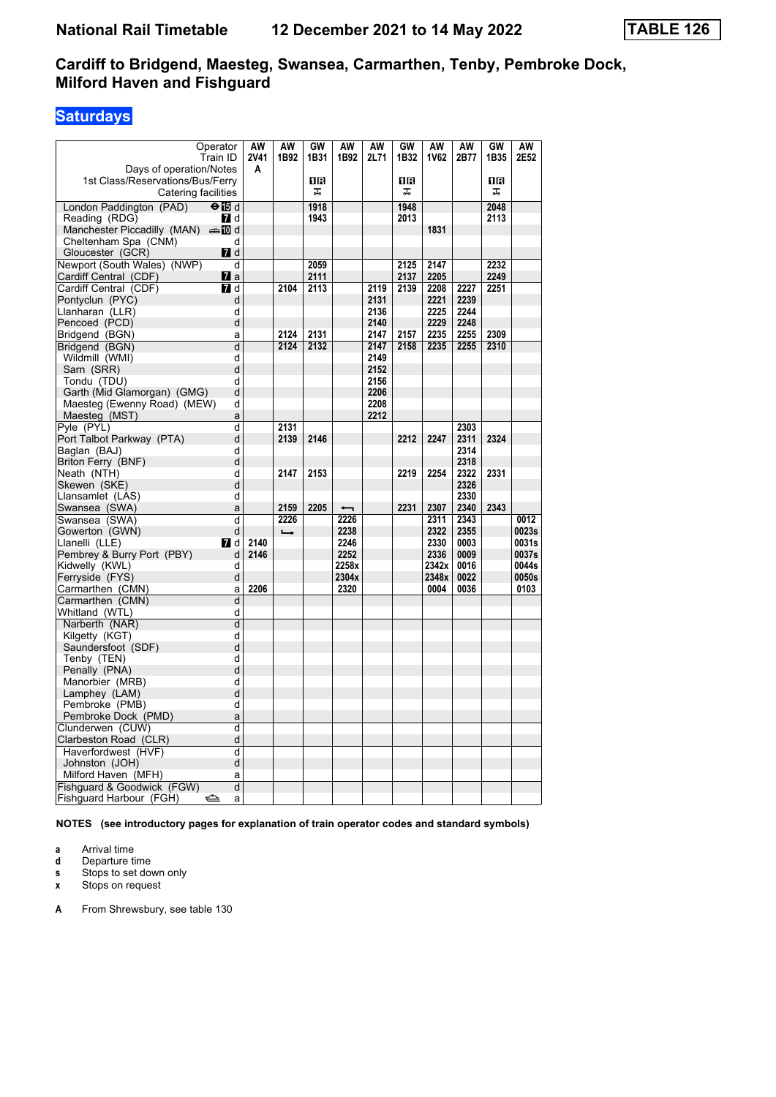# **Saturdays**

| Operator                                 |                | AW          | AW            | GW   | AW    | AW   | GW   | AW    | AW   | GW   | AW    |
|------------------------------------------|----------------|-------------|---------------|------|-------|------|------|-------|------|------|-------|
| Train ID                                 |                | <b>2V41</b> | 1B92          | 1B31 | 1B92  | 2L71 | 1B32 | 1V62  | 2B77 | 1B35 | 2E52  |
| Days of operation/Notes                  |                | A           |               |      |       |      |      |       |      |      |       |
| 1st Class/Reservations/Bus/Ferry         |                |             |               | 08   |       |      | 1R   |       |      | 1R   |       |
| Catering facilities                      |                |             |               | ᠼ    |       |      | ᠼ    |       |      | ᠼ    |       |
|                                          |                |             |               |      |       |      |      |       |      |      |       |
| $\Theta$ is d<br>London Paddington (PAD) |                |             |               | 1918 |       |      | 1948 |       |      | 2048 |       |
| Reading (RDG)                            | 7 d            |             |               | 1943 |       |      | 2013 |       |      | 2113 |       |
| Manchester Piccadilly (MAN) And          |                |             |               |      |       |      |      | 1831  |      |      |       |
| Cheltenham Spa (CNM)                     | d              |             |               |      |       |      |      |       |      |      |       |
| Gloucester (GCR)                         | $I$ d          |             |               |      |       |      |      |       |      |      |       |
| Newport (South Wales) (NWP)              | d              |             |               | 2059 |       |      | 2125 | 2147  |      | 2232 |       |
| Cardiff Central (CDF)                    | $\mathbf{z}$ a |             |               | 2111 |       |      | 2137 | 2205  |      | 2249 |       |
| Cardiff Central (CDF)                    | <b>7</b> d     |             | 2104          | 2113 |       | 2119 | 2139 | 2208  | 2227 | 2251 |       |
| Pontyclun (PYC)                          | d              |             |               |      |       | 2131 |      | 2221  | 2239 |      |       |
| Llanharan (LLR)                          | d              |             |               |      |       | 2136 |      | 2225  | 2244 |      |       |
| Pencoed (PCD)                            | d              |             |               |      |       | 2140 |      | 2229  | 2248 |      |       |
| Bridgend (BGN)                           | a              |             | 2124          | 2131 |       | 2147 | 2157 | 2235  | 2255 | 2309 |       |
| Bridgend (BGN)                           | $\overline{d}$ |             | 2124          | 2132 |       | 2147 | 2158 | 2235  | 2255 | 2310 |       |
| Wildmill (WMI)                           | d              |             |               |      |       | 2149 |      |       |      |      |       |
| Sarn (SRR)                               | d              |             |               |      |       | 2152 |      |       |      |      |       |
| Tondu (TDU)                              | d              |             |               |      |       | 2156 |      |       |      |      |       |
| Garth (Mid Glamorgan) (GMG)              | d              |             |               |      |       | 2206 |      |       |      |      |       |
| Maesteg (Ewenny Road) (MEW)              | d              |             |               |      |       | 2208 |      |       |      |      |       |
| Maesteg (MST)                            | a              |             |               |      |       | 2212 |      |       |      |      |       |
| Pyle (PYL)                               | d              |             | 2131          |      |       |      |      |       | 2303 |      |       |
| Port Talbot Parkway (PTA)                | d              |             | 2139          | 2146 |       |      | 2212 | 2247  | 2311 | 2324 |       |
| Baglan (BAJ)                             | d              |             |               |      |       |      |      |       | 2314 |      |       |
| Briton Ferry (BNF)                       | d              |             |               |      |       |      |      |       | 2318 |      |       |
| Neath (NTH)                              | d              |             | 2147          | 2153 |       |      | 2219 | 2254  | 2322 | 2331 |       |
| Skewen (SKE)                             | d              |             |               |      |       |      |      |       | 2326 |      |       |
| Llansamlet (LAS)                         | d              |             |               |      |       |      |      |       | 2330 |      |       |
| Swansea (SWA)                            | a              |             | 2159          | 2205 |       |      | 2231 | 2307  | 2340 | 2343 |       |
| Swansea (SWA)                            | d              |             | 2226          |      | 2226  |      |      | 2311  | 2343 |      | 0012  |
| Gowerton (GWN)                           | d              |             | $\rightarrow$ |      | 2238  |      |      | 2322  | 2355 |      | 0023s |
| Llanelli (LLE)                           | <b>7</b> d     | 2140        |               |      | 2246  |      |      | 2330  | 0003 |      | 0031s |
| Pembrey & Burry Port (PBY)               | d              | 2146        |               |      | 2252  |      |      | 2336  | 0009 |      | 0037s |
| Kidwelly (KWL)                           | d              |             |               |      | 2258x |      |      | 2342x | 0016 |      | 0044s |
| Ferryside (FYS)                          | d              |             |               |      | 2304x |      |      | 2348x | 0022 |      | 0050s |
| Carmarthen (CMN)                         | a              | 2206        |               |      | 2320  |      |      | 0004  | 0036 |      | 0103  |
| Carmarthen (CMN)                         | d              |             |               |      |       |      |      |       |      |      |       |
|                                          | d              |             |               |      |       |      |      |       |      |      |       |
| Whitland (WTL)                           | d              |             |               |      |       |      |      |       |      |      |       |
| Narberth (NAR)                           | d              |             |               |      |       |      |      |       |      |      |       |
| Kilgetty (KGT)                           | d              |             |               |      |       |      |      |       |      |      |       |
| Saundersfoot (SDF)                       | d              |             |               |      |       |      |      |       |      |      |       |
| Tenby (TEN)                              | d              |             |               |      |       |      |      |       |      |      |       |
| Penally (PNA)                            |                |             |               |      |       |      |      |       |      |      |       |
| Manorbier (MRB)                          | d              |             |               |      |       |      |      |       |      |      |       |
| Lamphey (LAM)                            | d<br>d         |             |               |      |       |      |      |       |      |      |       |
| Pembroke (PMB)                           |                |             |               |      |       |      |      |       |      |      |       |
| Pembroke Dock (PMD)                      | a              |             |               |      |       |      |      |       |      |      |       |
| Clunderwen (CUW)                         | d              |             |               |      |       |      |      |       |      |      |       |
| Clarbeston Road (CLR)                    | d              |             |               |      |       |      |      |       |      |      |       |
| Haverfordwest (HVF)                      | d              |             |               |      |       |      |      |       |      |      |       |
| Johnston (JOH)                           | d              |             |               |      |       |      |      |       |      |      |       |
| Milford Haven (MFH)                      | a              |             |               |      |       |      |      |       |      |      |       |
| Fishguard & Goodwick (FGW)               | d              |             |               |      |       |      |      |       |      |      |       |
| Fishguard Harbour (FGH)<br>⇔             | a              |             |               |      |       |      |      |       |      |      |       |

**NOTES (see introductory pages for explanation of train operator codes and standard symbols)**

**a** Arrival time<br>**d** Departure t

**d** Departure time

**s** Stops to set down only<br>**x** Stops on request

**Stops on request** 

**A** From Shrewsbury, see table 130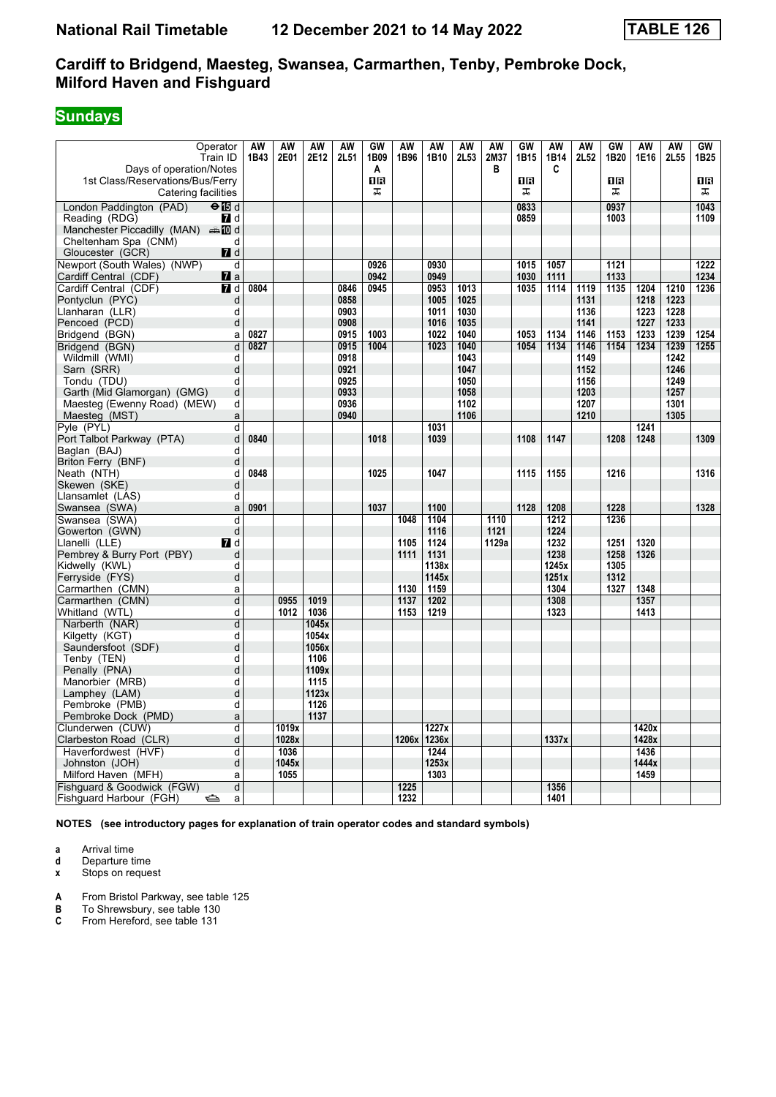## **Sundays**

| Operator                                      | AW           | AW    | <b>AW</b> | AW   | GW   | <b>AW</b> | AW    | <b>AW</b> | <b>AW</b> | GW   | <b>AW</b> | <b>AW</b> | GW   | <b>AW</b> | <b>AW</b> | GW               |
|-----------------------------------------------|--------------|-------|-----------|------|------|-----------|-------|-----------|-----------|------|-----------|-----------|------|-----------|-----------|------------------|
| Train ID                                      | 1B43         | 2E01  | 2E12      | 2L51 | 1B09 | 1B96      | 1B10  | 2L53      | 2M37      | 1B15 | 1B14      | 2L52      | 1B20 | 1E16      | 2L55      | 1B <sub>25</sub> |
| Days of operation/Notes                       |              |       |           |      | Α    |           |       |           | В         |      | C         |           |      |           |           |                  |
| 1st Class/Reservations/Bus/Ferry              |              |       |           |      | ΠR   |           |       |           |           | 1R   |           |           | 1R   |           |           | 1 R              |
| Catering facilities                           |              |       |           |      | ᠼ    |           |       |           |           | ᠼ    |           |           | ᠼ    |           |           | ᠼ                |
| London Paddington (PAD)<br>$\Theta$ is d      |              |       |           |      |      |           |       |           |           | 0833 |           |           | 0937 |           |           | 1043             |
| Reading (RDG)<br><b>7</b> d                   |              |       |           |      |      |           |       |           |           | 0859 |           |           | 1003 |           |           | 1109             |
| Manchester Piccadilly (MAN) $\oplus$ 10 d     |              |       |           |      |      |           |       |           |           |      |           |           |      |           |           |                  |
| Cheltenham Spa (CNM)<br>d                     |              |       |           |      |      |           |       |           |           |      |           |           |      |           |           |                  |
| Gloucester (GCR)<br>$\blacksquare$ d          |              |       |           |      |      |           |       |           |           |      |           |           |      |           |           |                  |
| Newport (South Wales) (NWP)<br>d              |              |       |           |      | 0926 |           | 0930  |           |           | 1015 | 1057      |           | 1121 |           |           | 1222             |
| $\mathbf{z}$ a<br>Cardiff Central (CDF)       |              |       |           |      | 0942 |           | 0949  |           |           | 1030 | 1111      |           | 1133 |           |           | 1234             |
| Cardiff Central (CDF)<br><b>7</b> d           | 0804         |       |           | 0846 | 0945 |           | 0953  | 1013      |           | 1035 | 1114      | 1119      | 1135 | 1204      | 1210      | 1236             |
| Pontyclun (PYC)                               | d            |       |           | 0858 |      |           | 1005  | 1025      |           |      |           | 1131      |      | 1218      | 1223      |                  |
| d<br>Llanharan (LLR)                          |              |       |           | 0903 |      |           | 1011  | 1030      |           |      |           | 1136      |      | 1223      | 1228      |                  |
| Pencoed (PCD)                                 | d            |       |           | 0908 |      |           | 1016  | 1035      |           |      |           | 1141      |      | 1227      | 1233      |                  |
| Bridgend (BGN)<br>a                           | 0827         |       |           | 0915 | 1003 |           | 1022  | 1040      |           | 1053 | 1134      | 1146      | 1153 | 1233      | 1239      | 1254             |
| Bridgend (BGN)                                | 0827<br>d    |       |           | 0915 | 1004 |           | 1023  | 1040      |           | 1054 | 1134      | 1146      | 1154 | 1234      | 1239      | 1255             |
| Wildmill (WMI)<br>d                           |              |       |           | 0918 |      |           |       | 1043      |           |      |           | 1149      |      |           | 1242      |                  |
| Sarn (SRR)                                    | d            |       |           | 0921 |      |           |       | 1047      |           |      |           | 1152      |      |           | 1246      |                  |
| d<br>Tondu (TDU)                              |              |       |           | 0925 |      |           |       | 1050      |           |      |           | 1156      |      |           | 1249      |                  |
| Garth (Mid Glamorgan) (GMG)                   | d            |       |           | 0933 |      |           |       | 1058      |           |      |           | 1203      |      |           | 1257      |                  |
| Maesteg (Ewenny Road) (MEW)<br>d              |              |       |           | 0936 |      |           |       | 1102      |           |      |           | 1207      |      |           | 1301      |                  |
| Maesteg (MST)                                 | $\mathsf{a}$ |       |           | 0940 |      |           |       | 1106      |           |      |           | 1210      |      |           | 1305      |                  |
| Pyle (PYL)                                    | d            |       |           |      |      |           | 1031  |           |           |      |           |           |      | 1241      |           |                  |
| Port Talbot Parkway (PTA)<br>d                | 0840         |       |           |      | 1018 |           | 1039  |           |           | 1108 | 1147      |           | 1208 | 1248      |           | 1309             |
| Baglan (BAJ)<br>d                             |              |       |           |      |      |           |       |           |           |      |           |           |      |           |           |                  |
| Briton Ferry (BNF)<br>d                       | d<br>0848    |       |           |      | 1025 |           | 1047  |           |           | 1115 | 1155      |           | 1216 |           |           | 1316             |
| Neath (NTH)<br>Skewen (SKE)                   | d            |       |           |      |      |           |       |           |           |      |           |           |      |           |           |                  |
| Llansamlet (LAS)<br>d                         |              |       |           |      |      |           |       |           |           |      |           |           |      |           |           |                  |
| Swansea (SWA)<br>a                            | 0901         |       |           |      | 1037 |           | 1100  |           |           | 1128 | 1208      |           | 1228 |           |           | 1328             |
| Swansea (SWA)<br>d                            |              |       |           |      |      | 1048      | 1104  |           | 1110      |      | 1212      |           | 1236 |           |           |                  |
| Gowerton (GWN)                                | $\mathsf{d}$ |       |           |      |      |           | 1116  |           | 1121      |      | 1224      |           |      |           |           |                  |
| Llanelli (LLE)<br><b>7</b> d                  |              |       |           |      |      | 1105      | 1124  |           | 1129a     |      | 1232      |           | 1251 | 1320      |           |                  |
| Pembrey & Burry Port (PBY)                    | d            |       |           |      |      | 1111      | 1131  |           |           |      | 1238      |           | 1258 | 1326      |           |                  |
| Kidwelly (KWL)<br>d                           |              |       |           |      |      |           | 1138x |           |           |      | 1245x     |           | 1305 |           |           |                  |
| Ferryside (FYS)                               | d            |       |           |      |      |           | 1145x |           |           |      | 1251x     |           | 1312 |           |           |                  |
| Carmarthen (CMN)                              | a            |       |           |      |      | 1130      | 1159  |           |           |      | 1304      |           | 1327 | 1348      |           |                  |
| Carmarthen (CMN)                              | d            | 0955  | 1019      |      |      | 1137      | 1202  |           |           |      | 1308      |           |      | 1357      |           |                  |
| Whitland (WTL)                                | d            | 1012  | 1036      |      |      | 1153      | 1219  |           |           |      | 1323      |           |      | 1413      |           |                  |
| Narberth (NAR)                                | d            |       | 1045x     |      |      |           |       |           |           |      |           |           |      |           |           |                  |
| d<br>Kilgetty (KGT)                           |              |       | 1054x     |      |      |           |       |           |           |      |           |           |      |           |           |                  |
| Saundersfoot (SDF)                            | d            |       | 1056x     |      |      |           |       |           |           |      |           |           |      |           |           |                  |
| Tenby (TEN)<br>d                              |              |       | 1106      |      |      |           |       |           |           |      |           |           |      |           |           |                  |
| Penally (PNA)                                 | d            |       | 1109x     |      |      |           |       |           |           |      |           |           |      |           |           |                  |
| Manorbier (MRB)<br>d                          |              |       | 1115      |      |      |           |       |           |           |      |           |           |      |           |           |                  |
| Lamphey (LAM)                                 | d            |       | 1123x     |      |      |           |       |           |           |      |           |           |      |           |           |                  |
| Pembroke (PMB)<br>d                           |              |       | 1126      |      |      |           |       |           |           |      |           |           |      |           |           |                  |
| Pembroke Dock (PMD)                           | $\mathsf{a}$ |       | 1137      |      |      |           |       |           |           |      |           |           |      |           |           |                  |
| Clunderwen (CUW)                              | d            | 1019x |           |      |      |           | 1227x |           |           |      |           |           |      | 1420x     |           |                  |
| Clarbeston Road (CLR)                         | d            | 1028x |           |      |      | 1206x     | 1236x |           |           |      | 1337x     |           |      | 1428x     |           |                  |
| Haverfordwest (HVF)                           | d            | 1036  |           |      |      |           | 1244  |           |           |      |           |           |      | 1436      |           |                  |
| Johnston (JOH)                                | d            | 1045x |           |      |      |           | 1253x |           |           |      |           |           |      | 1444x     |           |                  |
| Milford Haven (MFH)<br>a                      |              | 1055  |           |      |      |           | 1303  |           |           |      |           |           |      | 1459      |           |                  |
| Fishguard & Goodwick (FGW)                    | d            |       |           |      |      | 1225      |       |           |           |      | 1356      |           |      |           |           |                  |
| Fishguard Harbour (FGH)<br>$\Rightarrow$<br>a |              |       |           |      |      | 1232      |       |           |           |      | 1401      |           |      |           |           |                  |

**NOTES (see introductory pages for explanation of train operator codes and standard symbols)**

**a** Arrival time<br>**d** Departure t

**d** Departure time

**x** Stops on request

**A** From Bristol Parkway, see table 125

**B** To Shrewsbury, see table 130

**C** From Hereford, see table 131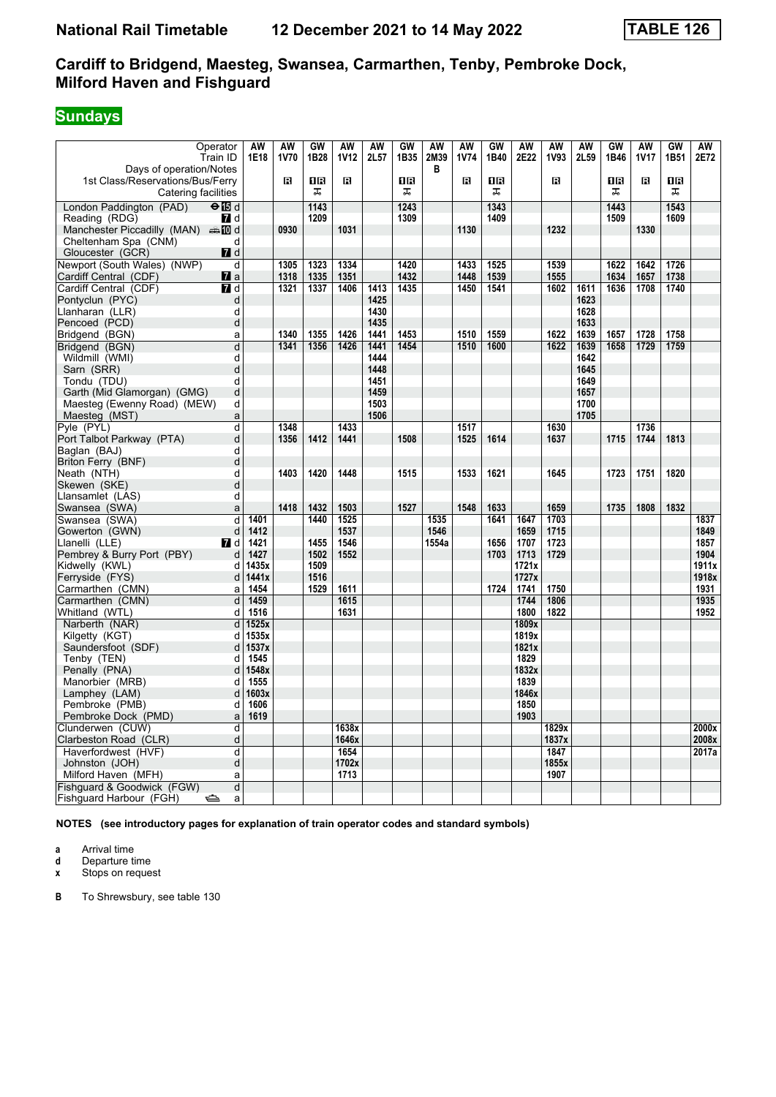# **Sundays**

| Operator                                  |                         | AW           | <b>AW</b> | GW           | <b>AW</b>   | <b>AW</b>    | GW   | <b>AW</b> | AW          | GW   | <b>AW</b>    | <b>AW</b>    | <b>AW</b>    | GW   | <b>AW</b>   | GW        | AW            |
|-------------------------------------------|-------------------------|--------------|-----------|--------------|-------------|--------------|------|-----------|-------------|------|--------------|--------------|--------------|------|-------------|-----------|---------------|
| Train ID                                  |                         | 1E18         | 1V70      | 1B28         | <b>1V12</b> | 2L57         | 1B35 | 2M39      | <b>1V74</b> | 1B40 | 2E22         | 1V93         | 2L59         | 1B46 | <b>1V17</b> | 1B51      | 2E72          |
| Days of operation/Notes                   |                         |              |           |              |             |              |      | в         |             |      |              |              |              |      |             |           |               |
| 1st Class/Reservations/Bus/Ferry          |                         |              | R         | 1R           | R           |              | ПR   |           | R           | 1B   |              | R            |              | 1R   | R           | <b>OR</b> |               |
| Catering facilities                       |                         |              |           | ᠼ            |             |              | ᅚ    |           |             | ᠼ    |              |              |              | ᠼ    |             | ᠼ         |               |
| London Paddington (PAD)<br>$\Theta$ is d  |                         |              |           | 1143         |             |              | 1243 |           |             | 1343 |              |              |              | 1443 |             | 1543      |               |
| Reading (RDG)<br>7 d                      |                         |              |           | 1209         |             |              | 1309 |           |             | 1409 |              |              |              | 1509 |             | 1609      |               |
| Manchester Piccadilly (MAN) $\oplus$ 10 d |                         |              | 0930      |              | 1031        |              |      |           | 1130        |      |              | 1232         |              |      | 1330        |           |               |
| Cheltenham Spa (CNM)                      | d                       |              |           |              |             |              |      |           |             |      |              |              |              |      |             |           |               |
| Gloucester (GCR)<br><b>7</b> d            |                         |              |           |              |             |              |      |           |             |      |              |              |              |      |             |           |               |
| Newport (South Wales) (NWP)               | d                       |              | 1305      | 1323         | 1334        |              | 1420 |           | 1433        | 1525 |              | 1539         |              | 1622 | 1642        | 1726      |               |
| Cardiff Central (CDF)<br>$\mathbf{z}$ a   |                         |              | 1318      | 1335         | 1351        |              | 1432 |           | 1448        | 1539 |              | 1555         |              | 1634 | 1657        | 1738      |               |
| Cardiff Central (CDF)<br><b>7</b> d       |                         |              | 1321      | 1337         | 1406        | 1413         | 1435 |           | 1450        | 1541 |              | 1602         | 1611         | 1636 | 1708        | 1740      |               |
| Pontyclun (PYC)                           | d                       |              |           |              |             | 1425         |      |           |             |      |              |              | 1623         |      |             |           |               |
| Llanharan (LLR)                           | d                       |              |           |              |             | 1430<br>1435 |      |           |             |      |              |              | 1628         |      |             |           |               |
| Pencoed (PCD)                             | d<br>a                  |              | 1340      | 1355         | 1426        | 1441         | 1453 |           | 1510        | 1559 |              | 1622         | 1633<br>1639 | 1657 | 1728        | 1758      |               |
| Bridgend (BGN)<br>Bridgend (BGN)          | $\overline{\mathsf{d}}$ |              | 1341      | 1356         | 1426        | 1441         | 1454 |           | 1510        | 1600 |              | 1622         | 1639         | 1658 | 1729        | 1759      |               |
| Wildmill (WMI)                            | d                       |              |           |              |             | 1444         |      |           |             |      |              |              | 1642         |      |             |           |               |
| Sarn (SRR)                                | d                       |              |           |              |             | 1448         |      |           |             |      |              |              | 1645         |      |             |           |               |
| Tondu (TDU)                               | d                       |              |           |              |             | 1451         |      |           |             |      |              |              | 1649         |      |             |           |               |
| Garth (Mid Glamorgan) (GMG)               | d                       |              |           |              |             | 1459         |      |           |             |      |              |              | 1657         |      |             |           |               |
| Maesteg (Ewenny Road) (MEW)               | d                       |              |           |              |             | 1503         |      |           |             |      |              |              | 1700         |      |             |           |               |
| Maesteg (MST)                             | a                       |              |           |              |             | 1506         |      |           |             |      |              |              | 1705         |      |             |           |               |
| Pyle (PYL)                                | d                       |              | 1348      |              | 1433        |              |      |           | 1517        |      |              | 1630         |              |      | 1736        |           |               |
| Port Talbot Parkway (PTA)                 | d                       |              | 1356      | 1412         | 1441        |              | 1508 |           | 1525        | 1614 |              | 1637         |              | 1715 | 1744        | 1813      |               |
| Baglan (BAJ)                              | d                       |              |           |              |             |              |      |           |             |      |              |              |              |      |             |           |               |
| Briton Ferry (BNF)                        | d                       |              |           |              |             |              |      |           |             |      |              |              |              |      |             |           |               |
| Neath (NTH)                               | d                       |              | 1403      | 1420         | 1448        |              | 1515 |           | 1533        | 1621 |              | 1645         |              | 1723 | 1751        | 1820      |               |
| Skewen (SKE)                              | d                       |              |           |              |             |              |      |           |             |      |              |              |              |      |             |           |               |
| Llansamlet (LAS)                          | d                       |              |           |              |             |              |      |           |             |      |              |              |              |      |             |           |               |
| Swansea (SWA)                             | a                       |              | 1418      | 1432         | 1503        |              | 1527 |           | 1548        | 1633 |              | 1659         |              | 1735 | 1808        | 1832      |               |
| Swansea (SWA)                             | d                       | 1401         |           | 1440         | 1525        |              |      | 1535      |             | 1641 | 1647         | 1703         |              |      |             |           | 1837          |
| Gowerton (GWN)                            | d                       | 1412         |           |              | 1537        |              |      | 1546      |             |      | 1659         | 1715         |              |      |             |           | 1849          |
| Llanelli (LLE)<br><b>7</b> d              |                         | 1421         |           | 1455         | 1546        |              |      | 1554a     |             | 1656 | 1707         | 1723         |              |      |             |           | 1857          |
| Pembrey & Burry Port (PBY)                | d                       | 1427         |           | 1502         | 1552        |              |      |           |             | 1703 | 1713         | 1729         |              |      |             |           | 1904          |
| Kidwelly (KWL)                            | d                       | 1435x        |           | 1509         |             |              |      |           |             |      | 1721x        |              |              |      |             |           | 1911x         |
| Ferryside (FYS)                           | d                       | 1441x        |           | 1516<br>1529 | 1611        |              |      |           |             |      | 1727x        |              |              |      |             |           | 1918x<br>1931 |
| Carmarthen (CMN)<br>Carmarthen (CMN)      | a<br>d                  | 1454<br>1459 |           |              | 1615        |              |      |           |             | 1724 | 1741<br>1744 | 1750<br>1806 |              |      |             |           | 1935          |
| Whitland (WTL)                            | d                       | 1516         |           |              | 1631        |              |      |           |             |      | 1800         | 1822         |              |      |             |           | 1952          |
| Narberth (NAR)                            | d                       | 1525x        |           |              |             |              |      |           |             |      | 1809x        |              |              |      |             |           |               |
| Kilgetty (KGT)                            | d                       | 1535x        |           |              |             |              |      |           |             |      | 1819x        |              |              |      |             |           |               |
| Saundersfoot (SDF)                        | d                       | 1537x        |           |              |             |              |      |           |             |      | 1821x        |              |              |      |             |           |               |
| Tenby (TEN)                               | d                       | 1545         |           |              |             |              |      |           |             |      | 1829         |              |              |      |             |           |               |
| Penally (PNA)                             | d                       | 1548x        |           |              |             |              |      |           |             |      | 1832x        |              |              |      |             |           |               |
| Manorbier (MRB)                           | d                       | 1555         |           |              |             |              |      |           |             |      | 1839         |              |              |      |             |           |               |
| Lamphey (LAM)                             | d                       | 1603x        |           |              |             |              |      |           |             |      | 1846x        |              |              |      |             |           |               |
| Pembroke (PMB)                            | d                       | 1606         |           |              |             |              |      |           |             |      | 1850         |              |              |      |             |           |               |
| Pembroke Dock (PMD)                       | a                       | 1619         |           |              |             |              |      |           |             |      | 1903         |              |              |      |             |           |               |
| Clunderwen (CUW)                          | d                       |              |           |              | 1638x       |              |      |           |             |      |              | 1829x        |              |      |             |           | 2000x         |
| Clarbeston Road (CLR)                     | d                       |              |           |              | 1646x       |              |      |           |             |      |              | 1837x        |              |      |             |           | 2008x         |
| Haverfordwest (HVF)                       | d                       |              |           |              | 1654        |              |      |           |             |      |              | 1847         |              |      |             |           | 2017a         |
| Johnston (JOH)                            | d                       |              |           |              | 1702x       |              |      |           |             |      |              | 1855x        |              |      |             |           |               |
| Milford Haven (MFH)                       | a                       |              |           |              | 1713        |              |      |           |             |      |              | 1907         |              |      |             |           |               |
| Fishquard & Goodwick (FGW)                | d                       |              |           |              |             |              |      |           |             |      |              |              |              |      |             |           |               |
| Fishguard Harbour (FGH)<br>⇔              | a                       |              |           |              |             |              |      |           |             |      |              |              |              |      |             |           |               |

**NOTES (see introductory pages for explanation of train operator codes and standard symbols)**

**a** Arrival time<br>**d** Departure t

**d** Departure time

**x** Stops on request

**B** To Shrewsbury, see table 130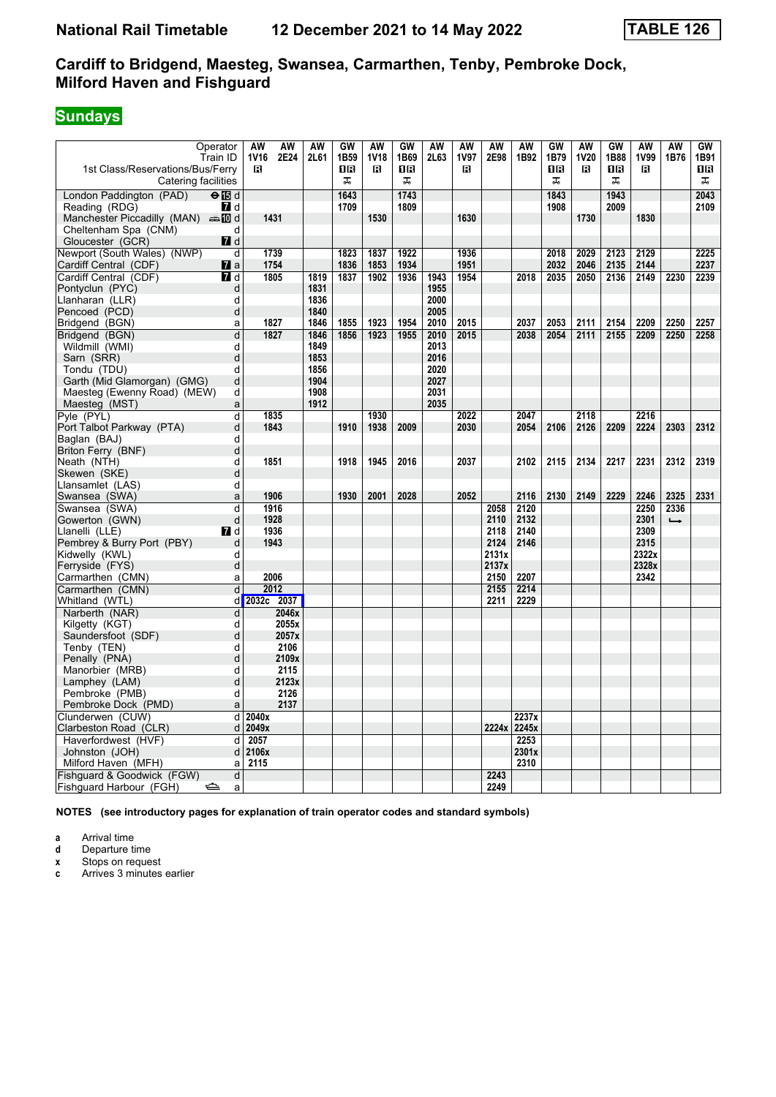# **Sundays**

| Operator<br>Train ID                                    | AW<br>AW<br><b>1V16</b><br>2E24 | AW<br>2L61 | GW<br>1B <sub>59</sub> | AW<br><b>1V18</b> | GW<br>1B69 | AW<br>2L63 | AW<br><b>1V97</b> | AW<br>2E98 | AW<br>1B92  | GW<br>1B79 | AW<br><b>1V20</b> | GW<br>1B88 | AW<br>1V99 | AW<br>1B76    | GW<br>1B91 |
|---------------------------------------------------------|---------------------------------|------------|------------------------|-------------------|------------|------------|-------------------|------------|-------------|------------|-------------------|------------|------------|---------------|------------|
| 1st Class/Reservations/Bus/Ferry<br>Catering facilities | в                               |            | 1R<br>ᠼ                | R                 | 1R<br>ᠼ    |            | в                 |            |             | ΠR<br>ᠼ    | в                 | 0 B<br>ᠼ   | в          |               | 1 R<br>ᠼ   |
| London Paddington (PAD)<br>$\Theta$ is d                |                                 |            | 1643                   |                   | 1743       |            |                   |            |             | 1843       |                   | 1943       |            |               | 2043       |
| Reading (RDG)<br>$\blacksquare$                         |                                 |            | 1709                   |                   | 1809       |            |                   |            |             | 1908       |                   | 2009       |            |               | 2109       |
| Manchester Piccadilly (MAN) $\oplus$ 10 d               | 1431                            |            |                        | 1530              |            |            | 1630              |            |             |            | 1730              |            | 1830       |               |            |
| Cheltenham Spa (CNM)<br>d                               |                                 |            |                        |                   |            |            |                   |            |             |            |                   |            |            |               |            |
| Gloucester (GCR)<br><b>7</b> d                          |                                 |            |                        |                   |            |            |                   |            |             |            |                   |            |            |               |            |
| Newport (South Wales) (NWP)                             | d<br>1739                       |            | 1823                   | 1837              | 1922       |            | 1936              |            |             | 2018       | 2029              | 2123       | 2129       |               | 2225       |
| Cardiff Central (CDF)<br><b>7</b> a                     | 1754                            |            | 1836                   | 1853              | 1934       |            | 1951              |            |             | 2032       | 2046              | 2135       | 2144       |               | 2237       |
| Cardiff Central (CDF)<br><b>7</b> d                     | 1805                            | 1819       | 1837                   | 1902              | 1936       | 1943       | 1954              |            | 2018        | 2035       | 2050              | 2136       | 2149       | 2230          | 2239       |
| Pontyclun (PYC)                                         | d                               | 1831       |                        |                   |            | 1955       |                   |            |             |            |                   |            |            |               |            |
| Llanharan (LLR)<br>d                                    |                                 | 1836       |                        |                   |            | 2000       |                   |            |             |            |                   |            |            |               |            |
| Pencoed (PCD)                                           | d                               | 1840       |                        |                   |            | 2005       |                   |            |             |            |                   |            |            |               |            |
| Bridgend (BGN)<br>a                                     | 1827                            | 1846       | 1855                   | 1923              | 1954       | 2010       | 2015              |            | 2037        | 2053       | 2111              | 2154       | 2209       | 2250          | 2257       |
| Bridgend (BGN)                                          | d<br>1827                       | 1846       | 1856                   | 1923              | 1955       | 2010       | 2015              |            | 2038        | 2054       | 2111              | 2155       | 2209       | 2250          | 2258       |
| Wildmill (WMI)<br>d                                     |                                 | 1849       |                        |                   |            | 2013       |                   |            |             |            |                   |            |            |               |            |
| Sarn (SRR)                                              | d                               | 1853       |                        |                   |            | 2016       |                   |            |             |            |                   |            |            |               |            |
| Tondu (TDU)<br>d                                        |                                 | 1856       |                        |                   |            | 2020       |                   |            |             |            |                   |            |            |               |            |
| Garth (Mid Glamorgan) (GMG)                             | d                               | 1904       |                        |                   |            | 2027       |                   |            |             |            |                   |            |            |               |            |
| Maesteg (Ewenny Road) (MEW)                             | d                               | 1908       |                        |                   |            | 2031       |                   |            |             |            |                   |            |            |               |            |
| Maesteg (MST)                                           | a                               | 1912       |                        |                   |            | 2035       |                   |            |             |            |                   |            |            |               |            |
| Pyle (PYL)                                              | d<br>1835                       |            |                        | 1930              |            |            | 2022              |            | 2047        |            | 2118              |            | 2216       |               |            |
| Port Talbot Parkway (PTA)                               | d<br>1843                       |            | 1910                   | 1938              | 2009       |            | 2030              |            | 2054        | 2106       | 2126              | 2209       | 2224       | 2303          | 2312       |
| Baglan (BAJ)<br>d                                       |                                 |            |                        |                   |            |            |                   |            |             |            |                   |            |            |               |            |
| Briton Ferry (BNF)                                      | d                               |            |                        |                   |            |            |                   |            |             |            |                   |            |            |               |            |
| Neath (NTH)                                             | d<br>1851                       |            | 1918                   | 1945              | 2016       |            | 2037              |            | 2102        | 2115       | 2134              | 2217       | 2231       | 2312          | 2319       |
| d<br>Skewen (SKE)                                       |                                 |            |                        |                   |            |            |                   |            |             |            |                   |            |            |               |            |
| Llansamlet (LAS)                                        | d                               |            |                        |                   |            |            |                   |            |             |            |                   |            |            |               |            |
| Swansea (SWA)<br>a                                      | 1906                            |            | 1930                   | 2001              | 2028       |            | 2052              |            | 2116        | 2130       | 2149              | 2229       | 2246       | 2325          | 2331       |
| Swansea (SWA)<br>d                                      | 1916                            |            |                        |                   |            |            |                   | 2058       | 2120        |            |                   |            | 2250       | 2336          |            |
| Gowerton (GWN)                                          | d<br>1928                       |            |                        |                   |            |            |                   | 2110       | 2132        |            |                   |            | 2301       | $\rightarrow$ |            |
| <b>7</b> d<br>Llanelli (LLE)                            | 1936                            |            |                        |                   |            |            |                   | 2118       | 2140        |            |                   |            | 2309       |               |            |
| Pembrey & Burry Port (PBY)                              | d<br>1943                       |            |                        |                   |            |            |                   | 2124       | 2146        |            |                   |            | 2315       |               |            |
| Kidwelly (KWL)                                          | d                               |            |                        |                   |            |            |                   | 2131x      |             |            |                   |            | 2322x      |               |            |
| Ferryside (FYS)                                         | d                               |            |                        |                   |            |            |                   | 2137x      |             |            |                   |            | 2328x      |               |            |
| Carmarthen (CMN)                                        | 2006<br>a                       |            |                        |                   |            |            |                   | 2150       | 2207        |            |                   |            | 2342       |               |            |
| Carmarthen (CMN)                                        | 2012<br>d                       |            |                        |                   |            |            |                   | 2155       | 2214        |            |                   |            |            |               |            |
| Whitland (WTL)                                          | d 2032c 2037                    |            |                        |                   |            |            |                   | 2211       | 2229        |            |                   |            |            |               |            |
| Narberth (NAR)                                          | d<br>2046x                      |            |                        |                   |            |            |                   |            |             |            |                   |            |            |               |            |
| Kilgetty (KGT)                                          | 2055x<br>d                      |            |                        |                   |            |            |                   |            |             |            |                   |            |            |               |            |
| Saundersfoot (SDF)                                      | 2057x<br>d                      |            |                        |                   |            |            |                   |            |             |            |                   |            |            |               |            |
| Tenby (TEN)                                             | d<br>2106                       |            |                        |                   |            |            |                   |            |             |            |                   |            |            |               |            |
| Penally (PNA)                                           | d<br>2109x                      |            |                        |                   |            |            |                   |            |             |            |                   |            |            |               |            |
| Manorbier (MRB)<br>d                                    | 2115                            |            |                        |                   |            |            |                   |            |             |            |                   |            |            |               |            |
| Lamphey (LAM)                                           | 2123x<br>d                      |            |                        |                   |            |            |                   |            |             |            |                   |            |            |               |            |
| Pembroke (PMB)                                          | 2126<br>d                       |            |                        |                   |            |            |                   |            |             |            |                   |            |            |               |            |
| Pembroke Dock (PMD)                                     | 2137<br>$\mathsf{a}$            |            |                        |                   |            |            |                   |            |             |            |                   |            |            |               |            |
| Clunderwen (CUW)                                        | 2040x<br>d                      |            |                        |                   |            |            |                   |            | 2237x       |            |                   |            |            |               |            |
| Clarbeston Road (CLR)                                   | 2049x<br>d                      |            |                        |                   |            |            |                   |            | 2224x 2245x |            |                   |            |            |               |            |
| Haverfordwest (HVF)                                     | 2057<br>d                       |            |                        |                   |            |            |                   |            | 2253        |            |                   |            |            |               |            |
| Johnston (JOH)                                          | 2106x<br>d                      |            |                        |                   |            |            |                   |            | 2301x       |            |                   |            |            |               |            |
| Milford Haven (MFH)                                     | 2115<br>a                       |            |                        |                   |            |            |                   |            | 2310        |            |                   |            |            |               |            |
| Fishquard & Goodwick (FGW)                              | d                               |            |                        |                   |            |            |                   | 2243       |             |            |                   |            |            |               |            |
| Fishguard Harbour (FGH)<br>⇔                            | a                               |            |                        |                   |            |            |                   | 2249       |             |            |                   |            |            |               |            |

**NOTES (see introductory pages for explanation of train operator codes and standard symbols)**

**a** Arrival time

**d** Departure time<br>**x** Stops on reque

**x** Stops on request<br>**c** Arrives 3 minutes **c** Arrives 3 minutes earlier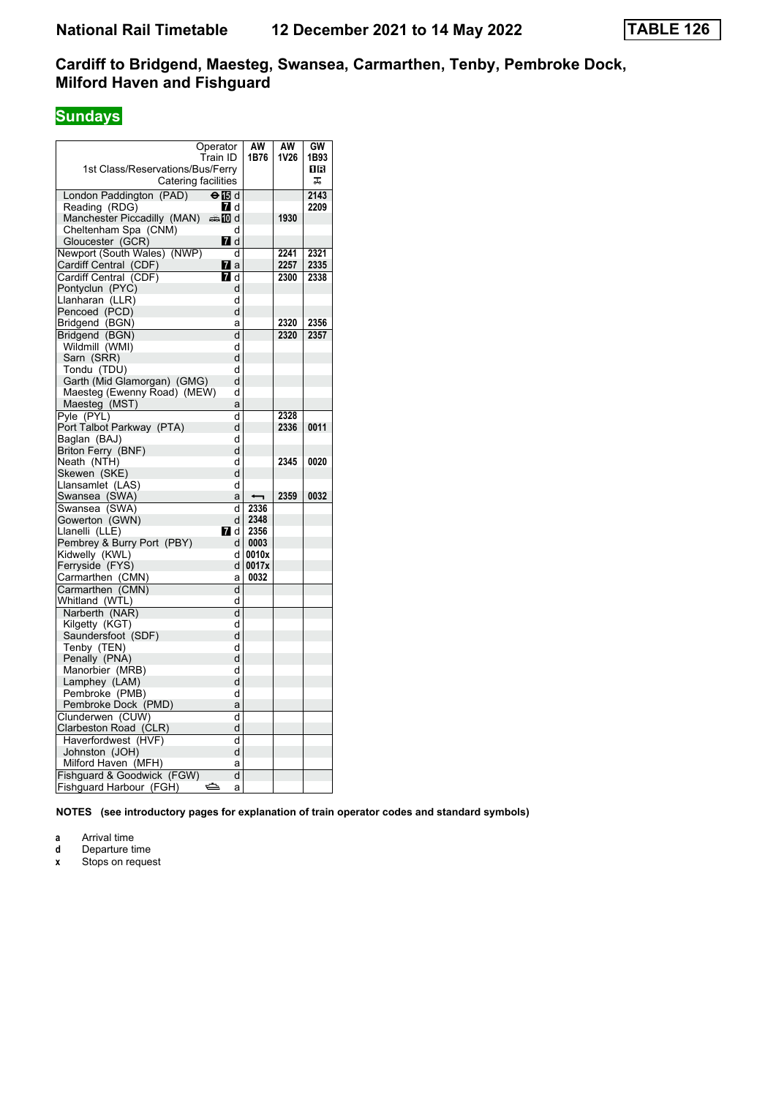# **Sundays**

|                                  | Operator      | AW                       | AW   | GW   |
|----------------------------------|---------------|--------------------------|------|------|
|                                  | Train ID      | 1B76                     | 1V26 | 1B93 |
| 1st Class/Reservations/Bus/Ferry |               |                          |      | 1 R  |
| Catering facilities              |               |                          |      | ᠼ    |
| London Paddington (PAD)          | $\Theta$ is d |                          |      | 2143 |
| Reading (RDG)                    | 7 d           |                          |      | 2209 |
| Manchester Piccadilly (MAN)      | d≣name.       |                          | 1930 |      |
| Cheltenham Spa (CNM)             | d             |                          |      |      |
| Gloucester (GCR)                 | <b>7</b> d    |                          |      |      |
| Newport (South Wales) (NWP)      | d             |                          | 2241 | 2321 |
| Cardiff Central (CDF)            | <b>7</b> a    |                          | 2257 | 2335 |
| Cardiff Central (CDF)            | <b>7</b> d    |                          | 2300 | 2338 |
| Pontyclun (PYC)                  | d             |                          |      |      |
| Llanharan (LLR)                  | d             |                          |      |      |
| Pencoed (PCD)                    | d             |                          |      |      |
| Bridgend (BGN)                   | a             |                          | 2320 | 2356 |
| Bridgend (BGN)                   | d             |                          | 2320 | 2357 |
| Wildmill (WMI)                   | d             |                          |      |      |
| Sarn (SRR)                       | d             |                          |      |      |
| Tondu (TDU)                      | d             |                          |      |      |
| Garth (Mid Glamorgan) (GMG)      | d             |                          |      |      |
| Maesteg (Ewenny Road) (MEW)      | d             |                          |      |      |
| Maesteg (MST)                    | a             |                          |      |      |
| Pyle (PYL)                       | d             |                          | 2328 |      |
| Port Talbot Parkway (PTA)        | d             |                          | 2336 | 0011 |
| Baglan (BAJ)                     | d             |                          |      |      |
| Briton Ferry (BNF)               | d             |                          |      |      |
| Neath (NTH)                      | d             |                          | 2345 | 0020 |
| Skewen (SKE)                     | d             |                          |      |      |
| Llansamlet (LAS)                 | d             |                          |      |      |
| Swansea (SWA)                    | a             | $\overline{\phantom{0}}$ | 2359 | 0032 |
| Swansea (SWA)                    | d             | 2336                     |      |      |
| Gowerton (GWN)                   | d             | 2348                     |      |      |
| Llanelli (LLE)                   | 7 d           | 2356                     |      |      |
| Pembrey & Burry Port (PBY)       | d             | 0003                     |      |      |
| Kidwelly (KWL)                   | d             | 0010x                    |      |      |
| Ferryside (FYS)                  | d             | 0017x                    |      |      |
| Carmarthen (CMN)                 | а             | 0032                     |      |      |
| Carmarthen (CMN)                 | d             |                          |      |      |
| Whitland (WTL)                   | d             |                          |      |      |
| Narberth (NAR)                   | d             |                          |      |      |
| Kilgetty (KGT)                   | d             |                          |      |      |
| Saundersfoot (SDF)               | d             |                          |      |      |
| Tenby (TEN)                      | d             |                          |      |      |
| Penally (PNA)                    | d             |                          |      |      |
| Manorbier (MRB)                  | d             |                          |      |      |
| Lamphey (LAM)                    | d             |                          |      |      |
| Pembroke (PMB)                   | d             |                          |      |      |
| Pembroke Dock (PMD)              | a             |                          |      |      |
| Clunderwen (CUW)                 | d             |                          |      |      |
| Clarbeston Road (CLR)            | d             |                          |      |      |
| Haverfordwest (HVF)              | d             |                          |      |      |
| Johnston (JOH)                   | d             |                          |      |      |
| Milford Haven (MFH)              | a             |                          |      |      |
| Fishguard & Goodwick (FGW)       | d             |                          |      |      |
| Fishguard Harbour (FGH)          | ک<br>а        |                          |      |      |

**NOTES (see introductory pages for explanation of train operator codes and standard symbols)**

**a** Arrival time

**d** Departure time<br>**x** Stops on reque

**Stops on request**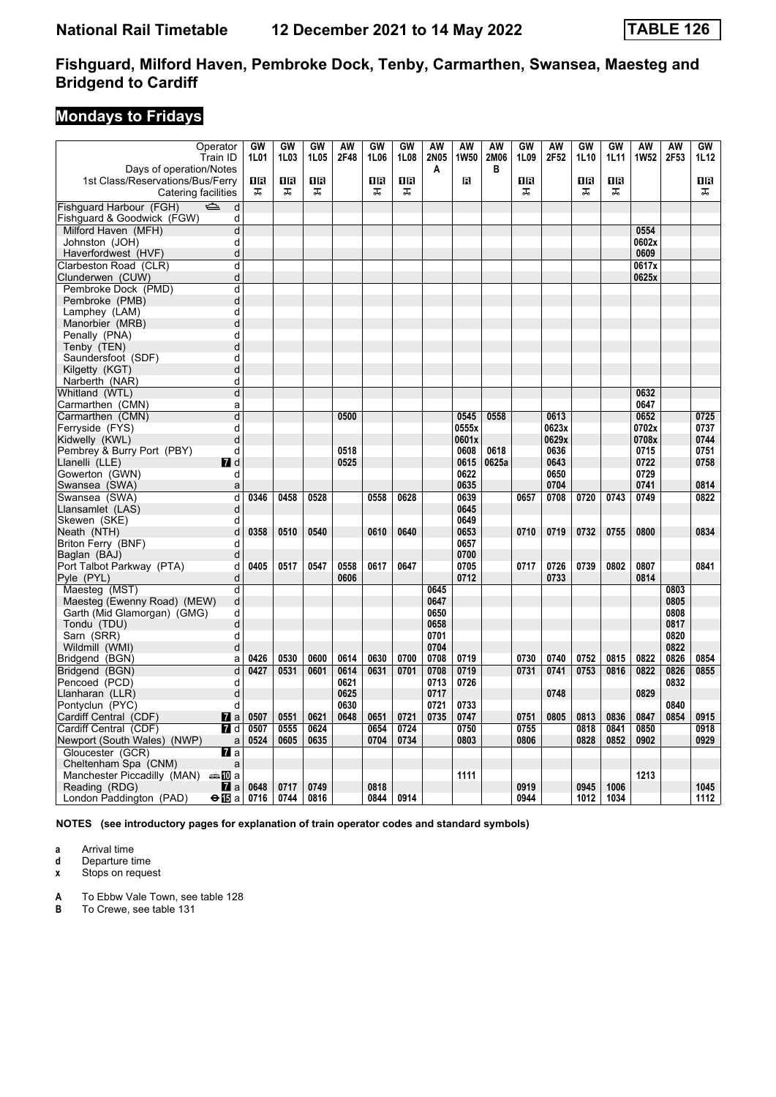# **Mondays to Fridays**

| Operator<br>Train ID                          | GW<br>1L01 | GW<br>1L03 | GW<br>1L05     | AW<br>2F48 | GW<br>1L06 | GW<br>1L08 | AW<br>2N05 | AW<br>1W50 | AW<br>2M06 | GW<br>1L09 | AW<br>2F52 | GW<br>1L10     | GW<br>1L11 | AW<br><b>1W52</b> | AW<br>2F53 | GW<br>1L12 |
|-----------------------------------------------|------------|------------|----------------|------------|------------|------------|------------|------------|------------|------------|------------|----------------|------------|-------------------|------------|------------|
| Days of operation/Notes                       |            |            |                |            |            |            | A          |            | B          |            |            |                |            |                   |            |            |
| 1st Class/Reservations/Bus/Ferry              | 0B         | 1B         | 1 <sub>R</sub> |            | 1R         | 1R         |            | В          |            | 1R         |            | 1 <sub>R</sub> | 1 <b>B</b> |                   |            | 0B         |
| Catering facilities                           | ᠼ          | ᠼ          | ᠼ              |            | ᠼ          | ᅚ          |            |            |            | ᠼ          |            | 工              | ᠼ          |                   |            | ᅚ          |
| Fishquard Harbour (FGH)<br>$\Rightarrow$<br>d |            |            |                |            |            |            |            |            |            |            |            |                |            |                   |            |            |
| Fishguard & Goodwick (FGW)<br>d               |            |            |                |            |            |            |            |            |            |            |            |                |            |                   |            |            |
| Milford Haven (MFH)<br>d                      |            |            |                |            |            |            |            |            |            |            |            |                |            | 0554              |            |            |
| d<br>Johnston (JOH)                           |            |            |                |            |            |            |            |            |            |            |            |                |            | 0602x             |            |            |
| Haverfordwest (HVF)<br>d                      |            |            |                |            |            |            |            |            |            |            |            |                |            | 0609              |            |            |
| Clarbeston Road (CLR)<br>d                    |            |            |                |            |            |            |            |            |            |            |            |                |            | 0617x             |            |            |
| d<br>Clunderwen (CUW)                         |            |            |                |            |            |            |            |            |            |            |            |                |            | 0625x             |            |            |
| Pembroke Dock (PMD)<br>d                      |            |            |                |            |            |            |            |            |            |            |            |                |            |                   |            |            |
| d<br>Pembroke (PMB)                           |            |            |                |            |            |            |            |            |            |            |            |                |            |                   |            |            |
| d<br>Lamphey (LAM)                            |            |            |                |            |            |            |            |            |            |            |            |                |            |                   |            |            |
| d<br>Manorbier (MRB)                          |            |            |                |            |            |            |            |            |            |            |            |                |            |                   |            |            |
| d<br>Penally (PNA)                            |            |            |                |            |            |            |            |            |            |            |            |                |            |                   |            |            |
| d<br>Tenby (TEN)                              |            |            |                |            |            |            |            |            |            |            |            |                |            |                   |            |            |
| d<br>Saundersfoot (SDF)                       |            |            |                |            |            |            |            |            |            |            |            |                |            |                   |            |            |
| d<br>Kilgetty (KGT)                           |            |            |                |            |            |            |            |            |            |            |            |                |            |                   |            |            |
| d<br>Narberth (NAR)                           |            |            |                |            |            |            |            |            |            |            |            |                |            |                   |            |            |
| Whitland (WTL)<br>d                           |            |            |                |            |            |            |            |            |            |            |            |                |            | 0632              |            |            |
| Carmarthen (CMN)<br>a                         |            |            |                |            |            |            |            |            |            |            |            |                |            | 0647              |            |            |
| d<br>Carmarthen (CMN)                         |            |            |                | 0500       |            |            |            | 0545       | 0558       |            | 0613       |                |            | 0652              |            | 0725       |
| Ferryside (FYS)<br>d                          |            |            |                |            |            |            |            | 0555x      |            |            | 0623x      |                |            | 0702x             |            | 0737       |
| Kidwelly (KWL)<br>d                           |            |            |                |            |            |            |            | 0601x      |            |            | 0629x      |                |            | 0708x             |            | 0744       |
| Pembrey & Burry Port (PBY)<br>d               |            |            |                | 0518       |            |            |            | 0608       | 0618       |            | 0636       |                |            | 0715              |            | 0751       |
| Llanelli (LLE)<br>7 d                         |            |            |                | 0525       |            |            |            | 0615       | 0625a      |            | 0643       |                |            | 0722              |            | 0758       |
| Gowerton (GWN)<br>d                           |            |            |                |            |            |            |            | 0622       |            |            | 0650       |                |            | 0729              |            |            |
| Swansea (SWA)<br>a                            |            |            |                |            |            |            |            | 0635       |            |            | 0704       |                |            | 0741              |            | 0814       |
| d<br>Swansea (SWA)                            | 0346       | 0458       | 0528           |            | 0558       | 0628       |            | 0639       |            | 0657       | 0708       | 0720           | 0743       | 0749              |            | 0822       |
| d<br>Llansamlet (LAS)                         |            |            |                |            |            |            |            | 0645       |            |            |            |                |            |                   |            |            |
| Skewen (SKE)<br>d                             |            |            |                |            |            |            |            | 0649       |            |            |            |                |            |                   |            |            |
| d<br>Neath (NTH)                              | 0358       | 0510       | 0540           |            | 0610       | 0640       |            | 0653       |            | 0710       | 0719       | 0732           | 0755       | 0800              |            | 0834       |
| d<br>Briton Ferry (BNF)                       |            |            |                |            |            |            |            | 0657       |            |            |            |                |            |                   |            |            |
| Baglan (BAJ)<br>d                             |            |            |                |            |            |            |            | 0700       |            |            |            |                |            |                   |            |            |
| Port Talbot Parkway (PTA)<br>d                | 0405       | 0517       | 0547           | 0558       | 0617       | 0647       |            | 0705       |            | 0717       | 0726       | 0739           | 0802       | 0807              |            | 0841       |
| d<br>Pyle (PYL)                               |            |            |                | 0606       |            |            |            | 0712       |            |            | 0733       |                |            | 0814              |            |            |
| Maesteg (MST)<br>d                            |            |            |                |            |            |            | 0645       |            |            |            |            |                |            |                   | 0803       |            |
| d<br>Maesteg (Ewenny Road) (MEW)              |            |            |                |            |            |            | 0647       |            |            |            |            |                |            |                   | 0805       |            |
| d<br>Garth (Mid Glamorgan) (GMG)              |            |            |                |            |            |            | 0650       |            |            |            |            |                |            |                   | 0808       |            |
| Tondu (TDU)<br>d                              |            |            |                |            |            |            | 0658       |            |            |            |            |                |            |                   | 0817       |            |
| d<br>Sarn (SRR)                               |            |            |                |            |            |            | 0701       |            |            |            |            |                |            |                   | 0820       |            |
| Wildmill (WMI)<br>d                           |            |            |                |            |            |            | 0704       |            |            |            |            |                |            |                   | 0822       |            |
| Bridgend (BGN)<br>a                           | 0426       | 0530       | 0600           | 0614       | 0630       | 0700       | 0708       | 0719       |            | 0730       | 0740       | 0752           | 0815       | 0822              | 0826       | 0854       |
| d<br>Bridgend (BGN)                           | 0427       | 0531       | 0601           | 0614       | 0631       | 0701       | 0708       | 0719       |            | 0731       | 0741       | 0753           | 0816       | 0822              | 0826       | 0855       |
| Pencoed (PCD)<br>d                            |            |            |                | 0621       |            |            | 0713       | 0726       |            |            |            |                |            |                   | 0832       |            |
| Llanharan (LLR)<br>d                          |            |            |                | 0625       |            |            | 0717       |            |            |            | 0748       |                |            | 0829              |            |            |
| Pontyclun (PYC)<br>d                          |            |            |                | 0630       |            |            | 0721       | 0733       |            |            |            |                |            |                   | 0840       |            |
| Cardiff Central (CDF)<br>$\mathbf{z}$ a       | 0507       | 0551       | 0621           | 0648       | 0651       | 0721       | 0735       | 0747       |            | 0751       | 0805       | 0813           | 0836       | 0847              | 0854       | 0915       |
| 7d<br>Cardiff Central (CDF)                   | 0507       | 0555       | 0624           |            | 0654       | 0724       |            | 0750       |            | 0755       |            | 0818           | 0841       | 0850              |            | 0918       |
| Newport (South Wales) (NWP)<br>a              | 0524       | 0605       | 0635           |            | 0704       | 0734       |            | 0803       |            | 0806       |            | 0828           | 0852       | 0902              |            | 0929       |
| Gloucester (GCR)<br>77 а                      |            |            |                |            |            |            |            |            |            |            |            |                |            |                   |            |            |
| Cheltenham Spa (CNM)<br>a                     |            |            |                |            |            |            |            |            |            |            |            |                |            |                   |            |            |
| Manchester Piccadilly (MAN) $\oplus \Box$ a   |            |            |                |            |            |            |            | 1111       |            |            |            |                |            | 1213              |            |            |
| Reading (RDG)<br>M a                          | 0648       | 0717       | 0749           |            | 0818       |            |            |            |            | 0919       |            | 0945           | 1006       |                   |            | 1045       |
| London Paddington (PAD)<br><b>⊖ l⊡</b> a l    | 0716       | 0744       | 0816           |            | 0844       | 0914       |            |            |            | 0944       |            | 1012           | 1034       |                   |            | 1112       |

**NOTES (see introductory pages for explanation of train operator codes and standard symbols)**

**a** Arrival time<br>**d** Departure time

**d** Departure time

**x** Stops on request

**A** To Ebbw Vale Town, see table 128

**B** To Crewe, see table 131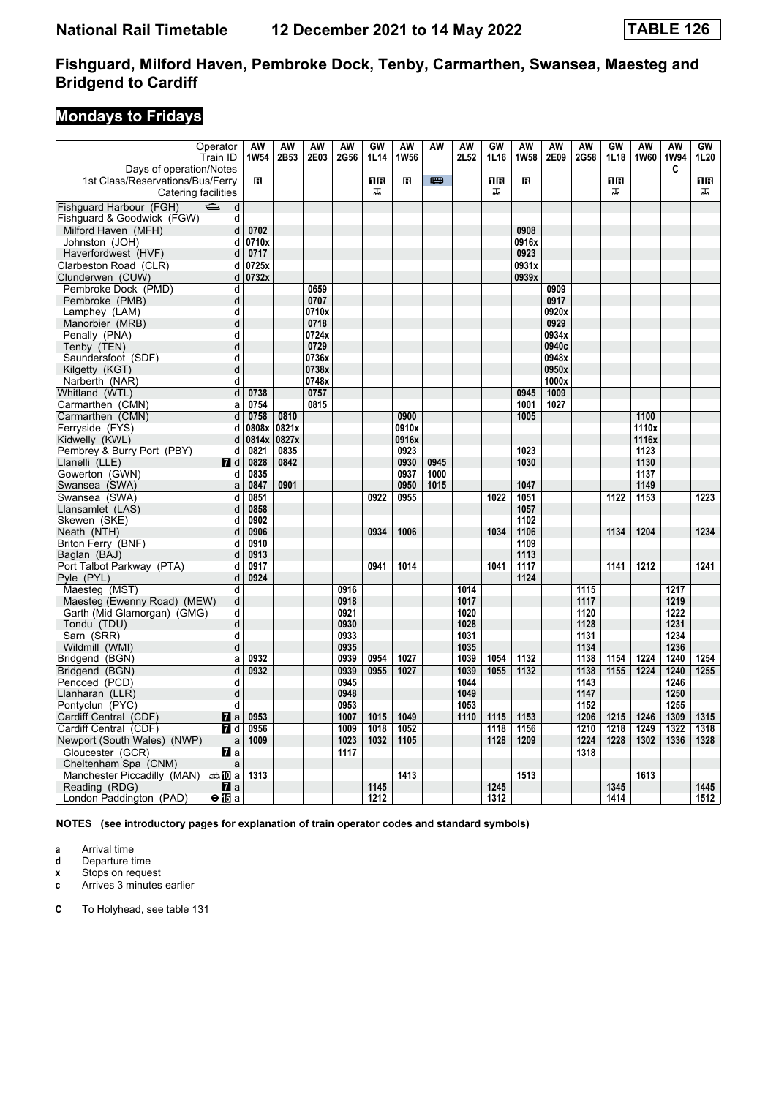# **Mondays to Fridays**

| Days of operation/Notes<br>C<br>罒<br>R<br>ПR<br>OB<br>1st Class/Reservations/Bus/Ferry<br>R<br>18<br>R<br>OR<br>ᠼ<br>ᠼ<br>ᠼ<br>Catering facilities<br>ᠼ<br>Fishguard Harbour (FGH)<br>$\Rightarrow$<br>d<br>Fishguard & Goodwick (FGW)<br>d<br>Milford Haven (MFH)<br>0702<br>d<br>0908<br>0710x<br>0916x<br>Johnston (JOH)<br>d<br>0717<br>0923<br>Haverfordwest (HVF)<br>d<br>Clarbeston Road (CLR)<br>d<br>0725x<br>0931x<br>0732x<br>0939x<br>Clunderwen (CUW)<br>d<br>Pembroke Dock (PMD)<br>0659<br>0909<br>d<br>0917<br>d<br>0707<br>Pembroke (PMB)<br>Lamphey (LAM)<br>0920x<br>d<br>0710x<br>d<br>0929<br>Manorbier (MRB)<br>0718<br>0724x<br>0934x<br>Penally (PNA)<br>d<br>d<br>0729<br>0940c<br>Tenby (TEN)<br>0736x<br>0948x<br>Saundersfoot (SDF)<br>d<br>d<br>0738x<br>0950x<br>Kilgetty (KGT)<br>0748x<br>1000x<br>Narberth (NAR)<br>d<br>0738<br>0757<br>0945<br>1009<br>Whitland (WTL)<br>d<br>0815<br>1027<br>Carmarthen (CMN)<br>0754<br>1001<br>a<br>Carmarthen (CMN)<br>d<br>0758<br>0810<br>0900<br>1100<br>1005<br>0821x<br>Ferryside (FYS)<br>0808x<br>0910x<br>1110x<br>d<br>1116x<br>Kidwelly (KWL)<br>0814x<br>0827x<br>0916x<br>d<br>Pembrey & Burry Port (PBY)<br>0821<br>0835<br>0923<br>1023<br>1123<br>d<br>0930<br>0945<br>1130<br>Llanelli (LLE)<br>$I$ d<br>0828<br>0842<br>1030<br>Gowerton (GWN)<br>0835<br>0937<br>1000<br>1137<br>d<br>0901<br>0950<br>1015<br>1047<br>1149<br>Swansea (SWA)<br>0847<br>a<br>0851<br>0955<br>1051<br>1122<br>1153<br>0922<br>1022<br>1223<br>Swansea (SWA)<br>d<br>0858<br>1057<br>Llansamlet (LAS)<br>d<br>0902<br>1102<br>Skewen (SKE)<br>d<br>0906<br>1034<br>Neath (NTH)<br>d<br>0934<br>1006<br>1106<br>1134<br>1204<br>1234<br>Briton Ferry (BNF)<br>0910<br>1109<br>d<br>0913<br>Baglan (BAJ)<br>1113<br>d<br>Port Talbot Parkway (PTA)<br>0917<br>0941<br>1014<br>1041<br>1117<br>1141<br>1212<br>1241<br>d<br>0924<br>1124<br>Pyle (PYL)<br>d<br>Maesteg (MST)<br>d<br>0916<br>1014<br>1115<br>1217<br>Maesteg (Ewenny Road) (MEW)<br>d<br>0918<br>1017<br>1117<br>1219<br>0921<br>1020<br>1120<br>1222<br>Garth (Mid Glamorgan) (GMG)<br>d<br>d<br>0930<br>1028<br>1128<br>1231<br>Tondu (TDU)<br>d<br>1031<br>1131<br>1234<br>Sarn (SRR)<br>0933<br>0935<br>Wildmill (WMI)<br>d<br>1035<br>1134<br>1236<br>0932<br>0939<br>0954<br>1027<br>1039<br>1054<br>1132<br>1138<br>1154<br>1224<br>1240<br>1254<br>Bridgend (BGN)<br>a<br>$\overline{d}$<br>0932<br>0939<br>0955<br>1027<br>1039<br>1055<br>1132<br>1138<br>1224<br>1240<br>1255<br>Bridgend (BGN)<br>1155<br>Pencoed (PCD)<br>0945<br>1044<br>1143<br>1246<br>d<br>1049<br>Llanharan (LLR)<br>d<br>0948<br>1147<br>1250<br>Pontyclun (PYC)<br>d<br>0953<br>1053<br>1152<br>1255<br>Cardiff Central (CDF)<br>$\mathbf{z}$ a<br>0953<br>1007<br>1015<br>1049<br>1110<br>1115<br>1153<br>1206<br>1215<br>1246<br>1309<br>1315<br>Cardiff Central (CDF)<br>0956<br>1009<br>1052<br>1156<br>1210<br>1218<br>1249<br>1322<br>1318<br>7d<br>1018<br>1118<br>1224<br>Newport (South Wales) (NWP)<br>1009<br>1023<br>1032<br>1105<br>1128<br>1209<br>1228<br>1302<br>1336<br>1328<br>a<br>Gloucester (GCR)<br>$\overline{\mathbf{a}}$ a<br>1117<br>1318<br>Cheltenham Spa (CNM)<br>a<br>1313<br>1413<br>1513<br>1613<br>Manchester Piccadilly (MAN) $\oplus \Box$ a<br>1245<br>1445<br>$\mathbf{z}$ a<br>1145<br>1345<br>Reading (RDG)<br>1414 | Operator<br>Train ID            | <b>AW</b><br><b>1W54</b> | <b>AW</b><br>2B53 | <b>AW</b><br>2E03 | <b>AW</b><br><b>2G56</b> | <b>GW</b><br>1L14 | <b>AW</b><br>1W56 | <b>AW</b> | <b>AW</b><br>2L52 | GW<br>1L16 | <b>AW</b><br><b>1W58</b> | <b>AW</b><br>2E09 | <b>AW</b><br>2G58 | GW<br>1L18 | <b>AW</b><br>1W60 | <b>AW</b><br><b>1W94</b> | GW<br>1L20 |
|-----------------------------------------------------------------------------------------------------------------------------------------------------------------------------------------------------------------------------------------------------------------------------------------------------------------------------------------------------------------------------------------------------------------------------------------------------------------------------------------------------------------------------------------------------------------------------------------------------------------------------------------------------------------------------------------------------------------------------------------------------------------------------------------------------------------------------------------------------------------------------------------------------------------------------------------------------------------------------------------------------------------------------------------------------------------------------------------------------------------------------------------------------------------------------------------------------------------------------------------------------------------------------------------------------------------------------------------------------------------------------------------------------------------------------------------------------------------------------------------------------------------------------------------------------------------------------------------------------------------------------------------------------------------------------------------------------------------------------------------------------------------------------------------------------------------------------------------------------------------------------------------------------------------------------------------------------------------------------------------------------------------------------------------------------------------------------------------------------------------------------------------------------------------------------------------------------------------------------------------------------------------------------------------------------------------------------------------------------------------------------------------------------------------------------------------------------------------------------------------------------------------------------------------------------------------------------------------------------------------------------------------------------------------------------------------------------------------------------------------------------------------------------------------------------------------------------------------------------------------------------------------------------------------------------------------------------------------------------------------------------------------------------------------------------------------------------------------------------------------------------------------------------------------------------------------------------------------------------------------------------------------------------------------------------------------------------------------------------------------------------------|---------------------------------|--------------------------|-------------------|-------------------|--------------------------|-------------------|-------------------|-----------|-------------------|------------|--------------------------|-------------------|-------------------|------------|-------------------|--------------------------|------------|
|                                                                                                                                                                                                                                                                                                                                                                                                                                                                                                                                                                                                                                                                                                                                                                                                                                                                                                                                                                                                                                                                                                                                                                                                                                                                                                                                                                                                                                                                                                                                                                                                                                                                                                                                                                                                                                                                                                                                                                                                                                                                                                                                                                                                                                                                                                                                                                                                                                                                                                                                                                                                                                                                                                                                                                                                                                                                                                                                                                                                                                                                                                                                                                                                                                                                                                                                                                                   |                                 |                          |                   |                   |                          |                   |                   |           |                   |            |                          |                   |                   |            |                   |                          |            |
|                                                                                                                                                                                                                                                                                                                                                                                                                                                                                                                                                                                                                                                                                                                                                                                                                                                                                                                                                                                                                                                                                                                                                                                                                                                                                                                                                                                                                                                                                                                                                                                                                                                                                                                                                                                                                                                                                                                                                                                                                                                                                                                                                                                                                                                                                                                                                                                                                                                                                                                                                                                                                                                                                                                                                                                                                                                                                                                                                                                                                                                                                                                                                                                                                                                                                                                                                                                   |                                 |                          |                   |                   |                          |                   |                   |           |                   |            |                          |                   |                   |            |                   |                          |            |
|                                                                                                                                                                                                                                                                                                                                                                                                                                                                                                                                                                                                                                                                                                                                                                                                                                                                                                                                                                                                                                                                                                                                                                                                                                                                                                                                                                                                                                                                                                                                                                                                                                                                                                                                                                                                                                                                                                                                                                                                                                                                                                                                                                                                                                                                                                                                                                                                                                                                                                                                                                                                                                                                                                                                                                                                                                                                                                                                                                                                                                                                                                                                                                                                                                                                                                                                                                                   |                                 |                          |                   |                   |                          |                   |                   |           |                   |            |                          |                   |                   |            |                   |                          |            |
|                                                                                                                                                                                                                                                                                                                                                                                                                                                                                                                                                                                                                                                                                                                                                                                                                                                                                                                                                                                                                                                                                                                                                                                                                                                                                                                                                                                                                                                                                                                                                                                                                                                                                                                                                                                                                                                                                                                                                                                                                                                                                                                                                                                                                                                                                                                                                                                                                                                                                                                                                                                                                                                                                                                                                                                                                                                                                                                                                                                                                                                                                                                                                                                                                                                                                                                                                                                   |                                 |                          |                   |                   |                          |                   |                   |           |                   |            |                          |                   |                   |            |                   |                          |            |
|                                                                                                                                                                                                                                                                                                                                                                                                                                                                                                                                                                                                                                                                                                                                                                                                                                                                                                                                                                                                                                                                                                                                                                                                                                                                                                                                                                                                                                                                                                                                                                                                                                                                                                                                                                                                                                                                                                                                                                                                                                                                                                                                                                                                                                                                                                                                                                                                                                                                                                                                                                                                                                                                                                                                                                                                                                                                                                                                                                                                                                                                                                                                                                                                                                                                                                                                                                                   |                                 |                          |                   |                   |                          |                   |                   |           |                   |            |                          |                   |                   |            |                   |                          |            |
|                                                                                                                                                                                                                                                                                                                                                                                                                                                                                                                                                                                                                                                                                                                                                                                                                                                                                                                                                                                                                                                                                                                                                                                                                                                                                                                                                                                                                                                                                                                                                                                                                                                                                                                                                                                                                                                                                                                                                                                                                                                                                                                                                                                                                                                                                                                                                                                                                                                                                                                                                                                                                                                                                                                                                                                                                                                                                                                                                                                                                                                                                                                                                                                                                                                                                                                                                                                   |                                 |                          |                   |                   |                          |                   |                   |           |                   |            |                          |                   |                   |            |                   |                          |            |
|                                                                                                                                                                                                                                                                                                                                                                                                                                                                                                                                                                                                                                                                                                                                                                                                                                                                                                                                                                                                                                                                                                                                                                                                                                                                                                                                                                                                                                                                                                                                                                                                                                                                                                                                                                                                                                                                                                                                                                                                                                                                                                                                                                                                                                                                                                                                                                                                                                                                                                                                                                                                                                                                                                                                                                                                                                                                                                                                                                                                                                                                                                                                                                                                                                                                                                                                                                                   |                                 |                          |                   |                   |                          |                   |                   |           |                   |            |                          |                   |                   |            |                   |                          |            |
|                                                                                                                                                                                                                                                                                                                                                                                                                                                                                                                                                                                                                                                                                                                                                                                                                                                                                                                                                                                                                                                                                                                                                                                                                                                                                                                                                                                                                                                                                                                                                                                                                                                                                                                                                                                                                                                                                                                                                                                                                                                                                                                                                                                                                                                                                                                                                                                                                                                                                                                                                                                                                                                                                                                                                                                                                                                                                                                                                                                                                                                                                                                                                                                                                                                                                                                                                                                   |                                 |                          |                   |                   |                          |                   |                   |           |                   |            |                          |                   |                   |            |                   |                          |            |
|                                                                                                                                                                                                                                                                                                                                                                                                                                                                                                                                                                                                                                                                                                                                                                                                                                                                                                                                                                                                                                                                                                                                                                                                                                                                                                                                                                                                                                                                                                                                                                                                                                                                                                                                                                                                                                                                                                                                                                                                                                                                                                                                                                                                                                                                                                                                                                                                                                                                                                                                                                                                                                                                                                                                                                                                                                                                                                                                                                                                                                                                                                                                                                                                                                                                                                                                                                                   |                                 |                          |                   |                   |                          |                   |                   |           |                   |            |                          |                   |                   |            |                   |                          |            |
|                                                                                                                                                                                                                                                                                                                                                                                                                                                                                                                                                                                                                                                                                                                                                                                                                                                                                                                                                                                                                                                                                                                                                                                                                                                                                                                                                                                                                                                                                                                                                                                                                                                                                                                                                                                                                                                                                                                                                                                                                                                                                                                                                                                                                                                                                                                                                                                                                                                                                                                                                                                                                                                                                                                                                                                                                                                                                                                                                                                                                                                                                                                                                                                                                                                                                                                                                                                   |                                 |                          |                   |                   |                          |                   |                   |           |                   |            |                          |                   |                   |            |                   |                          |            |
|                                                                                                                                                                                                                                                                                                                                                                                                                                                                                                                                                                                                                                                                                                                                                                                                                                                                                                                                                                                                                                                                                                                                                                                                                                                                                                                                                                                                                                                                                                                                                                                                                                                                                                                                                                                                                                                                                                                                                                                                                                                                                                                                                                                                                                                                                                                                                                                                                                                                                                                                                                                                                                                                                                                                                                                                                                                                                                                                                                                                                                                                                                                                                                                                                                                                                                                                                                                   |                                 |                          |                   |                   |                          |                   |                   |           |                   |            |                          |                   |                   |            |                   |                          |            |
|                                                                                                                                                                                                                                                                                                                                                                                                                                                                                                                                                                                                                                                                                                                                                                                                                                                                                                                                                                                                                                                                                                                                                                                                                                                                                                                                                                                                                                                                                                                                                                                                                                                                                                                                                                                                                                                                                                                                                                                                                                                                                                                                                                                                                                                                                                                                                                                                                                                                                                                                                                                                                                                                                                                                                                                                                                                                                                                                                                                                                                                                                                                                                                                                                                                                                                                                                                                   |                                 |                          |                   |                   |                          |                   |                   |           |                   |            |                          |                   |                   |            |                   |                          |            |
|                                                                                                                                                                                                                                                                                                                                                                                                                                                                                                                                                                                                                                                                                                                                                                                                                                                                                                                                                                                                                                                                                                                                                                                                                                                                                                                                                                                                                                                                                                                                                                                                                                                                                                                                                                                                                                                                                                                                                                                                                                                                                                                                                                                                                                                                                                                                                                                                                                                                                                                                                                                                                                                                                                                                                                                                                                                                                                                                                                                                                                                                                                                                                                                                                                                                                                                                                                                   |                                 |                          |                   |                   |                          |                   |                   |           |                   |            |                          |                   |                   |            |                   |                          |            |
|                                                                                                                                                                                                                                                                                                                                                                                                                                                                                                                                                                                                                                                                                                                                                                                                                                                                                                                                                                                                                                                                                                                                                                                                                                                                                                                                                                                                                                                                                                                                                                                                                                                                                                                                                                                                                                                                                                                                                                                                                                                                                                                                                                                                                                                                                                                                                                                                                                                                                                                                                                                                                                                                                                                                                                                                                                                                                                                                                                                                                                                                                                                                                                                                                                                                                                                                                                                   |                                 |                          |                   |                   |                          |                   |                   |           |                   |            |                          |                   |                   |            |                   |                          |            |
|                                                                                                                                                                                                                                                                                                                                                                                                                                                                                                                                                                                                                                                                                                                                                                                                                                                                                                                                                                                                                                                                                                                                                                                                                                                                                                                                                                                                                                                                                                                                                                                                                                                                                                                                                                                                                                                                                                                                                                                                                                                                                                                                                                                                                                                                                                                                                                                                                                                                                                                                                                                                                                                                                                                                                                                                                                                                                                                                                                                                                                                                                                                                                                                                                                                                                                                                                                                   |                                 |                          |                   |                   |                          |                   |                   |           |                   |            |                          |                   |                   |            |                   |                          |            |
|                                                                                                                                                                                                                                                                                                                                                                                                                                                                                                                                                                                                                                                                                                                                                                                                                                                                                                                                                                                                                                                                                                                                                                                                                                                                                                                                                                                                                                                                                                                                                                                                                                                                                                                                                                                                                                                                                                                                                                                                                                                                                                                                                                                                                                                                                                                                                                                                                                                                                                                                                                                                                                                                                                                                                                                                                                                                                                                                                                                                                                                                                                                                                                                                                                                                                                                                                                                   |                                 |                          |                   |                   |                          |                   |                   |           |                   |            |                          |                   |                   |            |                   |                          |            |
|                                                                                                                                                                                                                                                                                                                                                                                                                                                                                                                                                                                                                                                                                                                                                                                                                                                                                                                                                                                                                                                                                                                                                                                                                                                                                                                                                                                                                                                                                                                                                                                                                                                                                                                                                                                                                                                                                                                                                                                                                                                                                                                                                                                                                                                                                                                                                                                                                                                                                                                                                                                                                                                                                                                                                                                                                                                                                                                                                                                                                                                                                                                                                                                                                                                                                                                                                                                   |                                 |                          |                   |                   |                          |                   |                   |           |                   |            |                          |                   |                   |            |                   |                          |            |
|                                                                                                                                                                                                                                                                                                                                                                                                                                                                                                                                                                                                                                                                                                                                                                                                                                                                                                                                                                                                                                                                                                                                                                                                                                                                                                                                                                                                                                                                                                                                                                                                                                                                                                                                                                                                                                                                                                                                                                                                                                                                                                                                                                                                                                                                                                                                                                                                                                                                                                                                                                                                                                                                                                                                                                                                                                                                                                                                                                                                                                                                                                                                                                                                                                                                                                                                                                                   |                                 |                          |                   |                   |                          |                   |                   |           |                   |            |                          |                   |                   |            |                   |                          |            |
|                                                                                                                                                                                                                                                                                                                                                                                                                                                                                                                                                                                                                                                                                                                                                                                                                                                                                                                                                                                                                                                                                                                                                                                                                                                                                                                                                                                                                                                                                                                                                                                                                                                                                                                                                                                                                                                                                                                                                                                                                                                                                                                                                                                                                                                                                                                                                                                                                                                                                                                                                                                                                                                                                                                                                                                                                                                                                                                                                                                                                                                                                                                                                                                                                                                                                                                                                                                   |                                 |                          |                   |                   |                          |                   |                   |           |                   |            |                          |                   |                   |            |                   |                          |            |
|                                                                                                                                                                                                                                                                                                                                                                                                                                                                                                                                                                                                                                                                                                                                                                                                                                                                                                                                                                                                                                                                                                                                                                                                                                                                                                                                                                                                                                                                                                                                                                                                                                                                                                                                                                                                                                                                                                                                                                                                                                                                                                                                                                                                                                                                                                                                                                                                                                                                                                                                                                                                                                                                                                                                                                                                                                                                                                                                                                                                                                                                                                                                                                                                                                                                                                                                                                                   |                                 |                          |                   |                   |                          |                   |                   |           |                   |            |                          |                   |                   |            |                   |                          |            |
|                                                                                                                                                                                                                                                                                                                                                                                                                                                                                                                                                                                                                                                                                                                                                                                                                                                                                                                                                                                                                                                                                                                                                                                                                                                                                                                                                                                                                                                                                                                                                                                                                                                                                                                                                                                                                                                                                                                                                                                                                                                                                                                                                                                                                                                                                                                                                                                                                                                                                                                                                                                                                                                                                                                                                                                                                                                                                                                                                                                                                                                                                                                                                                                                                                                                                                                                                                                   |                                 |                          |                   |                   |                          |                   |                   |           |                   |            |                          |                   |                   |            |                   |                          |            |
|                                                                                                                                                                                                                                                                                                                                                                                                                                                                                                                                                                                                                                                                                                                                                                                                                                                                                                                                                                                                                                                                                                                                                                                                                                                                                                                                                                                                                                                                                                                                                                                                                                                                                                                                                                                                                                                                                                                                                                                                                                                                                                                                                                                                                                                                                                                                                                                                                                                                                                                                                                                                                                                                                                                                                                                                                                                                                                                                                                                                                                                                                                                                                                                                                                                                                                                                                                                   |                                 |                          |                   |                   |                          |                   |                   |           |                   |            |                          |                   |                   |            |                   |                          |            |
|                                                                                                                                                                                                                                                                                                                                                                                                                                                                                                                                                                                                                                                                                                                                                                                                                                                                                                                                                                                                                                                                                                                                                                                                                                                                                                                                                                                                                                                                                                                                                                                                                                                                                                                                                                                                                                                                                                                                                                                                                                                                                                                                                                                                                                                                                                                                                                                                                                                                                                                                                                                                                                                                                                                                                                                                                                                                                                                                                                                                                                                                                                                                                                                                                                                                                                                                                                                   |                                 |                          |                   |                   |                          |                   |                   |           |                   |            |                          |                   |                   |            |                   |                          |            |
|                                                                                                                                                                                                                                                                                                                                                                                                                                                                                                                                                                                                                                                                                                                                                                                                                                                                                                                                                                                                                                                                                                                                                                                                                                                                                                                                                                                                                                                                                                                                                                                                                                                                                                                                                                                                                                                                                                                                                                                                                                                                                                                                                                                                                                                                                                                                                                                                                                                                                                                                                                                                                                                                                                                                                                                                                                                                                                                                                                                                                                                                                                                                                                                                                                                                                                                                                                                   |                                 |                          |                   |                   |                          |                   |                   |           |                   |            |                          |                   |                   |            |                   |                          |            |
|                                                                                                                                                                                                                                                                                                                                                                                                                                                                                                                                                                                                                                                                                                                                                                                                                                                                                                                                                                                                                                                                                                                                                                                                                                                                                                                                                                                                                                                                                                                                                                                                                                                                                                                                                                                                                                                                                                                                                                                                                                                                                                                                                                                                                                                                                                                                                                                                                                                                                                                                                                                                                                                                                                                                                                                                                                                                                                                                                                                                                                                                                                                                                                                                                                                                                                                                                                                   |                                 |                          |                   |                   |                          |                   |                   |           |                   |            |                          |                   |                   |            |                   |                          |            |
|                                                                                                                                                                                                                                                                                                                                                                                                                                                                                                                                                                                                                                                                                                                                                                                                                                                                                                                                                                                                                                                                                                                                                                                                                                                                                                                                                                                                                                                                                                                                                                                                                                                                                                                                                                                                                                                                                                                                                                                                                                                                                                                                                                                                                                                                                                                                                                                                                                                                                                                                                                                                                                                                                                                                                                                                                                                                                                                                                                                                                                                                                                                                                                                                                                                                                                                                                                                   |                                 |                          |                   |                   |                          |                   |                   |           |                   |            |                          |                   |                   |            |                   |                          |            |
|                                                                                                                                                                                                                                                                                                                                                                                                                                                                                                                                                                                                                                                                                                                                                                                                                                                                                                                                                                                                                                                                                                                                                                                                                                                                                                                                                                                                                                                                                                                                                                                                                                                                                                                                                                                                                                                                                                                                                                                                                                                                                                                                                                                                                                                                                                                                                                                                                                                                                                                                                                                                                                                                                                                                                                                                                                                                                                                                                                                                                                                                                                                                                                                                                                                                                                                                                                                   |                                 |                          |                   |                   |                          |                   |                   |           |                   |            |                          |                   |                   |            |                   |                          |            |
|                                                                                                                                                                                                                                                                                                                                                                                                                                                                                                                                                                                                                                                                                                                                                                                                                                                                                                                                                                                                                                                                                                                                                                                                                                                                                                                                                                                                                                                                                                                                                                                                                                                                                                                                                                                                                                                                                                                                                                                                                                                                                                                                                                                                                                                                                                                                                                                                                                                                                                                                                                                                                                                                                                                                                                                                                                                                                                                                                                                                                                                                                                                                                                                                                                                                                                                                                                                   |                                 |                          |                   |                   |                          |                   |                   |           |                   |            |                          |                   |                   |            |                   |                          |            |
|                                                                                                                                                                                                                                                                                                                                                                                                                                                                                                                                                                                                                                                                                                                                                                                                                                                                                                                                                                                                                                                                                                                                                                                                                                                                                                                                                                                                                                                                                                                                                                                                                                                                                                                                                                                                                                                                                                                                                                                                                                                                                                                                                                                                                                                                                                                                                                                                                                                                                                                                                                                                                                                                                                                                                                                                                                                                                                                                                                                                                                                                                                                                                                                                                                                                                                                                                                                   |                                 |                          |                   |                   |                          |                   |                   |           |                   |            |                          |                   |                   |            |                   |                          |            |
|                                                                                                                                                                                                                                                                                                                                                                                                                                                                                                                                                                                                                                                                                                                                                                                                                                                                                                                                                                                                                                                                                                                                                                                                                                                                                                                                                                                                                                                                                                                                                                                                                                                                                                                                                                                                                                                                                                                                                                                                                                                                                                                                                                                                                                                                                                                                                                                                                                                                                                                                                                                                                                                                                                                                                                                                                                                                                                                                                                                                                                                                                                                                                                                                                                                                                                                                                                                   |                                 |                          |                   |                   |                          |                   |                   |           |                   |            |                          |                   |                   |            |                   |                          |            |
|                                                                                                                                                                                                                                                                                                                                                                                                                                                                                                                                                                                                                                                                                                                                                                                                                                                                                                                                                                                                                                                                                                                                                                                                                                                                                                                                                                                                                                                                                                                                                                                                                                                                                                                                                                                                                                                                                                                                                                                                                                                                                                                                                                                                                                                                                                                                                                                                                                                                                                                                                                                                                                                                                                                                                                                                                                                                                                                                                                                                                                                                                                                                                                                                                                                                                                                                                                                   |                                 |                          |                   |                   |                          |                   |                   |           |                   |            |                          |                   |                   |            |                   |                          |            |
|                                                                                                                                                                                                                                                                                                                                                                                                                                                                                                                                                                                                                                                                                                                                                                                                                                                                                                                                                                                                                                                                                                                                                                                                                                                                                                                                                                                                                                                                                                                                                                                                                                                                                                                                                                                                                                                                                                                                                                                                                                                                                                                                                                                                                                                                                                                                                                                                                                                                                                                                                                                                                                                                                                                                                                                                                                                                                                                                                                                                                                                                                                                                                                                                                                                                                                                                                                                   |                                 |                          |                   |                   |                          |                   |                   |           |                   |            |                          |                   |                   |            |                   |                          |            |
|                                                                                                                                                                                                                                                                                                                                                                                                                                                                                                                                                                                                                                                                                                                                                                                                                                                                                                                                                                                                                                                                                                                                                                                                                                                                                                                                                                                                                                                                                                                                                                                                                                                                                                                                                                                                                                                                                                                                                                                                                                                                                                                                                                                                                                                                                                                                                                                                                                                                                                                                                                                                                                                                                                                                                                                                                                                                                                                                                                                                                                                                                                                                                                                                                                                                                                                                                                                   |                                 |                          |                   |                   |                          |                   |                   |           |                   |            |                          |                   |                   |            |                   |                          |            |
|                                                                                                                                                                                                                                                                                                                                                                                                                                                                                                                                                                                                                                                                                                                                                                                                                                                                                                                                                                                                                                                                                                                                                                                                                                                                                                                                                                                                                                                                                                                                                                                                                                                                                                                                                                                                                                                                                                                                                                                                                                                                                                                                                                                                                                                                                                                                                                                                                                                                                                                                                                                                                                                                                                                                                                                                                                                                                                                                                                                                                                                                                                                                                                                                                                                                                                                                                                                   |                                 |                          |                   |                   |                          |                   |                   |           |                   |            |                          |                   |                   |            |                   |                          |            |
|                                                                                                                                                                                                                                                                                                                                                                                                                                                                                                                                                                                                                                                                                                                                                                                                                                                                                                                                                                                                                                                                                                                                                                                                                                                                                                                                                                                                                                                                                                                                                                                                                                                                                                                                                                                                                                                                                                                                                                                                                                                                                                                                                                                                                                                                                                                                                                                                                                                                                                                                                                                                                                                                                                                                                                                                                                                                                                                                                                                                                                                                                                                                                                                                                                                                                                                                                                                   |                                 |                          |                   |                   |                          |                   |                   |           |                   |            |                          |                   |                   |            |                   |                          |            |
|                                                                                                                                                                                                                                                                                                                                                                                                                                                                                                                                                                                                                                                                                                                                                                                                                                                                                                                                                                                                                                                                                                                                                                                                                                                                                                                                                                                                                                                                                                                                                                                                                                                                                                                                                                                                                                                                                                                                                                                                                                                                                                                                                                                                                                                                                                                                                                                                                                                                                                                                                                                                                                                                                                                                                                                                                                                                                                                                                                                                                                                                                                                                                                                                                                                                                                                                                                                   |                                 |                          |                   |                   |                          |                   |                   |           |                   |            |                          |                   |                   |            |                   |                          |            |
|                                                                                                                                                                                                                                                                                                                                                                                                                                                                                                                                                                                                                                                                                                                                                                                                                                                                                                                                                                                                                                                                                                                                                                                                                                                                                                                                                                                                                                                                                                                                                                                                                                                                                                                                                                                                                                                                                                                                                                                                                                                                                                                                                                                                                                                                                                                                                                                                                                                                                                                                                                                                                                                                                                                                                                                                                                                                                                                                                                                                                                                                                                                                                                                                                                                                                                                                                                                   |                                 |                          |                   |                   |                          |                   |                   |           |                   |            |                          |                   |                   |            |                   |                          |            |
|                                                                                                                                                                                                                                                                                                                                                                                                                                                                                                                                                                                                                                                                                                                                                                                                                                                                                                                                                                                                                                                                                                                                                                                                                                                                                                                                                                                                                                                                                                                                                                                                                                                                                                                                                                                                                                                                                                                                                                                                                                                                                                                                                                                                                                                                                                                                                                                                                                                                                                                                                                                                                                                                                                                                                                                                                                                                                                                                                                                                                                                                                                                                                                                                                                                                                                                                                                                   |                                 |                          |                   |                   |                          |                   |                   |           |                   |            |                          |                   |                   |            |                   |                          |            |
|                                                                                                                                                                                                                                                                                                                                                                                                                                                                                                                                                                                                                                                                                                                                                                                                                                                                                                                                                                                                                                                                                                                                                                                                                                                                                                                                                                                                                                                                                                                                                                                                                                                                                                                                                                                                                                                                                                                                                                                                                                                                                                                                                                                                                                                                                                                                                                                                                                                                                                                                                                                                                                                                                                                                                                                                                                                                                                                                                                                                                                                                                                                                                                                                                                                                                                                                                                                   |                                 |                          |                   |                   |                          |                   |                   |           |                   |            |                          |                   |                   |            |                   |                          |            |
|                                                                                                                                                                                                                                                                                                                                                                                                                                                                                                                                                                                                                                                                                                                                                                                                                                                                                                                                                                                                                                                                                                                                                                                                                                                                                                                                                                                                                                                                                                                                                                                                                                                                                                                                                                                                                                                                                                                                                                                                                                                                                                                                                                                                                                                                                                                                                                                                                                                                                                                                                                                                                                                                                                                                                                                                                                                                                                                                                                                                                                                                                                                                                                                                                                                                                                                                                                                   |                                 |                          |                   |                   |                          |                   |                   |           |                   |            |                          |                   |                   |            |                   |                          |            |
|                                                                                                                                                                                                                                                                                                                                                                                                                                                                                                                                                                                                                                                                                                                                                                                                                                                                                                                                                                                                                                                                                                                                                                                                                                                                                                                                                                                                                                                                                                                                                                                                                                                                                                                                                                                                                                                                                                                                                                                                                                                                                                                                                                                                                                                                                                                                                                                                                                                                                                                                                                                                                                                                                                                                                                                                                                                                                                                                                                                                                                                                                                                                                                                                                                                                                                                                                                                   |                                 |                          |                   |                   |                          |                   |                   |           |                   |            |                          |                   |                   |            |                   |                          |            |
|                                                                                                                                                                                                                                                                                                                                                                                                                                                                                                                                                                                                                                                                                                                                                                                                                                                                                                                                                                                                                                                                                                                                                                                                                                                                                                                                                                                                                                                                                                                                                                                                                                                                                                                                                                                                                                                                                                                                                                                                                                                                                                                                                                                                                                                                                                                                                                                                                                                                                                                                                                                                                                                                                                                                                                                                                                                                                                                                                                                                                                                                                                                                                                                                                                                                                                                                                                                   |                                 |                          |                   |                   |                          |                   |                   |           |                   |            |                          |                   |                   |            |                   |                          |            |
|                                                                                                                                                                                                                                                                                                                                                                                                                                                                                                                                                                                                                                                                                                                                                                                                                                                                                                                                                                                                                                                                                                                                                                                                                                                                                                                                                                                                                                                                                                                                                                                                                                                                                                                                                                                                                                                                                                                                                                                                                                                                                                                                                                                                                                                                                                                                                                                                                                                                                                                                                                                                                                                                                                                                                                                                                                                                                                                                                                                                                                                                                                                                                                                                                                                                                                                                                                                   |                                 |                          |                   |                   |                          |                   |                   |           |                   |            |                          |                   |                   |            |                   |                          |            |
|                                                                                                                                                                                                                                                                                                                                                                                                                                                                                                                                                                                                                                                                                                                                                                                                                                                                                                                                                                                                                                                                                                                                                                                                                                                                                                                                                                                                                                                                                                                                                                                                                                                                                                                                                                                                                                                                                                                                                                                                                                                                                                                                                                                                                                                                                                                                                                                                                                                                                                                                                                                                                                                                                                                                                                                                                                                                                                                                                                                                                                                                                                                                                                                                                                                                                                                                                                                   |                                 |                          |                   |                   |                          |                   |                   |           |                   |            |                          |                   |                   |            |                   |                          |            |
|                                                                                                                                                                                                                                                                                                                                                                                                                                                                                                                                                                                                                                                                                                                                                                                                                                                                                                                                                                                                                                                                                                                                                                                                                                                                                                                                                                                                                                                                                                                                                                                                                                                                                                                                                                                                                                                                                                                                                                                                                                                                                                                                                                                                                                                                                                                                                                                                                                                                                                                                                                                                                                                                                                                                                                                                                                                                                                                                                                                                                                                                                                                                                                                                                                                                                                                                                                                   |                                 |                          |                   |                   |                          |                   |                   |           |                   |            |                          |                   |                   |            |                   |                          |            |
|                                                                                                                                                                                                                                                                                                                                                                                                                                                                                                                                                                                                                                                                                                                                                                                                                                                                                                                                                                                                                                                                                                                                                                                                                                                                                                                                                                                                                                                                                                                                                                                                                                                                                                                                                                                                                                                                                                                                                                                                                                                                                                                                                                                                                                                                                                                                                                                                                                                                                                                                                                                                                                                                                                                                                                                                                                                                                                                                                                                                                                                                                                                                                                                                                                                                                                                                                                                   |                                 |                          |                   |                   |                          |                   |                   |           |                   |            |                          |                   |                   |            |                   |                          |            |
|                                                                                                                                                                                                                                                                                                                                                                                                                                                                                                                                                                                                                                                                                                                                                                                                                                                                                                                                                                                                                                                                                                                                                                                                                                                                                                                                                                                                                                                                                                                                                                                                                                                                                                                                                                                                                                                                                                                                                                                                                                                                                                                                                                                                                                                                                                                                                                                                                                                                                                                                                                                                                                                                                                                                                                                                                                                                                                                                                                                                                                                                                                                                                                                                                                                                                                                                                                                   |                                 |                          |                   |                   |                          |                   |                   |           |                   |            |                          |                   |                   |            |                   |                          |            |
|                                                                                                                                                                                                                                                                                                                                                                                                                                                                                                                                                                                                                                                                                                                                                                                                                                                                                                                                                                                                                                                                                                                                                                                                                                                                                                                                                                                                                                                                                                                                                                                                                                                                                                                                                                                                                                                                                                                                                                                                                                                                                                                                                                                                                                                                                                                                                                                                                                                                                                                                                                                                                                                                                                                                                                                                                                                                                                                                                                                                                                                                                                                                                                                                                                                                                                                                                                                   |                                 |                          |                   |                   |                          |                   |                   |           |                   |            |                          |                   |                   |            |                   |                          |            |
|                                                                                                                                                                                                                                                                                                                                                                                                                                                                                                                                                                                                                                                                                                                                                                                                                                                                                                                                                                                                                                                                                                                                                                                                                                                                                                                                                                                                                                                                                                                                                                                                                                                                                                                                                                                                                                                                                                                                                                                                                                                                                                                                                                                                                                                                                                                                                                                                                                                                                                                                                                                                                                                                                                                                                                                                                                                                                                                                                                                                                                                                                                                                                                                                                                                                                                                                                                                   |                                 |                          |                   |                   |                          |                   |                   |           |                   |            |                          |                   |                   |            |                   |                          |            |
|                                                                                                                                                                                                                                                                                                                                                                                                                                                                                                                                                                                                                                                                                                                                                                                                                                                                                                                                                                                                                                                                                                                                                                                                                                                                                                                                                                                                                                                                                                                                                                                                                                                                                                                                                                                                                                                                                                                                                                                                                                                                                                                                                                                                                                                                                                                                                                                                                                                                                                                                                                                                                                                                                                                                                                                                                                                                                                                                                                                                                                                                                                                                                                                                                                                                                                                                                                                   |                                 |                          |                   |                   |                          |                   |                   |           |                   |            |                          |                   |                   |            |                   |                          |            |
|                                                                                                                                                                                                                                                                                                                                                                                                                                                                                                                                                                                                                                                                                                                                                                                                                                                                                                                                                                                                                                                                                                                                                                                                                                                                                                                                                                                                                                                                                                                                                                                                                                                                                                                                                                                                                                                                                                                                                                                                                                                                                                                                                                                                                                                                                                                                                                                                                                                                                                                                                                                                                                                                                                                                                                                                                                                                                                                                                                                                                                                                                                                                                                                                                                                                                                                                                                                   |                                 |                          |                   |                   |                          |                   |                   |           |                   |            |                          |                   |                   |            |                   |                          |            |
|                                                                                                                                                                                                                                                                                                                                                                                                                                                                                                                                                                                                                                                                                                                                                                                                                                                                                                                                                                                                                                                                                                                                                                                                                                                                                                                                                                                                                                                                                                                                                                                                                                                                                                                                                                                                                                                                                                                                                                                                                                                                                                                                                                                                                                                                                                                                                                                                                                                                                                                                                                                                                                                                                                                                                                                                                                                                                                                                                                                                                                                                                                                                                                                                                                                                                                                                                                                   |                                 |                          |                   |                   |                          |                   |                   |           |                   |            |                          |                   |                   |            |                   |                          |            |
|                                                                                                                                                                                                                                                                                                                                                                                                                                                                                                                                                                                                                                                                                                                                                                                                                                                                                                                                                                                                                                                                                                                                                                                                                                                                                                                                                                                                                                                                                                                                                                                                                                                                                                                                                                                                                                                                                                                                                                                                                                                                                                                                                                                                                                                                                                                                                                                                                                                                                                                                                                                                                                                                                                                                                                                                                                                                                                                                                                                                                                                                                                                                                                                                                                                                                                                                                                                   |                                 |                          |                   |                   |                          |                   |                   |           |                   |            |                          |                   |                   |            |                   |                          |            |
|                                                                                                                                                                                                                                                                                                                                                                                                                                                                                                                                                                                                                                                                                                                                                                                                                                                                                                                                                                                                                                                                                                                                                                                                                                                                                                                                                                                                                                                                                                                                                                                                                                                                                                                                                                                                                                                                                                                                                                                                                                                                                                                                                                                                                                                                                                                                                                                                                                                                                                                                                                                                                                                                                                                                                                                                                                                                                                                                                                                                                                                                                                                                                                                                                                                                                                                                                                                   | London Paddington (PAD)<br>⊖l⊠a |                          |                   |                   |                          | 1212              |                   |           |                   | 1312       |                          |                   |                   |            |                   |                          | 1512       |

**NOTES (see introductory pages for explanation of train operator codes and standard symbols)**

**a** Arrival time<br>**d** Departure t

**d** Departure time

**x** Stops on request<br>**c** Arrives 3 minutes

**c** Arrives 3 minutes earlier

**C C** To Holyhead, see table 131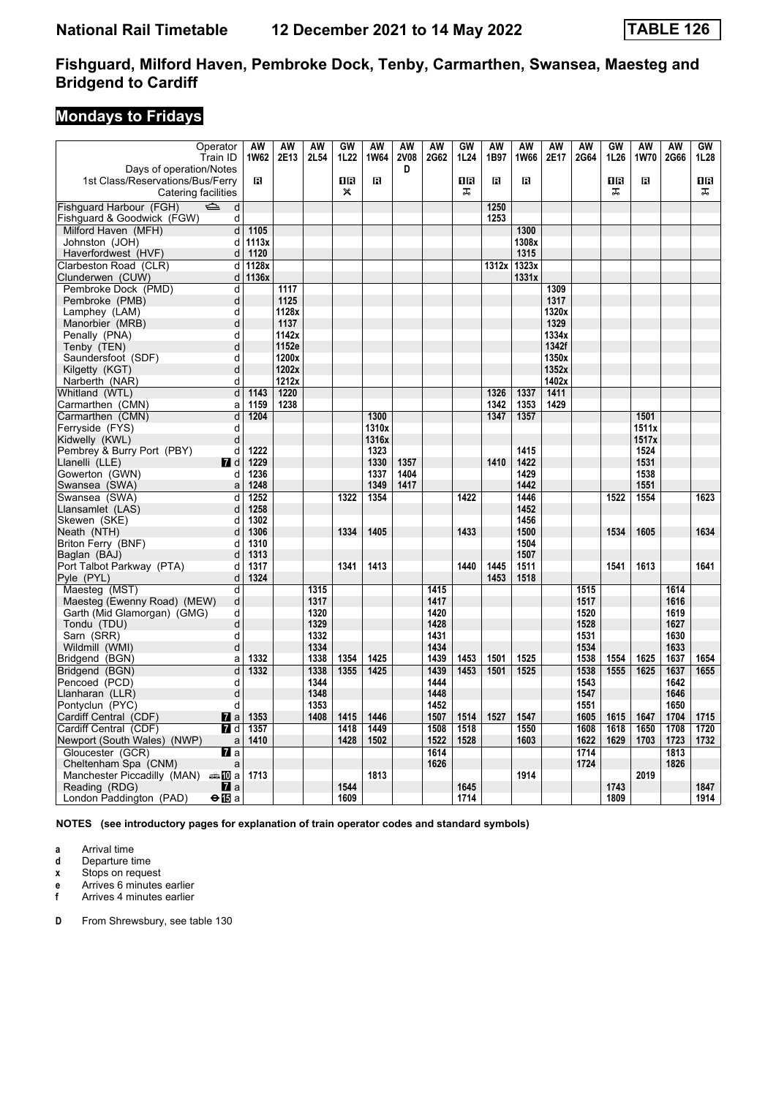# **Mondays to Fridays**

| Operator<br>Train ID                                        | AW<br>1W62 | AW<br>2E13     | <b>AW</b><br>2L54 | GW<br>1L22   | AW<br><b>1W64</b> | <b>AW</b><br><b>2V08</b> | <b>AW</b><br>2G62 | GW<br>1L24 | AW<br>1B97 | <b>AW</b><br><b>1W66</b> | <b>AW</b><br>2E17 | <b>AW</b><br>2G64 | GW<br>1L26 | <b>AW</b><br>1W70 | <b>AW</b><br>2G66 | GW<br>1L28 |
|-------------------------------------------------------------|------------|----------------|-------------------|--------------|-------------------|--------------------------|-------------------|------------|------------|--------------------------|-------------------|-------------------|------------|-------------------|-------------------|------------|
| Days of operation/Notes<br>1st Class/Reservations/Bus/Ferry | в          |                |                   | 1R           | $\mathbf{B}$      | D                        |                   | ΠR         | в          | в                        |                   |                   | 1R         | В                 |                   | 1 R        |
| Catering facilities                                         |            |                |                   | $\mathsf{x}$ |                   |                          |                   | ᠼ          |            |                          |                   |                   | ᠼ          |                   |                   | ᠼ          |
| Fishquard Harbour (FGH)<br>Þ<br>d                           |            |                |                   |              |                   |                          |                   |            | 1250       |                          |                   |                   |            |                   |                   |            |
| Fishguard & Goodwick (FGW)<br>d                             |            |                |                   |              |                   |                          |                   |            | 1253       |                          |                   |                   |            |                   |                   |            |
| Milford Haven (MFH)<br>d                                    | 1105       |                |                   |              |                   |                          |                   |            |            | 1300                     |                   |                   |            |                   |                   |            |
| Johnston (JOH)<br>d                                         | 1113x      |                |                   |              |                   |                          |                   |            |            | 1308x                    |                   |                   |            |                   |                   |            |
| Haverfordwest (HVF)<br>d                                    | 1120       |                |                   |              |                   |                          |                   |            |            | 1315                     |                   |                   |            |                   |                   |            |
| Clarbeston Road (CLR)<br>d                                  | 1128x      |                |                   |              |                   |                          |                   |            | 1312x      | 1323x                    |                   |                   |            |                   |                   |            |
| Clunderwen (CUW)<br>d                                       | 1136x      |                |                   |              |                   |                          |                   |            |            | 1331x                    |                   |                   |            |                   |                   |            |
| Pembroke Dock (PMD)<br>d                                    |            | 1117           |                   |              |                   |                          |                   |            |            |                          | 1309              |                   |            |                   |                   |            |
| Pembroke (PMB)<br>d                                         |            | 1125           |                   |              |                   |                          |                   |            |            |                          | 1317              |                   |            |                   |                   |            |
| Lamphey (LAM)<br>d                                          |            | 1128x          |                   |              |                   |                          |                   |            |            |                          | 1320x             |                   |            |                   |                   |            |
| Manorbier (MRB)<br>d                                        |            | 1137           |                   |              |                   |                          |                   |            |            |                          | 1329              |                   |            |                   |                   |            |
| d<br>Penally (PNA)                                          |            | 1142x          |                   |              |                   |                          |                   |            |            |                          | 1334x             |                   |            |                   |                   |            |
| Tenby (TEN)<br>d                                            |            | 1152e<br>1200x |                   |              |                   |                          |                   |            |            |                          | 1342f             |                   |            |                   |                   |            |
| Saundersfoot (SDF)<br>d<br>d                                |            | 1202x          |                   |              |                   |                          |                   |            |            |                          | 1350x<br>1352x    |                   |            |                   |                   |            |
| Kilgetty (KGT)                                              |            | 1212x          |                   |              |                   |                          |                   |            |            |                          | 1402x             |                   |            |                   |                   |            |
| Narberth (NAR)<br>d<br>d<br>Whitland (WTL)                  | 1143       | 1220           |                   |              |                   |                          |                   |            | 1326       | 1337                     | 1411              |                   |            |                   |                   |            |
| Carmarthen (CMN)<br>a                                       | 1159       | 1238           |                   |              |                   |                          |                   |            | 1342       | 1353                     | 1429              |                   |            |                   |                   |            |
| Carmarthen (CMN)<br>d                                       | 1204       |                |                   |              | 1300              |                          |                   |            | 1347       | 1357                     |                   |                   |            | 1501              |                   |            |
| Ferryside (FYS)<br>d                                        |            |                |                   |              | 1310x             |                          |                   |            |            |                          |                   |                   |            | 1511x             |                   |            |
| Kidwelly (KWL)<br>d                                         |            |                |                   |              | 1316x             |                          |                   |            |            |                          |                   |                   |            | 1517x             |                   |            |
| Pembrey & Burry Port (PBY)<br>d                             | 1222       |                |                   |              | 1323              |                          |                   |            |            | 1415                     |                   |                   |            | 1524              |                   |            |
| Llanelli (LLE)<br><b>7</b> d                                | 1229       |                |                   |              | 1330              | 1357                     |                   |            | 1410       | 1422                     |                   |                   |            | 1531              |                   |            |
| Gowerton (GWN)<br>d                                         | 1236       |                |                   |              | 1337              | 1404                     |                   |            |            | 1429                     |                   |                   |            | 1538              |                   |            |
| Swansea (SWA)<br>a                                          | 1248       |                |                   |              | 1349              | 1417                     |                   |            |            | 1442                     |                   |                   |            | 1551              |                   |            |
| Swansea (SWA)<br>d                                          | 1252       |                |                   | 1322         | 1354              |                          |                   | 1422       |            | 1446                     |                   |                   | 1522       | 1554              |                   | 1623       |
| Llansamlet (LAS)<br>d                                       | 1258       |                |                   |              |                   |                          |                   |            |            | 1452                     |                   |                   |            |                   |                   |            |
| Skewen (SKE)<br>d                                           | 1302       |                |                   |              |                   |                          |                   |            |            | 1456                     |                   |                   |            |                   |                   |            |
| Neath (NTH)<br>d                                            | 1306       |                |                   | 1334         | 1405              |                          |                   | 1433       |            | 1500                     |                   |                   | 1534       | 1605              |                   | 1634       |
| Briton Ferry (BNF)<br>d                                     | 1310       |                |                   |              |                   |                          |                   |            |            | 1504                     |                   |                   |            |                   |                   |            |
| Baglan (BAJ)<br>d                                           | 1313       |                |                   |              |                   |                          |                   |            |            | 1507                     |                   |                   |            |                   |                   |            |
| Port Talbot Parkway (PTA)<br>d                              | 1317       |                |                   | 1341         | 1413              |                          |                   | 1440       | 1445       | 1511                     |                   |                   | 1541       | 1613              |                   | 1641       |
| d<br>Pyle (PYL)                                             | 1324       |                |                   |              |                   |                          |                   |            | 1453       | 1518                     |                   |                   |            |                   |                   |            |
| Maesteg (MST)<br>d                                          |            |                | 1315              |              |                   |                          | 1415              |            |            |                          |                   | 1515              |            |                   | 1614              |            |
| Maesteg (Ewenny Road) (MEW)<br>d                            |            |                | 1317              |              |                   |                          | 1417              |            |            |                          |                   | 1517              |            |                   | 1616              |            |
| Garth (Mid Glamorgan) (GMG)<br>d                            |            |                | 1320              |              |                   |                          | 1420              |            |            |                          |                   | 1520              |            |                   | 1619              |            |
| d<br>Tondu (TDU)                                            |            |                | 1329              |              |                   |                          | 1428              |            |            |                          |                   | 1528              |            |                   | 1627              |            |
| d<br>Sarn (SRR)                                             |            |                | 1332              |              |                   |                          | 1431              |            |            |                          |                   | 1531              |            |                   | 1630              |            |
| Wildmill (WMI)<br>d                                         |            |                | 1334              |              |                   |                          | 1434              |            |            |                          |                   | 1534              |            |                   | 1633              |            |
| Bridgend (BGN)<br>a                                         | 1332       |                | 1338              | 1354         | 1425              |                          | 1439              | 1453       | 1501       | 1525                     |                   | 1538              | 1554       | 1625              | 1637              | 1654       |
| Bridgend (BGN)<br>d<br>Pencoed (PCD)<br>d                   | 1332       |                | 1338<br>1344      | 1355         | 1425              |                          | 1439<br>1444      | 1453       | 1501       | 1525                     |                   | 1538<br>1543      | 1555       | 1625              | 1637<br>1642      | 1655       |
| Llanharan (LLR)<br>d                                        |            |                | 1348              |              |                   |                          | 1448              |            |            |                          |                   | 1547              |            |                   | 1646              |            |
| Pontyclun (PYC)<br>d                                        |            |                | 1353              |              |                   |                          | 1452              |            |            |                          |                   | 1551              |            |                   | 1650              |            |
| Cardiff Central (CDF)<br>$\mathbf{z}$ a                     | 1353       |                | 1408              | 1415         | 1446              |                          | 1507              | 1514       | 1527       | 1547                     |                   | 1605              | 1615       | 1647              | 1704              | 1715       |
| Cardiff Central (CDF)<br><b>7</b> d                         | 1357       |                |                   | 1418         | 1449              |                          | 1508              | 1518       |            | 1550                     |                   | 1608              | 1618       | 1650              | 1708              | 1720       |
| Newport (South Wales) (NWP)<br>a                            | 1410       |                |                   | 1428         | 1502              |                          | 1522              | 1528       |            | 1603                     |                   | 1622              | 1629       | 1703              | 1723              | 1732       |
| Gloucester (GCR)<br>$\mathbf n$ a                           |            |                |                   |              |                   |                          | 1614              |            |            |                          |                   | 1714              |            |                   | 1813              |            |
| Cheltenham Spa (CNM)<br>a                                   |            |                |                   |              |                   |                          | 1626              |            |            |                          |                   | 1724              |            |                   | 1826              |            |
| Manchester Piccadilly (MAN) $\oplus$ 10 a                   | 1713       |                |                   |              | 1813              |                          |                   |            |            | 1914                     |                   |                   |            | 2019              |                   |            |
| $\mathbf{z}$ a<br>Reading (RDG)                             |            |                |                   | 1544         |                   |                          |                   | 1645       |            |                          |                   |                   | 1743       |                   |                   | 1847       |
| London Paddington (PAD)<br>$\Theta$ is a                    |            |                |                   | 1609         |                   |                          |                   | 1714       |            |                          |                   |                   | 1809       |                   |                   | 1914       |

**NOTES (see introductory pages for explanation of train operator codes and standard symbols)**

**a** Arrival time<br>**d** Departure t

**d** Departure time

**x** Stops on request

**e** Arrives 6 minutes earlier<br>**f** Arrives 4 minutes earlier **f** Arrives 4 minutes earlier

**D** From Shrewsbury, see table 130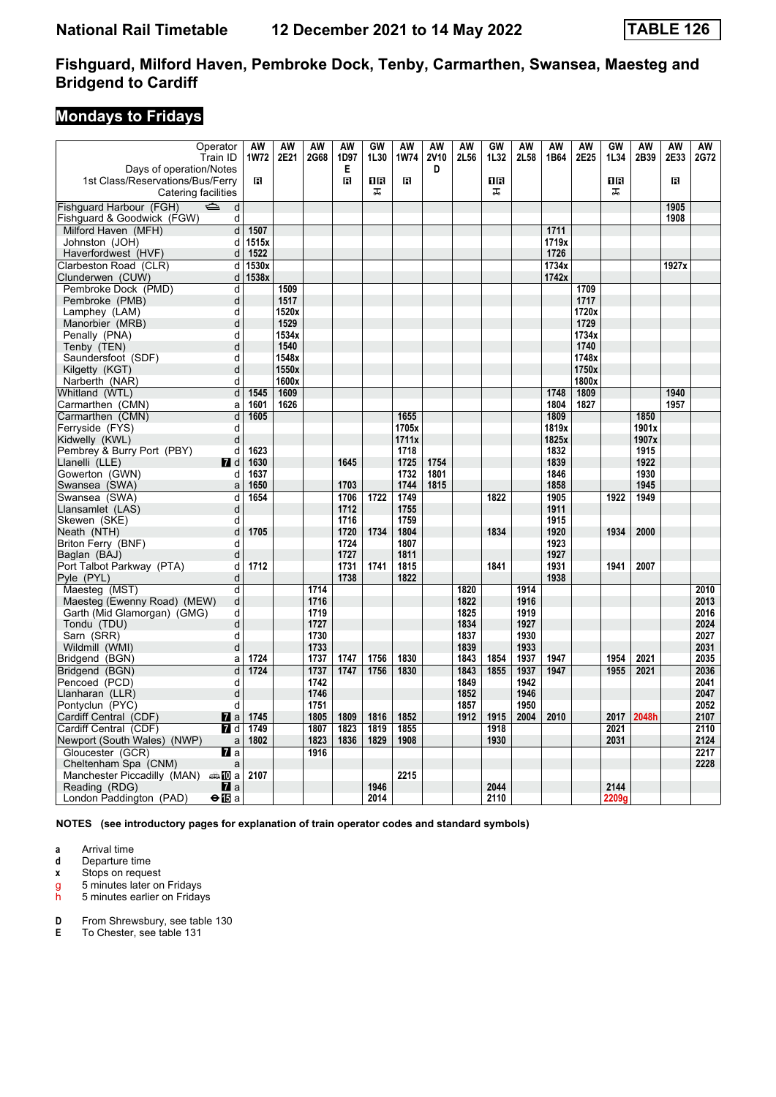# **Mondays to Fridays**

| Operator<br>Train ID                            | <b>AW</b><br><b>1W72</b> | <b>AW</b><br>2E21 | <b>AW</b><br>2G68 | <b>AW</b><br>1D97 | GW<br>1L30 | <b>AW</b><br><b>1W74</b> | <b>AW</b><br><b>2V10</b> | <b>AW</b><br>2L56 | GW<br>1L32 | <b>AW</b><br>2L58 | <b>AW</b><br>1B64 | <b>AW</b><br>2E25 | GW<br>1L34 | <b>AW</b><br>2B39 | <b>AW</b><br>2E33 | AW<br>2G72   |
|-------------------------------------------------|--------------------------|-------------------|-------------------|-------------------|------------|--------------------------|--------------------------|-------------------|------------|-------------------|-------------------|-------------------|------------|-------------------|-------------------|--------------|
| Days of operation/Notes                         |                          |                   |                   | Е                 |            |                          | D                        |                   |            |                   |                   |                   |            |                   |                   |              |
| 1st Class/Reservations/Bus/Ferry                | R                        |                   |                   | $\mathbf{B}$      | 18         | R                        |                          |                   | 0R         |                   |                   |                   | 16         |                   | R                 |              |
| Catering facilities                             |                          |                   |                   |                   | ᠼ          |                          |                          |                   | ᠼ          |                   |                   |                   | ᠼ          |                   |                   |              |
| Fishguard Harbour (FGH)<br>$\Rightarrow$<br>d   |                          |                   |                   |                   |            |                          |                          |                   |            |                   |                   |                   |            |                   | 1905              |              |
| Fishguard & Goodwick (FGW)<br>d                 |                          |                   |                   |                   |            |                          |                          |                   |            |                   |                   |                   |            |                   | 1908              |              |
| Milford Haven (MFH)<br>d                        | 1507                     |                   |                   |                   |            |                          |                          |                   |            |                   | 1711              |                   |            |                   |                   |              |
| Johnston (JOH)<br>d                             | 1515x                    |                   |                   |                   |            |                          |                          |                   |            |                   | 1719x             |                   |            |                   |                   |              |
| Haverfordwest (HVF)<br>d                        | 1522                     |                   |                   |                   |            |                          |                          |                   |            |                   | 1726              |                   |            |                   |                   |              |
| Clarbeston Road (CLR)<br>d                      | 1530x                    |                   |                   |                   |            |                          |                          |                   |            |                   | 1734x             |                   |            |                   | 1927x             |              |
| Clunderwen (CUW)<br>d                           | 1538x                    |                   |                   |                   |            |                          |                          |                   |            |                   | 1742x             |                   |            |                   |                   |              |
| Pembroke Dock (PMD)<br>d                        |                          | 1509              |                   |                   |            |                          |                          |                   |            |                   |                   | 1709              |            |                   |                   |              |
| Pembroke (PMB)<br>d                             |                          | 1517              |                   |                   |            |                          |                          |                   |            |                   |                   | 1717              |            |                   |                   |              |
| Lamphey (LAM)<br>d                              |                          | 1520x             |                   |                   |            |                          |                          |                   |            |                   |                   | 1720x             |            |                   |                   |              |
| Manorbier (MRB)<br>d                            |                          | 1529              |                   |                   |            |                          |                          |                   |            |                   |                   | 1729              |            |                   |                   |              |
| Penally (PNA)<br>d                              |                          | 1534x             |                   |                   |            |                          |                          |                   |            |                   |                   | 1734x             |            |                   |                   |              |
| Tenby (TEN)<br>d                                |                          | 1540              |                   |                   |            |                          |                          |                   |            |                   |                   | 1740              |            |                   |                   |              |
| Saundersfoot (SDF)<br>d                         |                          | 1548x             |                   |                   |            |                          |                          |                   |            |                   |                   | 1748x             |            |                   |                   |              |
| d<br>Kilgetty (KGT)                             |                          | 1550x             |                   |                   |            |                          |                          |                   |            |                   |                   | 1750x             |            |                   |                   |              |
| d<br>Narberth (NAR)                             |                          | 1600x             |                   |                   |            |                          |                          |                   |            |                   |                   | 1800x             |            |                   |                   |              |
| d<br>Whitland (WTL)                             | 1545                     | 1609              |                   |                   |            |                          |                          |                   |            |                   | 1748              | 1809              |            |                   | 1940              |              |
| Carmarthen (CMN)<br>a                           | 1601                     | 1626              |                   |                   |            |                          |                          |                   |            |                   | 1804              | 1827              |            |                   | 1957              |              |
| Carmarthen (CMN)<br>d                           | 1605                     |                   |                   |                   |            | 1655                     |                          |                   |            |                   | 1809              |                   |            | 1850              |                   |              |
| Ferryside (FYS)<br>d                            |                          |                   |                   |                   |            | 1705x                    |                          |                   |            |                   | 1819x             |                   |            | 1901x             |                   |              |
| Kidwelly (KWL)<br>d                             |                          |                   |                   |                   |            | 1711x                    |                          |                   |            |                   | 1825x             |                   |            | 1907x             |                   |              |
| Pembrey & Burry Port (PBY)<br>d                 | 1623                     |                   |                   |                   |            | 1718                     |                          |                   |            |                   | 1832              |                   |            | 1915              |                   |              |
| Llanelli (LLE)<br>$\blacksquare$ d              | 1630                     |                   |                   | 1645              |            | 1725                     | 1754                     |                   |            |                   | 1839              |                   |            | 1922              |                   |              |
| Gowerton (GWN)<br>d                             | 1637                     |                   |                   |                   |            | 1732                     | 1801                     |                   |            |                   | 1846              |                   |            | 1930              |                   |              |
| Swansea (SWA)<br>a                              | 1650                     |                   |                   | 1703              |            | 1744                     | 1815                     |                   |            |                   | 1858              |                   |            | 1945              |                   |              |
| Swansea (SWA)<br>d                              | 1654                     |                   |                   | 1706              | 1722       | 1749                     |                          |                   | 1822       |                   | 1905              |                   | 1922       | 1949              |                   |              |
| Llansamlet (LAS)<br>d                           |                          |                   |                   | 1712              |            | 1755                     |                          |                   |            |                   | 1911              |                   |            |                   |                   |              |
| Skewen (SKE)<br>d                               |                          |                   |                   | 1716              |            | 1759                     |                          |                   |            |                   | 1915              |                   |            |                   |                   |              |
| d<br>Neath (NTH)                                | 1705                     |                   |                   | 1720              | 1734       | 1804                     |                          |                   | 1834       |                   | 1920              |                   | 1934       | 2000              |                   |              |
| Briton Ferry (BNF)<br>d                         |                          |                   |                   | 1724              |            | 1807                     |                          |                   |            |                   | 1923              |                   |            |                   |                   |              |
| Baglan (BAJ)<br>d                               |                          |                   |                   | 1727              |            | 1811                     |                          |                   |            |                   | 1927              |                   |            |                   |                   |              |
| Port Talbot Parkway (PTA)<br>d                  | 1712                     |                   |                   | 1731              | 1741       | 1815                     |                          |                   | 1841       |                   | 1931              |                   | 1941       | 2007              |                   |              |
| Pyle (PYL)<br>d                                 |                          |                   |                   | 1738              |            | 1822                     |                          |                   |            |                   | 1938              |                   |            |                   |                   |              |
| Maesteg (MST)<br>d                              |                          |                   | 1714              |                   |            |                          |                          | 1820              |            | 1914              |                   |                   |            |                   |                   | 2010<br>2013 |
| Maesteg (Ewenny Road) (MEW)<br>d<br>d           |                          |                   | 1716<br>1719      |                   |            |                          |                          | 1822<br>1825      |            | 1916<br>1919      |                   |                   |            |                   |                   | 2016         |
| Garth (Mid Glamorgan) (GMG)<br>d<br>Tondu (TDU) |                          |                   | 1727              |                   |            |                          |                          | 1834              |            | 1927              |                   |                   |            |                   |                   | 2024         |
| Sarn (SRR)<br>d                                 |                          |                   | 1730              |                   |            |                          |                          | 1837              |            | 1930              |                   |                   |            |                   |                   | 2027         |
| Wildmill (WMI)<br>d                             |                          |                   | 1733              |                   |            |                          |                          | 1839              |            | 1933              |                   |                   |            |                   |                   | 2031         |
| Bridgend (BGN)<br>a                             | 1724                     |                   | 1737              | 1747              | 1756       | 1830                     |                          | 1843              | 1854       | 1937              | 1947              |                   | 1954       | 2021              |                   | 2035         |
| d<br>Bridgend (BGN)                             | 1724                     |                   | 1737              | 1747              | 1756       | 1830                     |                          | 1843              | 1855       | 1937              | 1947              |                   | 1955       | 2021              |                   | 2036         |
| Pencoed (PCD)<br>d                              |                          |                   | 1742              |                   |            |                          |                          | 1849              |            | 1942              |                   |                   |            |                   |                   | 2041         |
| Llanharan (LLR)<br>d                            |                          |                   | 1746              |                   |            |                          |                          | 1852              |            | 1946              |                   |                   |            |                   |                   | 2047         |
| Pontyclun (PYC)<br>d                            |                          |                   | 1751              |                   |            |                          |                          | 1857              |            | 1950              |                   |                   |            |                   |                   | 2052         |
| Cardiff Central (CDF)<br>$\mathbf{z}$ a         | 1745                     |                   | 1805              | 1809              | 1816       | 1852                     |                          | 1912              | 1915       | 2004              | 2010              |                   | 2017       | 2048h             |                   | 2107         |
| Cardiff Central (CDF)<br><b>7</b> d             | 1749                     |                   | 1807              | 1823              | 1819       | 1855                     |                          |                   | 1918       |                   |                   |                   | 2021       |                   |                   | 2110         |
| Newport (South Wales) (NWP)<br>a                | 1802                     |                   | 1823              | 1836              | 1829       | 1908                     |                          |                   | 1930       |                   |                   |                   | 2031       |                   |                   | 2124         |
| Gloucester (GCR)<br>$\mathbf n$ a               |                          |                   | 1916              |                   |            |                          |                          |                   |            |                   |                   |                   |            |                   |                   | 2217         |
| Cheltenham Spa (CNM)<br>a                       |                          |                   |                   |                   |            |                          |                          |                   |            |                   |                   |                   |            |                   |                   | 2228         |
| Manchester Piccadilly (MAN) $\oplus \Box$ a     | 2107                     |                   |                   |                   |            | 2215                     |                          |                   |            |                   |                   |                   |            |                   |                   |              |
| Reading (RDG)<br>$\mathbf{z}$ a                 |                          |                   |                   |                   | 1946       |                          |                          |                   | 2044       |                   |                   |                   | 2144       |                   |                   |              |
| London Paddington (PAD)<br>⊖n⊡a                 |                          |                   |                   |                   | 2014       |                          |                          |                   | 2110       |                   |                   |                   | 2209g      |                   |                   |              |

**NOTES (see introductory pages for explanation of train operator codes and standard symbols)**

**a** Arrival time<br>**d** Departure time

**d** Departure time

**x** Stops on request

g 5 minutes later on Fridays<br>h 5 minutes earlier on Friday

5 minutes earlier on Fridays

**D** From Shrewsbury, see table 130<br>**E** To Chester, see table 131

To Chester, see table 131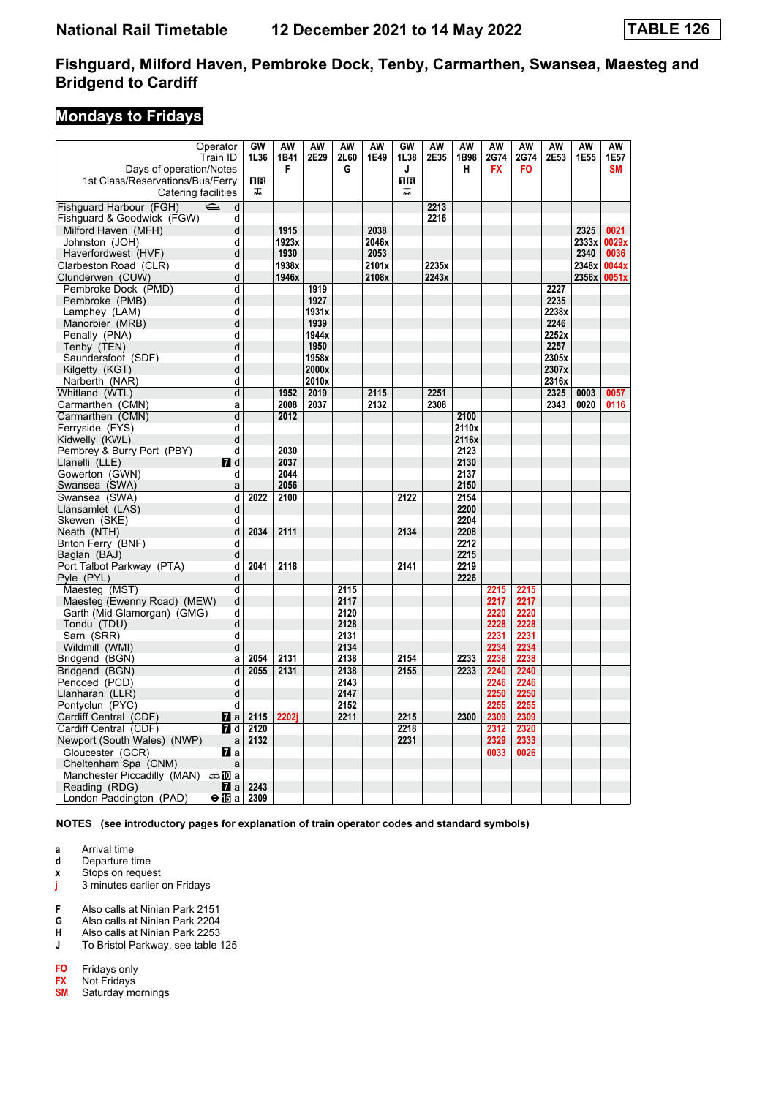### **Mondays to Fridays**

| Operator<br>Train ID                           | GW<br>1L36 | AW<br>1B41 | AW<br>2E29 | AW<br>2L60 | AW<br>1E49 | GW<br>1L38 | AW<br>2E35 | AW<br>1B98   | AW<br>2G74 | AW<br>2G74 | AW<br>2E53 | AW<br>1E55 | AW<br>1E57  |
|------------------------------------------------|------------|------------|------------|------------|------------|------------|------------|--------------|------------|------------|------------|------------|-------------|
| Days of operation/Notes                        |            | F          |            | G          |            | J          |            | H            | <b>FX</b>  | FO.        |            |            | SM          |
| 1st Class/Reservations/Bus/Ferry               | OR         |            |            |            |            | <b>08</b>  |            |              |            |            |            |            |             |
| Catering facilities                            | 工          |            |            |            |            | ᠼ          |            |              |            |            |            |            |             |
| Fishquard Harbour (FGH)<br>$\Rightarrow$<br>d  |            |            |            |            |            |            | 2213       |              |            |            |            |            |             |
| Fishguard & Goodwick (FGW)<br>d                |            |            |            |            |            |            | 2216       |              |            |            |            |            |             |
| Milford Haven (MFH)<br>d                       |            | 1915       |            |            | 2038       |            |            |              |            |            |            | 2325       | 0021        |
| Johnston (JOH)<br>d                            |            | 1923x      |            |            | 2046x      |            |            |              |            |            |            | 2333x      | 0029x       |
| Haverfordwest (HVF)<br>d                       |            | 1930       |            |            | 2053       |            |            |              |            |            |            | 2340       | 0036        |
| Clarbeston Road (CLR)<br>d                     |            | 1938x      |            |            | 2101x      |            | 2235x      |              |            |            |            | 2348x      | 0044x       |
| d<br>Clunderwen (CUW)                          |            | 1946x      |            |            | 2108x      |            | 2243x      |              |            |            |            |            | 2356x 0051x |
| Pembroke Dock (PMD)<br>d                       |            |            | 1919       |            |            |            |            |              |            |            | 2227       |            |             |
| d<br>Pembroke (PMB)                            |            |            | 1927       |            |            |            |            |              |            |            | 2235       |            |             |
| Lamphey (LAM)<br>d                             |            |            | 1931x      |            |            |            |            |              |            |            | 2238x      |            |             |
| d<br>Manorbier (MRB)                           |            |            | 1939       |            |            |            |            |              |            |            | 2246       |            |             |
| Penally (PNA)<br>d                             |            |            | 1944x      |            |            |            |            |              |            |            | 2252x      |            |             |
| Tenby (TEN)<br>d                               |            |            | 1950       |            |            |            |            |              |            |            | 2257       |            |             |
| Saundersfoot (SDF)<br>d                        |            |            | 1958x      |            |            |            |            |              |            |            | 2305x      |            |             |
| Kilgetty (KGT)<br>d                            |            |            | 2000x      |            |            |            |            |              |            |            | 2307x      |            |             |
| Narberth (NAR)<br>d                            |            |            | 2010x      |            |            |            |            |              |            |            | 2316x      |            |             |
| Whitland (WTL)<br>d                            |            | 1952       | 2019       |            | 2115       |            | 2251       |              |            |            | 2325       | 0003       | 0057        |
| Carmarthen (CMN)<br>a                          |            | 2008       | 2037       |            | 2132       |            | 2308       |              |            |            | 2343       | 0020       | 0116        |
| d<br>Carmarthen (CMN)                          |            | 2012       |            |            |            |            |            | 2100         |            |            |            |            |             |
| Ferryside (FYS)<br>d                           |            |            |            |            |            |            |            | 2110x        |            |            |            |            |             |
| Kidwelly (KWL)<br>d                            |            |            |            |            |            |            |            | 2116x        |            |            |            |            |             |
| Pembrey & Burry Port (PBY)<br>d                |            | 2030       |            |            |            |            |            | 2123         |            |            |            |            |             |
| $\blacksquare$ d<br>Llanelli (LLE)             |            | 2037       |            |            |            |            |            | 2130         |            |            |            |            |             |
| Gowerton (GWN)<br>d                            |            | 2044       |            |            |            |            |            | 2137         |            |            |            |            |             |
| Swansea (SWA)<br>a                             |            | 2056       |            |            |            |            |            | 2150         |            |            |            |            |             |
| Swansea (SWA)<br>d                             | 2022       | 2100       |            |            |            | 2122       |            | 2154         |            |            |            |            |             |
| Llansamlet (LAS)<br>d                          |            |            |            |            |            |            |            | 2200         |            |            |            |            |             |
| Skewen (SKE)<br>d                              |            |            |            |            |            |            |            | 2204         |            |            |            |            |             |
| Neath (NTH)<br>d                               | 2034       | 2111       |            |            |            | 2134       |            | 2208         |            |            |            |            |             |
| Briton Ferry (BNF)<br>d<br>d                   |            |            |            |            |            |            |            | 2212<br>2215 |            |            |            |            |             |
| Baglan (BAJ)<br>Port Talbot Parkway (PTA)<br>d | 2041       | 2118       |            |            |            | 2141       |            | 2219         |            |            |            |            |             |
| Pyle (PYL)<br>d                                |            |            |            |            |            |            |            | 2226         |            |            |            |            |             |
| Maesteg (MST)<br>d                             |            |            |            | 2115       |            |            |            |              | 2215       | 2215       |            |            |             |
| Maesteg (Ewenny Road) (MEW)<br>d               |            |            |            | 2117       |            |            |            |              | 2217       | 2217       |            |            |             |
| Garth (Mid Glamorgan) (GMG)<br>d               |            |            |            | 2120       |            |            |            |              | 2220       | 2220       |            |            |             |
| Tondu (TDU)<br>d                               |            |            |            | 2128       |            |            |            |              | 2228       | 2228       |            |            |             |
| d<br>Sarn (SRR)                                |            |            |            | 2131       |            |            |            |              | 2231       | 2231       |            |            |             |
| Wildmill (WMI)<br>d                            |            |            |            | 2134       |            |            |            |              | 2234       | 2234       |            |            |             |
| Bridgend (BGN)<br>a                            | 2054       | 2131       |            | 2138       |            | 2154       |            | 2233         | 2238       | 2238       |            |            |             |
| Bridgend (BGN)<br>d                            | 2055       | 2131       |            | 2138       |            | 2155       |            | 2233         | 2240       | 2240       |            |            |             |
| Pencoed (PCD)<br>d                             |            |            |            | 2143       |            |            |            |              | 2246       | 2246       |            |            |             |
| d<br>Llanharan (LLR)                           |            |            |            | 2147       |            |            |            |              | 2250       | 2250       |            |            |             |
| Pontyclun (PYC)<br>d                           |            |            |            | 2152       |            |            |            |              | 2255       | 2255       |            |            |             |
| Cardiff Central (CDF)<br> 7 a                  | 2115       | 2202i      |            | 2211       |            | 2215       |            | 2300         | 2309       | 2309       |            |            |             |
| Cardiff Central (CDF)<br><b>7</b> d            | 2120       |            |            |            |            | 2218       |            |              | 2312       | 2320       |            |            |             |
| Newport (South Wales) (NWP)<br>a               | 2132       |            |            |            |            | 2231       |            |              | 2329       | 2333       |            |            |             |
| Gloucester (GCR)<br>77 а                       |            |            |            |            |            |            |            |              | 0033       | 0026       |            |            |             |
| Cheltenham Spa (CNM)<br>a                      |            |            |            |            |            |            |            |              |            |            |            |            |             |
| Manchester Piccadilly (MAN) $\oplus \Box$ a    |            |            |            |            |            |            |            |              |            |            |            |            |             |
| $\mathbf{z}$ a<br>Reading (RDG)                | 2243       |            |            |            |            |            |            |              |            |            |            |            |             |
| London Paddington (PAD)<br>$\Theta$ is a       | 2309       |            |            |            |            |            |            |              |            |            |            |            |             |

**NOTES (see introductory pages for explanation of train operator codes and standard symbols)**

**a** Arrival time<br>**d** Departure t

- **d** Departure time
- **x** Stops on request
- j 3 minutes earlier on Fridays
- **F** Also calls at Ninian Park 2151<br>**G** Also calls at Ninian Park 2204
- **6** Also calls at Ninian Park 2204<br>**H** Also calls at Ninian Park 2253
- **+** Also calls at Ninian Park 2253<br>**J** To Bristol Parkway, see table
- To Bristol Parkway, see table 125
- **F0** Fridays only<br>**FX** Not Fridays
- **FX** Not Fridays
- **60** Saturday mornings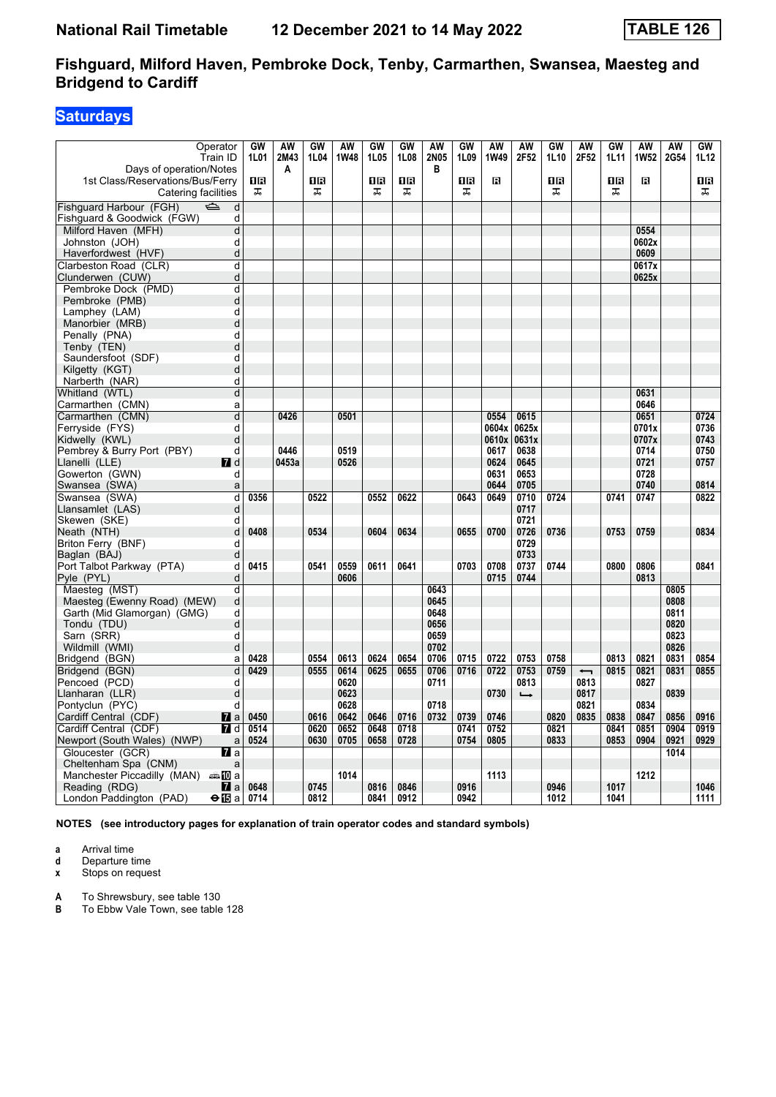# **Saturdays**

| Operator<br>Train ID                                    | GW<br>1L01 | <b>AW</b><br>2M43 | GW<br>1L04 | <b>AW</b><br>1W48 | GW<br>1L05 | GW<br>1L08 | <b>AW</b><br>2N05 | <b>GW</b><br>1L09 | AW<br>1W49 | AW<br>2F52        | <b>GW</b><br>1L10 | AW<br>2F52               | GW<br>1L11 | <b>AW</b><br>1W52 | <b>AW</b><br>2G54 | GW<br>1L12 |
|---------------------------------------------------------|------------|-------------------|------------|-------------------|------------|------------|-------------------|-------------------|------------|-------------------|-------------------|--------------------------|------------|-------------------|-------------------|------------|
| Days of operation/Notes                                 |            | Α                 |            |                   |            |            | в                 |                   |            |                   |                   |                          |            |                   |                   |            |
| 1st Class/Reservations/Bus/Ferry<br>Catering facilities | 1R<br>盂    |                   | 1R<br>ᠼ    |                   | ΠR<br>ᠼ    | 1R<br>ᠼ    |                   | ΠR<br>ᠼ           | в          |                   | 1R<br>ᠼ           |                          | 1R<br>ᠼ    | В                 |                   | 1 R<br>ᠼ   |
| Fishguard Harbour (FGH)<br>$\Rightarrow$<br>d           |            |                   |            |                   |            |            |                   |                   |            |                   |                   |                          |            |                   |                   |            |
| Fishguard & Goodwick (FGW)<br>d                         |            |                   |            |                   |            |            |                   |                   |            |                   |                   |                          |            |                   |                   |            |
| Milford Haven (MFH)<br>d                                |            |                   |            |                   |            |            |                   |                   |            |                   |                   |                          |            | 0554              |                   |            |
| Johnston (JOH)<br>d                                     |            |                   |            |                   |            |            |                   |                   |            |                   |                   |                          |            | 0602x             |                   |            |
| Haverfordwest (HVF)<br>d                                |            |                   |            |                   |            |            |                   |                   |            |                   |                   |                          |            | 0609              |                   |            |
| Clarbeston Road (CLR)<br>d                              |            |                   |            |                   |            |            |                   |                   |            |                   |                   |                          |            | 0617x             |                   |            |
| d<br>Clunderwen (CUW)                                   |            |                   |            |                   |            |            |                   |                   |            |                   |                   |                          |            | 0625x             |                   |            |
| Pembroke Dock (PMD)<br>d                                |            |                   |            |                   |            |            |                   |                   |            |                   |                   |                          |            |                   |                   |            |
| Pembroke (PMB)<br>d                                     |            |                   |            |                   |            |            |                   |                   |            |                   |                   |                          |            |                   |                   |            |
| Lamphey (LAM)<br>d                                      |            |                   |            |                   |            |            |                   |                   |            |                   |                   |                          |            |                   |                   |            |
| Manorbier (MRB)<br>d                                    |            |                   |            |                   |            |            |                   |                   |            |                   |                   |                          |            |                   |                   |            |
| d<br>Penally (PNA)                                      |            |                   |            |                   |            |            |                   |                   |            |                   |                   |                          |            |                   |                   |            |
| d<br>Tenby (TEN)                                        |            |                   |            |                   |            |            |                   |                   |            |                   |                   |                          |            |                   |                   |            |
| d<br>Saundersfoot (SDF)                                 |            |                   |            |                   |            |            |                   |                   |            |                   |                   |                          |            |                   |                   |            |
| d<br>Kilgetty (KGT)                                     |            |                   |            |                   |            |            |                   |                   |            |                   |                   |                          |            |                   |                   |            |
| d<br>Narberth (NAR)                                     |            |                   |            |                   |            |            |                   |                   |            |                   |                   |                          |            |                   |                   |            |
| d<br>Whitland (WTL)                                     |            |                   |            |                   |            |            |                   |                   |            |                   |                   |                          |            | 0631              |                   |            |
| Carmarthen (CMN)<br>a                                   |            |                   |            |                   |            |            |                   |                   |            |                   |                   |                          |            | 0646              |                   |            |
| Carmarthen (CMN)<br>d                                   |            | 0426              |            | 0501              |            |            |                   |                   | 0554       | 0615              |                   |                          |            | 0651              |                   | 0724       |
| Ferryside (FYS)<br>d                                    |            |                   |            |                   |            |            |                   |                   | 0604x      | 0625x             |                   |                          |            | 0701x             |                   | 0736       |
| Kidwelly (KWL)<br>d                                     |            |                   |            |                   |            |            |                   |                   | 0610x      | 0631x             |                   |                          |            | 0707x             |                   | 0743       |
| Pembrey & Burry Port (PBY)<br>d                         |            | 0446              |            | 0519              |            |            |                   |                   | 0617       | 0638              |                   |                          |            | 0714              |                   | 0750       |
| Llanelli (LLE)<br><b>7</b> d                            |            | 0453a             |            | 0526              |            |            |                   |                   | 0624       | 0645              |                   |                          |            | 0721              |                   | 0757       |
| Gowerton (GWN)<br>d                                     |            |                   |            |                   |            |            |                   |                   | 0631       | 0653              |                   |                          |            | 0728              |                   |            |
| Swansea (SWA)<br>a                                      |            |                   |            |                   |            |            |                   |                   | 0644       | 0705              |                   |                          |            | 0740              |                   | 0814       |
| Swansea (SWA)<br>d                                      | 0356       |                   | 0522       |                   | 0552       | 0622       |                   | 0643              | 0649       | 0710              | 0724              |                          | 0741       | 0747              |                   | 0822       |
| d<br>Llansamlet (LAS)                                   |            |                   |            |                   |            |            |                   |                   |            | 0717              |                   |                          |            |                   |                   |            |
| Skewen (SKE)<br>d                                       |            |                   |            |                   |            |            |                   |                   |            | 0721              |                   |                          |            |                   |                   |            |
| d<br>Neath (NTH)                                        | 0408       |                   | 0534       |                   | 0604       | 0634       |                   | 0655              | 0700       | 0726              | 0736              |                          | 0753       | 0759              |                   | 0834       |
| Briton Ferry (BNF)<br>d                                 |            |                   |            |                   |            |            |                   |                   |            | 0729              |                   |                          |            |                   |                   |            |
| Baglan (BAJ)<br>d                                       |            |                   |            |                   |            |            |                   |                   |            | 0733              |                   |                          |            |                   |                   |            |
| Port Talbot Parkway (PTA)<br>d                          | 0415       |                   | 0541       | 0559              | 0611       | 0641       |                   | 0703              | 0708       | 0737              | 0744              |                          | 0800       | 0806              |                   | 0841       |
| Pyle (PYL)<br>d                                         |            |                   |            | 0606              |            |            |                   |                   | 0715       | 0744              |                   |                          |            | 0813              |                   |            |
| d<br>Maesteg (MST)                                      |            |                   |            |                   |            |            | 0643              |                   |            |                   |                   |                          |            |                   | 0805              |            |
| Maesteg (Ewenny Road) (MEW)<br>d                        |            |                   |            |                   |            |            | 0645              |                   |            |                   |                   |                          |            |                   | 0808              |            |
| Garth (Mid Glamorgan) (GMG)<br>d                        |            |                   |            |                   |            |            | 0648<br>0656      |                   |            |                   |                   |                          |            |                   | 0811              |            |
| Tondu (TDU)<br>d                                        |            |                   |            |                   |            |            |                   |                   |            |                   |                   |                          |            |                   | 0820<br>0823      |            |
| Sarn (SRR)<br>d<br>d                                    |            |                   |            |                   |            |            | 0659<br>0702      |                   |            |                   |                   |                          |            |                   | 0826              |            |
| Wildmill (WMI)<br>Bridgend (BGN)<br>a                   | 0428       |                   | 0554       | 0613              | 0624       | 0654       | 0706              | 0715              | 0722       | 0753              | 0758              |                          | 0813       | 0821              | 0831              | 0854       |
| Bridgend (BGN)<br>d                                     | 0429       |                   | 0555       | 0614              | 0625       | 0655       | 0706              | 0716              | 0722       | 0753              | 0759              | $\overline{\phantom{0}}$ | 0815       | 0821              | 0831              | 0855       |
| Pencoed (PCD)<br>d                                      |            |                   |            | 0620              |            |            | 0711              |                   |            | 0813              |                   | 0813                     |            | 0827              |                   |            |
| Llanharan (LLR)<br>d                                    |            |                   |            | 0623              |            |            |                   |                   | 0730       | $\longrightarrow$ |                   | 0817                     |            |                   | 0839              |            |
| Pontyclun (PYC)<br>d                                    |            |                   |            | 0628              |            |            | 0718              |                   |            |                   |                   | 0821                     |            | 0834              |                   |            |
| Cardiff Central (CDF)<br>$\mathbf{a}$                   | 0450       |                   | 0616       | 0642              | 0646       | 0716       | 0732              | 0739              | 0746       |                   | 0820              | 0835                     | 0838       | 0847              | 0856              | 0916       |
| Cardiff Central (CDF)<br><b>7</b> d                     | 0514       |                   | 0620       | 0652              | 0648       | 0718       |                   | 0741              | 0752       |                   | 0821              |                          | 0841       | 0851              | 0904              | 0919       |
| Newport (South Wales) (NWP)<br>a                        | 0524       |                   | 0630       | 0705              | 0658       | 0728       |                   | 0754              | 0805       |                   | 0833              |                          | 0853       | 0904              | 0921              | 0929       |
| Gloucester (GCR)<br>77 а                                |            |                   |            |                   |            |            |                   |                   |            |                   |                   |                          |            |                   | 1014              |            |
| Cheltenham Spa (CNM)<br>a                               |            |                   |            |                   |            |            |                   |                   |            |                   |                   |                          |            |                   |                   |            |
| Manchester Piccadilly (MAN) $\oplus \Box$ a             |            |                   |            | 1014              |            |            |                   |                   | 1113       |                   |                   |                          |            | 1212              |                   |            |
| Reading (RDG)<br><b>7</b> l a                           | 0648       |                   | 0745       |                   | 0816       | 0846       |                   | 0916              |            |                   | 0946              |                          | 1017       |                   |                   | 1046       |
| London Paddington (PAD)<br>⊖n⊟a                         | 0714       |                   | 0812       |                   | 0841       | 0912       |                   | 0942              |            |                   | 1012              |                          | 1041       |                   |                   | 1111       |

**NOTES (see introductory pages for explanation of train operator codes and standard symbols)**

**a** Arrival time<br>**d** Departure t

**d** Departure time

**x** Stops on request

**A** To Shrewsbury, see table 130

**B** To Ebbw Vale Town, see table 128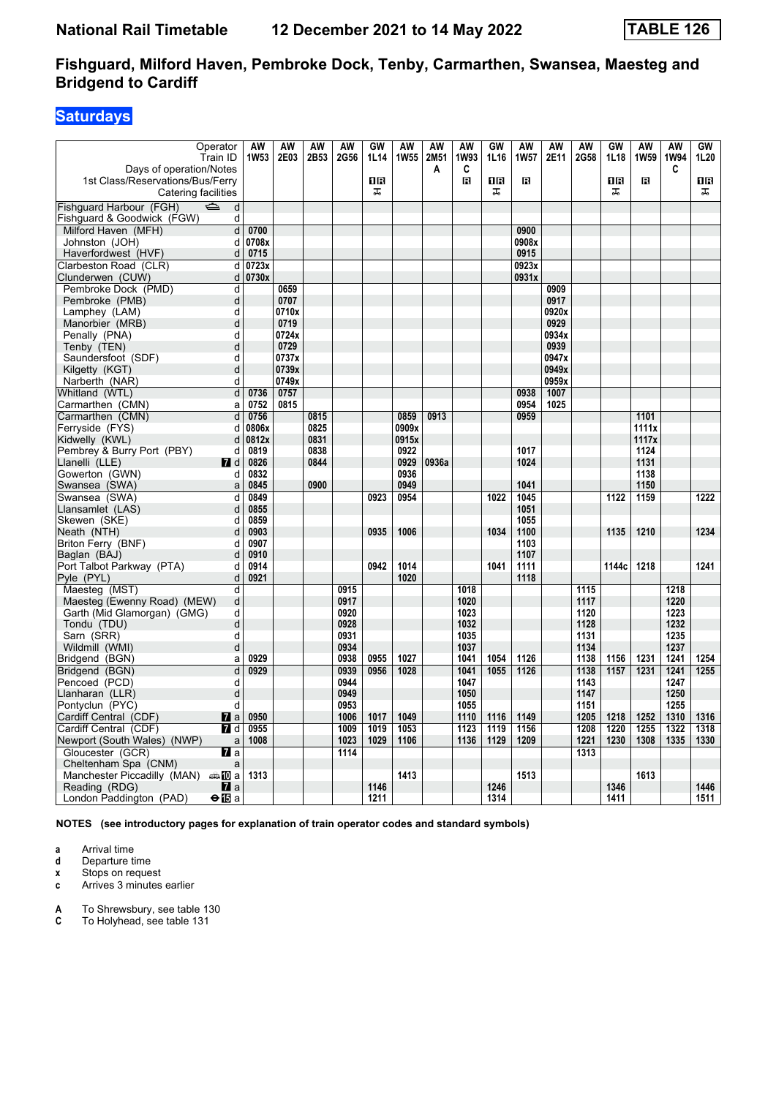# **Saturdays**

| Operator<br>Train ID                                        | AW<br><b>1W53</b> | AW<br>2E03 | <b>AW</b><br>2B53 | AW<br>2G56 | GW<br>1L14 | AW<br><b>1W55</b> | AW<br>2M51 | <b>AW</b><br>1W93 | <b>GW</b><br>1L16 | AW<br>1W57 | <b>AW</b><br>2E11 | <b>AW</b><br>2G58 | GW<br>1L18 | <b>AW</b><br>1W59 | <b>AW</b><br><b>1W94</b> | GW<br>1L20       |
|-------------------------------------------------------------|-------------------|------------|-------------------|------------|------------|-------------------|------------|-------------------|-------------------|------------|-------------------|-------------------|------------|-------------------|--------------------------|------------------|
| Days of operation/Notes<br>1st Class/Reservations/Bus/Ferry |                   |            |                   |            | ΠR         |                   | A          | C<br>в            | ΠR                | в          |                   |                   | 1R         | В                 | C                        | 1 R              |
| Catering facilities                                         |                   |            |                   |            | ᠼ          |                   |            |                   | ᠼ                 |            |                   |                   | ᠼ          |                   |                          | ᠼ                |
| Fishquard Harbour (FGH)<br>$\Rightarrow$<br>d               |                   |            |                   |            |            |                   |            |                   |                   |            |                   |                   |            |                   |                          |                  |
| Fishguard & Goodwick (FGW)<br>d                             |                   |            |                   |            |            |                   |            |                   |                   |            |                   |                   |            |                   |                          |                  |
| Milford Haven (MFH)<br>d                                    | 0700              |            |                   |            |            |                   |            |                   |                   | 0900       |                   |                   |            |                   |                          |                  |
| Johnston (JOH)<br>d                                         | 0708x             |            |                   |            |            |                   |            |                   |                   | 0908x      |                   |                   |            |                   |                          |                  |
| Haverfordwest (HVF)<br>d                                    | 0715              |            |                   |            |            |                   |            |                   |                   | 0915       |                   |                   |            |                   |                          |                  |
| Clarbeston Road (CLR)<br>d                                  | 0723x             |            |                   |            |            |                   |            |                   |                   | 0923x      |                   |                   |            |                   |                          |                  |
| Clunderwen (CUW)<br>d                                       | 0730x             |            |                   |            |            |                   |            |                   |                   | 0931x      |                   |                   |            |                   |                          |                  |
| Pembroke Dock (PMD)<br>d                                    |                   | 0659       |                   |            |            |                   |            |                   |                   |            | 0909              |                   |            |                   |                          |                  |
| Pembroke (PMB)<br>d                                         |                   | 0707       |                   |            |            |                   |            |                   |                   |            | 0917              |                   |            |                   |                          |                  |
| Lamphey (LAM)<br>d                                          |                   | 0710x      |                   |            |            |                   |            |                   |                   |            | 0920x             |                   |            |                   |                          |                  |
| Manorbier (MRB)<br>d                                        |                   | 0719       |                   |            |            |                   |            |                   |                   |            | 0929              |                   |            |                   |                          |                  |
| Penally (PNA)<br>d                                          |                   | 0724x      |                   |            |            |                   |            |                   |                   |            | 0934x             |                   |            |                   |                          |                  |
| d<br>Tenby (TEN)                                            |                   | 0729       |                   |            |            |                   |            |                   |                   |            | 0939              |                   |            |                   |                          |                  |
| Saundersfoot (SDF)<br>d                                     |                   | 0737x      |                   |            |            |                   |            |                   |                   |            | 0947x             |                   |            |                   |                          |                  |
| d<br>Kilgetty (KGT)                                         |                   | 0739x      |                   |            |            |                   |            |                   |                   |            | 0949x             |                   |            |                   |                          |                  |
| d<br>Narberth (NAR)                                         |                   | 0749x      |                   |            |            |                   |            |                   |                   |            | 0959x             |                   |            |                   |                          |                  |
| d<br>Whitland (WTL)                                         | 0736              | 0757       |                   |            |            |                   |            |                   |                   | 0938       | 1007              |                   |            |                   |                          |                  |
| Carmarthen (CMN)<br>a                                       | 0752              | 0815       |                   |            |            |                   |            |                   |                   | 0954       | 1025              |                   |            |                   |                          |                  |
| Carmarthen (CMN)<br>d                                       | 0756              |            | 0815              |            |            | 0859              | 0913       |                   |                   | 0959       |                   |                   |            | 1101              |                          |                  |
| Ferryside (FYS)<br>d                                        | 0806x             |            | 0825              |            |            | 0909x             |            |                   |                   |            |                   |                   |            | 1111x             |                          |                  |
| Kidwelly (KWL)<br>d                                         | 0812x             |            | 0831              |            |            | 0915x             |            |                   |                   |            |                   |                   |            | 1117x             |                          |                  |
| Pembrey & Burry Port (PBY)<br>d                             | 0819              |            | 0838              |            |            | 0922              |            |                   |                   | 1017       |                   |                   |            | 1124              |                          |                  |
| Llanelli (LLE)<br><b>7</b> d                                | 0826              |            | 0844              |            |            | 0929              | 0936a      |                   |                   | 1024       |                   |                   |            | 1131              |                          |                  |
| Gowerton (GWN)<br>d                                         | 0832              |            |                   |            |            | 0936              |            |                   |                   |            |                   |                   |            | 1138              |                          |                  |
| Swansea (SWA)<br>a                                          | 0845              |            | 0900              |            |            | 0949              |            |                   |                   | 1041       |                   |                   |            | 1150              |                          |                  |
| Swansea (SWA)<br>d                                          | 0849              |            |                   |            | 0923       | 0954              |            |                   | 1022              | 1045       |                   |                   | 1122       | 1159              |                          | 1222             |
| Llansamlet (LAS)<br>d                                       | 0855              |            |                   |            |            |                   |            |                   |                   | 1051       |                   |                   |            |                   |                          |                  |
| Skewen (SKE)<br>d                                           | 0859              |            |                   |            |            |                   |            |                   |                   | 1055       |                   |                   |            |                   |                          |                  |
| Neath (NTH)<br>d                                            | 0903              |            |                   |            | 0935       | 1006              |            |                   | 1034              | 1100       |                   |                   | 1135       | 1210              |                          | 1234             |
| Briton Ferry (BNF)<br>d                                     | 0907              |            |                   |            |            |                   |            |                   |                   | 1103       |                   |                   |            |                   |                          |                  |
| Baglan (BAJ)<br>d                                           | 0910              |            |                   |            |            |                   |            |                   |                   | 1107       |                   |                   |            |                   |                          |                  |
| Port Talbot Parkway (PTA)<br>d                              | 0914              |            |                   |            | 0942       | 1014              |            |                   | 1041              | 1111       |                   |                   | 1144c      | 1218              |                          | 1241             |
| Pyle (PYL)<br>d                                             | 0921              |            |                   |            |            | 1020              |            |                   |                   | 1118       |                   |                   |            |                   |                          |                  |
| Maesteg (MST)<br>d                                          |                   |            |                   | 0915       |            |                   |            | 1018              |                   |            |                   | 1115              |            |                   | 1218                     |                  |
| Maesteg (Ewenny Road) (MEW)<br>d                            |                   |            |                   | 0917       |            |                   |            | 1020              |                   |            |                   | 1117              |            |                   | 1220                     |                  |
| Garth (Mid Glamorgan) (GMG)<br>d                            |                   |            |                   | 0920       |            |                   |            | 1023              |                   |            |                   | 1120              |            |                   | 1223                     |                  |
| Tondu (TDU)<br>d                                            |                   |            |                   | 0928       |            |                   |            | 1032              |                   |            |                   | 1128              |            |                   | 1232                     |                  |
| Sarn (SRR)<br>d                                             |                   |            |                   | 0931       |            |                   |            | 1035              |                   |            |                   | 1131              |            |                   | 1235                     |                  |
| Wildmill (WMI)<br>d                                         |                   |            |                   | 0934       |            |                   |            | 1037              |                   |            |                   | 1134              |            |                   | 1237                     |                  |
| Bridgend (BGN)<br>a                                         | 0929              |            |                   | 0938       | 0955       | 1027              |            | 1041              | 1054              | 1126       |                   | 1138              | 1156       | 1231              | 1241                     | 1254             |
| $\overline{d}$<br>Bridgend (BGN)                            | 0929              |            |                   | 0939       | 0956       | 1028              |            | 1041              | 1055              | 1126       |                   | 1138              | 1157       | 1231              | 1241                     | 1255             |
| Pencoed (PCD)<br>d                                          |                   |            |                   | 0944       |            |                   |            | 1047              |                   |            |                   | 1143              |            |                   | 1247                     |                  |
| Llanharan (LLR)<br>d                                        |                   |            |                   | 0949       |            |                   |            | 1050              |                   |            |                   | 1147              |            |                   | 1250                     |                  |
| Pontyclun (PYC)<br>d                                        |                   |            |                   | 0953       |            |                   |            | 1055              |                   |            |                   | 1151              |            |                   | 1255                     |                  |
| Cardiff Central (CDF)<br>$\mathbf{a}$                       | 0950              |            |                   | 1006       | 1017       | 1049              |            | 1110              | 1116              | 1149       |                   | 1205              | 1218       | 1252              | 1310                     | 1316             |
| Cardiff Central (CDF)<br><b>7</b> d                         | 0955              |            |                   | 1009       | 1019       | 1053              |            | 1123              | 1119              | 1156       |                   | 1208              | 1220       | 1255              | 1322                     | $\frac{1}{1318}$ |
| Newport (South Wales) (NWP)<br>a                            | 1008              |            |                   | 1023       | 1029       | 1106              |            | 1136              | 1129              | 1209       |                   | 1221              | 1230       | 1308              | 1335                     | 1330             |
| Gloucester (GCR)<br><b>7</b> a                              |                   |            |                   | 1114       |            |                   |            |                   |                   |            |                   | 1313              |            |                   |                          |                  |
| Cheltenham Spa (CNM)<br>a                                   |                   |            |                   |            |            |                   |            |                   |                   |            |                   |                   |            |                   |                          |                  |
| Manchester Piccadilly (MAN) $\oplus \Box$ a                 | 1313              |            |                   |            |            | 1413              |            |                   |                   | 1513       |                   |                   |            | 1613              |                          |                  |
| Reading (RDG)<br>$\blacksquare$ a                           |                   |            |                   |            | 1146       |                   |            |                   | 1246              |            |                   |                   | 1346       |                   |                          | 1446             |
| London Paddington (PAD)<br>⊖n∏a                             |                   |            |                   |            | 1211       |                   |            |                   | 1314              |            |                   |                   | 1411       |                   |                          | 1511             |

**NOTES (see introductory pages for explanation of train operator codes and standard symbols)**

- **a** Arrival time<br>**d** Departure t
- **d** Departure time
- **x** Stops on request<br>**c** Arrives 3 minutes
- **c** Arrives 3 minutes earlier
- **A** To Shrewsbury, see table 130<br>**C** To Holyhead, see table 131
- To Holyhead, see table 131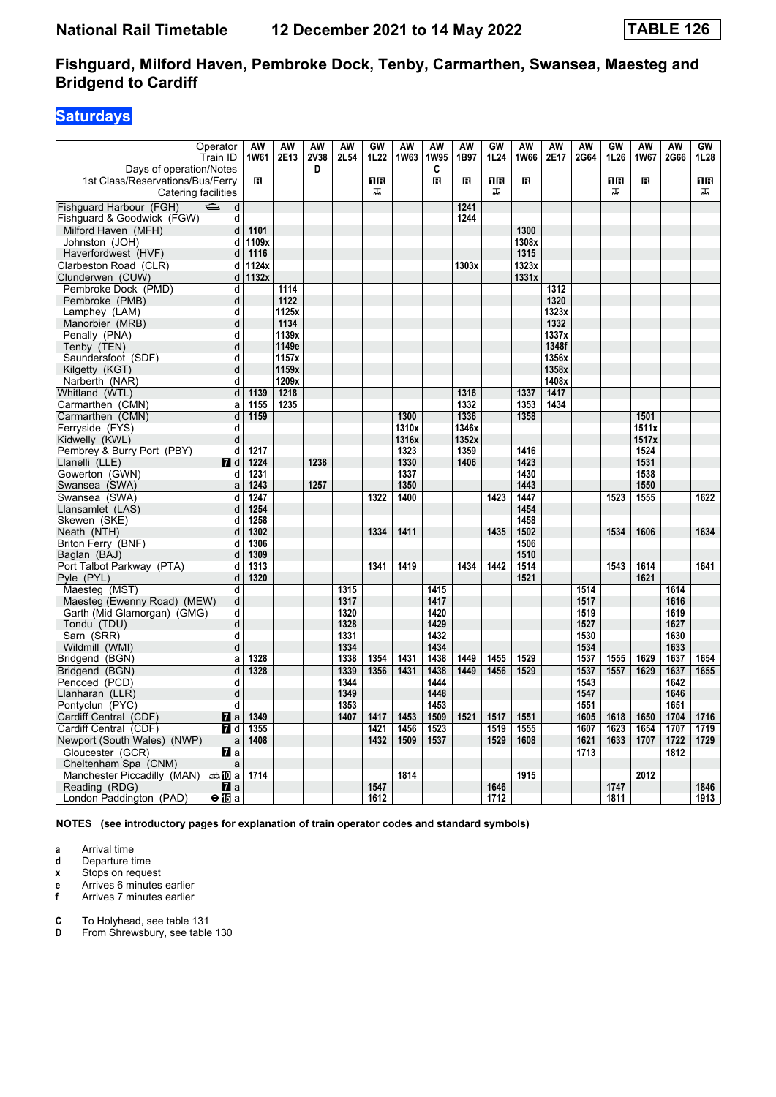# **Saturdays**

| 1st Class/Reservations/Bus/Ferry<br>в<br>1R<br>в<br>в<br>1 R<br>в<br>1R<br>В<br>1 R<br>Catering facilities<br>ᠼ<br>ᠼ<br>ᠼ<br>ᠼ<br>$\overline{\mathbb{P}}$<br>d<br>1241<br>d<br>1244<br>Milford Haven (MFH)<br>1101<br>1300<br>d<br>1109x<br>1308x<br>Johnston (JOH)<br>d<br>1116<br>1315<br>Haverfordwest (HVF)<br>d<br>Clarbeston Road (CLR)<br>d<br>1124x<br>1303x<br>1323x<br>1132x<br>1331x<br>Clunderwen (CUW)<br>d<br>Pembroke Dock (PMD)<br>1114<br>d<br>1312<br>1122<br>Pembroke (PMB)<br>d<br>1320<br>1125x<br>1323x<br>Lamphey (LAM)<br>d<br>1134<br>1332<br>Manorbier (MRB)<br>d<br>d<br>1139x<br>1337x<br>Penally (PNA)<br>Tenby (TEN)<br>d<br>1149e<br>1348f<br>1157x<br>1356x<br>Saundersfoot (SDF)<br>d<br>1159x<br>1358x<br>Kilgetty (KGT)<br>d<br>1209x<br>1408x<br>Narberth (NAR)<br>d<br>d<br>1218<br>1316<br>1337<br>1417<br>Whitland (WTL)<br>1139<br>Carmarthen (CMN)<br>1155<br>1235<br>1332<br>1353<br>1434<br>a<br>Carmarthen (CMN)<br>d<br>1336<br>1159<br>1300<br>1358<br>1501<br>Ferryside (FYS)<br>1346x<br>1511x<br>d<br>1310x<br>Kidwelly (KWL)<br>1316x<br>1352x<br>1517x<br>d<br>Pembrey & Burry Port (PBY)<br>1217<br>1323<br>1359<br>1416<br>d<br>1524<br>Llanelli (LLE)<br>$\blacksquare$ d<br>1224<br>1238<br>1330<br>1406<br>1423<br>1531<br>Gowerton (GWN)<br>1337<br>1430<br>1538<br>d<br>1231<br>1350<br>1443<br>1550<br>1243<br>1257<br>Swansea (SWA)<br>a<br>1523<br>1247<br>1322<br>1400<br>1423<br>1447<br>1555<br>1622<br>Swansea (SWA)<br>d<br>1254<br>1454<br>Llansamlet (LAS)<br>d<br>1258<br>1458<br>Skewen (SKE)<br>d<br>Neath (NTH)<br>d<br>1302<br>1334<br>1411<br>1435<br>1502<br>1534<br>1606<br>1634<br>Briton Ferry (BNF)<br>1306<br>1506<br>d<br>Baglan (BAJ)<br>1309<br>1510<br>d<br>1434<br>1442<br>Port Talbot Parkway (PTA)<br>1313<br>1341<br>1419<br>1514<br>1543<br>1614<br>1641<br>d<br>d<br>1320<br>1521<br>1621<br>Maesteg (MST)<br>d<br>1315<br>1415<br>1514<br>1614<br>Maesteg (Ewenny Road) (MEW)<br>d<br>1317<br>1417<br>1517<br>1616<br>Garth (Mid Glamorgan) (GMG)<br>d<br>1320<br>1420<br>1519<br>1619<br>d<br>1328<br>1429<br>1527<br>1627<br>Tondu (TDU)<br>d<br>1331<br>1432<br>1530<br>1630<br>Sarn (SRR)<br>1334<br>1434<br>1534<br>Wildmill (WMI)<br>d<br>1633<br>1449<br>1328<br>1338<br>1354<br>1431<br>1438<br>1455<br>1529<br>1537<br>1555<br>1629<br>1637<br>1654<br>Bridgend (BGN)<br>a<br>Bridgend (BGN)<br>d<br>1328<br>1339<br>1356<br>1431<br>1438<br>1449<br>1456<br>1529<br>1537<br>1557<br>1629<br>1637<br>1655<br>Pencoed (PCD)<br>1344<br>1444<br>1543<br>1642<br>d<br>1349<br>1448<br>1547<br>1646<br>Llanharan (LLR)<br>d<br>Pontyclun (PYC)<br>1453<br>d<br>1353<br>1551<br>1651<br>1417<br>1509<br>1521<br>1517<br>1551<br>1716<br>Cardiff Central (CDF)<br>$\mathbf{z}$ a<br>1349<br>1407<br>1453<br>1605<br>1618<br>1650<br>1704<br>1707<br>Cardiff Central (CDF)<br><b>7</b> d<br>1355<br>1421<br>1456<br>1523<br>1519<br>1555<br>1607<br>1623<br>1654<br>1719<br>Newport (South Wales) (NWP)<br>1432<br>1509<br>1537<br>1529<br>1608<br>1621<br>1633<br>1707<br>1722<br>1729<br>1408<br>a<br>Gloucester (GCR)<br><b>77</b> a<br>1713<br>1812<br>Cheltenham Spa (CNM)<br>a<br>Manchester Piccadilly (MAN) $\oplus$ 10 a<br>1714<br>1814<br>1915<br>2012<br>$\blacksquare$ a<br>1547<br>1646<br>1747<br>1846<br>Reading (RDG) | Operator<br>Train ID<br>Days of operation/Notes | AW<br>1W61 | AW<br>2E13 | <b>AW</b><br>2V38<br>D | <b>AW</b><br>2L54 | GW<br>1L22 | AW<br>1W63 | AW<br><b>1W95</b><br>C | AW<br>1B97 | GW<br>1L24 | AW<br>1W66 | AW<br>2E17 | <b>AW</b><br>2G64 | GW<br>1L26 | <b>AW</b><br>1W67 | <b>AW</b><br>2G66 | GW<br>1L28 |
|-------------------------------------------------------------------------------------------------------------------------------------------------------------------------------------------------------------------------------------------------------------------------------------------------------------------------------------------------------------------------------------------------------------------------------------------------------------------------------------------------------------------------------------------------------------------------------------------------------------------------------------------------------------------------------------------------------------------------------------------------------------------------------------------------------------------------------------------------------------------------------------------------------------------------------------------------------------------------------------------------------------------------------------------------------------------------------------------------------------------------------------------------------------------------------------------------------------------------------------------------------------------------------------------------------------------------------------------------------------------------------------------------------------------------------------------------------------------------------------------------------------------------------------------------------------------------------------------------------------------------------------------------------------------------------------------------------------------------------------------------------------------------------------------------------------------------------------------------------------------------------------------------------------------------------------------------------------------------------------------------------------------------------------------------------------------------------------------------------------------------------------------------------------------------------------------------------------------------------------------------------------------------------------------------------------------------------------------------------------------------------------------------------------------------------------------------------------------------------------------------------------------------------------------------------------------------------------------------------------------------------------------------------------------------------------------------------------------------------------------------------------------------------------------------------------------------------------------------------------------------------------------------------------------------------------------------------------------------------------------------------------------------------------------------------------------------------------------------------------------------------------------------------------------------------------------------------------------------------------------------------------------------------------------------------------------------------------|-------------------------------------------------|------------|------------|------------------------|-------------------|------------|------------|------------------------|------------|------------|------------|------------|-------------------|------------|-------------------|-------------------|------------|
|                                                                                                                                                                                                                                                                                                                                                                                                                                                                                                                                                                                                                                                                                                                                                                                                                                                                                                                                                                                                                                                                                                                                                                                                                                                                                                                                                                                                                                                                                                                                                                                                                                                                                                                                                                                                                                                                                                                                                                                                                                                                                                                                                                                                                                                                                                                                                                                                                                                                                                                                                                                                                                                                                                                                                                                                                                                                                                                                                                                                                                                                                                                                                                                                                                                                                                                                     |                                                 |            |            |                        |                   |            |            |                        |            |            |            |            |                   |            |                   |                   |            |
|                                                                                                                                                                                                                                                                                                                                                                                                                                                                                                                                                                                                                                                                                                                                                                                                                                                                                                                                                                                                                                                                                                                                                                                                                                                                                                                                                                                                                                                                                                                                                                                                                                                                                                                                                                                                                                                                                                                                                                                                                                                                                                                                                                                                                                                                                                                                                                                                                                                                                                                                                                                                                                                                                                                                                                                                                                                                                                                                                                                                                                                                                                                                                                                                                                                                                                                                     | Fishquard Harbour (FGH)                         |            |            |                        |                   |            |            |                        |            |            |            |            |                   |            |                   |                   |            |
|                                                                                                                                                                                                                                                                                                                                                                                                                                                                                                                                                                                                                                                                                                                                                                                                                                                                                                                                                                                                                                                                                                                                                                                                                                                                                                                                                                                                                                                                                                                                                                                                                                                                                                                                                                                                                                                                                                                                                                                                                                                                                                                                                                                                                                                                                                                                                                                                                                                                                                                                                                                                                                                                                                                                                                                                                                                                                                                                                                                                                                                                                                                                                                                                                                                                                                                                     | Fishguard & Goodwick (FGW)                      |            |            |                        |                   |            |            |                        |            |            |            |            |                   |            |                   |                   |            |
|                                                                                                                                                                                                                                                                                                                                                                                                                                                                                                                                                                                                                                                                                                                                                                                                                                                                                                                                                                                                                                                                                                                                                                                                                                                                                                                                                                                                                                                                                                                                                                                                                                                                                                                                                                                                                                                                                                                                                                                                                                                                                                                                                                                                                                                                                                                                                                                                                                                                                                                                                                                                                                                                                                                                                                                                                                                                                                                                                                                                                                                                                                                                                                                                                                                                                                                                     |                                                 |            |            |                        |                   |            |            |                        |            |            |            |            |                   |            |                   |                   |            |
|                                                                                                                                                                                                                                                                                                                                                                                                                                                                                                                                                                                                                                                                                                                                                                                                                                                                                                                                                                                                                                                                                                                                                                                                                                                                                                                                                                                                                                                                                                                                                                                                                                                                                                                                                                                                                                                                                                                                                                                                                                                                                                                                                                                                                                                                                                                                                                                                                                                                                                                                                                                                                                                                                                                                                                                                                                                                                                                                                                                                                                                                                                                                                                                                                                                                                                                                     |                                                 |            |            |                        |                   |            |            |                        |            |            |            |            |                   |            |                   |                   |            |
|                                                                                                                                                                                                                                                                                                                                                                                                                                                                                                                                                                                                                                                                                                                                                                                                                                                                                                                                                                                                                                                                                                                                                                                                                                                                                                                                                                                                                                                                                                                                                                                                                                                                                                                                                                                                                                                                                                                                                                                                                                                                                                                                                                                                                                                                                                                                                                                                                                                                                                                                                                                                                                                                                                                                                                                                                                                                                                                                                                                                                                                                                                                                                                                                                                                                                                                                     |                                                 |            |            |                        |                   |            |            |                        |            |            |            |            |                   |            |                   |                   |            |
|                                                                                                                                                                                                                                                                                                                                                                                                                                                                                                                                                                                                                                                                                                                                                                                                                                                                                                                                                                                                                                                                                                                                                                                                                                                                                                                                                                                                                                                                                                                                                                                                                                                                                                                                                                                                                                                                                                                                                                                                                                                                                                                                                                                                                                                                                                                                                                                                                                                                                                                                                                                                                                                                                                                                                                                                                                                                                                                                                                                                                                                                                                                                                                                                                                                                                                                                     |                                                 |            |            |                        |                   |            |            |                        |            |            |            |            |                   |            |                   |                   |            |
|                                                                                                                                                                                                                                                                                                                                                                                                                                                                                                                                                                                                                                                                                                                                                                                                                                                                                                                                                                                                                                                                                                                                                                                                                                                                                                                                                                                                                                                                                                                                                                                                                                                                                                                                                                                                                                                                                                                                                                                                                                                                                                                                                                                                                                                                                                                                                                                                                                                                                                                                                                                                                                                                                                                                                                                                                                                                                                                                                                                                                                                                                                                                                                                                                                                                                                                                     |                                                 |            |            |                        |                   |            |            |                        |            |            |            |            |                   |            |                   |                   |            |
|                                                                                                                                                                                                                                                                                                                                                                                                                                                                                                                                                                                                                                                                                                                                                                                                                                                                                                                                                                                                                                                                                                                                                                                                                                                                                                                                                                                                                                                                                                                                                                                                                                                                                                                                                                                                                                                                                                                                                                                                                                                                                                                                                                                                                                                                                                                                                                                                                                                                                                                                                                                                                                                                                                                                                                                                                                                                                                                                                                                                                                                                                                                                                                                                                                                                                                                                     |                                                 |            |            |                        |                   |            |            |                        |            |            |            |            |                   |            |                   |                   |            |
|                                                                                                                                                                                                                                                                                                                                                                                                                                                                                                                                                                                                                                                                                                                                                                                                                                                                                                                                                                                                                                                                                                                                                                                                                                                                                                                                                                                                                                                                                                                                                                                                                                                                                                                                                                                                                                                                                                                                                                                                                                                                                                                                                                                                                                                                                                                                                                                                                                                                                                                                                                                                                                                                                                                                                                                                                                                                                                                                                                                                                                                                                                                                                                                                                                                                                                                                     |                                                 |            |            |                        |                   |            |            |                        |            |            |            |            |                   |            |                   |                   |            |
|                                                                                                                                                                                                                                                                                                                                                                                                                                                                                                                                                                                                                                                                                                                                                                                                                                                                                                                                                                                                                                                                                                                                                                                                                                                                                                                                                                                                                                                                                                                                                                                                                                                                                                                                                                                                                                                                                                                                                                                                                                                                                                                                                                                                                                                                                                                                                                                                                                                                                                                                                                                                                                                                                                                                                                                                                                                                                                                                                                                                                                                                                                                                                                                                                                                                                                                                     |                                                 |            |            |                        |                   |            |            |                        |            |            |            |            |                   |            |                   |                   |            |
|                                                                                                                                                                                                                                                                                                                                                                                                                                                                                                                                                                                                                                                                                                                                                                                                                                                                                                                                                                                                                                                                                                                                                                                                                                                                                                                                                                                                                                                                                                                                                                                                                                                                                                                                                                                                                                                                                                                                                                                                                                                                                                                                                                                                                                                                                                                                                                                                                                                                                                                                                                                                                                                                                                                                                                                                                                                                                                                                                                                                                                                                                                                                                                                                                                                                                                                                     |                                                 |            |            |                        |                   |            |            |                        |            |            |            |            |                   |            |                   |                   |            |
|                                                                                                                                                                                                                                                                                                                                                                                                                                                                                                                                                                                                                                                                                                                                                                                                                                                                                                                                                                                                                                                                                                                                                                                                                                                                                                                                                                                                                                                                                                                                                                                                                                                                                                                                                                                                                                                                                                                                                                                                                                                                                                                                                                                                                                                                                                                                                                                                                                                                                                                                                                                                                                                                                                                                                                                                                                                                                                                                                                                                                                                                                                                                                                                                                                                                                                                                     |                                                 |            |            |                        |                   |            |            |                        |            |            |            |            |                   |            |                   |                   |            |
|                                                                                                                                                                                                                                                                                                                                                                                                                                                                                                                                                                                                                                                                                                                                                                                                                                                                                                                                                                                                                                                                                                                                                                                                                                                                                                                                                                                                                                                                                                                                                                                                                                                                                                                                                                                                                                                                                                                                                                                                                                                                                                                                                                                                                                                                                                                                                                                                                                                                                                                                                                                                                                                                                                                                                                                                                                                                                                                                                                                                                                                                                                                                                                                                                                                                                                                                     |                                                 |            |            |                        |                   |            |            |                        |            |            |            |            |                   |            |                   |                   |            |
|                                                                                                                                                                                                                                                                                                                                                                                                                                                                                                                                                                                                                                                                                                                                                                                                                                                                                                                                                                                                                                                                                                                                                                                                                                                                                                                                                                                                                                                                                                                                                                                                                                                                                                                                                                                                                                                                                                                                                                                                                                                                                                                                                                                                                                                                                                                                                                                                                                                                                                                                                                                                                                                                                                                                                                                                                                                                                                                                                                                                                                                                                                                                                                                                                                                                                                                                     |                                                 |            |            |                        |                   |            |            |                        |            |            |            |            |                   |            |                   |                   |            |
|                                                                                                                                                                                                                                                                                                                                                                                                                                                                                                                                                                                                                                                                                                                                                                                                                                                                                                                                                                                                                                                                                                                                                                                                                                                                                                                                                                                                                                                                                                                                                                                                                                                                                                                                                                                                                                                                                                                                                                                                                                                                                                                                                                                                                                                                                                                                                                                                                                                                                                                                                                                                                                                                                                                                                                                                                                                                                                                                                                                                                                                                                                                                                                                                                                                                                                                                     |                                                 |            |            |                        |                   |            |            |                        |            |            |            |            |                   |            |                   |                   |            |
|                                                                                                                                                                                                                                                                                                                                                                                                                                                                                                                                                                                                                                                                                                                                                                                                                                                                                                                                                                                                                                                                                                                                                                                                                                                                                                                                                                                                                                                                                                                                                                                                                                                                                                                                                                                                                                                                                                                                                                                                                                                                                                                                                                                                                                                                                                                                                                                                                                                                                                                                                                                                                                                                                                                                                                                                                                                                                                                                                                                                                                                                                                                                                                                                                                                                                                                                     |                                                 |            |            |                        |                   |            |            |                        |            |            |            |            |                   |            |                   |                   |            |
|                                                                                                                                                                                                                                                                                                                                                                                                                                                                                                                                                                                                                                                                                                                                                                                                                                                                                                                                                                                                                                                                                                                                                                                                                                                                                                                                                                                                                                                                                                                                                                                                                                                                                                                                                                                                                                                                                                                                                                                                                                                                                                                                                                                                                                                                                                                                                                                                                                                                                                                                                                                                                                                                                                                                                                                                                                                                                                                                                                                                                                                                                                                                                                                                                                                                                                                                     |                                                 |            |            |                        |                   |            |            |                        |            |            |            |            |                   |            |                   |                   |            |
|                                                                                                                                                                                                                                                                                                                                                                                                                                                                                                                                                                                                                                                                                                                                                                                                                                                                                                                                                                                                                                                                                                                                                                                                                                                                                                                                                                                                                                                                                                                                                                                                                                                                                                                                                                                                                                                                                                                                                                                                                                                                                                                                                                                                                                                                                                                                                                                                                                                                                                                                                                                                                                                                                                                                                                                                                                                                                                                                                                                                                                                                                                                                                                                                                                                                                                                                     |                                                 |            |            |                        |                   |            |            |                        |            |            |            |            |                   |            |                   |                   |            |
|                                                                                                                                                                                                                                                                                                                                                                                                                                                                                                                                                                                                                                                                                                                                                                                                                                                                                                                                                                                                                                                                                                                                                                                                                                                                                                                                                                                                                                                                                                                                                                                                                                                                                                                                                                                                                                                                                                                                                                                                                                                                                                                                                                                                                                                                                                                                                                                                                                                                                                                                                                                                                                                                                                                                                                                                                                                                                                                                                                                                                                                                                                                                                                                                                                                                                                                                     |                                                 |            |            |                        |                   |            |            |                        |            |            |            |            |                   |            |                   |                   |            |
|                                                                                                                                                                                                                                                                                                                                                                                                                                                                                                                                                                                                                                                                                                                                                                                                                                                                                                                                                                                                                                                                                                                                                                                                                                                                                                                                                                                                                                                                                                                                                                                                                                                                                                                                                                                                                                                                                                                                                                                                                                                                                                                                                                                                                                                                                                                                                                                                                                                                                                                                                                                                                                                                                                                                                                                                                                                                                                                                                                                                                                                                                                                                                                                                                                                                                                                                     |                                                 |            |            |                        |                   |            |            |                        |            |            |            |            |                   |            |                   |                   |            |
|                                                                                                                                                                                                                                                                                                                                                                                                                                                                                                                                                                                                                                                                                                                                                                                                                                                                                                                                                                                                                                                                                                                                                                                                                                                                                                                                                                                                                                                                                                                                                                                                                                                                                                                                                                                                                                                                                                                                                                                                                                                                                                                                                                                                                                                                                                                                                                                                                                                                                                                                                                                                                                                                                                                                                                                                                                                                                                                                                                                                                                                                                                                                                                                                                                                                                                                                     |                                                 |            |            |                        |                   |            |            |                        |            |            |            |            |                   |            |                   |                   |            |
|                                                                                                                                                                                                                                                                                                                                                                                                                                                                                                                                                                                                                                                                                                                                                                                                                                                                                                                                                                                                                                                                                                                                                                                                                                                                                                                                                                                                                                                                                                                                                                                                                                                                                                                                                                                                                                                                                                                                                                                                                                                                                                                                                                                                                                                                                                                                                                                                                                                                                                                                                                                                                                                                                                                                                                                                                                                                                                                                                                                                                                                                                                                                                                                                                                                                                                                                     |                                                 |            |            |                        |                   |            |            |                        |            |            |            |            |                   |            |                   |                   |            |
|                                                                                                                                                                                                                                                                                                                                                                                                                                                                                                                                                                                                                                                                                                                                                                                                                                                                                                                                                                                                                                                                                                                                                                                                                                                                                                                                                                                                                                                                                                                                                                                                                                                                                                                                                                                                                                                                                                                                                                                                                                                                                                                                                                                                                                                                                                                                                                                                                                                                                                                                                                                                                                                                                                                                                                                                                                                                                                                                                                                                                                                                                                                                                                                                                                                                                                                                     |                                                 |            |            |                        |                   |            |            |                        |            |            |            |            |                   |            |                   |                   |            |
|                                                                                                                                                                                                                                                                                                                                                                                                                                                                                                                                                                                                                                                                                                                                                                                                                                                                                                                                                                                                                                                                                                                                                                                                                                                                                                                                                                                                                                                                                                                                                                                                                                                                                                                                                                                                                                                                                                                                                                                                                                                                                                                                                                                                                                                                                                                                                                                                                                                                                                                                                                                                                                                                                                                                                                                                                                                                                                                                                                                                                                                                                                                                                                                                                                                                                                                                     |                                                 |            |            |                        |                   |            |            |                        |            |            |            |            |                   |            |                   |                   |            |
|                                                                                                                                                                                                                                                                                                                                                                                                                                                                                                                                                                                                                                                                                                                                                                                                                                                                                                                                                                                                                                                                                                                                                                                                                                                                                                                                                                                                                                                                                                                                                                                                                                                                                                                                                                                                                                                                                                                                                                                                                                                                                                                                                                                                                                                                                                                                                                                                                                                                                                                                                                                                                                                                                                                                                                                                                                                                                                                                                                                                                                                                                                                                                                                                                                                                                                                                     |                                                 |            |            |                        |                   |            |            |                        |            |            |            |            |                   |            |                   |                   |            |
|                                                                                                                                                                                                                                                                                                                                                                                                                                                                                                                                                                                                                                                                                                                                                                                                                                                                                                                                                                                                                                                                                                                                                                                                                                                                                                                                                                                                                                                                                                                                                                                                                                                                                                                                                                                                                                                                                                                                                                                                                                                                                                                                                                                                                                                                                                                                                                                                                                                                                                                                                                                                                                                                                                                                                                                                                                                                                                                                                                                                                                                                                                                                                                                                                                                                                                                                     |                                                 |            |            |                        |                   |            |            |                        |            |            |            |            |                   |            |                   |                   |            |
|                                                                                                                                                                                                                                                                                                                                                                                                                                                                                                                                                                                                                                                                                                                                                                                                                                                                                                                                                                                                                                                                                                                                                                                                                                                                                                                                                                                                                                                                                                                                                                                                                                                                                                                                                                                                                                                                                                                                                                                                                                                                                                                                                                                                                                                                                                                                                                                                                                                                                                                                                                                                                                                                                                                                                                                                                                                                                                                                                                                                                                                                                                                                                                                                                                                                                                                                     |                                                 |            |            |                        |                   |            |            |                        |            |            |            |            |                   |            |                   |                   |            |
|                                                                                                                                                                                                                                                                                                                                                                                                                                                                                                                                                                                                                                                                                                                                                                                                                                                                                                                                                                                                                                                                                                                                                                                                                                                                                                                                                                                                                                                                                                                                                                                                                                                                                                                                                                                                                                                                                                                                                                                                                                                                                                                                                                                                                                                                                                                                                                                                                                                                                                                                                                                                                                                                                                                                                                                                                                                                                                                                                                                                                                                                                                                                                                                                                                                                                                                                     |                                                 |            |            |                        |                   |            |            |                        |            |            |            |            |                   |            |                   |                   |            |
|                                                                                                                                                                                                                                                                                                                                                                                                                                                                                                                                                                                                                                                                                                                                                                                                                                                                                                                                                                                                                                                                                                                                                                                                                                                                                                                                                                                                                                                                                                                                                                                                                                                                                                                                                                                                                                                                                                                                                                                                                                                                                                                                                                                                                                                                                                                                                                                                                                                                                                                                                                                                                                                                                                                                                                                                                                                                                                                                                                                                                                                                                                                                                                                                                                                                                                                                     |                                                 |            |            |                        |                   |            |            |                        |            |            |            |            |                   |            |                   |                   |            |
|                                                                                                                                                                                                                                                                                                                                                                                                                                                                                                                                                                                                                                                                                                                                                                                                                                                                                                                                                                                                                                                                                                                                                                                                                                                                                                                                                                                                                                                                                                                                                                                                                                                                                                                                                                                                                                                                                                                                                                                                                                                                                                                                                                                                                                                                                                                                                                                                                                                                                                                                                                                                                                                                                                                                                                                                                                                                                                                                                                                                                                                                                                                                                                                                                                                                                                                                     |                                                 |            |            |                        |                   |            |            |                        |            |            |            |            |                   |            |                   |                   |            |
|                                                                                                                                                                                                                                                                                                                                                                                                                                                                                                                                                                                                                                                                                                                                                                                                                                                                                                                                                                                                                                                                                                                                                                                                                                                                                                                                                                                                                                                                                                                                                                                                                                                                                                                                                                                                                                                                                                                                                                                                                                                                                                                                                                                                                                                                                                                                                                                                                                                                                                                                                                                                                                                                                                                                                                                                                                                                                                                                                                                                                                                                                                                                                                                                                                                                                                                                     |                                                 |            |            |                        |                   |            |            |                        |            |            |            |            |                   |            |                   |                   |            |
|                                                                                                                                                                                                                                                                                                                                                                                                                                                                                                                                                                                                                                                                                                                                                                                                                                                                                                                                                                                                                                                                                                                                                                                                                                                                                                                                                                                                                                                                                                                                                                                                                                                                                                                                                                                                                                                                                                                                                                                                                                                                                                                                                                                                                                                                                                                                                                                                                                                                                                                                                                                                                                                                                                                                                                                                                                                                                                                                                                                                                                                                                                                                                                                                                                                                                                                                     | Pyle (PYL)                                      |            |            |                        |                   |            |            |                        |            |            |            |            |                   |            |                   |                   |            |
|                                                                                                                                                                                                                                                                                                                                                                                                                                                                                                                                                                                                                                                                                                                                                                                                                                                                                                                                                                                                                                                                                                                                                                                                                                                                                                                                                                                                                                                                                                                                                                                                                                                                                                                                                                                                                                                                                                                                                                                                                                                                                                                                                                                                                                                                                                                                                                                                                                                                                                                                                                                                                                                                                                                                                                                                                                                                                                                                                                                                                                                                                                                                                                                                                                                                                                                                     |                                                 |            |            |                        |                   |            |            |                        |            |            |            |            |                   |            |                   |                   |            |
|                                                                                                                                                                                                                                                                                                                                                                                                                                                                                                                                                                                                                                                                                                                                                                                                                                                                                                                                                                                                                                                                                                                                                                                                                                                                                                                                                                                                                                                                                                                                                                                                                                                                                                                                                                                                                                                                                                                                                                                                                                                                                                                                                                                                                                                                                                                                                                                                                                                                                                                                                                                                                                                                                                                                                                                                                                                                                                                                                                                                                                                                                                                                                                                                                                                                                                                                     |                                                 |            |            |                        |                   |            |            |                        |            |            |            |            |                   |            |                   |                   |            |
|                                                                                                                                                                                                                                                                                                                                                                                                                                                                                                                                                                                                                                                                                                                                                                                                                                                                                                                                                                                                                                                                                                                                                                                                                                                                                                                                                                                                                                                                                                                                                                                                                                                                                                                                                                                                                                                                                                                                                                                                                                                                                                                                                                                                                                                                                                                                                                                                                                                                                                                                                                                                                                                                                                                                                                                                                                                                                                                                                                                                                                                                                                                                                                                                                                                                                                                                     |                                                 |            |            |                        |                   |            |            |                        |            |            |            |            |                   |            |                   |                   |            |
|                                                                                                                                                                                                                                                                                                                                                                                                                                                                                                                                                                                                                                                                                                                                                                                                                                                                                                                                                                                                                                                                                                                                                                                                                                                                                                                                                                                                                                                                                                                                                                                                                                                                                                                                                                                                                                                                                                                                                                                                                                                                                                                                                                                                                                                                                                                                                                                                                                                                                                                                                                                                                                                                                                                                                                                                                                                                                                                                                                                                                                                                                                                                                                                                                                                                                                                                     |                                                 |            |            |                        |                   |            |            |                        |            |            |            |            |                   |            |                   |                   |            |
|                                                                                                                                                                                                                                                                                                                                                                                                                                                                                                                                                                                                                                                                                                                                                                                                                                                                                                                                                                                                                                                                                                                                                                                                                                                                                                                                                                                                                                                                                                                                                                                                                                                                                                                                                                                                                                                                                                                                                                                                                                                                                                                                                                                                                                                                                                                                                                                                                                                                                                                                                                                                                                                                                                                                                                                                                                                                                                                                                                                                                                                                                                                                                                                                                                                                                                                                     |                                                 |            |            |                        |                   |            |            |                        |            |            |            |            |                   |            |                   |                   |            |
|                                                                                                                                                                                                                                                                                                                                                                                                                                                                                                                                                                                                                                                                                                                                                                                                                                                                                                                                                                                                                                                                                                                                                                                                                                                                                                                                                                                                                                                                                                                                                                                                                                                                                                                                                                                                                                                                                                                                                                                                                                                                                                                                                                                                                                                                                                                                                                                                                                                                                                                                                                                                                                                                                                                                                                                                                                                                                                                                                                                                                                                                                                                                                                                                                                                                                                                                     |                                                 |            |            |                        |                   |            |            |                        |            |            |            |            |                   |            |                   |                   |            |
|                                                                                                                                                                                                                                                                                                                                                                                                                                                                                                                                                                                                                                                                                                                                                                                                                                                                                                                                                                                                                                                                                                                                                                                                                                                                                                                                                                                                                                                                                                                                                                                                                                                                                                                                                                                                                                                                                                                                                                                                                                                                                                                                                                                                                                                                                                                                                                                                                                                                                                                                                                                                                                                                                                                                                                                                                                                                                                                                                                                                                                                                                                                                                                                                                                                                                                                                     |                                                 |            |            |                        |                   |            |            |                        |            |            |            |            |                   |            |                   |                   |            |
|                                                                                                                                                                                                                                                                                                                                                                                                                                                                                                                                                                                                                                                                                                                                                                                                                                                                                                                                                                                                                                                                                                                                                                                                                                                                                                                                                                                                                                                                                                                                                                                                                                                                                                                                                                                                                                                                                                                                                                                                                                                                                                                                                                                                                                                                                                                                                                                                                                                                                                                                                                                                                                                                                                                                                                                                                                                                                                                                                                                                                                                                                                                                                                                                                                                                                                                                     |                                                 |            |            |                        |                   |            |            |                        |            |            |            |            |                   |            |                   |                   |            |
|                                                                                                                                                                                                                                                                                                                                                                                                                                                                                                                                                                                                                                                                                                                                                                                                                                                                                                                                                                                                                                                                                                                                                                                                                                                                                                                                                                                                                                                                                                                                                                                                                                                                                                                                                                                                                                                                                                                                                                                                                                                                                                                                                                                                                                                                                                                                                                                                                                                                                                                                                                                                                                                                                                                                                                                                                                                                                                                                                                                                                                                                                                                                                                                                                                                                                                                                     |                                                 |            |            |                        |                   |            |            |                        |            |            |            |            |                   |            |                   |                   |            |
|                                                                                                                                                                                                                                                                                                                                                                                                                                                                                                                                                                                                                                                                                                                                                                                                                                                                                                                                                                                                                                                                                                                                                                                                                                                                                                                                                                                                                                                                                                                                                                                                                                                                                                                                                                                                                                                                                                                                                                                                                                                                                                                                                                                                                                                                                                                                                                                                                                                                                                                                                                                                                                                                                                                                                                                                                                                                                                                                                                                                                                                                                                                                                                                                                                                                                                                                     |                                                 |            |            |                        |                   |            |            |                        |            |            |            |            |                   |            |                   |                   |            |
|                                                                                                                                                                                                                                                                                                                                                                                                                                                                                                                                                                                                                                                                                                                                                                                                                                                                                                                                                                                                                                                                                                                                                                                                                                                                                                                                                                                                                                                                                                                                                                                                                                                                                                                                                                                                                                                                                                                                                                                                                                                                                                                                                                                                                                                                                                                                                                                                                                                                                                                                                                                                                                                                                                                                                                                                                                                                                                                                                                                                                                                                                                                                                                                                                                                                                                                                     |                                                 |            |            |                        |                   |            |            |                        |            |            |            |            |                   |            |                   |                   |            |
|                                                                                                                                                                                                                                                                                                                                                                                                                                                                                                                                                                                                                                                                                                                                                                                                                                                                                                                                                                                                                                                                                                                                                                                                                                                                                                                                                                                                                                                                                                                                                                                                                                                                                                                                                                                                                                                                                                                                                                                                                                                                                                                                                                                                                                                                                                                                                                                                                                                                                                                                                                                                                                                                                                                                                                                                                                                                                                                                                                                                                                                                                                                                                                                                                                                                                                                                     |                                                 |            |            |                        |                   |            |            |                        |            |            |            |            |                   |            |                   |                   |            |
|                                                                                                                                                                                                                                                                                                                                                                                                                                                                                                                                                                                                                                                                                                                                                                                                                                                                                                                                                                                                                                                                                                                                                                                                                                                                                                                                                                                                                                                                                                                                                                                                                                                                                                                                                                                                                                                                                                                                                                                                                                                                                                                                                                                                                                                                                                                                                                                                                                                                                                                                                                                                                                                                                                                                                                                                                                                                                                                                                                                                                                                                                                                                                                                                                                                                                                                                     |                                                 |            |            |                        |                   |            |            |                        |            |            |            |            |                   |            |                   |                   |            |
|                                                                                                                                                                                                                                                                                                                                                                                                                                                                                                                                                                                                                                                                                                                                                                                                                                                                                                                                                                                                                                                                                                                                                                                                                                                                                                                                                                                                                                                                                                                                                                                                                                                                                                                                                                                                                                                                                                                                                                                                                                                                                                                                                                                                                                                                                                                                                                                                                                                                                                                                                                                                                                                                                                                                                                                                                                                                                                                                                                                                                                                                                                                                                                                                                                                                                                                                     |                                                 |            |            |                        |                   |            |            |                        |            |            |            |            |                   |            |                   |                   |            |
|                                                                                                                                                                                                                                                                                                                                                                                                                                                                                                                                                                                                                                                                                                                                                                                                                                                                                                                                                                                                                                                                                                                                                                                                                                                                                                                                                                                                                                                                                                                                                                                                                                                                                                                                                                                                                                                                                                                                                                                                                                                                                                                                                                                                                                                                                                                                                                                                                                                                                                                                                                                                                                                                                                                                                                                                                                                                                                                                                                                                                                                                                                                                                                                                                                                                                                                                     |                                                 |            |            |                        |                   |            |            |                        |            |            |            |            |                   |            |                   |                   |            |
|                                                                                                                                                                                                                                                                                                                                                                                                                                                                                                                                                                                                                                                                                                                                                                                                                                                                                                                                                                                                                                                                                                                                                                                                                                                                                                                                                                                                                                                                                                                                                                                                                                                                                                                                                                                                                                                                                                                                                                                                                                                                                                                                                                                                                                                                                                                                                                                                                                                                                                                                                                                                                                                                                                                                                                                                                                                                                                                                                                                                                                                                                                                                                                                                                                                                                                                                     |                                                 |            |            |                        |                   |            |            |                        |            |            |            |            |                   |            |                   |                   |            |
|                                                                                                                                                                                                                                                                                                                                                                                                                                                                                                                                                                                                                                                                                                                                                                                                                                                                                                                                                                                                                                                                                                                                                                                                                                                                                                                                                                                                                                                                                                                                                                                                                                                                                                                                                                                                                                                                                                                                                                                                                                                                                                                                                                                                                                                                                                                                                                                                                                                                                                                                                                                                                                                                                                                                                                                                                                                                                                                                                                                                                                                                                                                                                                                                                                                                                                                                     |                                                 |            |            |                        |                   |            |            |                        |            |            |            |            |                   |            |                   |                   |            |
|                                                                                                                                                                                                                                                                                                                                                                                                                                                                                                                                                                                                                                                                                                                                                                                                                                                                                                                                                                                                                                                                                                                                                                                                                                                                                                                                                                                                                                                                                                                                                                                                                                                                                                                                                                                                                                                                                                                                                                                                                                                                                                                                                                                                                                                                                                                                                                                                                                                                                                                                                                                                                                                                                                                                                                                                                                                                                                                                                                                                                                                                                                                                                                                                                                                                                                                                     | London Paddington (PAD)<br>$\Theta$ is a        |            |            |                        |                   | 1612       |            |                        |            | 1712       |            |            |                   | 1811       |                   |                   | 1913       |

**NOTES (see introductory pages for explanation of train operator codes and standard symbols)**

- **a** Arrival time<br>**d** Departure t
- **d** Departure time
- **x** Stops on request
- **e** Arrives 6 minutes earlier<br>**f** Arrives 7 minutes earlier **f** Arrives 7 minutes earlier
- 
- **C** To Holyhead, see table 131<br>**D** From Shrewsbury, see table
- From Shrewsbury, see table 130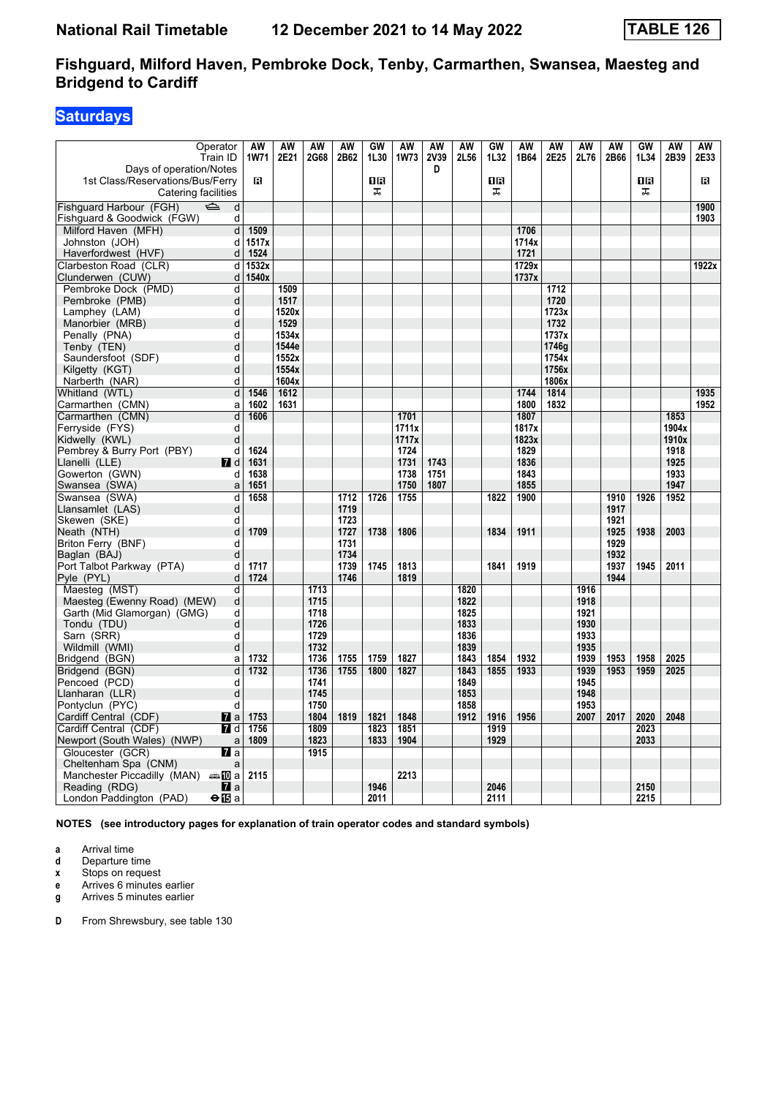# **Saturdays**

| Operator<br>Train ID                                               | AW<br><b>1W71</b> | AW<br>2E21 | <b>AW</b><br>2G68 | AW<br>2B62 | GW<br>1L30 | <b>AW</b><br>1W73 | AW<br>2V39 | AW<br>2L56   | GW<br>1L32 | AW<br>1B64 | AW<br>2E25 | AW<br>2L76   | AW<br>2B66 | GW<br>1L34 | <b>AW</b><br>2B39 | AW<br>2E33 |
|--------------------------------------------------------------------|-------------------|------------|-------------------|------------|------------|-------------------|------------|--------------|------------|------------|------------|--------------|------------|------------|-------------------|------------|
| Days of operation/Notes                                            |                   |            |                   |            |            |                   | D          |              |            |            |            |              |            |            |                   |            |
| 1st Class/Reservations/Bus/Ferry                                   | R                 |            |                   |            | 1R         |                   |            |              | 1B         |            |            |              |            | 18         |                   | R          |
| Catering facilities                                                |                   |            |                   |            | ᠼ          |                   |            |              | ᠼ          |            |            |              |            | ᠼ          |                   |            |
| Fishquard Harbour (FGH)<br>$\Rightarrow$<br>d                      |                   |            |                   |            |            |                   |            |              |            |            |            |              |            |            |                   | 1900       |
| Fishguard & Goodwick (FGW)<br>d                                    |                   |            |                   |            |            |                   |            |              |            |            |            |              |            |            |                   | 1903       |
| Milford Haven (MFH)<br>d                                           | 1509              |            |                   |            |            |                   |            |              |            | 1706       |            |              |            |            |                   |            |
| Johnston (JOH)<br>d                                                | 1517x             |            |                   |            |            |                   |            |              |            | 1714x      |            |              |            |            |                   |            |
| Haverfordwest (HVF)<br>d                                           | 1524              |            |                   |            |            |                   |            |              |            | 1721       |            |              |            |            |                   |            |
| Clarbeston Road (CLR)<br>d                                         | 1532x             |            |                   |            |            |                   |            |              |            | 1729x      |            |              |            |            |                   | 1922x      |
| Clunderwen (CUW)<br>d                                              | 1540x             |            |                   |            |            |                   |            |              |            | 1737x      |            |              |            |            |                   |            |
| Pembroke Dock (PMD)<br>d                                           |                   | 1509       |                   |            |            |                   |            |              |            |            | 1712       |              |            |            |                   |            |
| Pembroke (PMB)<br>d                                                |                   | 1517       |                   |            |            |                   |            |              |            |            | 1720       |              |            |            |                   |            |
| d<br>Lamphey (LAM)                                                 |                   | 1520x      |                   |            |            |                   |            |              |            |            | 1723x      |              |            |            |                   |            |
| d<br>Manorbier (MRB)                                               |                   | 1529       |                   |            |            |                   |            |              |            |            | 1732       |              |            |            |                   |            |
| d<br>Penally (PNA)                                                 |                   | 1534x      |                   |            |            |                   |            |              |            |            | 1737x      |              |            |            |                   |            |
| d<br>Tenby (TEN)                                                   |                   | 1544e      |                   |            |            |                   |            |              |            |            | 1746g      |              |            |            |                   |            |
| Saundersfoot (SDF)<br>d                                            |                   | 1552x      |                   |            |            |                   |            |              |            |            | 1754x      |              |            |            |                   |            |
| d<br>Kilgetty (KGT)                                                |                   | 1554x      |                   |            |            |                   |            |              |            |            | 1756x      |              |            |            |                   |            |
| d<br>Narberth (NAR)                                                |                   | 1604x      |                   |            |            |                   |            |              |            |            | 1806x      |              |            |            |                   |            |
| d<br>Whitland (WTL)                                                | 1546              | 1612       |                   |            |            |                   |            |              |            | 1744       | 1814       |              |            |            |                   | 1935       |
| Carmarthen (CMN)<br>a                                              | 1602              | 1631       |                   |            |            |                   |            |              |            | 1800       | 1832       |              |            |            |                   | 1952       |
| Carmarthen (CMN)<br>d                                              | 1606              |            |                   |            |            | 1701              |            |              |            | 1807       |            |              |            |            | 1853              |            |
| d<br>Ferryside (FYS)                                               |                   |            |                   |            |            | 1711x             |            |              |            | 1817x      |            |              |            |            | 1904x             |            |
| Kidwelly (KWL)<br>d                                                |                   |            |                   |            |            | 1717x             |            |              |            | 1823x      |            |              |            |            | 1910x             |            |
| Pembrey & Burry Port (PBY)<br>d                                    | 1624              |            |                   |            |            | 1724              |            |              |            | 1829       |            |              |            |            | 1918              |            |
| Llanelli (LLE)<br><b>7</b> d                                       | 1631              |            |                   |            |            | 1731              | 1743       |              |            | 1836       |            |              |            |            | 1925              |            |
| Gowerton (GWN)<br>d                                                | 1638              |            |                   |            |            | 1738              | 1751       |              |            | 1843       |            |              |            |            | 1933              |            |
| Swansea (SWA)<br>a                                                 | 1651              |            |                   |            |            | 1750              | 1807       |              |            | 1855       |            |              |            |            | 1947              |            |
| Swansea (SWA)<br>d                                                 | 1658              |            |                   | 1712       | 1726       | 1755              |            |              | 1822       | 1900       |            |              | 1910       | 1926       | 1952              |            |
| d<br>Llansamlet (LAS)                                              |                   |            |                   | 1719       |            |                   |            |              |            |            |            |              | 1917       |            |                   |            |
| Skewen (SKE)<br>d                                                  |                   |            |                   | 1723       |            |                   |            |              |            |            |            |              | 1921       |            |                   |            |
| Neath (NTH)<br>d                                                   | 1709              |            |                   | 1727       | 1738       | 1806              |            |              | 1834       | 1911       |            |              | 1925       | 1938       | 2003              |            |
| Briton Ferry (BNF)<br>d                                            |                   |            |                   | 1731       |            |                   |            |              |            |            |            |              | 1929       |            |                   |            |
| Baglan (BAJ)<br>d                                                  |                   |            |                   | 1734       |            |                   |            |              |            |            |            |              | 1932       |            |                   |            |
| Port Talbot Parkway (PTA)<br>d                                     | 1717              |            |                   | 1739       | 1745       | 1813              |            |              | 1841       | 1919       |            |              | 1937       | 1945       | 2011              |            |
| Pyle (PYL)<br>d                                                    | 1724              |            |                   | 1746       |            | 1819              |            |              |            |            |            |              | 1944       |            |                   |            |
| Maesteg (MST)<br>d                                                 |                   |            | 1713              |            |            |                   |            | 1820         |            |            |            | 1916         |            |            |                   |            |
| Maesteg (Ewenny Road) (MEW)<br>d                                   |                   |            | 1715              |            |            |                   |            | 1822         |            |            |            | 1918         |            |            |                   |            |
| d<br>Garth (Mid Glamorgan) (GMG)                                   |                   |            | 1718              |            |            |                   |            | 1825         |            |            |            | 1921         |            |            |                   |            |
| d<br>Tondu (TDU)                                                   |                   |            | 1726              |            |            |                   |            | 1833         |            |            |            | 1930         |            |            |                   |            |
| Sarn (SRR)<br>d                                                    |                   |            | 1729              |            |            |                   |            | 1836         |            |            |            | 1933         |            |            |                   |            |
| d<br>Wildmill (WMI)                                                |                   |            | 1732              |            |            |                   |            | 1839         |            |            |            | 1935         |            |            |                   |            |
| Bridgend (BGN)<br>a                                                | 1732              |            | 1736              | 1755       | 1759       | 1827              |            | 1843         | 1854       | 1932       |            | 1939         | 1953       | 1958       | 2025              |            |
| Bridgend (BGN)<br>d                                                | 1732              |            | 1736              | 1755       | 1800       | 1827              |            | 1843         | 1855       | 1933       |            | 1939         | 1953       | 1959       | 2025              |            |
| Pencoed (PCD)<br>d                                                 |                   |            | 1741              |            |            |                   |            | 1849         |            |            |            | 1945         |            |            |                   |            |
| Llanharan (LLR)<br>d                                               |                   |            | 1745              |            |            |                   |            | 1853         |            |            |            | 1948         |            |            |                   |            |
| d<br>Pontyclun (PYC)<br>Cardiff Central (CDF)<br>$\mathbf{z}$ a    | 1753              |            | 1750<br>1804      | 1819       | 1821       | 1848              |            | 1858<br>1912 | 1916       | 1956       |            | 1953<br>2007 | 2017       | 2020       | 2048              |            |
|                                                                    |                   |            |                   |            |            |                   |            |              |            |            |            |              |            |            |                   |            |
| Cardiff Central (CDF)<br><b>7</b> d                                | 1756              |            | 1809              |            | 1823       | 1851              |            |              | 1919       |            |            |              |            | 2023       |                   |            |
| Newport (South Wales) (NWP)<br>$\mathsf{a}$                        | 1809              |            | 1823              |            | 1833       | 1904              |            |              | 1929       |            |            |              |            | 2033       |                   |            |
| Gloucester (GCR)<br><b>77</b> а                                    |                   |            | 1915              |            |            |                   |            |              |            |            |            |              |            |            |                   |            |
| Cheltenham Spa (CNM)<br>a                                          | 2115              |            |                   |            |            | 2213              |            |              |            |            |            |              |            |            |                   |            |
| Manchester Piccadilly (MAN) And a<br>Reading (RDG)<br><b>7</b> l a |                   |            |                   |            | 1946       |                   |            |              | 2046       |            |            |              |            | 2150       |                   |            |
| London Paddington (PAD)<br>⊖l⊞a                                    |                   |            |                   |            | 2011       |                   |            |              | 2111       |            |            |              |            | 2215       |                   |            |
|                                                                    |                   |            |                   |            |            |                   |            |              |            |            |            |              |            |            |                   |            |

**NOTES (see introductory pages for explanation of train operator codes and standard symbols)**

**a** Arrival time<br>**d** Departure t

**d** Departure time

**x** Stops on request

**e** Arrives 6 minutes earlier

**g** Arrives 5 minutes earlier

**D** From Shrewsbury, see table 130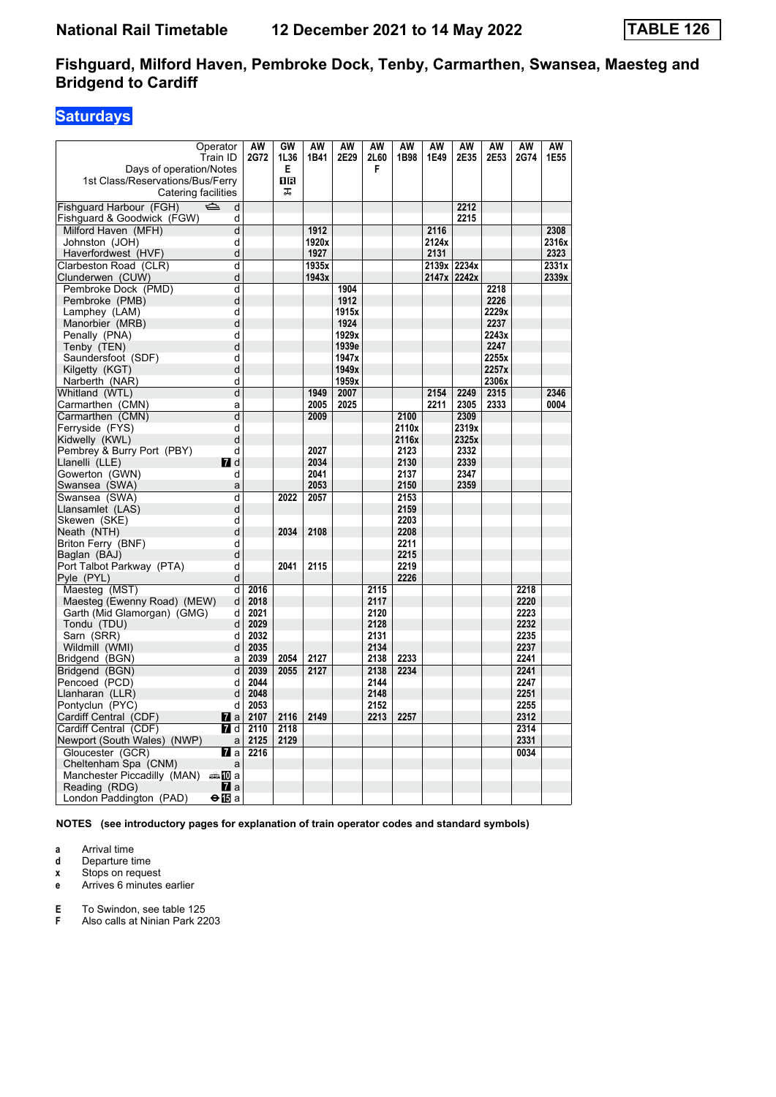# **Saturdays**

| Operator                                       | $\overline{AW}$ | GW   | <b>AW</b> | <b>AW</b> | <b>AW</b> | <b>AW</b>    | <b>AW</b> | <b>AW</b>   | <b>AW</b> | <b>AW</b> | $\overline{AW}$ |
|------------------------------------------------|-----------------|------|-----------|-----------|-----------|--------------|-----------|-------------|-----------|-----------|-----------------|
| Train ID                                       | 2G72            | 1L36 | 1B41      | 2E29      | 2L60      | 1B98         | 1E49      | 2E35        | 2E53      | 2G74      | 1E55            |
| Days of operation/Notes                        |                 | Е    |           |           | F         |              |           |             |           |           |                 |
| 1st Class/Reservations/Bus/Ferry               |                 | ПR   |           |           |           |              |           |             |           |           |                 |
| Catering facilities                            |                 | ᠼ    |           |           |           |              |           |             |           |           |                 |
| $\Rightarrow$<br>Fishquard Harbour (FGH)<br>d  |                 |      |           |           |           |              |           | 2212        |           |           |                 |
| Fishguard & Goodwick (FGW)<br>d                |                 |      |           |           |           |              |           | 2215        |           |           |                 |
| Milford Haven (MFH)<br>d                       |                 |      | 1912      |           |           |              | 2116      |             |           |           | 2308            |
| Johnston (JOH)<br>d                            |                 |      | 1920x     |           |           |              | 2124x     |             |           |           | 2316x           |
| d<br>Haverfordwest (HVF)                       |                 |      | 1927      |           |           |              | 2131      |             |           |           | 2323            |
| Clarbeston Road (CLR)<br>d                     |                 |      | 1935x     |           |           |              |           | 2139x 2234x |           |           | 2331x           |
| d<br>Clunderwen (CUW)                          |                 |      | 1943x     |           |           |              |           | 2147x 2242x |           |           | 2339x           |
| Pembroke Dock (PMD)<br>d                       |                 |      |           | 1904      |           |              |           |             | 2218      |           |                 |
| d<br>Pembroke (PMB)                            |                 |      |           | 1912      |           |              |           |             | 2226      |           |                 |
| Lamphey (LAM)<br>d                             |                 |      |           | 1915x     |           |              |           |             | 2229x     |           |                 |
| Manorbier (MRB)<br>d                           |                 |      |           | 1924      |           |              |           |             | 2237      |           |                 |
| Penally (PNA)<br>d                             |                 |      |           | 1929x     |           |              |           |             | 2243x     |           |                 |
| Tenby (TEN)<br>d                               |                 |      |           | 1939e     |           |              |           |             | 2247      |           |                 |
| Saundersfoot (SDF)<br>d                        |                 |      |           | 1947x     |           |              |           |             | 2255x     |           |                 |
| d<br>Kilgetty (KGT)                            |                 |      |           | 1949x     |           |              |           |             | 2257x     |           |                 |
| d<br>Narberth (NAR)                            |                 |      |           | 1959x     |           |              |           |             | 2306x     |           |                 |
| d<br>Whitland (WTL)                            |                 |      | 1949      | 2007      |           |              | 2154      | 2249        | 2315      |           | 2346            |
| Carmarthen (CMN)<br>a                          |                 |      | 2005      | 2025      |           |              | 2211      | 2305        | 2333      |           | 0004            |
| d<br>Carmarthen (CMN)                          |                 |      | 2009      |           |           | 2100         |           | 2309        |           |           |                 |
| Ferryside (FYS)<br>d                           |                 |      |           |           |           | 2110x        |           | 2319x       |           |           |                 |
| Kidwelly (KWL)<br>d                            |                 |      |           |           |           | 2116x        |           | 2325x       |           |           |                 |
| Pembrey & Burry Port (PBY)<br>d                |                 |      | 2027      |           |           | 2123         |           | 2332        |           |           |                 |
| Llanelli (LLE)<br><b>7</b> d                   |                 |      | 2034      |           |           | 2130         |           | 2339        |           |           |                 |
| Gowerton (GWN)<br>d                            |                 |      | 2041      |           |           | 2137         |           | 2347        |           |           |                 |
| Swansea (SWA)<br>a                             |                 |      | 2053      |           |           | 2150         |           | 2359        |           |           |                 |
| d<br>Swansea (SWA)                             |                 | 2022 | 2057      |           |           | 2153         |           |             |           |           |                 |
| Llansamlet (LAS)<br>d                          |                 |      |           |           |           | 2159         |           |             |           |           |                 |
| Skewen (SKE)<br>d<br>d                         |                 |      | 2108      |           |           | 2203         |           |             |           |           |                 |
| Neath (NTH)<br>d                               |                 | 2034 |           |           |           | 2208<br>2211 |           |             |           |           |                 |
| Briton Ferry (BNF)<br>d                        |                 |      |           |           |           | 2215         |           |             |           |           |                 |
| Baglan (BAJ)<br>Port Talbot Parkway (PTA)<br>d |                 | 2041 | 2115      |           |           | 2219         |           |             |           |           |                 |
| d<br>Pyle (PYL)                                |                 |      |           |           |           | 2226         |           |             |           |           |                 |
| Maesteg (MST)<br>d                             | 2016            |      |           |           | 2115      |              |           |             |           | 2218      |                 |
| Maesteg (Ewenny Road) (MEW)<br>d               | 2018            |      |           |           | 2117      |              |           |             |           | 2220      |                 |
| Garth (Mid Glamorgan) (GMG)<br>d               | 2021            |      |           |           | 2120      |              |           |             |           | 2223      |                 |
| Tondu (TDU)<br>d                               | 2029            |      |           |           | 2128      |              |           |             |           | 2232      |                 |
| Sarn (SRR)<br>d                                | 2032            |      |           |           | 2131      |              |           |             |           | 2235      |                 |
| Wildmill (WMI)<br>d                            | 2035            |      |           |           | 2134      |              |           |             |           | 2237      |                 |
| Bridgend (BGN)<br>a                            | 2039            | 2054 | 2127      |           | 2138      | 2233         |           |             |           | 2241      |                 |
| Bridgend (BGN)<br>d                            | 2039            | 2055 | 2127      |           | 2138      | 2234         |           |             |           | 2241      |                 |
| Pencoed (PCD)<br>d                             | 2044            |      |           |           | 2144      |              |           |             |           | 2247      |                 |
| Llanharan (LLR)<br>d                           | 2048            |      |           |           | 2148      |              |           |             |           | 2251      |                 |
| Pontyclun (PYC)<br>d                           | 2053            |      |           |           | 2152      |              |           |             |           | 2255      |                 |
| Cardiff Central (CDF)<br><b>7</b> a            | 2107            | 2116 | 2149      |           | 2213      | 2257         |           |             |           | 2312      |                 |
| Cardiff Central (CDF)<br><b>7</b> d            | 2110            | 2118 |           |           |           |              |           |             |           | 2314      |                 |
| Newport (South Wales) (NWP)<br>a               | 2125            | 2129 |           |           |           |              |           |             |           | 2331      |                 |
| Gloucester (GCR)<br><b>77</b> а                | 2216            |      |           |           |           |              |           |             |           | 0034      |                 |
| Cheltenham Spa (CNM)<br>a                      |                 |      |           |           |           |              |           |             |           |           |                 |
| Manchester Piccadilly (MAN)<br>danan ma        |                 |      |           |           |           |              |           |             |           |           |                 |
| Reading (RDG)<br><b>M</b> a                    |                 |      |           |           |           |              |           |             |           |           |                 |
| London Paddington (PAD)<br>⊖l⊞a                |                 |      |           |           |           |              |           |             |           |           |                 |

**NOTES (see introductory pages for explanation of train operator codes and standard symbols)**

**a** Arrival time<br>**d** Departure t

**d** Departure time

**x** Stops on request<br>**e** Arrives 6 minutes

**e** Arrives 6 minutes earlier

**E** To Swindon, see table 125<br>**F** Also calls at Ninian Park 22

Also calls at Ninian Park 2203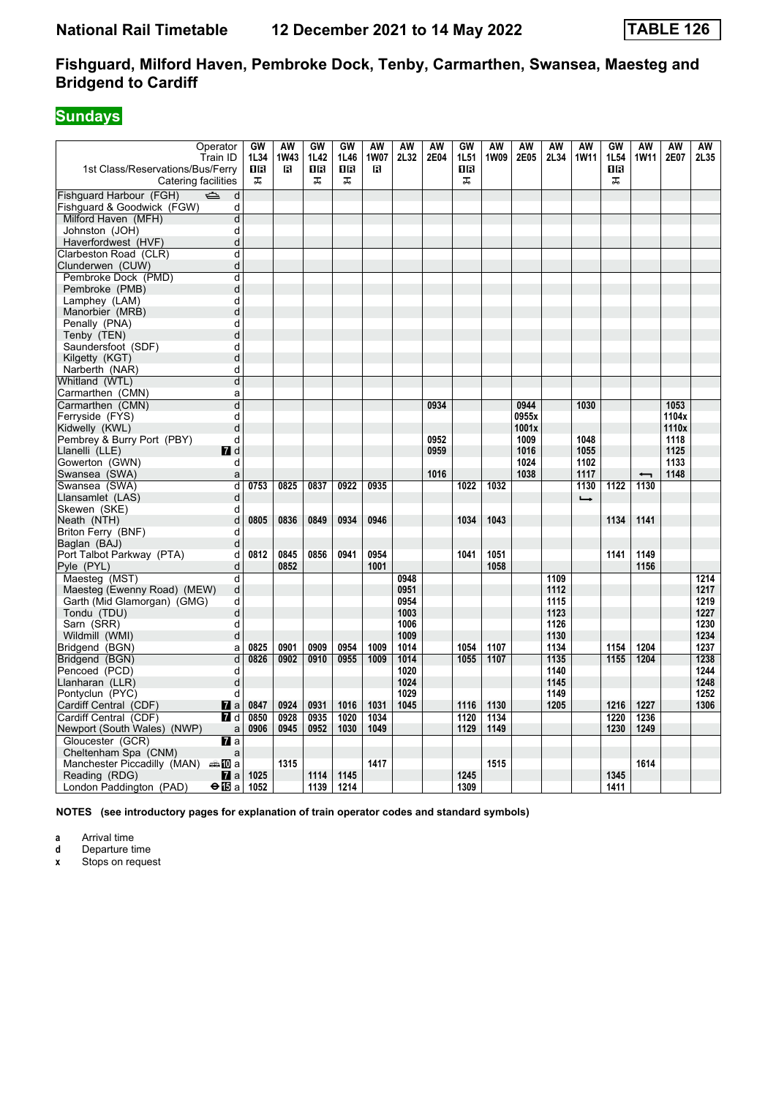# **Sundays**

| ᠼ<br>ᠼ<br>ᠼ<br>ᠼ<br>ᠼ<br>Catering facilities<br>$\Rightarrow$<br>d<br>Fishguard & Goodwick (FGW)<br>d<br>Milford Haven (MFH)<br>d<br>Johnston (JOH)<br>d<br>Haverfordwest (HVF)<br>d<br>d<br>Clarbeston Road (CLR)<br>d<br>Clunderwen (CUW)<br>Pembroke Dock (PMD)<br>d<br>d<br>Pembroke (PMB)<br>d<br>Lamphey (LAM)<br>d<br>Manorbier (MRB)<br>Penally (PNA)<br>d<br>d<br>Tenby (TEN)<br>Saundersfoot (SDF)<br>d<br>d<br>Kilgetty (KGT)<br>Narberth (NAR)<br>d<br>Whitland (WTL)<br>d<br>Carmarthen (CMN)<br>a<br>0934<br>0944<br>1053<br>Carmarthen (CMN)<br>d<br>1030<br>d<br>0955x<br>1104x<br>Kidwelly (KWL)<br>d<br>1001x<br>1110x<br>Pembrey & Burry Port (PBY)<br>0952<br>1009<br>1048<br>1118<br>d<br>Llanelli (LLE)<br>7 d<br>0959<br>1016<br>1055<br>1125<br>Gowerton (GWN)<br>1024<br>1102<br>1133<br>d<br>Swansea (SWA)<br>1016<br>1038<br>1117<br>1148<br>a<br>$\overline{\phantom{0}}$<br>1130<br>d<br>0753<br>0825<br>0837<br>0922<br>0935<br>1022<br>1032<br>1130<br>1122<br>Swansea (SWA)<br>Llansamlet (LAS)<br>d<br>$\rightarrow$<br>Skewen (SKE)<br>d<br>0805<br>0836<br>0849<br>0934<br>0946<br>1034<br>1043<br>1134<br>1141<br>Neath (NTH)<br>d<br>Briton Ferry (BNF)<br>d<br>Baglan (BAJ)<br>d<br>0812<br>0845<br>0856<br>0941<br>0954<br>1041<br>1051<br>1141<br>1149<br>Port Talbot Parkway (PTA)<br>d<br>Pyle (PYL)<br>0852<br>1001<br>1058<br>1156<br>d<br>Maesteg (MST)<br>d<br>0948<br>1109<br>1214<br>d<br>0951<br>1112<br>1217<br>Maesteg (Ewenny Road) (MEW)<br>0954<br>1219<br>Garth (Mid Glamorgan) (GMG)<br>d<br>1115<br>d<br>1123<br>Tondu (TDU)<br>1003<br>1227<br>Sarn (SRR)<br>1126<br>1230<br>d<br>1006<br>Wildmill (WMI)<br>d<br>1009<br>1130<br>1234<br>0825<br>0901<br>0909<br>0954<br>1009<br>1014<br>1054<br>1107<br>1134<br>1154<br>1204<br>1237<br>Bridgend (BGN)<br>a<br>1014<br>1135<br>1204<br>1238<br>Bridgend (BGN)<br>d<br>0826<br>0902<br>0910<br>0955<br>1009<br>1055<br>1107<br>1155<br>Pencoed (PCD)<br>d<br>1020<br>1140<br>1244<br>1248<br>Llanharan (LLR)<br>d<br>1024<br>1145<br>1029<br>1252<br>Pontyclun (PYC)<br>d<br>1149<br>0924<br>0931<br>1016<br>1031<br>1130<br>1216<br>1227<br>1306<br>Cardiff Central (CDF)<br><b>7</b> a<br>0847<br>1045<br>1116<br>1205<br>Cardiff Central (CDF)<br><b>7</b> d<br>0928<br>0935<br>1020<br>1034<br>1134<br>1236<br>0850<br>1120<br>1220<br>Newport (South Wales) (NWP)<br>0906<br>0945<br>0952<br>1030<br>1049<br>1129<br>1149<br>1230<br>1249<br>a<br>Gloucester (GCR)<br>$\mathbf n$ a<br>Cheltenham Spa (CNM)<br>a<br>1417<br>Manchester Piccadilly (MAN) $\oplus$ 10 a<br>1315<br>1515<br>1614<br>1114<br>1145<br>1345<br>Reading (RDG)<br>$\mathbf Z$ a<br>1025<br>1245 | Operator<br>Train ID<br>1st Class/Reservations/Bus/Ferry | GW<br>1L34<br>0B | AW<br><b>1W43</b><br>в | GW<br>1L42<br><b>0B</b> | GW<br>1L46<br>1R | <b>AW</b><br><b>1W07</b><br>в | AW<br>2L32 | AW<br>2E04 | GW<br>1L51<br>08 | AW<br>1W09 | AW<br>2E05 | <b>AW</b><br>2L34 | AW<br><b>1W11</b> | GW<br>1L54<br>1 R | AW<br><b>1W11</b> | AW<br>2E07 | AW<br>2L35 |
|----------------------------------------------------------------------------------------------------------------------------------------------------------------------------------------------------------------------------------------------------------------------------------------------------------------------------------------------------------------------------------------------------------------------------------------------------------------------------------------------------------------------------------------------------------------------------------------------------------------------------------------------------------------------------------------------------------------------------------------------------------------------------------------------------------------------------------------------------------------------------------------------------------------------------------------------------------------------------------------------------------------------------------------------------------------------------------------------------------------------------------------------------------------------------------------------------------------------------------------------------------------------------------------------------------------------------------------------------------------------------------------------------------------------------------------------------------------------------------------------------------------------------------------------------------------------------------------------------------------------------------------------------------------------------------------------------------------------------------------------------------------------------------------------------------------------------------------------------------------------------------------------------------------------------------------------------------------------------------------------------------------------------------------------------------------------------------------------------------------------------------------------------------------------------------------------------------------------------------------------------------------------------------------------------------------------------------------------------------------------------------------------------------------------------------------------------------------------------------------------------------------------------------------------------------------------------------------------------------------------------------------------------------------------------------------|----------------------------------------------------------|------------------|------------------------|-------------------------|------------------|-------------------------------|------------|------------|------------------|------------|------------|-------------------|-------------------|-------------------|-------------------|------------|------------|
|                                                                                                                                                                                                                                                                                                                                                                                                                                                                                                                                                                                                                                                                                                                                                                                                                                                                                                                                                                                                                                                                                                                                                                                                                                                                                                                                                                                                                                                                                                                                                                                                                                                                                                                                                                                                                                                                                                                                                                                                                                                                                                                                                                                                                                                                                                                                                                                                                                                                                                                                                                                                                                                                                        |                                                          |                  |                        |                         |                  |                               |            |            |                  |            |            |                   |                   |                   |                   |            |            |
|                                                                                                                                                                                                                                                                                                                                                                                                                                                                                                                                                                                                                                                                                                                                                                                                                                                                                                                                                                                                                                                                                                                                                                                                                                                                                                                                                                                                                                                                                                                                                                                                                                                                                                                                                                                                                                                                                                                                                                                                                                                                                                                                                                                                                                                                                                                                                                                                                                                                                                                                                                                                                                                                                        | Fishquard Harbour (FGH)                                  |                  |                        |                         |                  |                               |            |            |                  |            |            |                   |                   |                   |                   |            |            |
|                                                                                                                                                                                                                                                                                                                                                                                                                                                                                                                                                                                                                                                                                                                                                                                                                                                                                                                                                                                                                                                                                                                                                                                                                                                                                                                                                                                                                                                                                                                                                                                                                                                                                                                                                                                                                                                                                                                                                                                                                                                                                                                                                                                                                                                                                                                                                                                                                                                                                                                                                                                                                                                                                        |                                                          |                  |                        |                         |                  |                               |            |            |                  |            |            |                   |                   |                   |                   |            |            |
|                                                                                                                                                                                                                                                                                                                                                                                                                                                                                                                                                                                                                                                                                                                                                                                                                                                                                                                                                                                                                                                                                                                                                                                                                                                                                                                                                                                                                                                                                                                                                                                                                                                                                                                                                                                                                                                                                                                                                                                                                                                                                                                                                                                                                                                                                                                                                                                                                                                                                                                                                                                                                                                                                        |                                                          |                  |                        |                         |                  |                               |            |            |                  |            |            |                   |                   |                   |                   |            |            |
|                                                                                                                                                                                                                                                                                                                                                                                                                                                                                                                                                                                                                                                                                                                                                                                                                                                                                                                                                                                                                                                                                                                                                                                                                                                                                                                                                                                                                                                                                                                                                                                                                                                                                                                                                                                                                                                                                                                                                                                                                                                                                                                                                                                                                                                                                                                                                                                                                                                                                                                                                                                                                                                                                        |                                                          |                  |                        |                         |                  |                               |            |            |                  |            |            |                   |                   |                   |                   |            |            |
|                                                                                                                                                                                                                                                                                                                                                                                                                                                                                                                                                                                                                                                                                                                                                                                                                                                                                                                                                                                                                                                                                                                                                                                                                                                                                                                                                                                                                                                                                                                                                                                                                                                                                                                                                                                                                                                                                                                                                                                                                                                                                                                                                                                                                                                                                                                                                                                                                                                                                                                                                                                                                                                                                        |                                                          |                  |                        |                         |                  |                               |            |            |                  |            |            |                   |                   |                   |                   |            |            |
|                                                                                                                                                                                                                                                                                                                                                                                                                                                                                                                                                                                                                                                                                                                                                                                                                                                                                                                                                                                                                                                                                                                                                                                                                                                                                                                                                                                                                                                                                                                                                                                                                                                                                                                                                                                                                                                                                                                                                                                                                                                                                                                                                                                                                                                                                                                                                                                                                                                                                                                                                                                                                                                                                        |                                                          |                  |                        |                         |                  |                               |            |            |                  |            |            |                   |                   |                   |                   |            |            |
|                                                                                                                                                                                                                                                                                                                                                                                                                                                                                                                                                                                                                                                                                                                                                                                                                                                                                                                                                                                                                                                                                                                                                                                                                                                                                                                                                                                                                                                                                                                                                                                                                                                                                                                                                                                                                                                                                                                                                                                                                                                                                                                                                                                                                                                                                                                                                                                                                                                                                                                                                                                                                                                                                        |                                                          |                  |                        |                         |                  |                               |            |            |                  |            |            |                   |                   |                   |                   |            |            |
|                                                                                                                                                                                                                                                                                                                                                                                                                                                                                                                                                                                                                                                                                                                                                                                                                                                                                                                                                                                                                                                                                                                                                                                                                                                                                                                                                                                                                                                                                                                                                                                                                                                                                                                                                                                                                                                                                                                                                                                                                                                                                                                                                                                                                                                                                                                                                                                                                                                                                                                                                                                                                                                                                        |                                                          |                  |                        |                         |                  |                               |            |            |                  |            |            |                   |                   |                   |                   |            |            |
|                                                                                                                                                                                                                                                                                                                                                                                                                                                                                                                                                                                                                                                                                                                                                                                                                                                                                                                                                                                                                                                                                                                                                                                                                                                                                                                                                                                                                                                                                                                                                                                                                                                                                                                                                                                                                                                                                                                                                                                                                                                                                                                                                                                                                                                                                                                                                                                                                                                                                                                                                                                                                                                                                        |                                                          |                  |                        |                         |                  |                               |            |            |                  |            |            |                   |                   |                   |                   |            |            |
|                                                                                                                                                                                                                                                                                                                                                                                                                                                                                                                                                                                                                                                                                                                                                                                                                                                                                                                                                                                                                                                                                                                                                                                                                                                                                                                                                                                                                                                                                                                                                                                                                                                                                                                                                                                                                                                                                                                                                                                                                                                                                                                                                                                                                                                                                                                                                                                                                                                                                                                                                                                                                                                                                        |                                                          |                  |                        |                         |                  |                               |            |            |                  |            |            |                   |                   |                   |                   |            |            |
|                                                                                                                                                                                                                                                                                                                                                                                                                                                                                                                                                                                                                                                                                                                                                                                                                                                                                                                                                                                                                                                                                                                                                                                                                                                                                                                                                                                                                                                                                                                                                                                                                                                                                                                                                                                                                                                                                                                                                                                                                                                                                                                                                                                                                                                                                                                                                                                                                                                                                                                                                                                                                                                                                        |                                                          |                  |                        |                         |                  |                               |            |            |                  |            |            |                   |                   |                   |                   |            |            |
|                                                                                                                                                                                                                                                                                                                                                                                                                                                                                                                                                                                                                                                                                                                                                                                                                                                                                                                                                                                                                                                                                                                                                                                                                                                                                                                                                                                                                                                                                                                                                                                                                                                                                                                                                                                                                                                                                                                                                                                                                                                                                                                                                                                                                                                                                                                                                                                                                                                                                                                                                                                                                                                                                        |                                                          |                  |                        |                         |                  |                               |            |            |                  |            |            |                   |                   |                   |                   |            |            |
|                                                                                                                                                                                                                                                                                                                                                                                                                                                                                                                                                                                                                                                                                                                                                                                                                                                                                                                                                                                                                                                                                                                                                                                                                                                                                                                                                                                                                                                                                                                                                                                                                                                                                                                                                                                                                                                                                                                                                                                                                                                                                                                                                                                                                                                                                                                                                                                                                                                                                                                                                                                                                                                                                        |                                                          |                  |                        |                         |                  |                               |            |            |                  |            |            |                   |                   |                   |                   |            |            |
|                                                                                                                                                                                                                                                                                                                                                                                                                                                                                                                                                                                                                                                                                                                                                                                                                                                                                                                                                                                                                                                                                                                                                                                                                                                                                                                                                                                                                                                                                                                                                                                                                                                                                                                                                                                                                                                                                                                                                                                                                                                                                                                                                                                                                                                                                                                                                                                                                                                                                                                                                                                                                                                                                        |                                                          |                  |                        |                         |                  |                               |            |            |                  |            |            |                   |                   |                   |                   |            |            |
|                                                                                                                                                                                                                                                                                                                                                                                                                                                                                                                                                                                                                                                                                                                                                                                                                                                                                                                                                                                                                                                                                                                                                                                                                                                                                                                                                                                                                                                                                                                                                                                                                                                                                                                                                                                                                                                                                                                                                                                                                                                                                                                                                                                                                                                                                                                                                                                                                                                                                                                                                                                                                                                                                        |                                                          |                  |                        |                         |                  |                               |            |            |                  |            |            |                   |                   |                   |                   |            |            |
|                                                                                                                                                                                                                                                                                                                                                                                                                                                                                                                                                                                                                                                                                                                                                                                                                                                                                                                                                                                                                                                                                                                                                                                                                                                                                                                                                                                                                                                                                                                                                                                                                                                                                                                                                                                                                                                                                                                                                                                                                                                                                                                                                                                                                                                                                                                                                                                                                                                                                                                                                                                                                                                                                        |                                                          |                  |                        |                         |                  |                               |            |            |                  |            |            |                   |                   |                   |                   |            |            |
|                                                                                                                                                                                                                                                                                                                                                                                                                                                                                                                                                                                                                                                                                                                                                                                                                                                                                                                                                                                                                                                                                                                                                                                                                                                                                                                                                                                                                                                                                                                                                                                                                                                                                                                                                                                                                                                                                                                                                                                                                                                                                                                                                                                                                                                                                                                                                                                                                                                                                                                                                                                                                                                                                        |                                                          |                  |                        |                         |                  |                               |            |            |                  |            |            |                   |                   |                   |                   |            |            |
|                                                                                                                                                                                                                                                                                                                                                                                                                                                                                                                                                                                                                                                                                                                                                                                                                                                                                                                                                                                                                                                                                                                                                                                                                                                                                                                                                                                                                                                                                                                                                                                                                                                                                                                                                                                                                                                                                                                                                                                                                                                                                                                                                                                                                                                                                                                                                                                                                                                                                                                                                                                                                                                                                        |                                                          |                  |                        |                         |                  |                               |            |            |                  |            |            |                   |                   |                   |                   |            |            |
|                                                                                                                                                                                                                                                                                                                                                                                                                                                                                                                                                                                                                                                                                                                                                                                                                                                                                                                                                                                                                                                                                                                                                                                                                                                                                                                                                                                                                                                                                                                                                                                                                                                                                                                                                                                                                                                                                                                                                                                                                                                                                                                                                                                                                                                                                                                                                                                                                                                                                                                                                                                                                                                                                        |                                                          |                  |                        |                         |                  |                               |            |            |                  |            |            |                   |                   |                   |                   |            |            |
|                                                                                                                                                                                                                                                                                                                                                                                                                                                                                                                                                                                                                                                                                                                                                                                                                                                                                                                                                                                                                                                                                                                                                                                                                                                                                                                                                                                                                                                                                                                                                                                                                                                                                                                                                                                                                                                                                                                                                                                                                                                                                                                                                                                                                                                                                                                                                                                                                                                                                                                                                                                                                                                                                        | Ferryside (FYS)                                          |                  |                        |                         |                  |                               |            |            |                  |            |            |                   |                   |                   |                   |            |            |
|                                                                                                                                                                                                                                                                                                                                                                                                                                                                                                                                                                                                                                                                                                                                                                                                                                                                                                                                                                                                                                                                                                                                                                                                                                                                                                                                                                                                                                                                                                                                                                                                                                                                                                                                                                                                                                                                                                                                                                                                                                                                                                                                                                                                                                                                                                                                                                                                                                                                                                                                                                                                                                                                                        |                                                          |                  |                        |                         |                  |                               |            |            |                  |            |            |                   |                   |                   |                   |            |            |
|                                                                                                                                                                                                                                                                                                                                                                                                                                                                                                                                                                                                                                                                                                                                                                                                                                                                                                                                                                                                                                                                                                                                                                                                                                                                                                                                                                                                                                                                                                                                                                                                                                                                                                                                                                                                                                                                                                                                                                                                                                                                                                                                                                                                                                                                                                                                                                                                                                                                                                                                                                                                                                                                                        |                                                          |                  |                        |                         |                  |                               |            |            |                  |            |            |                   |                   |                   |                   |            |            |
|                                                                                                                                                                                                                                                                                                                                                                                                                                                                                                                                                                                                                                                                                                                                                                                                                                                                                                                                                                                                                                                                                                                                                                                                                                                                                                                                                                                                                                                                                                                                                                                                                                                                                                                                                                                                                                                                                                                                                                                                                                                                                                                                                                                                                                                                                                                                                                                                                                                                                                                                                                                                                                                                                        |                                                          |                  |                        |                         |                  |                               |            |            |                  |            |            |                   |                   |                   |                   |            |            |
|                                                                                                                                                                                                                                                                                                                                                                                                                                                                                                                                                                                                                                                                                                                                                                                                                                                                                                                                                                                                                                                                                                                                                                                                                                                                                                                                                                                                                                                                                                                                                                                                                                                                                                                                                                                                                                                                                                                                                                                                                                                                                                                                                                                                                                                                                                                                                                                                                                                                                                                                                                                                                                                                                        |                                                          |                  |                        |                         |                  |                               |            |            |                  |            |            |                   |                   |                   |                   |            |            |
|                                                                                                                                                                                                                                                                                                                                                                                                                                                                                                                                                                                                                                                                                                                                                                                                                                                                                                                                                                                                                                                                                                                                                                                                                                                                                                                                                                                                                                                                                                                                                                                                                                                                                                                                                                                                                                                                                                                                                                                                                                                                                                                                                                                                                                                                                                                                                                                                                                                                                                                                                                                                                                                                                        |                                                          |                  |                        |                         |                  |                               |            |            |                  |            |            |                   |                   |                   |                   |            |            |
|                                                                                                                                                                                                                                                                                                                                                                                                                                                                                                                                                                                                                                                                                                                                                                                                                                                                                                                                                                                                                                                                                                                                                                                                                                                                                                                                                                                                                                                                                                                                                                                                                                                                                                                                                                                                                                                                                                                                                                                                                                                                                                                                                                                                                                                                                                                                                                                                                                                                                                                                                                                                                                                                                        |                                                          |                  |                        |                         |                  |                               |            |            |                  |            |            |                   |                   |                   |                   |            |            |
|                                                                                                                                                                                                                                                                                                                                                                                                                                                                                                                                                                                                                                                                                                                                                                                                                                                                                                                                                                                                                                                                                                                                                                                                                                                                                                                                                                                                                                                                                                                                                                                                                                                                                                                                                                                                                                                                                                                                                                                                                                                                                                                                                                                                                                                                                                                                                                                                                                                                                                                                                                                                                                                                                        |                                                          |                  |                        |                         |                  |                               |            |            |                  |            |            |                   |                   |                   |                   |            |            |
|                                                                                                                                                                                                                                                                                                                                                                                                                                                                                                                                                                                                                                                                                                                                                                                                                                                                                                                                                                                                                                                                                                                                                                                                                                                                                                                                                                                                                                                                                                                                                                                                                                                                                                                                                                                                                                                                                                                                                                                                                                                                                                                                                                                                                                                                                                                                                                                                                                                                                                                                                                                                                                                                                        |                                                          |                  |                        |                         |                  |                               |            |            |                  |            |            |                   |                   |                   |                   |            |            |
|                                                                                                                                                                                                                                                                                                                                                                                                                                                                                                                                                                                                                                                                                                                                                                                                                                                                                                                                                                                                                                                                                                                                                                                                                                                                                                                                                                                                                                                                                                                                                                                                                                                                                                                                                                                                                                                                                                                                                                                                                                                                                                                                                                                                                                                                                                                                                                                                                                                                                                                                                                                                                                                                                        |                                                          |                  |                        |                         |                  |                               |            |            |                  |            |            |                   |                   |                   |                   |            |            |
|                                                                                                                                                                                                                                                                                                                                                                                                                                                                                                                                                                                                                                                                                                                                                                                                                                                                                                                                                                                                                                                                                                                                                                                                                                                                                                                                                                                                                                                                                                                                                                                                                                                                                                                                                                                                                                                                                                                                                                                                                                                                                                                                                                                                                                                                                                                                                                                                                                                                                                                                                                                                                                                                                        |                                                          |                  |                        |                         |                  |                               |            |            |                  |            |            |                   |                   |                   |                   |            |            |
|                                                                                                                                                                                                                                                                                                                                                                                                                                                                                                                                                                                                                                                                                                                                                                                                                                                                                                                                                                                                                                                                                                                                                                                                                                                                                                                                                                                                                                                                                                                                                                                                                                                                                                                                                                                                                                                                                                                                                                                                                                                                                                                                                                                                                                                                                                                                                                                                                                                                                                                                                                                                                                                                                        |                                                          |                  |                        |                         |                  |                               |            |            |                  |            |            |                   |                   |                   |                   |            |            |
|                                                                                                                                                                                                                                                                                                                                                                                                                                                                                                                                                                                                                                                                                                                                                                                                                                                                                                                                                                                                                                                                                                                                                                                                                                                                                                                                                                                                                                                                                                                                                                                                                                                                                                                                                                                                                                                                                                                                                                                                                                                                                                                                                                                                                                                                                                                                                                                                                                                                                                                                                                                                                                                                                        |                                                          |                  |                        |                         |                  |                               |            |            |                  |            |            |                   |                   |                   |                   |            |            |
|                                                                                                                                                                                                                                                                                                                                                                                                                                                                                                                                                                                                                                                                                                                                                                                                                                                                                                                                                                                                                                                                                                                                                                                                                                                                                                                                                                                                                                                                                                                                                                                                                                                                                                                                                                                                                                                                                                                                                                                                                                                                                                                                                                                                                                                                                                                                                                                                                                                                                                                                                                                                                                                                                        |                                                          |                  |                        |                         |                  |                               |            |            |                  |            |            |                   |                   |                   |                   |            |            |
|                                                                                                                                                                                                                                                                                                                                                                                                                                                                                                                                                                                                                                                                                                                                                                                                                                                                                                                                                                                                                                                                                                                                                                                                                                                                                                                                                                                                                                                                                                                                                                                                                                                                                                                                                                                                                                                                                                                                                                                                                                                                                                                                                                                                                                                                                                                                                                                                                                                                                                                                                                                                                                                                                        |                                                          |                  |                        |                         |                  |                               |            |            |                  |            |            |                   |                   |                   |                   |            |            |
|                                                                                                                                                                                                                                                                                                                                                                                                                                                                                                                                                                                                                                                                                                                                                                                                                                                                                                                                                                                                                                                                                                                                                                                                                                                                                                                                                                                                                                                                                                                                                                                                                                                                                                                                                                                                                                                                                                                                                                                                                                                                                                                                                                                                                                                                                                                                                                                                                                                                                                                                                                                                                                                                                        |                                                          |                  |                        |                         |                  |                               |            |            |                  |            |            |                   |                   |                   |                   |            |            |
|                                                                                                                                                                                                                                                                                                                                                                                                                                                                                                                                                                                                                                                                                                                                                                                                                                                                                                                                                                                                                                                                                                                                                                                                                                                                                                                                                                                                                                                                                                                                                                                                                                                                                                                                                                                                                                                                                                                                                                                                                                                                                                                                                                                                                                                                                                                                                                                                                                                                                                                                                                                                                                                                                        |                                                          |                  |                        |                         |                  |                               |            |            |                  |            |            |                   |                   |                   |                   |            |            |
|                                                                                                                                                                                                                                                                                                                                                                                                                                                                                                                                                                                                                                                                                                                                                                                                                                                                                                                                                                                                                                                                                                                                                                                                                                                                                                                                                                                                                                                                                                                                                                                                                                                                                                                                                                                                                                                                                                                                                                                                                                                                                                                                                                                                                                                                                                                                                                                                                                                                                                                                                                                                                                                                                        |                                                          |                  |                        |                         |                  |                               |            |            |                  |            |            |                   |                   |                   |                   |            |            |
|                                                                                                                                                                                                                                                                                                                                                                                                                                                                                                                                                                                                                                                                                                                                                                                                                                                                                                                                                                                                                                                                                                                                                                                                                                                                                                                                                                                                                                                                                                                                                                                                                                                                                                                                                                                                                                                                                                                                                                                                                                                                                                                                                                                                                                                                                                                                                                                                                                                                                                                                                                                                                                                                                        |                                                          |                  |                        |                         |                  |                               |            |            |                  |            |            |                   |                   |                   |                   |            |            |
|                                                                                                                                                                                                                                                                                                                                                                                                                                                                                                                                                                                                                                                                                                                                                                                                                                                                                                                                                                                                                                                                                                                                                                                                                                                                                                                                                                                                                                                                                                                                                                                                                                                                                                                                                                                                                                                                                                                                                                                                                                                                                                                                                                                                                                                                                                                                                                                                                                                                                                                                                                                                                                                                                        |                                                          |                  |                        |                         |                  |                               |            |            |                  |            |            |                   |                   |                   |                   |            |            |
|                                                                                                                                                                                                                                                                                                                                                                                                                                                                                                                                                                                                                                                                                                                                                                                                                                                                                                                                                                                                                                                                                                                                                                                                                                                                                                                                                                                                                                                                                                                                                                                                                                                                                                                                                                                                                                                                                                                                                                                                                                                                                                                                                                                                                                                                                                                                                                                                                                                                                                                                                                                                                                                                                        |                                                          |                  |                        |                         |                  |                               |            |            |                  |            |            |                   |                   |                   |                   |            |            |
|                                                                                                                                                                                                                                                                                                                                                                                                                                                                                                                                                                                                                                                                                                                                                                                                                                                                                                                                                                                                                                                                                                                                                                                                                                                                                                                                                                                                                                                                                                                                                                                                                                                                                                                                                                                                                                                                                                                                                                                                                                                                                                                                                                                                                                                                                                                                                                                                                                                                                                                                                                                                                                                                                        |                                                          |                  |                        |                         |                  |                               |            |            |                  |            |            |                   |                   |                   |                   |            |            |
|                                                                                                                                                                                                                                                                                                                                                                                                                                                                                                                                                                                                                                                                                                                                                                                                                                                                                                                                                                                                                                                                                                                                                                                                                                                                                                                                                                                                                                                                                                                                                                                                                                                                                                                                                                                                                                                                                                                                                                                                                                                                                                                                                                                                                                                                                                                                                                                                                                                                                                                                                                                                                                                                                        |                                                          |                  |                        |                         |                  |                               |            |            |                  |            |            |                   |                   |                   |                   |            |            |
|                                                                                                                                                                                                                                                                                                                                                                                                                                                                                                                                                                                                                                                                                                                                                                                                                                                                                                                                                                                                                                                                                                                                                                                                                                                                                                                                                                                                                                                                                                                                                                                                                                                                                                                                                                                                                                                                                                                                                                                                                                                                                                                                                                                                                                                                                                                                                                                                                                                                                                                                                                                                                                                                                        |                                                          |                  |                        |                         |                  |                               |            |            |                  |            |            |                   |                   |                   |                   |            |            |
|                                                                                                                                                                                                                                                                                                                                                                                                                                                                                                                                                                                                                                                                                                                                                                                                                                                                                                                                                                                                                                                                                                                                                                                                                                                                                                                                                                                                                                                                                                                                                                                                                                                                                                                                                                                                                                                                                                                                                                                                                                                                                                                                                                                                                                                                                                                                                                                                                                                                                                                                                                                                                                                                                        |                                                          |                  |                        |                         |                  |                               |            |            |                  |            |            |                   |                   |                   |                   |            |            |
|                                                                                                                                                                                                                                                                                                                                                                                                                                                                                                                                                                                                                                                                                                                                                                                                                                                                                                                                                                                                                                                                                                                                                                                                                                                                                                                                                                                                                                                                                                                                                                                                                                                                                                                                                                                                                                                                                                                                                                                                                                                                                                                                                                                                                                                                                                                                                                                                                                                                                                                                                                                                                                                                                        |                                                          |                  |                        |                         |                  |                               |            |            |                  |            |            |                   |                   |                   |                   |            |            |
|                                                                                                                                                                                                                                                                                                                                                                                                                                                                                                                                                                                                                                                                                                                                                                                                                                                                                                                                                                                                                                                                                                                                                                                                                                                                                                                                                                                                                                                                                                                                                                                                                                                                                                                                                                                                                                                                                                                                                                                                                                                                                                                                                                                                                                                                                                                                                                                                                                                                                                                                                                                                                                                                                        |                                                          |                  |                        |                         |                  |                               |            |            |                  |            |            |                   |                   |                   |                   |            |            |
|                                                                                                                                                                                                                                                                                                                                                                                                                                                                                                                                                                                                                                                                                                                                                                                                                                                                                                                                                                                                                                                                                                                                                                                                                                                                                                                                                                                                                                                                                                                                                                                                                                                                                                                                                                                                                                                                                                                                                                                                                                                                                                                                                                                                                                                                                                                                                                                                                                                                                                                                                                                                                                                                                        |                                                          |                  |                        |                         |                  |                               |            |            |                  |            |            |                   |                   |                   |                   |            |            |
|                                                                                                                                                                                                                                                                                                                                                                                                                                                                                                                                                                                                                                                                                                                                                                                                                                                                                                                                                                                                                                                                                                                                                                                                                                                                                                                                                                                                                                                                                                                                                                                                                                                                                                                                                                                                                                                                                                                                                                                                                                                                                                                                                                                                                                                                                                                                                                                                                                                                                                                                                                                                                                                                                        |                                                          |                  |                        |                         |                  |                               |            |            |                  |            |            |                   |                   |                   |                   |            |            |
|                                                                                                                                                                                                                                                                                                                                                                                                                                                                                                                                                                                                                                                                                                                                                                                                                                                                                                                                                                                                                                                                                                                                                                                                                                                                                                                                                                                                                                                                                                                                                                                                                                                                                                                                                                                                                                                                                                                                                                                                                                                                                                                                                                                                                                                                                                                                                                                                                                                                                                                                                                                                                                                                                        |                                                          |                  |                        |                         |                  |                               |            |            |                  |            |            |                   |                   |                   |                   |            |            |
|                                                                                                                                                                                                                                                                                                                                                                                                                                                                                                                                                                                                                                                                                                                                                                                                                                                                                                                                                                                                                                                                                                                                                                                                                                                                                                                                                                                                                                                                                                                                                                                                                                                                                                                                                                                                                                                                                                                                                                                                                                                                                                                                                                                                                                                                                                                                                                                                                                                                                                                                                                                                                                                                                        |                                                          |                  |                        |                         |                  |                               |            |            |                  |            |            |                   |                   |                   |                   |            |            |
| $\bigoplus$ a<br>1052<br>1139<br>1214<br>1309<br>1411<br>London Paddington (PAD)                                                                                                                                                                                                                                                                                                                                                                                                                                                                                                                                                                                                                                                                                                                                                                                                                                                                                                                                                                                                                                                                                                                                                                                                                                                                                                                                                                                                                                                                                                                                                                                                                                                                                                                                                                                                                                                                                                                                                                                                                                                                                                                                                                                                                                                                                                                                                                                                                                                                                                                                                                                                       |                                                          |                  |                        |                         |                  |                               |            |            |                  |            |            |                   |                   |                   |                   |            |            |

**NOTES (see introductory pages for explanation of train operator codes and standard symbols)**

**a** Arrival time

**d** Departure time<br>**x** Stops on reque

**Stops on request**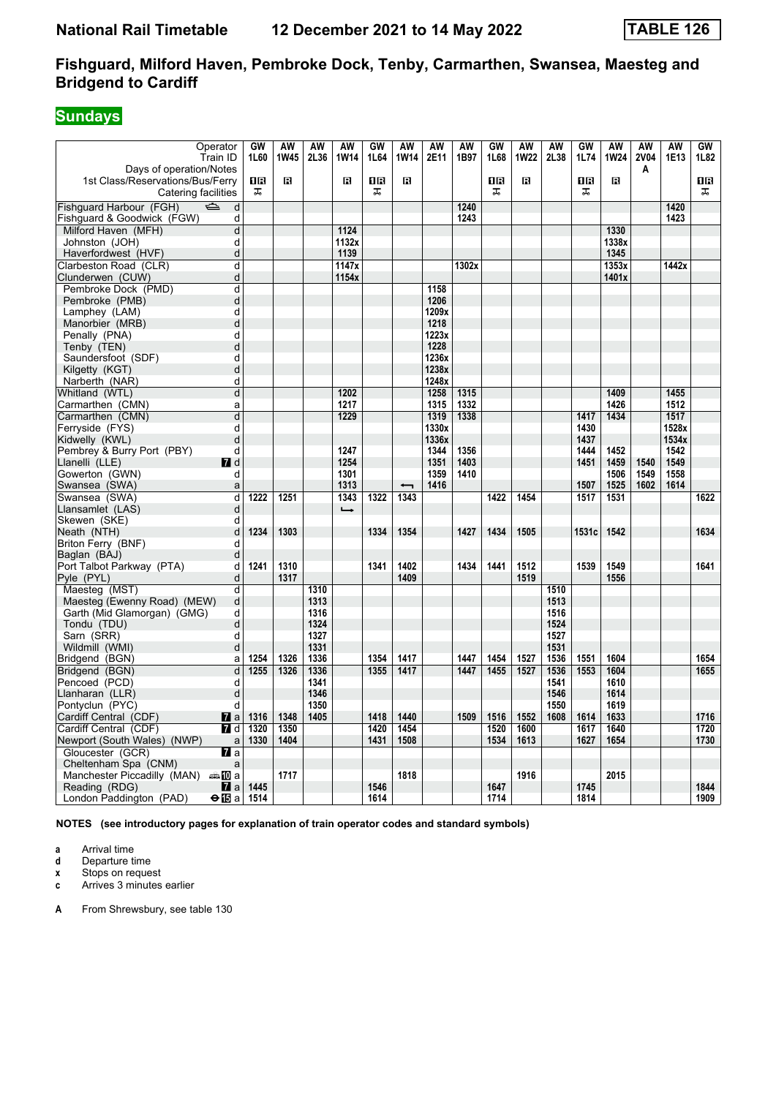# **Sundays**

| Operator                                      | GW   | AW          | AW   | AW            | GW        | AW   | AW    | AW    | <b>GW</b> | AW           | <b>AW</b> | GW        | AW          | <b>AW</b> | AW    | $\overline{\text{GW}}$ |
|-----------------------------------------------|------|-------------|------|---------------|-----------|------|-------|-------|-----------|--------------|-----------|-----------|-------------|-----------|-------|------------------------|
| Train ID                                      | 1L60 | <b>1W45</b> | 2L36 | <b>1W14</b>   | 1L64      | 1W14 | 2E11  | 1B97  | 1L68      | <b>1W22</b>  | 2L38      | 1L74      | <b>1W24</b> | 2V04      | 1E13  | 1L82                   |
| Days of operation/Notes                       |      |             |      |               |           |      |       |       |           |              |           |           |             | Α         |       |                        |
| 1st Class/Reservations/Bus/Ferry              | 0B   | R           |      | $\mathbf{B}$  | <b>08</b> | B    |       |       | 0B        | $\mathbf{B}$ |           | <b>08</b> | R           |           |       | 18                     |
| Catering facilities                           | ᠼ    |             |      |               | ᠼ         |      |       |       | ᠼ         |              |           | 盂         |             |           |       | ᠼ                      |
| Fishquard Harbour (FGH)<br>$\Rightarrow$<br>d |      |             |      |               |           |      |       | 1240  |           |              |           |           |             |           | 1420  |                        |
| Fishguard & Goodwick (FGW)<br>d               |      |             |      |               |           |      |       | 1243  |           |              |           |           |             |           | 1423  |                        |
| Milford Haven (MFH)<br>d                      |      |             |      | 1124          |           |      |       |       |           |              |           |           | 1330        |           |       |                        |
| Johnston (JOH)<br>d                           |      |             |      | 1132x         |           |      |       |       |           |              |           |           | 1338x       |           |       |                        |
| d<br>Haverfordwest (HVF)                      |      |             |      | 1139          |           |      |       |       |           |              |           |           | 1345        |           |       |                        |
| Clarbeston Road (CLR)<br>d                    |      |             |      | 1147x         |           |      |       | 1302x |           |              |           |           | 1353x       |           | 1442x |                        |
| d<br>Clunderwen (CUW)                         |      |             |      | 1154x         |           |      |       |       |           |              |           |           | 1401x       |           |       |                        |
| Pembroke Dock (PMD)<br>d                      |      |             |      |               |           |      | 1158  |       |           |              |           |           |             |           |       |                        |
| Pembroke (PMB)<br>d                           |      |             |      |               |           |      | 1206  |       |           |              |           |           |             |           |       |                        |
| d<br>Lamphey (LAM)                            |      |             |      |               |           |      | 1209x |       |           |              |           |           |             |           |       |                        |
| d<br>Manorbier (MRB)                          |      |             |      |               |           |      | 1218  |       |           |              |           |           |             |           |       |                        |
| d<br>Penally (PNA)                            |      |             |      |               |           |      | 1223x |       |           |              |           |           |             |           |       |                        |
| d<br>Tenby (TEN)                              |      |             |      |               |           |      | 1228  |       |           |              |           |           |             |           |       |                        |
| Saundersfoot (SDF)<br>d                       |      |             |      |               |           |      | 1236x |       |           |              |           |           |             |           |       |                        |
| d<br>Kilgetty (KGT)                           |      |             |      |               |           |      | 1238x |       |           |              |           |           |             |           |       |                        |
| d<br>Narberth (NAR)                           |      |             |      |               |           |      | 1248x |       |           |              |           |           |             |           |       |                        |
| d<br>Whitland (WTL)                           |      |             |      | 1202          |           |      | 1258  | 1315  |           |              |           |           | 1409        |           | 1455  |                        |
| Carmarthen (CMN)<br>a                         |      |             |      | 1217          |           |      | 1315  | 1332  |           |              |           |           | 1426        |           | 1512  |                        |
| Carmarthen (CMN)<br>d                         |      |             |      | 1229          |           |      | 1319  | 1338  |           |              |           | 1417      | 1434        |           | 1517  |                        |
| Ferryside (FYS)<br>d                          |      |             |      |               |           |      | 1330x |       |           |              |           | 1430      |             |           | 1528x |                        |
| Kidwelly (KWL)<br>d                           |      |             |      |               |           |      | 1336x |       |           |              |           | 1437      |             |           | 1534x |                        |
| Pembrey & Burry Port (PBY)<br>d               |      |             |      | 1247          |           |      | 1344  | 1356  |           |              |           | 1444      | 1452        |           | 1542  |                        |
| Llanelli (LLE)<br><b>7</b> d                  |      |             |      | 1254          |           |      | 1351  | 1403  |           |              |           | 1451      | 1459        | 1540      | 1549  |                        |
| Gowerton (GWN)<br>d                           |      |             |      | 1301          |           |      | 1359  | 1410  |           |              |           |           | 1506        | 1549      | 1558  |                        |
| Swansea (SWA)<br>a                            |      |             |      | 1313          |           | ↽    | 1416  |       |           |              |           | 1507      | 1525        | 1602      | 1614  |                        |
| Swansea (SWA)<br>d                            | 1222 | 1251        |      | 1343          | 1322      | 1343 |       |       | 1422      | 1454         |           | 1517      | 1531        |           |       | 1622                   |
| d<br>Llansamlet (LAS)                         |      |             |      | $\rightarrow$ |           |      |       |       |           |              |           |           |             |           |       |                        |
| Skewen (SKE)<br>d                             |      |             |      |               |           |      |       |       |           |              |           |           |             |           |       |                        |
| Neath (NTH)<br>d                              | 1234 | 1303        |      |               | 1334      | 1354 |       | 1427  | 1434      | 1505         |           | 1531c     | 1542        |           |       | 1634                   |
| Briton Ferry (BNF)<br>d                       |      |             |      |               |           |      |       |       |           |              |           |           |             |           |       |                        |
| Baglan (BAJ)<br>d                             |      |             |      |               |           |      |       |       |           |              |           |           |             |           |       |                        |
| Port Talbot Parkway (PTA)<br>d                | 1241 | 1310        |      |               | 1341      | 1402 |       | 1434  | 1441      | 1512         |           | 1539      | 1549        |           |       | 1641                   |
| Pyle (PYL)<br>d                               |      | 1317        |      |               |           | 1409 |       |       |           | 1519         |           |           | 1556        |           |       |                        |
| Maesteg (MST)<br>d                            |      |             | 1310 |               |           |      |       |       |           |              | 1510      |           |             |           |       |                        |
| Maesteg (Ewenny Road) (MEW)<br>d              |      |             | 1313 |               |           |      |       |       |           |              | 1513      |           |             |           |       |                        |
| Garth (Mid Glamorgan) (GMG)<br>d              |      |             | 1316 |               |           |      |       |       |           |              | 1516      |           |             |           |       |                        |
| Tondu (TDU)<br>d                              |      |             | 1324 |               |           |      |       |       |           |              | 1524      |           |             |           |       |                        |
| Sarn (SRR)<br>d                               |      |             | 1327 |               |           |      |       |       |           |              | 1527      |           |             |           |       |                        |
| Wildmill (WMI)<br>d                           |      |             | 1331 |               |           |      |       |       |           |              | 1531      |           |             |           |       |                        |
| Bridaend (BGN)<br>a                           | 1254 | 1326        | 1336 |               | 1354      | 1417 |       | 1447  | 1454      | 1527         | 1536      | 1551      | 1604        |           |       | 1654                   |
| Bridgend (BGN)<br>d                           | 1255 | 1326        | 1336 |               | 1355      | 1417 |       | 1447  | 1455      | 1527         | 1536      | 1553      | 1604        |           |       | 1655                   |
| Pencoed (PCD)<br>d                            |      |             | 1341 |               |           |      |       |       |           |              | 1541      |           | 1610        |           |       |                        |
| Llanharan (LLR)<br>d                          |      |             | 1346 |               |           |      |       |       |           |              | 1546      |           | 1614        |           |       |                        |
| Pontyclun (PYC)<br>d                          |      |             | 1350 |               |           |      |       |       |           |              | 1550      |           | 1619        |           |       |                        |
| Cardiff Central (CDF)<br>$\mathbf{z}$ a       | 1316 | 1348        | 1405 |               | 1418      | 1440 |       | 1509  | 1516      | 1552         | 1608      | 1614      | 1633        |           |       | 1716                   |
| Cardiff Central (CDF)<br><b>7</b> d           | 1320 | 1350        |      |               | 1420      | 1454 |       |       | 1520      | 1600         |           | 1617      | 1640        |           |       | 1720                   |
| Newport (South Wales) (NWP)<br>a              | 1330 | 1404        |      |               | 1431      | 1508 |       |       | 1534      | 1613         |           | 1627      | 1654        |           |       | 1730                   |
| Gloucester (GCR)<br><b>7</b> a                |      |             |      |               |           |      |       |       |           |              |           |           |             |           |       |                        |
| Cheltenham Spa (CNM)<br>a                     |      |             |      |               |           |      |       |       |           |              |           |           |             |           |       |                        |
| Manchester Piccadilly (MAN) $\oplus \Box$ a   |      | 1717        |      |               |           | 1818 |       |       |           | 1916         |           |           | 2015        |           |       |                        |
| Reading (RDG)<br><b>Z</b> a                   | 1445 |             |      |               | 1546      |      |       |       | 1647      |              |           | 1745      |             |           |       | 1844                   |
| London Paddington (PAD)<br>⊖lTBa              | 1514 |             |      |               | 1614      |      |       |       | 1714      |              |           | 1814      |             |           |       | 1909                   |

**NOTES (see introductory pages for explanation of train operator codes and standard symbols)**

**a** Arrival time<br>**d** Departure t

**d** Departure time

**x** Stops on request<br>**c** Arrives 3 minutes

**c** Arrives 3 minutes earlier

**A** From Shrewsbury, see table 130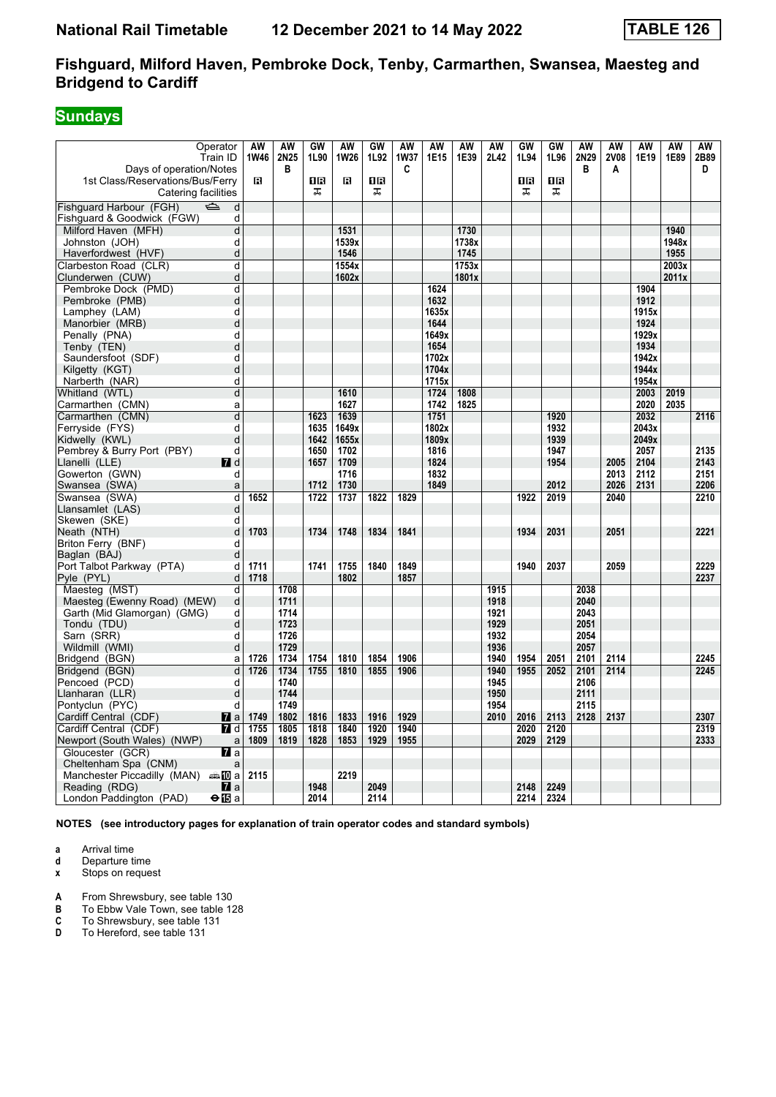# **Sundays**

| Operator<br>Train ID                                                               | AW<br>1W46 | AW<br>2N25   | GW<br>1L90 | AW<br>1W26 | GW<br>1L92     | <b>AW</b><br>1W37 | AW<br>1E15 | AW<br>1E39 | AW<br>2L42   | GW<br>1L94 | GW<br>1L96     | AW<br>2N29<br>в | AW<br>2V08 | AW<br>1E19 | AW<br>1E89 | AW<br>2B89<br>D |
|------------------------------------------------------------------------------------|------------|--------------|------------|------------|----------------|-------------------|------------|------------|--------------|------------|----------------|-----------------|------------|------------|------------|-----------------|
| Days of operation/Notes<br>1st Class/Reservations/Bus/Ferry<br>Catering facilities | в          | в            | 08<br>ᠼ    | в          | <b>08</b><br>ᠼ | C                 |            |            |              | 0 R<br>ᠼ   | <b>0B</b><br>ᠼ |                 | А          |            |            |                 |
| Fishquard Harbour (FGH)<br>$\Rightarrow$<br>d                                      |            |              |            |            |                |                   |            |            |              |            |                |                 |            |            |            |                 |
| Fishguard & Goodwick (FGW)<br>d                                                    |            |              |            |            |                |                   |            |            |              |            |                |                 |            |            |            |                 |
| Milford Haven (MFH)<br>d                                                           |            |              |            | 1531       |                |                   |            | 1730       |              |            |                |                 |            |            | 1940       |                 |
| Johnston (JOH)<br>d                                                                |            |              |            | 1539x      |                |                   |            | 1738x      |              |            |                |                 |            |            | 1948x      |                 |
| d<br>Haverfordwest (HVF)                                                           |            |              |            | 1546       |                |                   |            | 1745       |              |            |                |                 |            |            | 1955       |                 |
| Clarbeston Road (CLR)<br>d                                                         |            |              |            | 1554x      |                |                   |            | 1753x      |              |            |                |                 |            |            | 2003x      |                 |
| d<br>Clunderwen (CUW)                                                              |            |              |            | 1602x      |                |                   |            | 1801x      |              |            |                |                 |            |            | 2011x      |                 |
| Pembroke Dock (PMD)<br>d                                                           |            |              |            |            |                |                   | 1624       |            |              |            |                |                 |            | 1904       |            |                 |
| Pembroke (PMB)<br>d                                                                |            |              |            |            |                |                   | 1632       |            |              |            |                |                 |            | 1912       |            |                 |
| d<br>Lamphey (LAM)                                                                 |            |              |            |            |                |                   | 1635x      |            |              |            |                |                 |            | 1915x      |            |                 |
| d<br>Manorbier (MRB)                                                               |            |              |            |            |                |                   | 1644       |            |              |            |                |                 |            | 1924       |            |                 |
| d<br>Penally (PNA)                                                                 |            |              |            |            |                |                   | 1649x      |            |              |            |                |                 |            | 1929x      |            |                 |
| d<br>Tenby (TEN)                                                                   |            |              |            |            |                |                   | 1654       |            |              |            |                |                 |            | 1934       |            |                 |
| d<br>Saundersfoot (SDF)                                                            |            |              |            |            |                |                   | 1702x      |            |              |            |                |                 |            | 1942x      |            |                 |
| d<br>Kilgetty (KGT)                                                                |            |              |            |            |                |                   | 1704x      |            |              |            |                |                 |            | 1944x      |            |                 |
| d<br>Narberth (NAR)                                                                |            |              |            |            |                |                   | 1715x      |            |              |            |                |                 |            | 1954x      |            |                 |
| d<br>Whitland (WTL)                                                                |            |              |            | 1610       |                |                   | 1724       | 1808       |              |            |                |                 |            | 2003       | 2019       |                 |
| Carmarthen (CMN)<br>a                                                              |            |              |            | 1627       |                |                   | 1742       | 1825       |              |            |                |                 |            | 2020       | 2035       |                 |
| Carmarthen (CMN)<br>d                                                              |            |              | 1623       | 1639       |                |                   | 1751       |            |              |            | 1920           |                 |            | 2032       |            | 2116            |
| d<br>Ferryside (FYS)                                                               |            |              | 1635       | 1649x      |                |                   | 1802x      |            |              |            | 1932           |                 |            | 2043x      |            |                 |
| d<br>Kidwelly (KWL)                                                                |            |              | 1642       | 1655x      |                |                   | 1809x      |            |              |            | 1939           |                 |            | 2049x      |            |                 |
| Pembrey & Burry Port (PBY)<br>d                                                    |            |              | 1650       | 1702       |                |                   | 1816       |            |              |            | 1947           |                 |            | 2057       |            | 2135            |
| Llanelli (LLE)<br>$\blacksquare$ d                                                 |            |              | 1657       | 1709       |                |                   | 1824       |            |              |            | 1954           |                 | 2005       | 2104       |            | 2143            |
| Gowerton (GWN)<br>d                                                                |            |              |            | 1716       |                |                   | 1832       |            |              |            |                |                 | 2013       | 2112       |            | 2151            |
| a<br>Swansea (SWA)                                                                 |            |              | 1712       | 1730       |                |                   | 1849       |            |              |            | 2012           |                 | 2026       | 2131       |            | 2206            |
| d<br>Swansea (SWA)                                                                 | 1652       |              | 1722       | 1737       | 1822           | 1829              |            |            |              | 1922       | 2019           |                 | 2040       |            |            | 2210            |
| d<br>Llansamlet (LAS)                                                              |            |              |            |            |                |                   |            |            |              |            |                |                 |            |            |            |                 |
| Skewen (SKE)<br>d                                                                  |            |              |            |            |                |                   |            |            |              |            |                |                 |            |            |            |                 |
| Neath (NTH)<br>d                                                                   | 1703       |              | 1734       | 1748       | 1834           | 1841              |            |            |              | 1934       | 2031           |                 | 2051       |            |            | 2221            |
| Briton Ferry (BNF)<br>d                                                            |            |              |            |            |                |                   |            |            |              |            |                |                 |            |            |            |                 |
| d<br>Baglan (BAJ)                                                                  |            |              |            |            |                |                   |            |            |              |            |                |                 |            |            |            |                 |
| Port Talbot Parkway (PTA)<br>d                                                     | 1711       |              | 1741       | 1755       | 1840           | 1849              |            |            |              | 1940       | 2037           |                 | 2059       |            |            | 2229            |
| Pyle (PYL)<br>d                                                                    | 1718       |              |            | 1802       |                | 1857              |            |            |              |            |                |                 |            |            |            | 2237            |
| Maesteg (MST)<br>d                                                                 |            | 1708         |            |            |                |                   |            |            | 1915         |            |                | 2038            |            |            |            |                 |
| d<br>Maesteg (Ewenny Road) (MEW)                                                   |            | 1711         |            |            |                |                   |            |            | 1918         |            |                | 2040            |            |            |            |                 |
| d<br>Garth (Mid Glamorgan) (GMG)                                                   |            | 1714         |            |            |                |                   |            |            | 1921         |            |                | 2043            |            |            |            |                 |
| d<br>Tondu (TDU)                                                                   |            | 1723         |            |            |                |                   |            |            | 1929         |            |                | 2051            |            |            |            |                 |
| Sarn (SRR)<br>d                                                                    |            | 1726         |            |            |                |                   |            |            | 1932         |            |                | 2054            |            |            |            |                 |
| d<br>Wildmill (WMI)                                                                |            | 1729         |            |            |                |                   |            |            | 1936         |            |                | 2057            |            |            |            |                 |
| Bridgend (BGN)<br>a                                                                | 1726       | 1734         | 1754       | 1810       | 1854           | 1906              |            |            | 1940         | 1954       | 2051           | 2101            | 2114       |            |            | 2245            |
| Bridgend (BGN)<br>d                                                                | 1726       | 1734<br>1740 | 1755       | 1810       | 1855           | 1906              |            |            | 1940<br>1945 | 1955       | 2052           | 2101<br>2106    | 2114       |            |            | 2245            |
| Pencoed (PCD)<br>d<br>d<br>Llanharan (LLR)                                         |            | 1744         |            |            |                |                   |            |            | 1950         |            |                | 2111            |            |            |            |                 |
| Pontyclun (PYC)<br>d                                                               |            | 1749         |            |            |                |                   |            |            | 1954         |            |                | 2115            |            |            |            |                 |
| Cardiff Central (CDF)<br>$\mathbf{z}$ a                                            | 1749       | 1802         | 1816       | 1833       | 1916           | 1929              |            |            | 2010         | 2016       | 2113           | 2128            | 2137       |            |            | 2307            |
| Cardiff Central (CDF)<br><b>7</b> d                                                | 1755       | 1805         | 1818       | 1840       | 1920           | 1940              |            |            |              | 2020       | 2120           |                 |            |            |            | 2319            |
| Newport (South Wales) (NWP)<br>$\mathsf{a}$                                        | 1809       | 1819         | 1828       | 1853       | 1929           | 1955              |            |            |              | 2029       | 2129           |                 |            |            |            | 2333            |
| Gloucester (GCR)<br><b>77</b> а                                                    |            |              |            |            |                |                   |            |            |              |            |                |                 |            |            |            |                 |
| Cheltenham Spa (CNM)<br>a                                                          |            |              |            |            |                |                   |            |            |              |            |                |                 |            |            |            |                 |
| Manchester Piccadilly (MAN) And a                                                  | 2115       |              |            | 2219       |                |                   |            |            |              |            |                |                 |            |            |            |                 |
| Reading (RDG)<br><b>7</b> l a                                                      |            |              | 1948       |            | 2049           |                   |            |            |              | 2148       | 2249           |                 |            |            |            |                 |
| London Paddington (PAD)<br>⊖l⊞a                                                    |            |              | 2014       |            | 2114           |                   |            |            |              | 2214       | 2324           |                 |            |            |            |                 |

**NOTES (see introductory pages for explanation of train operator codes and standard symbols)**

**a** Arrival time<br>**d** Departure t

**d** Departure time

**x** Stops on request

**A** From Shrewsbury, see table 130

**B** To Ebbw Vale Town, see table 128

**C** To Shrewsbury, see table 131<br>**D** To Hereford, see table 131

To Hereford, see table 131